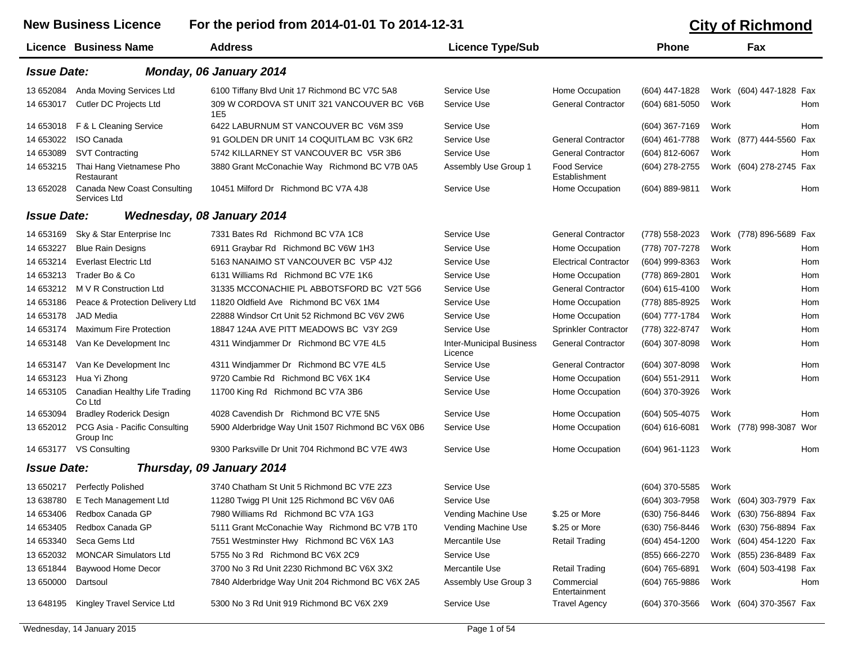New Business Licence For the period from 2014-01-01 To 2014-12-31 **City of Richmond** 

|                    | <b>Licence Business Name</b>                | <b>Address</b>                                     | <b>Licence Type/Sub</b>                    |                               | <b>Phone</b>       |      | Fax                     |     |
|--------------------|---------------------------------------------|----------------------------------------------------|--------------------------------------------|-------------------------------|--------------------|------|-------------------------|-----|
| <b>Issue Date:</b> |                                             | Monday, 06 January 2014                            |                                            |                               |                    |      |                         |     |
| 13 652084          | Anda Moving Services Ltd                    | 6100 Tiffany Blvd Unit 17 Richmond BC V7C 5A8      | Service Use                                | Home Occupation               | (604) 447-1828     |      | Work (604) 447-1828 Fax |     |
| 14 653017          | Cutler DC Projects Ltd                      | 309 W CORDOVA ST UNIT 321 VANCOUVER BC V6B<br>1E5  | Service Use                                | <b>General Contractor</b>     | $(604) 681 - 5050$ | Work |                         | Hom |
| 14 653018          | F & L Cleaning Service                      | 6422 LABURNUM ST VANCOUVER BC V6M 3S9              | Service Use                                |                               | (604) 367-7169     | Work |                         | Hom |
| 14 653022          | <b>ISO Canada</b>                           | 91 GOLDEN DR UNIT 14 COQUITLAM BC V3K 6R2          | Service Use                                | <b>General Contractor</b>     | (604) 461-7788     | Work | (877) 444-5560          | Fax |
| 14 653089          | <b>SVT Contracting</b>                      | 5742 KILLARNEY ST VANCOUVER BC V5R 3B6             | Service Use                                | <b>General Contractor</b>     | (604) 812-6067     | Work |                         | Hom |
| 14 653215          | Thai Hang Vietnamese Pho<br>Restaurant      | 3880 Grant McConachie Way Richmond BC V7B 0A5      | Assembly Use Group 1                       | Food Service<br>Establishment | (604) 278-2755     |      | Work (604) 278-2745 Fax |     |
| 13 652028          | Canada New Coast Consulting<br>Services Ltd | 10451 Milford Dr Richmond BC V7A 4J8               | Service Use                                | Home Occupation               | (604) 889-9811     | Work |                         | Hom |
| <b>Issue Date:</b> |                                             | Wednesday, 08 January 2014                         |                                            |                               |                    |      |                         |     |
| 14 653169          | Sky & Star Enterprise Inc                   | 7331 Bates Rd Richmond BC V7A 1C8                  | Service Use                                | <b>General Contractor</b>     | (778) 558-2023     |      | Work (778) 896-5689 Fax |     |
| 14 653227          | <b>Blue Rain Designs</b>                    | 6911 Graybar Rd Richmond BC V6W 1H3                | Service Use                                | Home Occupation               | (778) 707-7278     | Work |                         | Hom |
| 14 653214          | <b>Everlast Electric Ltd</b>                | 5163 NANAIMO ST VANCOUVER BC V5P 4J2               | Service Use                                | <b>Electrical Contractor</b>  | (604) 999-8363     | Work |                         | Hom |
| 14 653213          | Trader Bo & Co                              | 6131 Williams Rd Richmond BC V7E 1K6               | Service Use                                | Home Occupation               | (778) 869-2801     | Work |                         | Hom |
| 14 653212          | M V R Construction Ltd                      | 31335 MCCONACHIE PL ABBOTSFORD BC V2T 5G6          | Service Use                                | <b>General Contractor</b>     | (604) 615-4100     | Work |                         | Hom |
| 14 653186          | Peace & Protection Delivery Ltd             | 11820 Oldfield Ave Richmond BC V6X 1M4             | Service Use                                | Home Occupation               | (778) 885-8925     | Work |                         | Hom |
| 14 653178          | <b>JAD</b> Media                            | 22888 Windsor Crt Unit 52 Richmond BC V6V 2W6      | Service Use                                | Home Occupation               | (604) 777-1784     | Work |                         | Hom |
| 14 653174          | <b>Maximum Fire Protection</b>              | 18847 124A AVE PITT MEADOWS BC V3Y 2G9             | Service Use                                | Sprinkler Contractor          | (778) 322-8747     | Work |                         | Hom |
| 14 653148          | Van Ke Development Inc                      | 4311 Windjammer Dr Richmond BC V7E 4L5             | <b>Inter-Municipal Business</b><br>Licence | <b>General Contractor</b>     | (604) 307-8098     | Work |                         | Hom |
| 14 653147          | Van Ke Development Inc                      | 4311 Windjammer Dr Richmond BC V7E 4L5             | Service Use                                | <b>General Contractor</b>     | (604) 307-8098     | Work |                         | Hom |
| 14 653123          | Hua Yi Zhong                                | 9720 Cambie Rd Richmond BC V6X 1K4                 | Service Use                                | Home Occupation               | $(604)$ 551-2911   | Work |                         | Hom |
| 14 653105          | Canadian Healthy Life Trading<br>Co Ltd     | 11700 King Rd Richmond BC V7A 3B6                  | Service Use                                | Home Occupation               | (604) 370-3926     | Work |                         |     |
| 14 653094          | <b>Bradley Roderick Design</b>              | 4028 Cavendish Dr Richmond BC V7E 5N5              | Service Use                                | Home Occupation               | $(604)$ 505-4075   | Work |                         | Hom |
| 13 652012          | PCG Asia - Pacific Consulting<br>Group Inc  | 5900 Alderbridge Way Unit 1507 Richmond BC V6X 0B6 | Service Use                                | Home Occupation               | $(604) 616 - 6081$ |      | Work (778) 998-3087 Wor |     |
| 14 653177          | VS Consulting                               | 9300 Parksville Dr Unit 704 Richmond BC V7E 4W3    | Service Use                                | Home Occupation               | (604) 961-1123     | Work |                         | Hom |
| <b>Issue Date:</b> |                                             | Thursday, 09 January 2014                          |                                            |                               |                    |      |                         |     |
| 13 650217          | <b>Perfectly Polished</b>                   | 3740 Chatham St Unit 5 Richmond BC V7E 2Z3         | Service Use                                |                               | (604) 370-5585     | Work |                         |     |
| 13 638780          | E Tech Management Ltd                       | 11280 Twigg PI Unit 125 Richmond BC V6V 0A6        | Service Use                                |                               | (604) 303-7958     |      | Work (604) 303-7979 Fax |     |
| 14 653406          | Redbox Canada GP                            | 7980 Williams Rd Richmond BC V7A 1G3               | Vending Machine Use                        | \$.25 or More                 | (630) 756-8446     |      | Work (630) 756-8894 Fax |     |
| 14 653405          | Redbox Canada GP                            | 5111 Grant McConachie Way Richmond BC V7B 1T0      | Vending Machine Use                        | \$.25 or More                 | (630) 756-8446     |      | Work (630) 756-8894 Fax |     |
| 14 653340          | Seca Gems Ltd                               | 7551 Westminster Hwy Richmond BC V6X 1A3           | Mercantile Use                             | <b>Retail Trading</b>         | $(604)$ 454-1200   |      | Work (604) 454-1220 Fax |     |
| 13 652032          | <b>MONCAR Simulators Ltd</b>                | 5755 No 3 Rd Richmond BC V6X 2C9                   | Service Use                                |                               | (855) 666-2270     |      | Work (855) 236-8489 Fax |     |
| 13 651844          | Baywood Home Decor                          | 3700 No 3 Rd Unit 2230 Richmond BC V6X 3X2         | Mercantile Use                             | <b>Retail Trading</b>         | (604) 765-6891     |      | Work (604) 503-4198 Fax |     |
| 13 650000          | Dartsoul                                    | 7840 Alderbridge Way Unit 204 Richmond BC V6X 2A5  | Assembly Use Group 3                       | Commercial<br>Entertainment   | (604) 765-9886     | Work |                         | Hom |
| 13 648195          | Kingley Travel Service Ltd                  | 5300 No 3 Rd Unit 919 Richmond BC V6X 2X9          | Service Use                                | <b>Travel Agency</b>          | (604) 370-3566     |      | Work (604) 370-3567 Fax |     |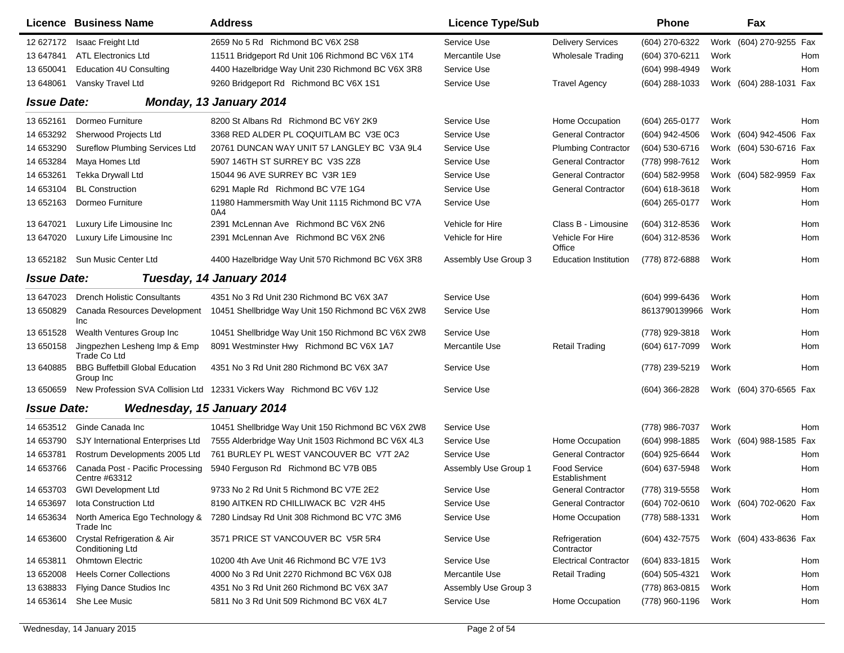|                    | Licence Business Name                               | <b>Address</b>                                                         | <b>Licence Type/Sub</b> |                               | <b>Phone</b>     |      | Fax                     |     |
|--------------------|-----------------------------------------------------|------------------------------------------------------------------------|-------------------------|-------------------------------|------------------|------|-------------------------|-----|
| 12 627172          | Isaac Freight Ltd                                   | 2659 No 5 Rd Richmond BC V6X 2S8                                       | Service Use             | <b>Delivery Services</b>      | (604) 270-6322   |      | Work (604) 270-9255 Fax |     |
| 13 647841          | <b>ATL Electronics Ltd</b>                          | 11511 Bridgeport Rd Unit 106 Richmond BC V6X 1T4                       | Mercantile Use          | <b>Wholesale Trading</b>      | (604) 370-6211   | Work |                         | Hom |
| 13 650041          | <b>Education 4U Consulting</b>                      | 4400 Hazelbridge Way Unit 230 Richmond BC V6X 3R8                      | Service Use             |                               | (604) 998-4949   | Work |                         | Hom |
| 13 648061          | Vansky Travel Ltd                                   | 9260 Bridgeport Rd Richmond BC V6X 1S1                                 | Service Use             | <b>Travel Agency</b>          | (604) 288-1033   |      | Work (604) 288-1031 Fax |     |
| <b>Issue Date:</b> |                                                     | Monday, 13 January 2014                                                |                         |                               |                  |      |                         |     |
| 13 652161          | Dormeo Furniture                                    | 8200 St Albans Rd Richmond BC V6Y 2K9                                  | Service Use             | Home Occupation               | $(604)$ 265-0177 | Work |                         | Hom |
| 14 653292          | Sherwood Projects Ltd                               | 3368 RED ALDER PL COQUITLAM BC V3E 0C3                                 | Service Use             | <b>General Contractor</b>     | (604) 942-4506   |      | Work (604) 942-4506 Fax |     |
| 14 653290          | <b>Sureflow Plumbing Services Ltd</b>               | 20761 DUNCAN WAY UNIT 57 LANGLEY BC V3A 9L4                            | Service Use             | <b>Plumbing Contractor</b>    | (604) 530-6716   |      | Work (604) 530-6716 Fax |     |
| 14 653284          | Maya Homes Ltd                                      | 5907 146TH ST SURREY BC V3S 2Z8                                        | Service Use             | <b>General Contractor</b>     | (778) 998-7612   | Work |                         | Hom |
| 14 653261          | Tekka Drywall Ltd                                   | 15044 96 AVE SURREY BC V3R 1E9                                         | Service Use             | <b>General Contractor</b>     | (604) 582-9958   |      | Work (604) 582-9959 Fax |     |
| 14 653104          | <b>BL Construction</b>                              | 6291 Maple Rd Richmond BC V7E 1G4                                      | Service Use             | <b>General Contractor</b>     | $(604)$ 618-3618 | Work |                         | Hom |
| 13 652163          | Dormeo Furniture                                    | 11980 Hammersmith Way Unit 1115 Richmond BC V7A<br>0A4                 | Service Use             |                               | (604) 265-0177   | Work |                         | Hom |
| 13 647021          | Luxury Life Limousine Inc                           | 2391 McLennan Ave Richmond BC V6X 2N6                                  | Vehicle for Hire        | Class B - Limousine           | (604) 312-8536   | Work |                         | Hom |
| 13 647020          | Luxury Life Limousine Inc                           | 2391 McLennan Ave Richmond BC V6X 2N6                                  | Vehicle for Hire        | Vehicle For Hire<br>Office    | (604) 312-8536   | Work |                         | Hom |
|                    | 13 652182 Sun Music Center Ltd                      | 4400 Hazelbridge Way Unit 570 Richmond BC V6X 3R8                      | Assembly Use Group 3    | <b>Education Institution</b>  | (778) 872-6888   | Work |                         | Hom |
| <b>Issue Date:</b> |                                                     | Tuesday, 14 January 2014                                               |                         |                               |                  |      |                         |     |
| 13 647023          | <b>Drench Holistic Consultants</b>                  | 4351 No 3 Rd Unit 230 Richmond BC V6X 3A7                              | Service Use             |                               | (604) 999-6436   | Work |                         | Hom |
| 13 650829          | Canada Resources Development<br>Inc                 | 10451 Shellbridge Way Unit 150 Richmond BC V6X 2W8                     | Service Use             |                               | 8613790139966    | Work |                         | Hom |
| 13 651528          | Wealth Ventures Group Inc                           | 10451 Shellbridge Way Unit 150 Richmond BC V6X 2W8                     | Service Use             |                               | (778) 929-3818   | Work |                         | Hom |
| 13 650158          | Jingpezhen Lesheng Imp & Emp<br>Trade Co Ltd        | 8091 Westminster Hwy Richmond BC V6X 1A7                               | Mercantile Use          | <b>Retail Trading</b>         | (604) 617-7099   | Work |                         | Hom |
| 13 640885          | <b>BBG Buffetbill Global Education</b><br>Group Inc | 4351 No 3 Rd Unit 280 Richmond BC V6X 3A7                              | Service Use             |                               | (778) 239-5219   | Work |                         | Hom |
| 13 650659          |                                                     | New Profession SVA Collision Ltd 12331 Vickers Way Richmond BC V6V 1J2 | Service Use             |                               | (604) 366-2828   |      | Work (604) 370-6565 Fax |     |
| <b>Issue Date:</b> |                                                     | <b>Wednesday, 15 January 2014</b>                                      |                         |                               |                  |      |                         |     |
| 14 653512          | Ginde Canada Inc                                    | 10451 Shellbridge Way Unit 150 Richmond BC V6X 2W8                     | Service Use             |                               | (778) 986-7037   | Work |                         | Hom |
| 14 653790          | SJY International Enterprises Ltd                   | 7555 Alderbridge Way Unit 1503 Richmond BC V6X 4L3                     | Service Use             | Home Occupation               | (604) 998-1885   |      | Work (604) 988-1585 Fax |     |
| 14 653781          | Rostrum Developments 2005 Ltd                       | 761 BURLEY PL WEST VANCOUVER BC V7T 2A2                                | Service Use             | <b>General Contractor</b>     | (604) 925-6644   | Work |                         | Hom |
| 14 653766          | Canada Post - Pacific Processing<br>Centre #63312   | 5940 Ferguson Rd Richmond BC V7B 0B5                                   | Assembly Use Group 1    | Food Service<br>Establishment | (604) 637-5948   | Work |                         | Hom |
| 14 653703          | <b>GWI Development Ltd</b>                          | 9733 No 2 Rd Unit 5 Richmond BC V7E 2E2                                | Service Use             | <b>General Contractor</b>     | (778) 319-5558   | Work |                         | Hom |
| 14 653697          | lota Construction Ltd                               | 8190 AITKEN RD CHILLIWACK BC V2R 4H5                                   | Service Use             | <b>General Contractor</b>     | (604) 702-0610   |      | Work (604) 702-0620 Fax |     |
| 14 653634          | North America Ego Technology &<br>Trade Inc         | 7280 Lindsay Rd Unit 308 Richmond BC V7C 3M6                           | Service Use             | Home Occupation               | (778) 588-1331   | Work |                         | Hom |
| 14 653600          | Crystal Refrigeration & Air<br>Conditioning Ltd     | 3571 PRICE ST VANCOUVER BC V5R 5R4                                     | Service Use             | Refrigeration<br>Contractor   | (604) 432-7575   |      | Work (604) 433-8636 Fax |     |
| 14 653811          | <b>Ohmtown Electric</b>                             | 10200 4th Ave Unit 46 Richmond BC V7E 1V3                              | Service Use             | <b>Electrical Contractor</b>  | (604) 833-1815   | Work |                         | Hom |
| 13 652008          | <b>Heels Corner Collections</b>                     | 4000 No 3 Rd Unit 2270 Richmond BC V6X 0J8                             | Mercantile Use          | <b>Retail Trading</b>         | (604) 505-4321   | Work |                         | Hom |
| 13 638833          | Flying Dance Studios Inc                            | 4351 No 3 Rd Unit 260 Richmond BC V6X 3A7                              | Assembly Use Group 3    |                               | (778) 863-0815   | Work |                         | Hom |
| 14 653614          | She Lee Music                                       | 5811 No 3 Rd Unit 509 Richmond BC V6X 4L7                              | Service Use             | Home Occupation               | (778) 960-1196   | Work |                         | Hom |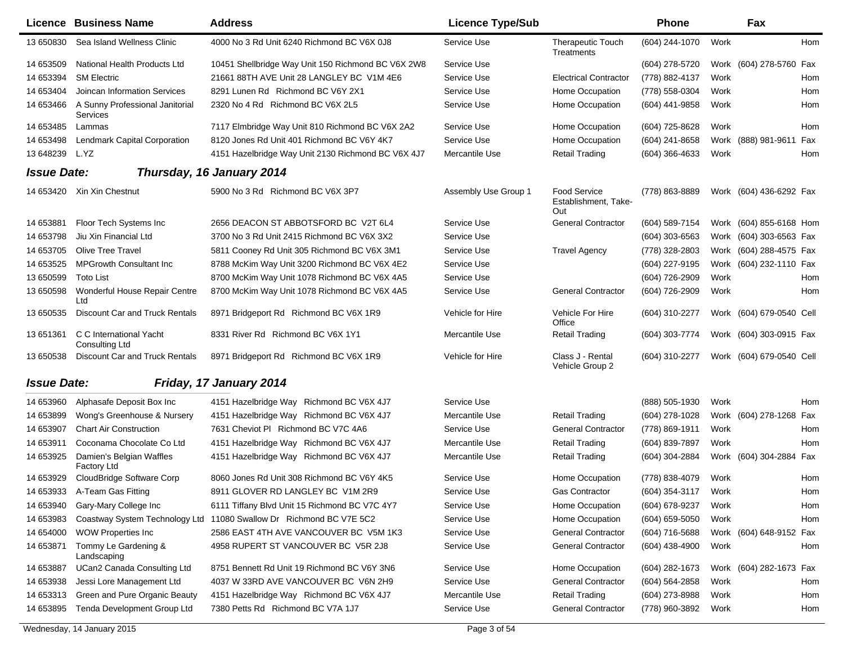|                    | Licence Business Name                            | <b>Address</b>                                                      | <b>Licence Type/Sub</b> |                                                    | <b>Phone</b>       |      | Fax                      |     |
|--------------------|--------------------------------------------------|---------------------------------------------------------------------|-------------------------|----------------------------------------------------|--------------------|------|--------------------------|-----|
| 13 650830          | Sea Island Wellness Clinic                       | 4000 No 3 Rd Unit 6240 Richmond BC V6X 0J8                          | Service Use             | Therapeutic Touch<br>Treatments                    | (604) 244-1070     | Work |                          | Hom |
| 14 653509          | National Health Products Ltd                     | 10451 Shellbridge Way Unit 150 Richmond BC V6X 2W8                  | Service Use             |                                                    | (604) 278-5720     |      | Work (604) 278-5760 Fax  |     |
| 14 653394          | <b>SM Electric</b>                               | 21661 88TH AVE Unit 28 LANGLEY BC V1M 4E6                           | Service Use             | <b>Electrical Contractor</b>                       | (778) 882-4137     | Work |                          | Hom |
| 14 653404          | Joincan Information Services                     | 8291 Lunen Rd Richmond BC V6Y 2X1                                   | Service Use             | Home Occupation                                    | (778) 558-0304     | Work |                          | Hom |
| 14 653466          | A Sunny Professional Janitorial<br>Services      | 2320 No 4 Rd Richmond BC V6X 2L5                                    | Service Use             | Home Occupation                                    | (604) 441-9858     | Work |                          | Hom |
| 14 653485          | Lammas                                           | 7117 Elmbridge Way Unit 810 Richmond BC V6X 2A2                     | Service Use             | Home Occupation                                    | (604) 725-8628     | Work |                          | Hom |
| 14 653498          | Lendmark Capital Corporation                     | 8120 Jones Rd Unit 401 Richmond BC V6Y 4K7                          | Service Use             | Home Occupation                                    | (604) 241-8658     |      | Work (888) 981-9611 Fax  |     |
| 13 648239          | L.YZ                                             | 4151 Hazelbridge Way Unit 2130 Richmond BC V6X 4J7                  | Mercantile Use          | <b>Retail Trading</b>                              | $(604)$ 366-4633   | Work |                          | Hom |
| <b>Issue Date:</b> |                                                  | Thursday, 16 January 2014                                           |                         |                                                    |                    |      |                          |     |
|                    | 14 653420 Xin Xin Chestnut                       | 5900 No 3 Rd Richmond BC V6X 3P7                                    | Assembly Use Group 1    | <b>Food Service</b><br>Establishment, Take-<br>Out | (778) 863-8889     |      | Work (604) 436-6292 Fax  |     |
| 14 653881          | Floor Tech Systems Inc                           | 2656 DEACON ST ABBOTSFORD BC V2T 6L4                                | Service Use             | <b>General Contractor</b>                          | (604) 589-7154     |      | Work (604) 855-6168 Hom  |     |
| 14 653798          | Jiu Xin Financial Ltd                            | 3700 No 3 Rd Unit 2415 Richmond BC V6X 3X2                          | Service Use             |                                                    | $(604)$ 303-6563   |      | Work (604) 303-6563 Fax  |     |
| 14 653705          | <b>Olive Tree Travel</b>                         | 5811 Cooney Rd Unit 305 Richmond BC V6X 3M1                         | Service Use             | <b>Travel Agency</b>                               | (778) 328-2803     |      | Work (604) 288-4575 Fax  |     |
| 14 653525          | <b>MPGrowth Consultant Inc.</b>                  | 8788 McKim Way Unit 3200 Richmond BC V6X 4E2                        | Service Use             |                                                    | (604) 227-9195     |      | Work (604) 232-1110 Fax  |     |
| 13 650599          | <b>Toto List</b>                                 | 8700 McKim Way Unit 1078 Richmond BC V6X 4A5                        | Service Use             |                                                    | (604) 726-2909     | Work |                          | Hom |
| 13 650598          | Wonderful House Repair Centre<br>Ltd             | 8700 McKim Way Unit 1078 Richmond BC V6X 4A5                        | Service Use             | <b>General Contractor</b>                          | (604) 726-2909     | Work |                          | Hom |
| 13 650535          | Discount Car and Truck Rentals                   | 8971 Bridgeport Rd Richmond BC V6X 1R9                              | Vehicle for Hire        | Vehicle For Hire<br>Office                         | (604) 310-2277     |      | Work (604) 679-0540 Cell |     |
| 13 651361          | C C International Yacht<br><b>Consulting Ltd</b> | 8331 River Rd Richmond BC V6X 1Y1                                   | Mercantile Use          | Retail Trading                                     | (604) 303-7774     |      | Work (604) 303-0915 Fax  |     |
| 13 650538          | Discount Car and Truck Rentals                   | 8971 Bridgeport Rd Richmond BC V6X 1R9                              | Vehicle for Hire        | Class J - Rental<br>Vehicle Group 2                | (604) 310-2277     |      | Work (604) 679-0540 Cell |     |
| <b>Issue Date:</b> |                                                  | Friday, 17 January 2014                                             |                         |                                                    |                    |      |                          |     |
| 14 653960          | Alphasafe Deposit Box Inc                        | 4151 Hazelbridge Way Richmond BC V6X 4J7                            | Service Use             |                                                    | (888) 505-1930     | Work |                          | Hom |
| 14 653899          | Wong's Greenhouse & Nursery                      | 4151 Hazelbridge Way Richmond BC V6X 4J7                            | Mercantile Use          | <b>Retail Trading</b>                              | (604) 278-1028     |      | Work (604) 278-1268      | Fax |
| 14 653907          | <b>Chart Air Construction</b>                    | 7631 Cheviot PI Richmond BC V7C 4A6                                 | Service Use             | <b>General Contractor</b>                          | (778) 869-1911     | Work |                          | Hom |
| 14 653911          | Coconama Chocolate Co Ltd                        | 4151 Hazelbridge Way Richmond BC V6X 4J7                            | Mercantile Use          | <b>Retail Trading</b>                              | (604) 839-7897     | Work |                          | Hom |
| 14 653925          | Damien's Belgian Waffles<br><b>Factory Ltd</b>   | 4151 Hazelbridge Way Richmond BC V6X 4J7                            | Mercantile Use          | <b>Retail Trading</b>                              | (604) 304-2884     |      | Work (604) 304-2884 Fax  |     |
| 14 653929          | CloudBridge Software Corp                        | 8060 Jones Rd Unit 308 Richmond BC V6Y 4K5                          | Service Use             | Home Occupation                                    | (778) 838-4079     | Work |                          | Hom |
|                    | 14 653933 A-Team Gas Fitting                     | 8911 GLOVER RD LANGLEY BC V1M 2R9                                   | Service Use             | Gas Contractor                                     | (604) 354-3117     | Work |                          | Hom |
| 14 653940          | Gary-Mary College Inc                            | 6111 Tiffany Blvd Unit 15 Richmond BC V7C 4Y7                       | Service Use             | Home Occupation                                    | (604) 678-9237     | Work |                          | Hom |
| 14 653983          |                                                  | Coastway System Technology Ltd 11080 Swallow Dr Richmond BC V7E 5C2 | Service Use             | Home Occupation                                    | $(604) 659 - 5050$ | Work |                          | Hom |
| 14 654000          | <b>WOW Properties Inc</b>                        | 2586 EAST 4TH AVE VANCOUVER BC V5M 1K3                              | Service Use             | <b>General Contractor</b>                          | $(604)$ 716-5688   |      | Work (604) 648-9152 Fax  |     |
| 14 653871          | Tommy Le Gardening &<br>Landscaping              | 4958 RUPERT ST VANCOUVER BC V5R 2J8                                 | Service Use             | <b>General Contractor</b>                          | $(604)$ 438-4900   | Work |                          | Hom |
| 14 653887          | UCan2 Canada Consulting Ltd                      | 8751 Bennett Rd Unit 19 Richmond BC V6Y 3N6                         | Service Use             | Home Occupation                                    | (604) 282-1673     |      | Work (604) 282-1673 Fax  |     |
| 14 653938          | Jessi Lore Management Ltd                        | 4037 W 33RD AVE VANCOUVER BC V6N 2H9                                | Service Use             | <b>General Contractor</b>                          | (604) 564-2858     | Work |                          | Hom |
| 14 653313          | Green and Pure Organic Beauty                    | 4151 Hazelbridge Way Richmond BC V6X 4J7                            | Mercantile Use          | <b>Retail Trading</b>                              | (604) 273-8988     | Work |                          | Hom |
| 14 653895          | Tenda Development Group Ltd                      | 7380 Petts Rd Richmond BC V7A 1J7                                   | Service Use             | <b>General Contractor</b>                          | (778) 960-3892     | Work |                          | Hom |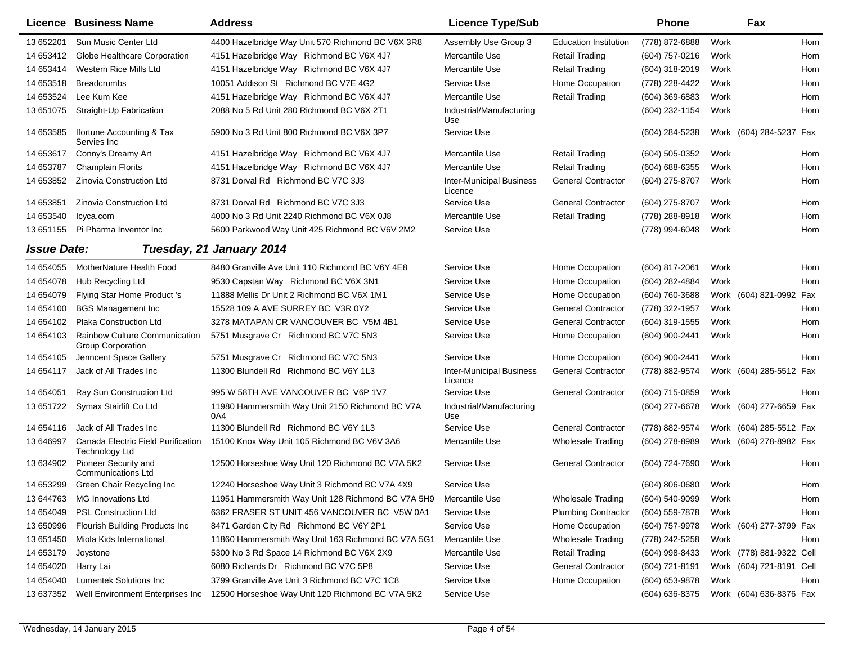|                    | Licence Business Name                                       | <b>Address</b>                                         | <b>Licence Type/Sub</b>                    |                              | <b>Phone</b>       |      | Fax                      |            |
|--------------------|-------------------------------------------------------------|--------------------------------------------------------|--------------------------------------------|------------------------------|--------------------|------|--------------------------|------------|
| 13 652201          | Sun Music Center Ltd                                        | 4400 Hazelbridge Way Unit 570 Richmond BC V6X 3R8      | Assembly Use Group 3                       | <b>Education Institution</b> | (778) 872-6888     | Work |                          | Hom        |
| 14 653412          | Globe Healthcare Corporation                                | 4151 Hazelbridge Way Richmond BC V6X 4J7               | Mercantile Use                             | <b>Retail Trading</b>        | (604) 757-0216     | Work |                          | Hom        |
| 14 653414          | Western Rice Mills Ltd                                      | 4151 Hazelbridge Way Richmond BC V6X 4J7               | Mercantile Use                             | Retail Trading               | (604) 318-2019     | Work |                          | Hom        |
| 14 653518          | <b>Breadcrumbs</b>                                          | 10051 Addison St Richmond BC V7E 4G2                   | Service Use                                | Home Occupation              | (778) 228-4422     | Work |                          | Hom        |
| 14 653524          | Lee Kum Kee                                                 | 4151 Hazelbridge Way Richmond BC V6X 4J7               | Mercantile Use                             | <b>Retail Trading</b>        | (604) 369-6883     | Work |                          | Hom        |
| 13 651075          | Straight-Up Fabrication                                     | 2088 No 5 Rd Unit 280 Richmond BC V6X 2T1              | Industrial/Manufacturing<br>Use            |                              | (604) 232-1154     | Work |                          | Hom        |
| 14 653585          | Ifortune Accounting & Tax<br>Servies Inc.                   | 5900 No 3 Rd Unit 800 Richmond BC V6X 3P7              | Service Use                                |                              | (604) 284-5238     |      | Work (604) 284-5237 Fax  |            |
| 14 653617          | Conny's Dreamy Art                                          | 4151 Hazelbridge Way Richmond BC V6X 4J7               | Mercantile Use                             | <b>Retail Trading</b>        | (604) 505-0352     | Work |                          | Hom        |
| 14 653787          | <b>Champlain Florits</b>                                    | 4151 Hazelbridge Way Richmond BC V6X 4J7               | Mercantile Use                             | <b>Retail Trading</b>        | (604) 688-6355     | Work |                          | Hom        |
| 14 653852          | Zinovia Construction Ltd                                    | 8731 Dorval Rd Richmond BC V7C 3J3                     | <b>Inter-Municipal Business</b><br>Licence | <b>General Contractor</b>    | (604) 275-8707     | Work |                          | Hom        |
| 14 653851          | Zinovia Construction Ltd                                    | 8731 Dorval Rd Richmond BC V7C 3J3                     | Service Use                                | <b>General Contractor</b>    | (604) 275-8707     | Work |                          | <b>Hom</b> |
| 14 653540          | Icyca.com                                                   | 4000 No 3 Rd Unit 2240 Richmond BC V6X 0J8             | Mercantile Use                             | <b>Retail Trading</b>        | (778) 288-8918     | Work |                          | Hom        |
| 13 651155          | Pi Pharma Inventor Inc                                      | 5600 Parkwood Way Unit 425 Richmond BC V6V 2M2         | Service Use                                |                              | (778) 994-6048     | Work |                          | Hom        |
| <b>Issue Date:</b> |                                                             | Tuesday, 21 January 2014                               |                                            |                              |                    |      |                          |            |
| 14 654055          | MotherNature Health Food                                    | 8480 Granville Ave Unit 110 Richmond BC V6Y 4E8        | Service Use                                | Home Occupation              | (604) 817-2061     | Work |                          | Hom        |
| 14 654078          | Hub Recycling Ltd                                           | 9530 Capstan Way Richmond BC V6X 3N1                   | Service Use                                | Home Occupation              | (604) 282-4884     | Work |                          | Hom        |
| 14 654079          | Flying Star Home Product 's                                 | 11888 Mellis Dr Unit 2 Richmond BC V6X 1M1             | Service Use                                | Home Occupation              | (604) 760-3688     |      | Work (604) 821-0992 Fax  |            |
| 14 654100          | <b>BGS Management Inc</b>                                   | 15528 109 A AVE SURREY BC V3R 0Y2                      | Service Use                                | <b>General Contractor</b>    | (778) 322-1957     | Work |                          | Hom        |
| 14 654102          | Plaka Construction Ltd                                      | 3278 MATAPAN CR VANCOUVER BC V5M 4B1                   | Service Use                                | <b>General Contractor</b>    | (604) 319-1555     | Work |                          | Hom        |
| 14 654103          | Rainbow Culture Communication<br><b>Group Corporation</b>   | 5751 Musgrave Cr Richmond BC V7C 5N3                   | Service Use                                | Home Occupation              | (604) 900-2441     | Work |                          | Hom        |
| 14 654105          | Jenncent Space Gallery                                      | 5751 Musgrave Cr Richmond BC V7C 5N3                   | Service Use                                | Home Occupation              | (604) 900-2441     | Work |                          | Hom        |
| 14 654117          | Jack of All Trades Inc                                      | 11300 Blundell Rd Richmond BC V6Y 1L3                  | <b>Inter-Municipal Business</b><br>Licence | <b>General Contractor</b>    | (778) 882-9574     |      | Work (604) 285-5512 Fax  |            |
| 14 654051          | Ray Sun Construction Ltd                                    | 995 W 58TH AVE VANCOUVER BC V6P 1V7                    | Service Use                                | <b>General Contractor</b>    | (604) 715-0859     | Work |                          | Hom        |
| 13 651722          | Symax Stairlift Co Ltd                                      | 11980 Hammersmith Way Unit 2150 Richmond BC V7A<br>0A4 | Industrial/Manufacturing<br>Use            |                              | (604) 277-6678     | Work | (604) 277-6659 Fax       |            |
| 14 654116          | Jack of All Trades Inc                                      | 11300 Blundell Rd Richmond BC V6Y 1L3                  | Service Use                                | <b>General Contractor</b>    | (778) 882-9574     |      | Work (604) 285-5512 Fax  |            |
| 13 646997          | Canada Electric Field Purification<br><b>Technology Ltd</b> | 15100 Knox Way Unit 105 Richmond BC V6V 3A6            | Mercantile Use                             | <b>Wholesale Trading</b>     | (604) 278-8989     |      | Work (604) 278-8982 Fax  |            |
| 13 634902          | Pioneer Security and<br><b>Communications Ltd</b>           | 12500 Horseshoe Way Unit 120 Richmond BC V7A 5K2       | Service Use                                | <b>General Contractor</b>    | (604) 724-7690     | Work |                          | Hom        |
| 14 653299          | Green Chair Recycling Inc                                   | 12240 Horseshoe Way Unit 3 Richmond BC V7A 4X9         | Service Use                                |                              | (604) 806-0680     | Work |                          | Hom        |
| 13 644763          | <b>MG Innovations Ltd</b>                                   | 11951 Hammersmith Way Unit 128 Richmond BC V7A 5H9     | Mercantile Use                             | <b>Wholesale Trading</b>     | $(604) 540 - 9099$ | Work |                          | Hom        |
| 14 654049          | <b>PSL Construction Ltd</b>                                 | 6362 FRASER ST UNIT 456 VANCOUVER BC V5W 0A1           | Service Use                                | <b>Plumbing Contractor</b>   | (604) 559-7878     | Work |                          | Hom        |
| 13 650996          | Flourish Building Products Inc                              | 8471 Garden City Rd Richmond BC V6Y 2P1                | Service Use                                | Home Occupation              | (604) 757-9978     |      | Work (604) 277-3799 Fax  |            |
| 13 651450          | Miola Kids International                                    | 11860 Hammersmith Way Unit 163 Richmond BC V7A 5G1     | Mercantile Use                             | <b>Wholesale Trading</b>     | (778) 242-5258     | Work |                          | Hom        |
| 14 653179          | Joystone                                                    | 5300 No 3 Rd Space 14 Richmond BC V6X 2X9              | Mercantile Use                             | <b>Retail Trading</b>        | (604) 998-8433     |      | Work (778) 881-9322 Cell |            |
| 14 654020          | Harry Lai                                                   | 6080 Richards Dr Richmond BC V7C 5P8                   | Service Use                                | <b>General Contractor</b>    | (604) 721-8191     |      | Work (604) 721-8191 Cell |            |
| 14 654040          | <b>Lumentek Solutions Inc</b>                               | 3799 Granville Ave Unit 3 Richmond BC V7C 1C8          | Service Use                                | Home Occupation              | (604) 653-9878     | Work |                          | Hom        |
|                    | 13 637352 Well Environment Enterprises Inc                  | 12500 Horseshoe Way Unit 120 Richmond BC V7A 5K2       | Service Use                                |                              | (604) 636-8375     |      | Work (604) 636-8376 Fax  |            |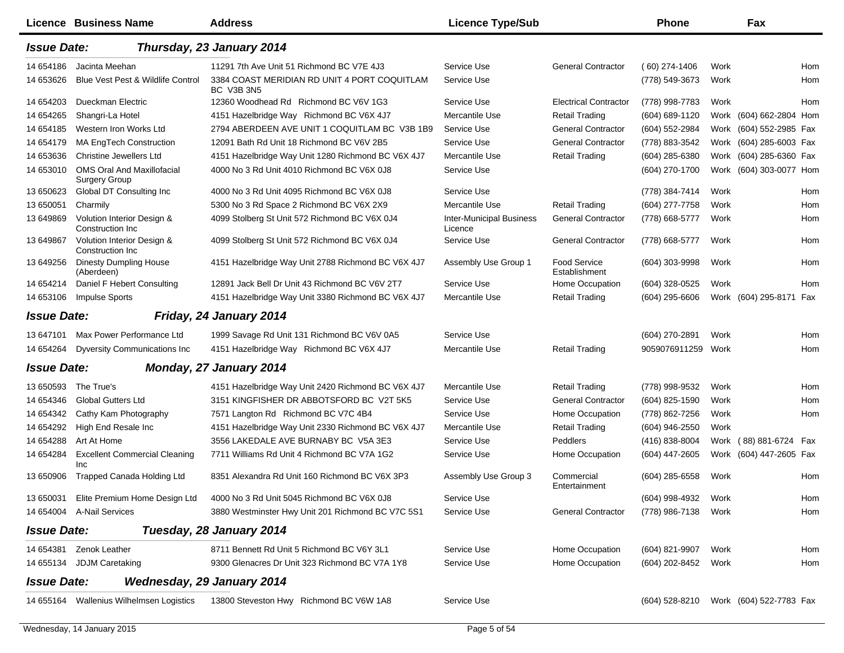|                    | Licence Business Name                                     | <b>Address</b>                                             | <b>Licence Type/Sub</b>                    |                                      | <b>Phone</b>     |      | Fax                     |     |
|--------------------|-----------------------------------------------------------|------------------------------------------------------------|--------------------------------------------|--------------------------------------|------------------|------|-------------------------|-----|
| <b>Issue Date:</b> |                                                           | Thursday, 23 January 2014                                  |                                            |                                      |                  |      |                         |     |
| 14 654186          | Jacinta Meehan                                            | 11291 7th Ave Unit 51 Richmond BC V7E 4J3                  | Service Use                                | <b>General Contractor</b>            | $(60)$ 274-1406  | Work |                         | Hom |
| 14 653626          | Blue Vest Pest & Wildlife Control                         | 3384 COAST MERIDIAN RD UNIT 4 PORT COQUITLAM<br>BC V3B 3N5 | Service Use                                |                                      | (778) 549-3673   | Work |                         | Hom |
| 14 654203          | Dueckman Electric                                         | 12360 Woodhead Rd Richmond BC V6V 1G3                      | Service Use                                | <b>Electrical Contractor</b>         | (778) 998-7783   | Work |                         | Hom |
| 14 654265          | Shangri-La Hotel                                          | 4151 Hazelbridge Way Richmond BC V6X 4J7                   | Mercantile Use                             | <b>Retail Trading</b>                | (604) 689-1120   |      | Work (604) 662-2804 Hom |     |
| 14 654185          | Western Iron Works Ltd                                    | 2794 ABERDEEN AVE UNIT 1 COQUITLAM BC V3B 1B9              | Service Use                                | <b>General Contractor</b>            | (604) 552-2984   |      | Work (604) 552-2985 Fax |     |
| 14 654179          | <b>MA EngTech Construction</b>                            | 12091 Bath Rd Unit 18 Richmond BC V6V 2B5                  | Service Use                                | <b>General Contractor</b>            | (778) 883-3542   |      | Work (604) 285-6003 Fax |     |
| 14 653636          | <b>Christine Jewellers Ltd</b>                            | 4151 Hazelbridge Way Unit 1280 Richmond BC V6X 4J7         | Mercantile Use                             | <b>Retail Trading</b>                | (604) 285-6380   |      | Work (604) 285-6360 Fax |     |
| 14 653010          | <b>OMS Oral And Maxillofacial</b><br><b>Surgery Group</b> | 4000 No 3 Rd Unit 4010 Richmond BC V6X 0J8                 | Service Use                                |                                      | (604) 270-1700   |      | Work (604) 303-0077 Hom |     |
| 13 650623          | Global DT Consulting Inc                                  | 4000 No 3 Rd Unit 4095 Richmond BC V6X 0J8                 | Service Use                                |                                      | (778) 384-7414   | Work |                         | Hom |
| 13 650051          | Charmily                                                  | 5300 No 3 Rd Space 2 Richmond BC V6X 2X9                   | Mercantile Use                             | <b>Retail Trading</b>                | (604) 277-7758   | Work |                         | Hom |
| 13 649869          | Volution Interior Design &<br>Construction Inc.           | 4099 Stolberg St Unit 572 Richmond BC V6X 0J4              | <b>Inter-Municipal Business</b><br>Licence | <b>General Contractor</b>            | (778) 668-5777   | Work |                         | Hom |
| 13 649867          | Volution Interior Design &<br>Construction Inc.           | 4099 Stolberg St Unit 572 Richmond BC V6X 0J4              | Service Use                                | <b>General Contractor</b>            | (778) 668-5777   | Work |                         | Hom |
| 13 649256          | <b>Dinesty Dumpling House</b><br>(Aberdeen)               | 4151 Hazelbridge Way Unit 2788 Richmond BC V6X 4J7         | Assembly Use Group 1                       | <b>Food Service</b><br>Establishment | (604) 303-9998   | Work |                         | Hom |
| 14 654214          | Daniel F Hebert Consulting                                | 12891 Jack Bell Dr Unit 43 Richmond BC V6V 2T7             | Service Use                                | Home Occupation                      | (604) 328-0525   | Work |                         | Hom |
| 14 653106          | <b>Impulse Sports</b>                                     | 4151 Hazelbridge Way Unit 3380 Richmond BC V6X 4J7         | Mercantile Use                             | <b>Retail Trading</b>                | $(604)$ 295-6606 |      | Work (604) 295-8171 Fax |     |
| <b>Issue Date:</b> |                                                           | Friday, 24 January 2014                                    |                                            |                                      |                  |      |                         |     |
| 13 647101          | Max Power Performance Ltd                                 | 1999 Savage Rd Unit 131 Richmond BC V6V 0A5                | Service Use                                |                                      | (604) 270-2891   | Work |                         | Hom |
| 14 654264          | <b>Dyversity Communications Inc.</b>                      | 4151 Hazelbridge Way Richmond BC V6X 4J7                   | Mercantile Use                             | <b>Retail Trading</b>                | 9059076911259    | Work |                         | Hom |
| <b>Issue Date:</b> |                                                           | Monday, 27 January 2014                                    |                                            |                                      |                  |      |                         |     |
| 13 650593          | The True's                                                | 4151 Hazelbridge Way Unit 2420 Richmond BC V6X 4J7         | Mercantile Use                             | <b>Retail Trading</b>                | (778) 998-9532   | Work |                         | Hom |
| 14 654346          | <b>Global Gutters Ltd</b>                                 | 3151 KINGFISHER DR ABBOTSFORD BC V2T 5K5                   | Service Use                                | <b>General Contractor</b>            | $(604)$ 825-1590 | Work |                         | Hom |
| 14 654342          | Cathy Kam Photography                                     | 7571 Langton Rd Richmond BC V7C 4B4                        | Service Use                                | Home Occupation                      | (778) 862-7256   | Work |                         | Hom |
| 14 654292          | High End Resale Inc                                       | 4151 Hazelbridge Way Unit 2330 Richmond BC V6X 4J7         | Mercantile Use                             | <b>Retail Trading</b>                | (604) 946-2550   | Work |                         |     |
| 14 654288          | Art At Home                                               | 3556 LAKEDALE AVE BURNABY BC V5A 3E3                       | Service Use                                | <b>Peddlers</b>                      | (416) 838-8004   |      | Work (88) 881-6724      | Fax |
| 14 654284          | <b>Excellent Commercial Cleaning</b><br>Inc               | 7711 Williams Rd Unit 4 Richmond BC V7A 1G2                | Service Use                                | Home Occupation                      | (604) 447-2605   |      | Work (604) 447-2605 Fax |     |
| 13 650906          | <b>Trapped Canada Holding Ltd</b>                         | 8351 Alexandra Rd Unit 160 Richmond BC V6X 3P3             | Assembly Use Group 3                       | Commercial<br>Entertainment          | (604) 285-6558   | Work |                         | Hom |
| 13 650031          | Elite Premium Home Design Ltd                             | 4000 No 3 Rd Unit 5045 Richmond BC V6X 0J8                 | Service Use                                |                                      | (604) 998-4932   | Work |                         | Hom |
|                    | 14 654004 A-Nail Services                                 | 3880 Westminster Hwy Unit 201 Richmond BC V7C 5S1          | Service Use                                | <b>General Contractor</b>            | (778) 986-7138   | Work |                         | Hom |
| <b>Issue Date:</b> |                                                           | Tuesday, 28 January 2014                                   |                                            |                                      |                  |      |                         |     |
|                    | 14 654381 Zenok Leather                                   | 8711 Bennett Rd Unit 5 Richmond BC V6Y 3L1                 | Service Use                                | Home Occupation                      | (604) 821-9907   | Work |                         | Hom |
| 14 655134          | <b>JDJM Caretaking</b>                                    | 9300 Glenacres Dr Unit 323 Richmond BC V7A 1Y8             | Service Use                                | Home Occupation                      | (604) 202-8452   | Work |                         | Hom |
| <b>Issue Date:</b> |                                                           | <b>Wednesday, 29 January 2014</b>                          |                                            |                                      |                  |      |                         |     |
|                    | 14 655164 Wallenius Wilhelmsen Logistics                  | 13800 Steveston Hwy Richmond BC V6W 1A8                    | Service Use                                |                                      | (604) 528-8210   |      | Work (604) 522-7783 Fax |     |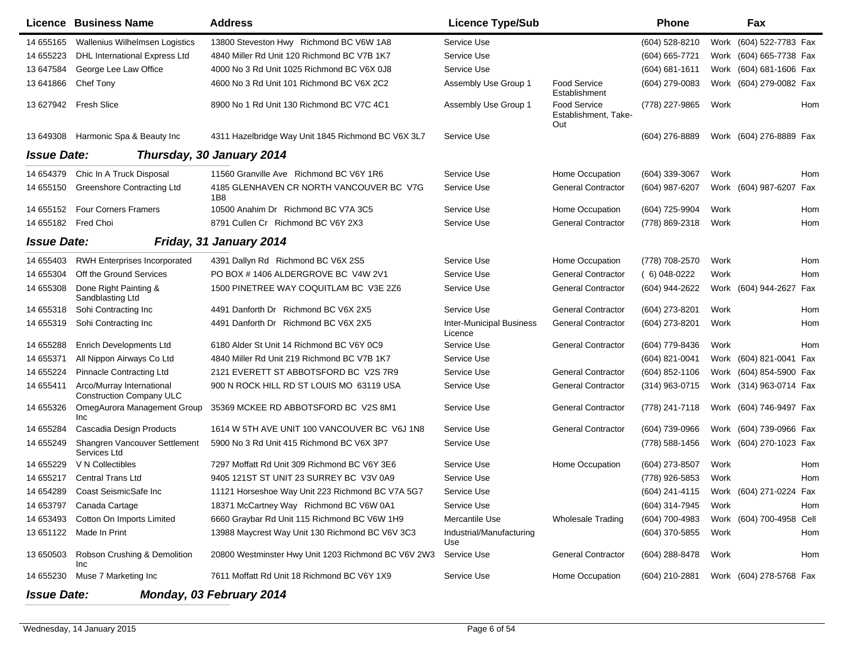|                    | <b>Licence Business Name</b>                                 | <b>Address</b>                                              | <b>Licence Type/Sub</b>                    |                                             | <b>Phone</b>   |      | Fax                      |     |
|--------------------|--------------------------------------------------------------|-------------------------------------------------------------|--------------------------------------------|---------------------------------------------|----------------|------|--------------------------|-----|
| 14 655165          | <b>Wallenius Wilhelmsen Logistics</b>                        | 13800 Steveston Hwy Richmond BC V6W 1A8                     | Service Use                                |                                             | (604) 528-8210 |      | Work (604) 522-7783 Fax  |     |
| 14 655223          | DHL International Express Ltd                                | 4840 Miller Rd Unit 120 Richmond BC V7B 1K7                 | Service Use                                |                                             | (604) 665-7721 |      | Work (604) 665-7738 Fax  |     |
| 13 647584          | George Lee Law Office                                        | 4000 No 3 Rd Unit 1025 Richmond BC V6X 0J8                  | Service Use                                |                                             | (604) 681-1611 |      | Work (604) 681-1606 Fax  |     |
| 13 641866          | Chef Tony                                                    | 4600 No 3 Rd Unit 101 Richmond BC V6X 2C2                   | Assembly Use Group 1                       | <b>Food Service</b><br>Establishment        | (604) 279-0083 |      | Work (604) 279-0082 Fax  |     |
| 13 627942          | <b>Fresh Slice</b>                                           | 8900 No 1 Rd Unit 130 Richmond BC V7C 4C1                   | Assembly Use Group 1                       | Food Service<br>Establishment, Take-<br>Out | (778) 227-9865 | Work |                          | Hom |
| 13 649308          | Harmonic Spa & Beauty Inc                                    | 4311 Hazelbridge Way Unit 1845 Richmond BC V6X 3L7          | Service Use                                |                                             | (604) 276-8889 |      | Work (604) 276-8889 Fax  |     |
| <b>Issue Date:</b> |                                                              | Thursday, 30 January 2014                                   |                                            |                                             |                |      |                          |     |
| 14 654379          | Chic In A Truck Disposal                                     | 11560 Granville Ave Richmond BC V6Y 1R6                     | Service Use                                | Home Occupation                             | (604) 339-3067 | Work |                          | Hom |
| 14 655150          | <b>Greenshore Contracting Ltd</b>                            | 4185 GLENHAVEN CR NORTH VANCOUVER BC V7G<br>1 <sub>B8</sub> | Service Use                                | <b>General Contractor</b>                   | (604) 987-6207 |      | Work (604) 987-6207 Fax  |     |
| 14 655152          | <b>Four Corners Framers</b>                                  | 10500 Anahim Dr Richmond BC V7A 3C5                         | Service Use                                | Home Occupation                             | (604) 725-9904 | Work |                          | Hom |
| 14 655182          | Fred Choi                                                    | 8791 Cullen Cr Richmond BC V6Y 2X3                          | Service Use                                | <b>General Contractor</b>                   | (778) 869-2318 | Work |                          | Hom |
| <b>Issue Date:</b> |                                                              | Friday, 31 January 2014                                     |                                            |                                             |                |      |                          |     |
| 14 655403          | <b>RWH Enterprises Incorporated</b>                          | 4391 Dallyn Rd Richmond BC V6X 2S5                          | Service Use                                | Home Occupation                             | (778) 708-2570 | Work |                          | Hom |
| 14 655304          | Off the Ground Services                                      | PO BOX #1406 ALDERGROVE BC V4W 2V1                          | Service Use                                | <b>General Contractor</b>                   | $(6)$ 048-0222 | Work |                          | Hom |
| 14 655308          | Done Right Painting &<br>Sandblasting Ltd                    | 1500 PINETREE WAY COQUITLAM BC V3E 2Z6                      | Service Use                                | <b>General Contractor</b>                   | (604) 944-2622 |      | Work (604) 944-2627 Fax  |     |
| 14 655318          | Sohi Contracting Inc                                         | 4491 Danforth Dr Richmond BC V6X 2X5                        | Service Use                                | <b>General Contractor</b>                   | (604) 273-8201 | Work |                          | Hom |
| 14 655319          | Sohi Contracting Inc                                         | 4491 Danforth Dr Richmond BC V6X 2X5                        | <b>Inter-Municipal Business</b><br>Licence | <b>General Contractor</b>                   | (604) 273-8201 | Work |                          | Hom |
| 14 655288          | <b>Enrich Developments Ltd</b>                               | 6180 Alder St Unit 14 Richmond BC V6Y 0C9                   | Service Use                                | <b>General Contractor</b>                   | (604) 779-8436 | Work |                          | Hom |
| 14 655371          | All Nippon Airways Co Ltd                                    | 4840 Miller Rd Unit 219 Richmond BC V7B 1K7                 | Service Use                                |                                             | (604) 821-0041 |      | Work (604) 821-0041 Fax  |     |
| 14 655224          | <b>Pinnacle Contracting Ltd</b>                              | 2121 EVERETT ST ABBOTSFORD BC V2S 7R9                       | Service Use                                | <b>General Contractor</b>                   | (604) 852-1106 |      | Work (604) 854-5900 Fax  |     |
| 14 655411          | Arco/Murray International<br><b>Construction Company ULC</b> | 900 N ROCK HILL RD ST LOUIS MO 63119 USA                    | Service Use                                | <b>General Contractor</b>                   | (314) 963-0715 |      | Work (314) 963-0714 Fax  |     |
| 14 655326          | OmegAurora Management Group<br>Inc                           | 35369 MCKEE RD ABBOTSFORD BC V2S 8M1                        | Service Use                                | <b>General Contractor</b>                   | (778) 241-7118 |      | Work (604) 746-9497 Fax  |     |
| 14 655284          | Cascadia Design Products                                     | 1614 W 5TH AVE UNIT 100 VANCOUVER BC V6J 1N8                | Service Use                                | <b>General Contractor</b>                   | (604) 739-0966 |      | Work (604) 739-0966 Fax  |     |
| 14 655249          | Shangren Vancouver Settlement<br>Services Ltd                | 5900 No 3 Rd Unit 415 Richmond BC V6X 3P7                   | Service Use                                |                                             | (778) 588-1456 |      | Work (604) 270-1023 Fax  |     |
| 14 655229          | V N Collectibles                                             | 7297 Moffatt Rd Unit 309 Richmond BC V6Y 3E6                | Service Use                                | Home Occupation                             | (604) 273-8507 | Work |                          | Hom |
| 14 655217          | <b>Central Trans Ltd</b>                                     | 9405 121ST ST UNIT 23 SURREY BC V3V 0A9                     | Service Use                                |                                             | (778) 926-5853 | Work |                          | Hom |
|                    | 14 654289 Coast SeismicSafe Inc                              | 11121 Horseshoe Way Unit 223 Richmond BC V7A 5G7            | Service Use                                |                                             | (604) 241-4115 |      | Work (604) 271-0224 Fax  |     |
|                    | 14 653797 Canada Cartage                                     | 18371 McCartney Way Richmond BC V6W 0A1                     | Service Use                                |                                             | (604) 314-7945 | Work |                          | Hom |
|                    | 14 653493 Cotton On Imports Limited                          | 6660 Graybar Rd Unit 115 Richmond BC V6W 1H9                | Mercantile Use                             | <b>Wholesale Trading</b>                    | (604) 700-4983 |      | Work (604) 700-4958 Cell |     |
|                    | 13 651122 Made In Print                                      | 13988 Maycrest Way Unit 130 Richmond BC V6V 3C3             | Industrial/Manufacturing<br>Use            |                                             | (604) 370-5855 | Work |                          | Hom |
| 13 650503          | Robson Crushing & Demolition<br>Inc                          | 20800 Westminster Hwy Unit 1203 Richmond BC V6V 2W3         | Service Use                                | <b>General Contractor</b>                   | (604) 288-8478 | Work |                          | Hom |
| 14 655230          | Muse 7 Marketing Inc                                         | 7611 Moffatt Rd Unit 18 Richmond BC V6Y 1X9                 | Service Use                                | Home Occupation                             | (604) 210-2881 |      | Work (604) 278-5768 Fax  |     |
| <b>Issue Date:</b> |                                                              | Monday, 03 February 2014                                    |                                            |                                             |                |      |                          |     |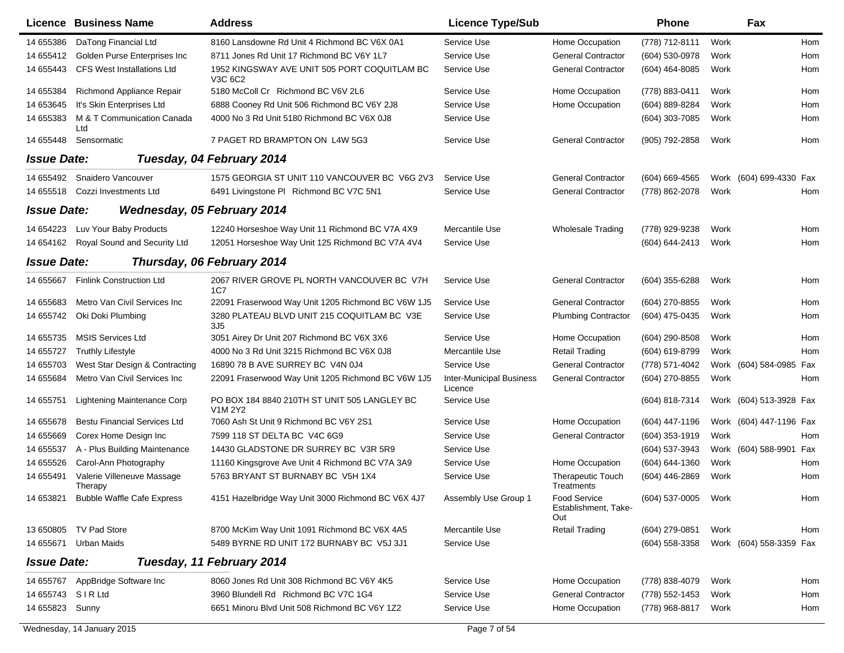|                    | <b>Licence Business Name</b>          | <b>Address</b>                                                 | <b>Licence Type/Sub</b>                    |                                                    | <b>Phone</b>   |      | Fax                     |     |
|--------------------|---------------------------------------|----------------------------------------------------------------|--------------------------------------------|----------------------------------------------------|----------------|------|-------------------------|-----|
| 14 655386          | DaTong Financial Ltd                  | 8160 Lansdowne Rd Unit 4 Richmond BC V6X 0A1                   | Service Use                                | Home Occupation                                    | (778) 712-8111 | Work |                         | Hom |
| 14 655412          | Golden Purse Enterprises Inc          | 8711 Jones Rd Unit 17 Richmond BC V6Y 1L7                      | Service Use                                | <b>General Contractor</b>                          | (604) 530-0978 | Work |                         | Hom |
| 14 655443          | <b>CFS West Installations Ltd</b>     | 1952 KINGSWAY AVE UNIT 505 PORT COQUITLAM BC<br>V3C 6C2        | Service Use                                | <b>General Contractor</b>                          | (604) 464-8085 | Work |                         | Hom |
| 14 655384          | Richmond Appliance Repair             | 5180 McColl Cr Richmond BC V6V 2L6                             | Service Use                                | Home Occupation                                    | (778) 883-0411 | Work |                         | Hom |
| 14 653645          | It's Skin Enterprises Ltd             | 6888 Cooney Rd Unit 506 Richmond BC V6Y 2J8                    | Service Use                                | Home Occupation                                    | (604) 889-8284 | Work |                         | Hom |
| 14 655383          | M & T Communication Canada<br>Ltd     | 4000 No 3 Rd Unit 5180 Richmond BC V6X 0J8                     | Service Use                                |                                                    | (604) 303-7085 | Work |                         | Hom |
| 14 655448          | Sensormatic                           | 7 PAGET RD BRAMPTON ON L4W 5G3                                 | Service Use                                | <b>General Contractor</b>                          | (905) 792-2858 | Work |                         | Hom |
| <b>Issue Date:</b> |                                       | Tuesday, 04 February 2014                                      |                                            |                                                    |                |      |                         |     |
| 14 655492          | Snaidero Vancouver                    | 1575 GEORGIA ST UNIT 110 VANCOUVER BC V6G 2V3                  | Service Use                                | <b>General Contractor</b>                          | (604) 669-4565 |      | Work (604) 699-4330 Fax |     |
| 14 655518          | Cozzi Investments Ltd                 | 6491 Livingstone PI Richmond BC V7C 5N1                        | Service Use                                | <b>General Contractor</b>                          | (778) 862-2078 | Work |                         | Hom |
| <b>Issue Date:</b> | Wednesday, 05 February 2014           |                                                                |                                            |                                                    |                |      |                         |     |
| 14 654223          | Luv Your Baby Products                | 12240 Horseshoe Way Unit 11 Richmond BC V7A 4X9                | Mercantile Use                             | <b>Wholesale Trading</b>                           | (778) 929-9238 | Work |                         | Hom |
| 14 654162          | Royal Sound and Security Ltd          | 12051 Horseshoe Way Unit 125 Richmond BC V7A 4V4               | Service Use                                |                                                    | (604) 644-2413 | Work |                         | Hom |
| <b>Issue Date:</b> |                                       | Thursday, 06 February 2014                                     |                                            |                                                    |                |      |                         |     |
| 14 655667          | <b>Finlink Construction Ltd</b>       | 2067 RIVER GROVE PL NORTH VANCOUVER BC V7H<br>1C7              | Service Use                                | <b>General Contractor</b>                          | (604) 355-6288 | Work |                         | Hom |
| 14 655683          | Metro Van Civil Services Inc          | 22091 Fraserwood Way Unit 1205 Richmond BC V6W 1J5             | Service Use                                | <b>General Contractor</b>                          | (604) 270-8855 | Work |                         | Hom |
| 14 655742          | Oki Doki Plumbing                     | 3280 PLATEAU BLVD UNIT 215 COQUITLAM BC V3E<br>3J <sub>5</sub> | Service Use                                | <b>Plumbing Contractor</b>                         | (604) 475-0435 | Work |                         | Hom |
| 14 655735          | <b>MSIS Services Ltd</b>              | 3051 Airey Dr Unit 207 Richmond BC V6X 3X6                     | Service Use                                | Home Occupation                                    | (604) 290-8508 | Work |                         | Hom |
| 14 655727          | <b>Truthly Lifestyle</b>              | 4000 No 3 Rd Unit 3215 Richmond BC V6X 0J8                     | Mercantile Use                             | <b>Retail Trading</b>                              | (604) 619-8799 | Work |                         | Hom |
| 14 655703          | West Star Design & Contracting        | 16890 78 B AVE SURREY BC V4N 0J4                               | Service Use                                | <b>General Contractor</b>                          | (778) 571-4042 |      | Work (604) 584-0985     | Fax |
| 14 655684          | Metro Van Civil Services Inc          | 22091 Fraserwood Way Unit 1205 Richmond BC V6W 1J5             | <b>Inter-Municipal Business</b><br>Licence | <b>General Contractor</b>                          | (604) 270-8855 | Work |                         | Hom |
| 14 655751          | Lightening Maintenance Corp           | PO BOX 184 8840 210TH ST UNIT 505 LANGLEY BC<br>V1M 2Y2        | Service Use                                |                                                    | (604) 818-7314 |      | Work (604) 513-3928 Fax |     |
| 14 655678          | <b>Bestu Financial Services Ltd</b>   | 7060 Ash St Unit 9 Richmond BC V6Y 2S1                         | Service Use                                | Home Occupation                                    | (604) 447-1196 |      | Work (604) 447-1196 Fax |     |
| 14 655669          | Corex Home Design Inc                 | 7599 118 ST DELTA BC V4C 6G9                                   | Service Use                                | <b>General Contractor</b>                          | (604) 353-1919 | Work |                         | Hom |
| 14 655537          | A - Plus Building Maintenance         | 14430 GLADSTONE DR SURREY BC V3R 5R9                           | Service Use                                |                                                    | (604) 537-3943 |      | Work (604) 588-9901     | Fax |
| 14 655526          | Carol-Ann Photography                 | 11160 Kingsgrove Ave Unit 4 Richmond BC V7A 3A9                | Service Use                                | Home Occupation                                    | (604) 644-1360 | Work |                         | Hom |
| 14 655491          | Valerie Villeneuve Massage<br>Therapy | 5763 BRYANT ST BURNABY BC V5H 1X4                              | Service Use                                | Therapeutic Touch<br>Treatments                    | (604) 446-2869 | Work |                         | Hom |
| 14 653821          | <b>Bubble Waffle Cafe Express</b>     | 4151 Hazelbridge Way Unit 3000 Richmond BC V6X 4J7             | Assembly Use Group 1                       | <b>Food Service</b><br>Establishment, Take-<br>Out | (604) 537-0005 | Work |                         | Hom |
| 13 650805          | TV Pad Store                          | 8700 McKim Way Unit 1091 Richmond BC V6X 4A5                   | Mercantile Use                             | <b>Retail Trading</b>                              | (604) 279-0851 | Work |                         | Hom |
| 14 655671          | <b>Urban Maids</b>                    | 5489 BYRNE RD UNIT 172 BURNABY BC V5J 3J1                      | Service Use                                |                                                    | (604) 558-3358 |      | Work (604) 558-3359 Fax |     |
| <b>Issue Date:</b> |                                       | Tuesday, 11 February 2014                                      |                                            |                                                    |                |      |                         |     |
| 14 655767          | AppBridge Software Inc                | 8060 Jones Rd Unit 308 Richmond BC V6Y 4K5                     | Service Use                                | Home Occupation                                    | (778) 838-4079 | Work |                         | Hom |
| 14 655743          | <b>SIRLtd</b>                         | 3960 Blundell Rd Richmond BC V7C 1G4                           | Service Use                                | <b>General Contractor</b>                          | (778) 552-1453 | Work |                         | Hom |
| 14 655823          | Sunny                                 | 6651 Minoru Blvd Unit 508 Richmond BC V6Y 1Z2                  | Service Use                                | Home Occupation                                    | (778) 968-8817 | Work |                         | Hom |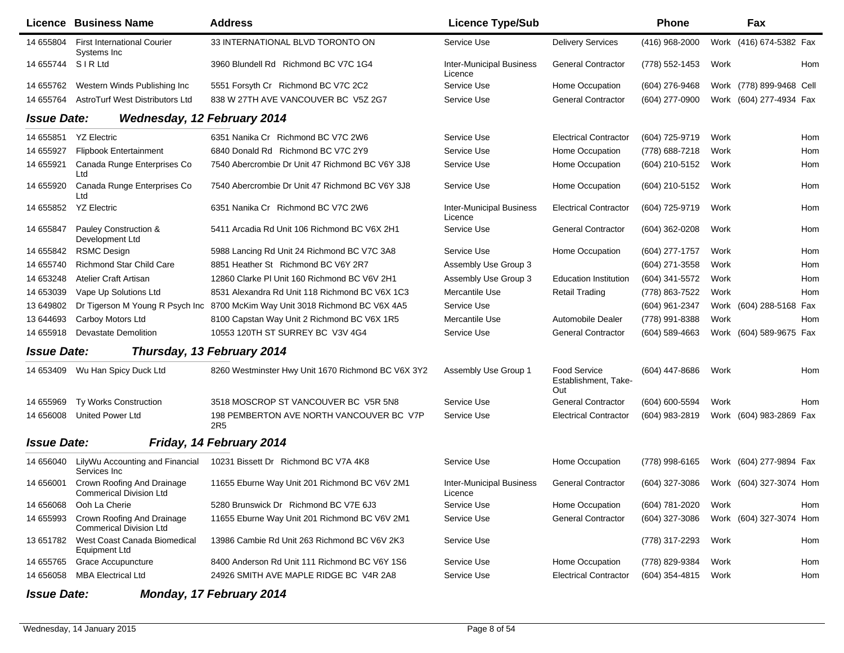|                    | <b>Licence Business Name</b>                                   | <b>Address</b>                                                               | <b>Licence Type/Sub</b>                    |                                                    | <b>Phone</b>   |      | Fax                      |
|--------------------|----------------------------------------------------------------|------------------------------------------------------------------------------|--------------------------------------------|----------------------------------------------------|----------------|------|--------------------------|
| 14 655804          | <b>First International Courier</b><br>Systems Inc              | 33 INTERNATIONAL BLVD TORONTO ON                                             | Service Use                                | <b>Delivery Services</b>                           | (416) 968-2000 |      | Work (416) 674-5382 Fax  |
| 14 655744          | SIRLtd                                                         | 3960 Blundell Rd Richmond BC V7C 1G4                                         | <b>Inter-Municipal Business</b><br>Licence | <b>General Contractor</b>                          | (778) 552-1453 | Work | Hom                      |
| 14 655762          | Western Winds Publishing Inc                                   | 5551 Forsyth Cr Richmond BC V7C 2C2                                          | Service Use                                | Home Occupation                                    | (604) 276-9468 |      | Work (778) 899-9468 Cell |
| 14 655764          | AstroTurf West Distributors Ltd                                | 838 W 27TH AVE VANCOUVER BC V5Z 2G7                                          | Service Use                                | <b>General Contractor</b>                          | (604) 277-0900 |      | Work (604) 277-4934 Fax  |
| <b>Issue Date:</b> | <b>Wednesday, 12 February 2014</b>                             |                                                                              |                                            |                                                    |                |      |                          |
| 14 655851          | <b>YZ Electric</b>                                             | 6351 Nanika Cr Richmond BC V7C 2W6                                           | Service Use                                | <b>Electrical Contractor</b>                       | (604) 725-9719 | Work | Hom                      |
| 14 655927          | <b>Flipbook Entertainment</b>                                  | 6840 Donald Rd Richmond BC V7C 2Y9                                           | Service Use                                | Home Occupation                                    | (778) 688-7218 | Work | Hom                      |
| 14 655921          | Canada Runge Enterprises Co<br>Ltd                             | 7540 Abercrombie Dr Unit 47 Richmond BC V6Y 3J8                              | Service Use                                | Home Occupation                                    | (604) 210-5152 | Work | Hom                      |
| 14 655920          | Canada Runge Enterprises Co<br>Ltd                             | 7540 Abercrombie Dr Unit 47 Richmond BC V6Y 3J8                              | Service Use                                | Home Occupation                                    | (604) 210-5152 | Work | Hom                      |
| 14 655852          | <b>YZ Electric</b>                                             | 6351 Nanika Cr Richmond BC V7C 2W6                                           | <b>Inter-Municipal Business</b><br>Licence | <b>Electrical Contractor</b>                       | (604) 725-9719 | Work | Hom                      |
| 14 655847          | Pauley Construction &<br>Development Ltd                       | 5411 Arcadia Rd Unit 106 Richmond BC V6X 2H1                                 | Service Use                                | <b>General Contractor</b>                          | (604) 362-0208 | Work | Hom                      |
| 14 655842          | <b>RSMC Design</b>                                             | 5988 Lancing Rd Unit 24 Richmond BC V7C 3A8                                  | Service Use                                | Home Occupation                                    | (604) 277-1757 | Work | Hom                      |
| 14 655740          | <b>Richmond Star Child Care</b>                                | 8851 Heather St Richmond BC V6Y 2R7                                          | Assembly Use Group 3                       |                                                    | (604) 271-3558 | Work | Hom                      |
| 14 653248          | Atelier Craft Artisan                                          | 12860 Clarke PI Unit 160 Richmond BC V6V 2H1                                 | Assembly Use Group 3                       | <b>Education Institution</b>                       | (604) 341-5572 | Work | Hom                      |
| 14 653039          | Vape Up Solutions Ltd                                          | 8531 Alexandra Rd Unit 118 Richmond BC V6X 1C3                               | Mercantile Use                             | <b>Retail Trading</b>                              | (778) 863-7522 | Work | Hom                      |
| 13 649802          |                                                                | Dr Tigerson M Young R Psych Inc 8700 McKim Way Unit 3018 Richmond BC V6X 4A5 | Service Use                                |                                                    | (604) 961-2347 |      | Work (604) 288-5168 Fax  |
| 13 644 693         | Carboy Motors Ltd                                              | 8100 Capstan Way Unit 2 Richmond BC V6X 1R5                                  | Mercantile Use                             | Automobile Dealer                                  | (778) 991-8388 | Work | Hom                      |
| 14 655918          | <b>Devastate Demolition</b>                                    | 10553 120TH ST SURREY BC V3V 4G4                                             | Service Use                                | <b>General Contractor</b>                          | (604) 589-4663 |      | Work (604) 589-9675 Fax  |
| <b>Issue Date:</b> |                                                                | Thursday, 13 February 2014                                                   |                                            |                                                    |                |      |                          |
| 14 653409          | Wu Han Spicy Duck Ltd                                          | 8260 Westminster Hwy Unit 1670 Richmond BC V6X 3Y2                           | Assembly Use Group 1                       | <b>Food Service</b><br>Establishment, Take-<br>Out | (604) 447-8686 | Work | Hom                      |
| 14 655969          | Ty Works Construction                                          | 3518 MOSCROP ST VANCOUVER BC V5R 5N8                                         | Service Use                                | <b>General Contractor</b>                          | (604) 600-5594 | Work | Hom                      |
| 14 656008          | <b>United Power Ltd</b>                                        | 198 PEMBERTON AVE NORTH VANCOUVER BC V7P<br>2R <sub>5</sub>                  | Service Use                                | <b>Electrical Contractor</b>                       | (604) 983-2819 |      | Work (604) 983-2869 Fax  |
| <b>Issue Date:</b> |                                                                | Friday, 14 February 2014                                                     |                                            |                                                    |                |      |                          |
| 14 656040          | LilyWu Accounting and Financial<br>Services Inc                | 10231 Bissett Dr Richmond BC V7A 4K8                                         | Service Use                                | Home Occupation                                    | (778) 998-6165 |      | Work (604) 277-9894 Fax  |
| 14 656001          | Crown Roofing And Drainage<br><b>Commerical Division Ltd</b>   | 11655 Eburne Way Unit 201 Richmond BC V6V 2M1                                | <b>Inter-Municipal Business</b><br>Licence | <b>General Contractor</b>                          | (604) 327-3086 |      | Work (604) 327-3074 Hom  |
| 14 656068          | Ooh La Cherie                                                  | 5280 Brunswick Dr Richmond BC V7E 6J3                                        | Service Use                                | Home Occupation                                    | (604) 781-2020 | Work | Hom                      |
| 14 655993          | Crown Roofing And Drainage<br><b>Commerical Division Ltd</b>   | 11655 Eburne Way Unit 201 Richmond BC V6V 2M1                                | Service Use                                | <b>General Contractor</b>                          | (604) 327-3086 |      | Work (604) 327-3074 Hom  |
|                    | 13 651782 West Coast Canada Biomedical<br><b>Equipment Ltd</b> | 13986 Cambie Rd Unit 263 Richmond BC V6V 2K3                                 | Service Use                                |                                                    | (778) 317-2293 | Work | Hom                      |
| 14 655765          | <b>Grace Accupuncture</b>                                      | 8400 Anderson Rd Unit 111 Richmond BC V6Y 1S6                                | Service Use                                | Home Occupation                                    | (778) 829-9384 | Work | Hom                      |
| 14 656058          | <b>MBA Electrical Ltd</b>                                      | 24926 SMITH AVE MAPLE RIDGE BC V4R 2A8                                       | Service Use                                | <b>Electrical Contractor</b>                       | (604) 354-4815 | Work | Hom                      |
| <b>Issue Date:</b> |                                                                | Monday, 17 February 2014                                                     |                                            |                                                    |                |      |                          |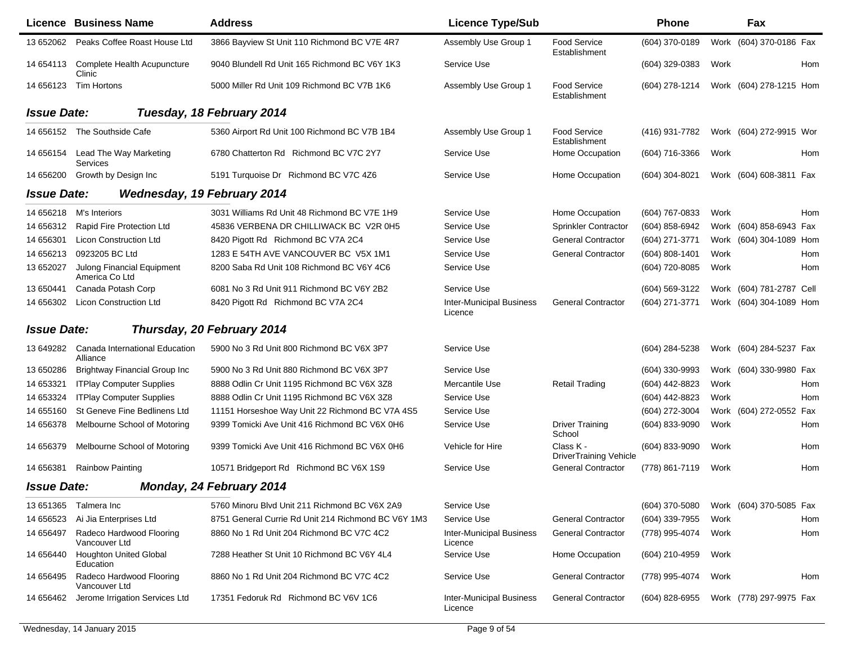|                    | <b>Licence Business Name</b>                 | <b>Address</b>                                      | <b>Licence Type/Sub</b>                    |                                            | <b>Phone</b>     |      | Fax                      |     |
|--------------------|----------------------------------------------|-----------------------------------------------------|--------------------------------------------|--------------------------------------------|------------------|------|--------------------------|-----|
| 13 652062          | Peaks Coffee Roast House Ltd                 | 3866 Bayview St Unit 110 Richmond BC V7E 4R7        | Assembly Use Group 1                       | Food Service<br>Establishment              | (604) 370-0189   |      | Work (604) 370-0186 Fax  |     |
| 14 654113          | Complete Health Acupuncture<br>Clinic        | 9040 Blundell Rd Unit 165 Richmond BC V6Y 1K3       | Service Use                                |                                            | (604) 329-0383   | Work |                          | Hom |
| 14 656123          | Tim Hortons                                  | 5000 Miller Rd Unit 109 Richmond BC V7B 1K6         | Assembly Use Group 1                       | <b>Food Service</b><br>Establishment       | (604) 278-1214   |      | Work (604) 278-1215 Hom  |     |
| <b>Issue Date:</b> |                                              | Tuesday, 18 February 2014                           |                                            |                                            |                  |      |                          |     |
|                    | 14 656152 The Southside Cafe                 | 5360 Airport Rd Unit 100 Richmond BC V7B 1B4        | Assembly Use Group 1                       | <b>Food Service</b><br>Establishment       | (416) 931-7782   |      | Work (604) 272-9915 Wor  |     |
| 14 656154          | Lead The Way Marketing<br>Services           | 6780 Chatterton Rd Richmond BC V7C 2Y7              | Service Use                                | Home Occupation                            | (604) 716-3366   | Work |                          | Hom |
| 14 65 6200         | Growth by Design Inc                         | 5191 Turquoise Dr Richmond BC V7C 4Z6               | Service Use                                | Home Occupation                            | (604) 304-8021   |      | Work (604) 608-3811 Fax  |     |
| <b>Issue Date:</b> | <b>Wednesday, 19 February 2014</b>           |                                                     |                                            |                                            |                  |      |                          |     |
| 14 656218          | M's Interiors                                | 3031 Williams Rd Unit 48 Richmond BC V7E 1H9        | Service Use                                | Home Occupation                            | (604) 767-0833   | Work |                          | Hom |
| 14 656312          | Rapid Fire Protection Ltd                    | 45836 VERBENA DR CHILLIWACK BC V2R 0H5              | Service Use                                | Sprinkler Contractor                       | (604) 858-6942   |      | Work (604) 858-6943 Fax  |     |
| 14 656301          | Licon Construction Ltd                       | 8420 Pigott Rd Richmond BC V7A 2C4                  | Service Use                                | <b>General Contractor</b>                  | (604) 271-3771   |      | Work (604) 304-1089 Hom  |     |
| 14 656213          | 0923205 BC Ltd                               | 1283 E 54TH AVE VANCOUVER BC V5X 1M1                | Service Use                                | <b>General Contractor</b>                  | (604) 808-1401   | Work |                          | Hom |
| 13 652027          | Julong Financial Equipment<br>America Co Ltd | 8200 Saba Rd Unit 108 Richmond BC V6Y 4C6           | Service Use                                |                                            | (604) 720-8085   | Work |                          | Hom |
| 13 650441          | Canada Potash Corp                           | 6081 No 3 Rd Unit 911 Richmond BC V6Y 2B2           | Service Use                                |                                            | (604) 569-3122   |      | Work (604) 781-2787 Cell |     |
| 14 656302          | <b>Licon Construction Ltd</b>                | 8420 Pigott Rd Richmond BC V7A 2C4                  | <b>Inter-Municipal Business</b><br>Licence | <b>General Contractor</b>                  | (604) 271-3771   |      | Work (604) 304-1089 Hom  |     |
| <b>Issue Date:</b> |                                              | Thursday, 20 February 2014                          |                                            |                                            |                  |      |                          |     |
| 13 649282          | Canada International Education<br>Alliance   | 5900 No 3 Rd Unit 800 Richmond BC V6X 3P7           | Service Use                                |                                            | (604) 284-5238   |      | Work (604) 284-5237 Fax  |     |
| 13 650286          | <b>Brightway Financial Group Inc</b>         | 5900 No 3 Rd Unit 880 Richmond BC V6X 3P7           | Service Use                                |                                            | (604) 330-9993   |      | Work (604) 330-9980 Fax  |     |
| 14 653321          | <b>ITPlay Computer Supplies</b>              | 8888 Odlin Cr Unit 1195 Richmond BC V6X 3Z8         | Mercantile Use                             | <b>Retail Trading</b>                      | (604) 442-8823   | Work |                          | Hom |
| 14 653324          | <b>ITPlay Computer Supplies</b>              | 8888 Odlin Cr Unit 1195 Richmond BC V6X 3Z8         | Service Use                                |                                            | (604) 442-8823   | Work |                          | Hom |
| 14 655160          | St Geneve Fine Bedlinens Ltd                 | 11151 Horseshoe Way Unit 22 Richmond BC V7A 4S5     | Service Use                                |                                            | (604) 272-3004   | Work | (604) 272-0552 Fax       |     |
| 14 656378          | Melbourne School of Motoring                 | 9399 Tomicki Ave Unit 416 Richmond BC V6X 0H6       | Service Use                                | <b>Driver Training</b><br>School           | (604) 833-9090   | Work |                          | Hom |
| 14 65 6379         | Melbourne School of Motoring                 | 9399 Tomicki Ave Unit 416 Richmond BC V6X 0H6       | Vehicle for Hire                           | Class K -<br><b>DriverTraining Vehicle</b> | (604) 833-9090   | Work |                          | Hom |
| 14 65 6381         | <b>Rainbow Painting</b>                      | 10571 Bridgeport Rd Richmond BC V6X 1S9             | Service Use                                | <b>General Contractor</b>                  | (778) 861-7119   | Work |                          | Hom |
| <b>Issue Date:</b> |                                              | Monday, 24 February 2014                            |                                            |                                            |                  |      |                          |     |
| 13 651365          | Talmera Inc                                  | 5760 Minoru Blvd Unit 211 Richmond BC V6X 2A9       | Service Use                                |                                            | $(604)$ 370-5080 |      | Work (604) 370-5085 Fax  |     |
| 14 65 6523         | Ai Jia Enterprises Ltd                       | 8751 General Currie Rd Unit 214 Richmond BC V6Y 1M3 | Service Use                                | <b>General Contractor</b>                  | (604) 339-7955   | Work |                          | Hom |
| 14 65 6497         | Radeco Hardwood Flooring<br>Vancouver Ltd    | 8860 No 1 Rd Unit 204 Richmond BC V7C 4C2           | <b>Inter-Municipal Business</b><br>Licence | <b>General Contractor</b>                  | (778) 995-4074   | Work |                          | Hom |
| 14 65 6440         | <b>Houghton United Global</b><br>Education   | 7288 Heather St Unit 10 Richmond BC V6Y 4L4         | Service Use                                | Home Occupation                            | (604) 210-4959   | Work |                          |     |
| 14 656495          | Radeco Hardwood Flooring<br>Vancouver Ltd    | 8860 No 1 Rd Unit 204 Richmond BC V7C 4C2           | Service Use                                | <b>General Contractor</b>                  | (778) 995-4074   | Work |                          | Hom |
| 14 656462          | Jerome Irrigation Services Ltd               | 17351 Fedoruk Rd Richmond BC V6V 1C6                | <b>Inter-Municipal Business</b><br>Licence | <b>General Contractor</b>                  | $(604)$ 828-6955 |      | Work (778) 297-9975 Fax  |     |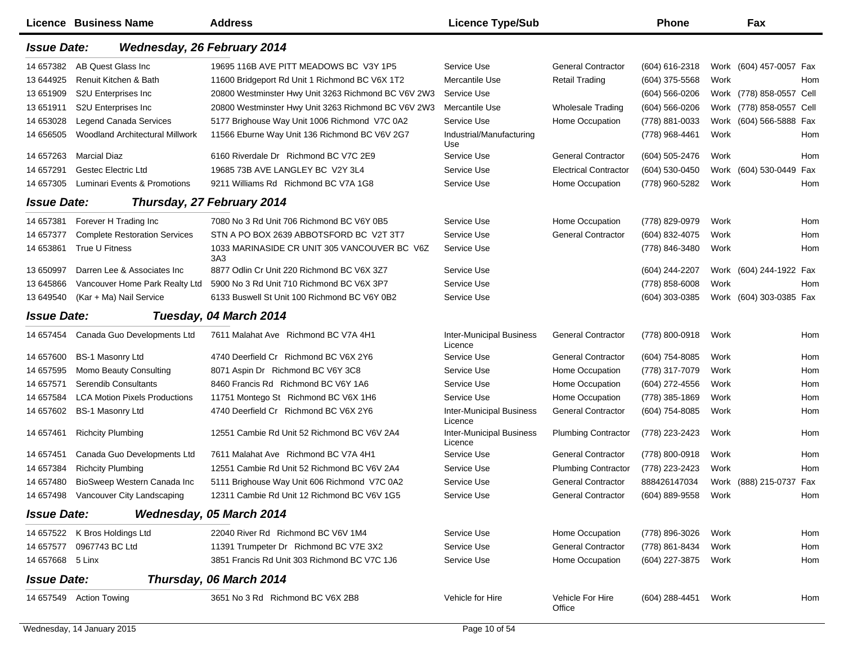|                    | <b>Licence Business Name</b>         | <b>Address</b>                                                  | <b>Licence Type/Sub</b>                    |                              | <b>Phone</b>       |      | Fax                      |     |
|--------------------|--------------------------------------|-----------------------------------------------------------------|--------------------------------------------|------------------------------|--------------------|------|--------------------------|-----|
| <b>Issue Date:</b> | Wednesday, 26 February 2014          |                                                                 |                                            |                              |                    |      |                          |     |
| 14 657382          | AB Quest Glass Inc                   | 19695 116B AVE PITT MEADOWS BC V3Y 1P5                          | Service Use                                | <b>General Contractor</b>    | (604) 616-2318     |      | Work (604) 457-0057 Fax  |     |
| 13 644925          | Renuit Kitchen & Bath                | 11600 Bridgeport Rd Unit 1 Richmond BC V6X 1T2                  | Mercantile Use                             | <b>Retail Trading</b>        | (604) 375-5568     | Work |                          | Hom |
| 13 651909          | S2U Enterprises Inc.                 | 20800 Westminster Hwy Unit 3263 Richmond BC V6V 2W3             | Service Use                                |                              | $(604) 566 - 0206$ |      | Work (778) 858-0557 Cell |     |
| 13 651911          | S2U Enterprises Inc                  | 20800 Westminster Hwy Unit 3263 Richmond BC V6V 2W3             | Mercantile Use                             | <b>Wholesale Trading</b>     | (604) 566-0206     |      | Work (778) 858-0557 Cell |     |
| 14 653028          | <b>Legend Canada Services</b>        | 5177 Brighouse Way Unit 1006 Richmond V7C 0A2                   | Service Use                                | Home Occupation              | (778) 881-0033     |      | Work (604) 566-5888 Fax  |     |
| 14 65 6505         | Woodland Architectural Millwork      | 11566 Eburne Way Unit 136 Richmond BC V6V 2G7                   | Industrial/Manufacturing<br>Use            |                              | (778) 968-4461     | Work |                          | Hom |
| 14 657263          | <b>Marcial Diaz</b>                  | 6160 Riverdale Dr Richmond BC V7C 2E9                           | Service Use                                | <b>General Contractor</b>    | (604) 505-2476     | Work |                          | Hom |
| 14 657291          | <b>Gestec Electric Ltd</b>           | 19685 73B AVE LANGLEY BC V2Y 3L4                                | Service Use                                | <b>Electrical Contractor</b> | (604) 530-0450     |      | Work (604) 530-0449 Fax  |     |
| 14 657305          | Luminari Events & Promotions         | 9211 Williams Rd Richmond BC V7A 1G8                            | Service Use                                | Home Occupation              | (778) 960-5282     | Work |                          | Hom |
| <b>Issue Date:</b> |                                      | Thursday, 27 February 2014                                      |                                            |                              |                    |      |                          |     |
| 14 657381          | Forever H Trading Inc                | 7080 No 3 Rd Unit 706 Richmond BC V6Y 0B5                       | Service Use                                | Home Occupation              | (778) 829-0979     | Work |                          | Hom |
| 14 657377          | <b>Complete Restoration Services</b> | STN A PO BOX 2639 ABBOTSFORD BC V2T 3T7                         | Service Use                                | <b>General Contractor</b>    | (604) 832-4075     | Work |                          | Hom |
| 14 653861          | True U Fitness                       | 1033 MARINASIDE CR UNIT 305 VANCOUVER BC V6Z<br>3A <sub>3</sub> | Service Use                                |                              | (778) 846-3480     | Work |                          | Hom |
| 13 650997          | Darren Lee & Associates Inc          | 8877 Odlin Cr Unit 220 Richmond BC V6X 3Z7                      | Service Use                                |                              | (604) 244-2207     |      | Work (604) 244-1922 Fax  |     |
| 13 645866          | Vancouver Home Park Realty Ltd       | 5900 No 3 Rd Unit 710 Richmond BC V6X 3P7                       | Service Use                                |                              | (778) 858-6008     | Work |                          | Hom |
| 13 649540          | (Kar + Ma) Nail Service              | 6133 Buswell St Unit 100 Richmond BC V6Y 0B2                    | Service Use                                |                              | (604) 303-0385     |      | Work (604) 303-0385 Fax  |     |
| <b>Issue Date:</b> |                                      | Tuesday, 04 March 2014                                          |                                            |                              |                    |      |                          |     |
| 14 657454          | Canada Guo Developments Ltd          | 7611 Malahat Ave Richmond BC V7A 4H1                            | <b>Inter-Municipal Business</b><br>Licence | <b>General Contractor</b>    | (778) 800-0918     | Work |                          | Hom |
| 14 657600          | BS-1 Masonry Ltd                     | 4740 Deerfield Cr Richmond BC V6X 2Y6                           | Service Use                                | <b>General Contractor</b>    | (604) 754-8085     | Work |                          | Hom |
| 14 657595          | Momo Beauty Consulting               | 8071 Aspin Dr Richmond BC V6Y 3C8                               | Service Use                                | Home Occupation              | (778) 317-7079     | Work |                          | Hom |
| 14 657571          | Serendib Consultants                 | 8460 Francis Rd Richmond BC V6Y 1A6                             | Service Use                                | Home Occupation              | (604) 272-4556     | Work |                          | Hom |
| 14 657584          | <b>LCA Motion Pixels Productions</b> | 11751 Montego St Richmond BC V6X 1H6                            | Service Use                                | Home Occupation              | (778) 385-1869     | Work |                          | Hom |
| 14 657602          | <b>BS-1 Masonry Ltd</b>              | 4740 Deerfield Cr Richmond BC V6X 2Y6                           | <b>Inter-Municipal Business</b><br>Licence | <b>General Contractor</b>    | (604) 754-8085     | Work |                          | Hom |
| 14 657461          | <b>Richcity Plumbing</b>             | 12551 Cambie Rd Unit 52 Richmond BC V6V 2A4                     | <b>Inter-Municipal Business</b><br>Licence | <b>Plumbing Contractor</b>   | (778) 223-2423     | Work |                          | Hom |
| 14 657451          | Canada Guo Developments Ltd          | 7611 Malahat Ave Richmond BC V7A 4H1                            | Service Use                                | <b>General Contractor</b>    | (778) 800-0918     | Work |                          | Hom |
| 14 657384          | <b>Richcity Plumbing</b>             | 12551 Cambie Rd Unit 52 Richmond BC V6V 2A4                     | Service Use                                | <b>Plumbing Contractor</b>   | (778) 223-2423     | Work |                          | Hom |
| 14 657480          | BioSweep Western Canada Inc          | 5111 Brighouse Way Unit 606 Richmond V7C 0A2                    | Service Use                                | <b>General Contractor</b>    | 888426147034       |      | Work (888) 215-0737 Fax  |     |
|                    | 14 657498 Vancouver City Landscaping | 12311 Cambie Rd Unit 12 Richmond BC V6V 1G5                     | Service Use                                | <b>General Contractor</b>    | (604) 889-9558     | Work |                          | Hom |
| <b>Issue Date:</b> |                                      | Wednesday, 05 March 2014                                        |                                            |                              |                    |      |                          |     |
|                    | 14 657522 K Bros Holdings Ltd        | 22040 River Rd Richmond BC V6V 1M4                              | Service Use                                | Home Occupation              | (778) 896-3026     | Work |                          | Hom |
| 14 657577          | 0967743 BC Ltd                       | 11391 Trumpeter Dr Richmond BC V7E 3X2                          | Service Use                                | <b>General Contractor</b>    | (778) 861-8434     | Work |                          | Hom |
| 14 657668 5 Linx   |                                      | 3851 Francis Rd Unit 303 Richmond BC V7C 1J6                    | Service Use                                | Home Occupation              | (604) 227-3875     | Work |                          | Hom |
| <b>Issue Date:</b> |                                      | Thursday, 06 March 2014                                         |                                            |                              |                    |      |                          |     |
|                    | 14 657549 Action Towing              | 3651 No 3 Rd Richmond BC V6X 2B8                                | Vehicle for Hire                           | Vehicle For Hire<br>Office   | (604) 288-4451     | Work |                          | Hom |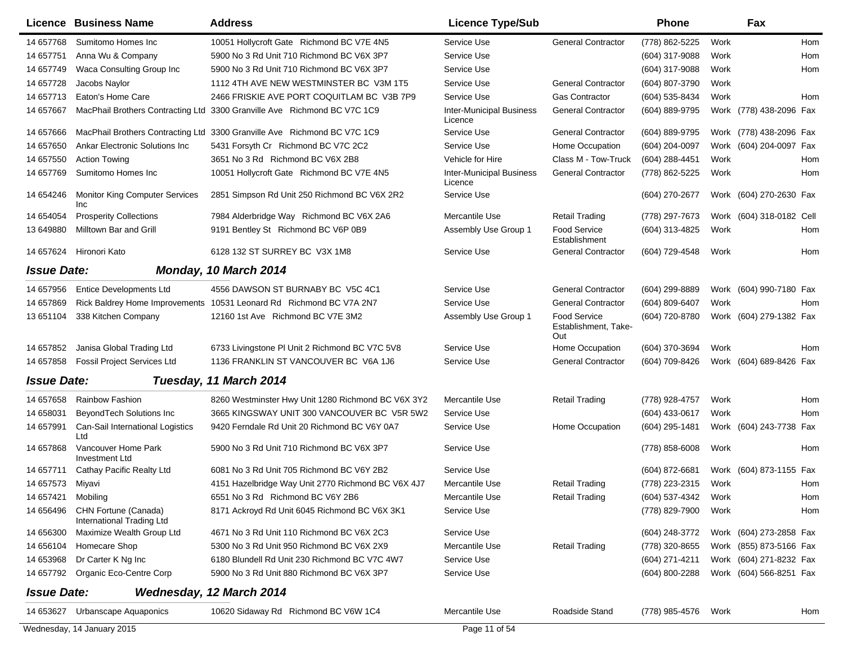|                    | Licence Business Name                                    | <b>Address</b>                                                           | <b>Licence Type/Sub</b>                    |                                                    | <b>Phone</b>     |      | Fax                      |            |
|--------------------|----------------------------------------------------------|--------------------------------------------------------------------------|--------------------------------------------|----------------------------------------------------|------------------|------|--------------------------|------------|
| 14 657768          | Sumitomo Homes Inc                                       | 10051 Hollycroft Gate Richmond BC V7E 4N5                                | Service Use                                | <b>General Contractor</b>                          | (778) 862-5225   | Work |                          | <b>Hom</b> |
| 14 657751          | Anna Wu & Company                                        | 5900 No 3 Rd Unit 710 Richmond BC V6X 3P7                                | Service Use                                |                                                    | (604) 317-9088   | Work |                          | Hom        |
| 14 657749          | Waca Consulting Group Inc                                | 5900 No 3 Rd Unit 710 Richmond BC V6X 3P7                                | Service Use                                |                                                    | (604) 317-9088   | Work |                          | Hom        |
| 14 657728          | Jacobs Naylor                                            | 1112 4TH AVE NEW WESTMINSTER BC V3M 1T5                                  | Service Use                                | <b>General Contractor</b>                          | (604) 807-3790   | Work |                          |            |
| 14 657713          | Eaton's Home Care                                        | 2466 FRISKIE AVE PORT COQUITLAM BC V3B 7P9                               | Service Use                                | <b>Gas Contractor</b>                              | (604) 535-8434   | Work |                          | Hom        |
| 14 657667          |                                                          | MacPhail Brothers Contracting Ltd 3300 Granville Ave Richmond BC V7C 1C9 | <b>Inter-Municipal Business</b><br>Licence | <b>General Contractor</b>                          | (604) 889-9795   |      | Work (778) 438-2096 Fax  |            |
| 14 657666          |                                                          | MacPhail Brothers Contracting Ltd 3300 Granville Ave Richmond BC V7C 1C9 | Service Use                                | <b>General Contractor</b>                          | (604) 889-9795   |      | Work (778) 438-2096 Fax  |            |
| 14 657650          | <b>Ankar Electronic Solutions Inc.</b>                   | 5431 Forsyth Cr Richmond BC V7C 2C2                                      | Service Use                                | Home Occupation                                    | (604) 204-0097   | Work | (604) 204-0097 Fax       |            |
| 14 657550          | <b>Action Towing</b>                                     | 3651 No 3 Rd Richmond BC V6X 2B8                                         | Vehicle for Hire                           | Class M - Tow-Truck                                | (604) 288-4451   | Work |                          | Hom        |
| 14 657769          | Sumitomo Homes Inc                                       | 10051 Hollycroft Gate Richmond BC V7E 4N5                                | <b>Inter-Municipal Business</b><br>Licence | <b>General Contractor</b>                          | (778) 862-5225   | Work |                          | Hom        |
| 14 654246          | Monitor King Computer Services<br><b>Inc</b>             | 2851 Simpson Rd Unit 250 Richmond BC V6X 2R2                             | Service Use                                |                                                    | (604) 270-2677   |      | Work (604) 270-2630 Fax  |            |
| 14 654054          | <b>Prosperity Collections</b>                            | 7984 Alderbridge Way Richmond BC V6X 2A6                                 | Mercantile Use                             | <b>Retail Trading</b>                              | (778) 297-7673   |      | Work (604) 318-0182 Cell |            |
| 13 649880          | Milltown Bar and Grill                                   | 9191 Bentley St Richmond BC V6P 0B9                                      | Assembly Use Group 1                       | <b>Food Service</b><br>Establishment               | (604) 313-4825   | Work |                          | Hom        |
| 14 657624          | Hironori Kato                                            | 6128 132 ST SURREY BC V3X 1M8                                            | Service Use                                | <b>General Contractor</b>                          | (604) 729-4548   | Work |                          | Hom        |
| <b>Issue Date:</b> |                                                          | Monday, 10 March 2014                                                    |                                            |                                                    |                  |      |                          |            |
| 14 657956          | <b>Entice Developments Ltd</b>                           | 4556 DAWSON ST BURNABY BC V5C 4C1                                        | Service Use                                | <b>General Contractor</b>                          | (604) 299-8889   |      | Work (604) 990-7180 Fax  |            |
| 14 657869          |                                                          | Rick Baldrey Home Improvements 10531 Leonard Rd Richmond BC V7A 2N7      | Service Use                                | <b>General Contractor</b>                          | (604) 809-6407   | Work |                          | Hom        |
| 13 651104          | 338 Kitchen Company                                      | 12160 1st Ave Richmond BC V7E 3M2                                        | Assembly Use Group 1                       | <b>Food Service</b><br>Establishment, Take-<br>Out | (604) 720-8780   |      | Work (604) 279-1382 Fax  |            |
| 14 657852          | Janisa Global Trading Ltd                                | 6733 Livingstone PI Unit 2 Richmond BC V7C 5V8                           | Service Use                                | Home Occupation                                    | (604) 370-3694   | Work |                          | Hom        |
| 14 657858          | <b>Fossil Project Services Ltd</b>                       | 1136 FRANKLIN ST VANCOUVER BC V6A 1J6                                    | Service Use                                | <b>General Contractor</b>                          | (604) 709-8426   |      | Work (604) 689-8426 Fax  |            |
| <b>Issue Date:</b> |                                                          | Tuesday, 11 March 2014                                                   |                                            |                                                    |                  |      |                          |            |
| 14 657658          | <b>Rainbow Fashion</b>                                   | 8260 Westminster Hwy Unit 1280 Richmond BC V6X 3Y2                       | Mercantile Use                             | <b>Retail Trading</b>                              | (778) 928-4757   | Work |                          | Hom        |
| 14 658031          | BeyondTech Solutions Inc                                 | 3665 KINGSWAY UNIT 300 VANCOUVER BC V5R 5W2                              | Service Use                                |                                                    | (604) 433-0617   | Work |                          | Hom        |
| 14 657991          | Can-Sail International Logistics<br>Ltd                  | 9420 Ferndale Rd Unit 20 Richmond BC V6Y 0A7                             | Service Use                                | Home Occupation                                    | (604) 295-1481   |      | Work (604) 243-7738 Fax  |            |
| 14 657868          | Vancouver Home Park<br>Investment Ltd                    | 5900 No 3 Rd Unit 710 Richmond BC V6X 3P7                                | Service Use                                |                                                    | (778) 858-6008   | Work |                          | Hom        |
| 14 657711          | Cathay Pacific Realty Ltd                                | 6081 No 3 Rd Unit 705 Richmond BC V6Y 2B2                                | Service Use                                |                                                    | $(604)$ 872-6681 |      | Work (604) 873-1155 Fax  |            |
| 14 657573          | Miyavi                                                   | 4151 Hazelbridge Way Unit 2770 Richmond BC V6X 4J7                       | Mercantile Use                             | <b>Retail Trading</b>                              | (778) 223-2315   | Work |                          | Hom        |
| 14 657421          | Mobiling                                                 | 6551 No 3 Rd Richmond BC V6Y 2B6                                         | Mercantile Use                             | Retail Trading                                     | (604) 537-4342   | Work |                          | Hom        |
| 14 656496          | CHN Fortune (Canada)<br><b>International Trading Ltd</b> | 8171 Ackroyd Rd Unit 6045 Richmond BC V6X 3K1                            | Service Use                                |                                                    | (778) 829-7900   | Work |                          | Hom        |
| 14 656300          | Maximize Wealth Group Ltd                                | 4671 No 3 Rd Unit 110 Richmond BC V6X 2C3                                | Service Use                                |                                                    | (604) 248-3772   |      | Work (604) 273-2858 Fax  |            |
| 14 656104          | Homecare Shop                                            | 5300 No 3 Rd Unit 950 Richmond BC V6X 2X9                                | Mercantile Use                             | <b>Retail Trading</b>                              | (778) 320-8655   |      | Work (855) 873-5166 Fax  |            |
| 14 653968          | Dr Carter K Ng Inc                                       | 6180 Blundell Rd Unit 230 Richmond BC V7C 4W7                            | Service Use                                |                                                    | (604) 271-4211   |      | Work (604) 271-8232 Fax  |            |
| 14 657792          | Organic Eco-Centre Corp                                  | 5900 No 3 Rd Unit 880 Richmond BC V6X 3P7                                | Service Use                                |                                                    | (604) 800-2288   |      | Work (604) 566-8251 Fax  |            |
| <b>Issue Date:</b> |                                                          | Wednesday, 12 March 2014                                                 |                                            |                                                    |                  |      |                          |            |
| 14 653627          | Urbanscape Aquaponics                                    | 10620 Sidaway Rd Richmond BC V6W 1C4                                     | Mercantile Use                             | Roadside Stand                                     | (778) 985-4576   | Work |                          | Hom        |
|                    | Wednesday, 14 January 2015                               |                                                                          | Page 11 of 54                              |                                                    |                  |      |                          |            |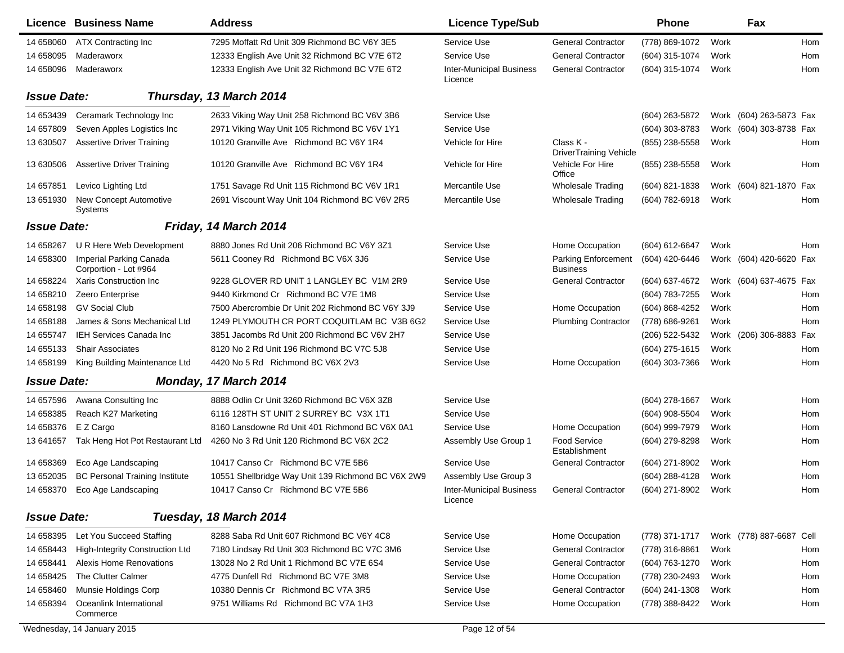|                    | Licence Business Name                            | <b>Address</b>                                     | <b>Licence Type/Sub</b>                    |                                               | <b>Phone</b>     |      | Fax                      |            |
|--------------------|--------------------------------------------------|----------------------------------------------------|--------------------------------------------|-----------------------------------------------|------------------|------|--------------------------|------------|
| 14 658060          | ATX Contracting Inc                              | 7295 Moffatt Rd Unit 309 Richmond BC V6Y 3E5       | Service Use                                | <b>General Contractor</b>                     | (778) 869-1072   | Work |                          | <b>Hom</b> |
| 14 658095          | Maderaworx                                       | 12333 English Ave Unit 32 Richmond BC V7E 6T2      | Service Use                                | <b>General Contractor</b>                     | (604) 315-1074   | Work |                          | Hom        |
| 14 658096          | Maderaworx                                       | 12333 English Ave Unit 32 Richmond BC V7E 6T2      | <b>Inter-Municipal Business</b><br>Licence | <b>General Contractor</b>                     | (604) 315-1074   | Work |                          | Hom        |
| <b>Issue Date:</b> |                                                  | Thursday, 13 March 2014                            |                                            |                                               |                  |      |                          |            |
| 14 653439          | Ceramark Technology Inc                          | 2633 Viking Way Unit 258 Richmond BC V6V 3B6       | Service Use                                |                                               | (604) 263-5872   |      | Work (604) 263-5873 Fax  |            |
| 14 657809          | Seven Apples Logistics Inc.                      | 2971 Viking Way Unit 105 Richmond BC V6V 1Y1       | Service Use                                |                                               | (604) 303-8783   |      | Work (604) 303-8738 Fax  |            |
| 13 630507          | <b>Assertive Driver Training</b>                 | 10120 Granville Ave Richmond BC V6Y 1R4            | Vehicle for Hire                           | Class K -<br><b>DriverTraining Vehicle</b>    | (855) 238-5558   | Work |                          | Hom        |
| 13 630506          | <b>Assertive Driver Training</b>                 | 10120 Granville Ave Richmond BC V6Y 1R4            | Vehicle for Hire                           | Vehicle For Hire<br>Office                    | (855) 238-5558   | Work |                          | Hom        |
| 14 657851          | Levico Lighting Ltd                              | 1751 Savage Rd Unit 115 Richmond BC V6V 1R1        | Mercantile Use                             | <b>Wholesale Trading</b>                      | (604) 821-1838   |      | Work (604) 821-1870 Fax  |            |
| 13 651930          | New Concept Automotive<br>Systems                | 2691 Viscount Way Unit 104 Richmond BC V6V 2R5     | Mercantile Use                             | <b>Wholesale Trading</b>                      | (604) 782-6918   | Work |                          | <b>Hom</b> |
| <b>Issue Date:</b> |                                                  | Friday, 14 March 2014                              |                                            |                                               |                  |      |                          |            |
| 14 658267          | U R Here Web Development                         | 8880 Jones Rd Unit 206 Richmond BC V6Y 3Z1         | Service Use                                | Home Occupation                               | (604) 612-6647   | Work |                          | Hom        |
| 14 658300          | Imperial Parking Canada<br>Corportion - Lot #964 | 5611 Cooney Rd Richmond BC V6X 3J6                 | Service Use                                | <b>Parking Enforcement</b><br><b>Business</b> | (604) 420-6446   |      | Work (604) 420-6620 Fax  |            |
| 14 658224          | Xaris Construction Inc                           | 9228 GLOVER RD UNIT 1 LANGLEY BC V1M 2R9           | Service Use                                | <b>General Contractor</b>                     | (604) 637-4672   |      | Work (604) 637-4675 Fax  |            |
| 14 658210          | Zeero Enterprise                                 | 9440 Kirkmond Cr Richmond BC V7E 1M8               | Service Use                                |                                               | (604) 783-7255   | Work |                          | Hom        |
| 14 658198          | <b>GV Social Club</b>                            | 7500 Abercrombie Dr Unit 202 Richmond BC V6Y 3J9   | Service Use                                | Home Occupation                               | (604) 868-4252   | Work |                          | Hom        |
| 14 658188          | James & Sons Mechanical Ltd                      | 1249 PLYMOUTH CR PORT COQUITLAM BC V3B 6G2         | Service Use                                | <b>Plumbing Contractor</b>                    | (778) 686-9261   | Work |                          | Hom        |
| 14 655747          | <b>IEH Services Canada Inc</b>                   | 3851 Jacombs Rd Unit 200 Richmond BC V6V 2H7       | Service Use                                |                                               | (206) 522-5432   | Work | (206) 306-8883 Fax       |            |
| 14 655133          | <b>Shair Associates</b>                          | 8120 No 2 Rd Unit 196 Richmond BC V7C 5J8          | Service Use                                |                                               | (604) 275-1615   | Work |                          | Hom        |
| 14 658199          | King Building Maintenance Ltd                    | 4420 No 5 Rd Richmond BC V6X 2V3                   | Service Use                                | Home Occupation                               | (604) 303-7366   | Work |                          | Hom        |
| <b>Issue Date:</b> |                                                  | Monday, 17 March 2014                              |                                            |                                               |                  |      |                          |            |
| 14 657596          | Awana Consulting Inc                             | 8888 Odlin Cr Unit 3260 Richmond BC V6X 3Z8        | Service Use                                |                                               | $(604)$ 278-1667 | Work |                          | Hom        |
| 14 658385          | Reach K27 Marketing                              | 6116 128TH ST UNIT 2 SURREY BC V3X 1T1             | Service Use                                |                                               | (604) 908-5504   | Work |                          | Hom        |
| 14 658376          | E Z Cargo                                        | 8160 Lansdowne Rd Unit 401 Richmond BC V6X 0A1     | Service Use                                | Home Occupation                               | (604) 999-7979   | Work |                          | Hom        |
| 13 64 1657         | Tak Heng Hot Pot Restaurant Ltd                  | 4260 No 3 Rd Unit 120 Richmond BC V6X 2C2          | Assembly Use Group 1                       | <b>Food Service</b><br>Establishment          | (604) 279-8298   | Work |                          | Hom        |
| 14 658369          | Eco Age Landscaping                              | 10417 Canso Cr Richmond BC V7E 5B6                 | Service Use                                | <b>General Contractor</b>                     | (604) 271-8902   | Work |                          | Hom        |
| 13 652035          | <b>BC Personal Training Institute</b>            | 10551 Shellbridge Way Unit 139 Richmond BC V6X 2W9 | Assembly Use Group 3                       |                                               | (604) 288-4128   | Work |                          | Hom        |
|                    | 14 658370 Eco Age Landscaping                    | 10417 Canso Cr Richmond BC V7E 5B6                 | Inter-Municipal Business<br>Licence        | <b>General Contractor</b>                     | (604) 271-8902   | Work |                          | Hom        |
| <b>Issue Date:</b> |                                                  | Tuesday, 18 March 2014                             |                                            |                                               |                  |      |                          |            |
| 14 658395          | Let You Succeed Staffing                         | 8288 Saba Rd Unit 607 Richmond BC V6Y 4C8          | Service Use                                | Home Occupation                               | (778) 371-1717   |      | Work (778) 887-6687 Cell |            |
| 14 658443          | <b>High-Integrity Construction Ltd</b>           | 7180 Lindsay Rd Unit 303 Richmond BC V7C 3M6       | Service Use                                | <b>General Contractor</b>                     | (778) 316-8861   | Work |                          | Hom        |
| 14 658441          | Alexis Home Renovations                          | 13028 No 2 Rd Unit 1 Richmond BC V7E 6S4           | Service Use                                | <b>General Contractor</b>                     | (604) 763-1270   | Work |                          | Hom        |
| 14 658425          | The Clutter Calmer                               | 4775 Dunfell Rd Richmond BC V7E 3M8                | Service Use                                | Home Occupation                               | (778) 230-2493   | Work |                          | Hom        |
| 14 658460          | Munsie Holdings Corp                             | 10380 Dennis Cr Richmond BC V7A 3R5                | Service Use                                | <b>General Contractor</b>                     | (604) 241-1308   | Work |                          | Hom        |
| 14 658394          | Oceanlink International<br>Commerce              | 9751 Williams Rd Richmond BC V7A 1H3               | Service Use                                | Home Occupation                               | (778) 388-8422   | Work |                          | Hom        |
|                    | Wednesday, 14 January 2015                       |                                                    | Page 12 of 54                              |                                               |                  |      |                          |            |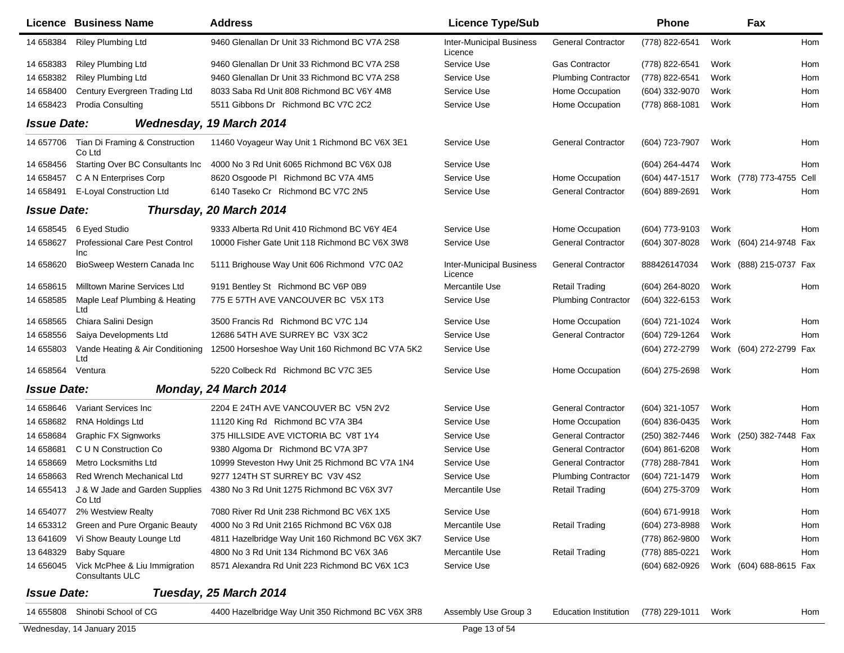|                    | <b>Licence Business Name</b>                            | <b>Address</b>                                    | <b>Licence Type/Sub</b>                    |                              | Phone          |      | Fax                     |      |
|--------------------|---------------------------------------------------------|---------------------------------------------------|--------------------------------------------|------------------------------|----------------|------|-------------------------|------|
| 14 658384          | <b>Riley Plumbing Ltd</b>                               | 9460 Glenallan Dr Unit 33 Richmond BC V7A 2S8     | <b>Inter-Municipal Business</b><br>Licence | <b>General Contractor</b>    | (778) 822-6541 | Work |                         | Hom  |
| 14 658383          | <b>Riley Plumbing Ltd</b>                               | 9460 Glenallan Dr Unit 33 Richmond BC V7A 2S8     | Service Use                                | <b>Gas Contractor</b>        | (778) 822-6541 | Work |                         | Hom  |
| 14 658382          | <b>Riley Plumbing Ltd</b>                               | 9460 Glenallan Dr Unit 33 Richmond BC V7A 2S8     | Service Use                                | <b>Plumbing Contractor</b>   | (778) 822-6541 | Work |                         | Hom  |
| 14 658400          | Century Evergreen Trading Ltd                           | 8033 Saba Rd Unit 808 Richmond BC V6Y 4M8         | Service Use                                | Home Occupation              | (604) 332-9070 | Work |                         | Hom  |
| 14 658423          | <b>Prodia Consulting</b>                                | 5511 Gibbons Dr Richmond BC V7C 2C2               | Service Use                                | Home Occupation              | (778) 868-1081 | Work |                         | Hom  |
| <b>Issue Date:</b> |                                                         | Wednesday, 19 March 2014                          |                                            |                              |                |      |                         |      |
| 14 657706          | Tian Di Framing & Construction<br>Co Ltd                | 11460 Voyageur Way Unit 1 Richmond BC V6X 3E1     | Service Use                                | <b>General Contractor</b>    | (604) 723-7907 | Work |                         | Hom  |
| 14 658456          | Starting Over BC Consultants Inc                        | 4000 No 3 Rd Unit 6065 Richmond BC V6X 0J8        | Service Use                                |                              | (604) 264-4474 | Work |                         | Hom  |
| 14 658457          | C A N Enterprises Corp                                  | 8620 Osgoode PI Richmond BC V7A 4M5               | Service Use                                | Home Occupation              | (604) 447-1517 |      | Work (778) 773-4755     | Cell |
| 14 658491          | E-Loyal Construction Ltd                                | 6140 Taseko Cr Richmond BC V7C 2N5                | Service Use                                | <b>General Contractor</b>    | (604) 889-2691 | Work |                         | Hom  |
| <b>Issue Date:</b> |                                                         | Thursday, 20 March 2014                           |                                            |                              |                |      |                         |      |
| 14 658545          | 6 Eyed Studio                                           | 9333 Alberta Rd Unit 410 Richmond BC V6Y 4E4      | Service Use                                | Home Occupation              | (604) 773-9103 | Work |                         | Hom  |
| 14 658627          | <b>Professional Care Pest Control</b>                   | 10000 Fisher Gate Unit 118 Richmond BC V6X 3W8    | Service Use                                | <b>General Contractor</b>    | (604) 307-8028 |      | Work (604) 214-9748 Fax |      |
|                    | <b>Inc</b>                                              |                                                   |                                            |                              |                |      |                         |      |
| 14 658620          | BioSweep Western Canada Inc                             | 5111 Brighouse Way Unit 606 Richmond V7C 0A2      | Inter-Municipal Business<br>Licence        | <b>General Contractor</b>    | 888426147034   |      | Work (888) 215-0737 Fax |      |
| 14 658615          | Milltown Marine Services Ltd                            | 9191 Bentley St Richmond BC V6P 0B9               | Mercantile Use                             | <b>Retail Trading</b>        | (604) 264-8020 | Work |                         | Hom  |
| 14 658585          | Maple Leaf Plumbing & Heating<br>Ltd                    | 775 E 57TH AVE VANCOUVER BC V5X 1T3               | Service Use                                | <b>Plumbing Contractor</b>   | (604) 322-6153 | Work |                         |      |
| 14 658565          | Chiara Salini Design                                    | 3500 Francis Rd Richmond BC V7C 1J4               | Service Use                                | Home Occupation              | (604) 721-1024 | Work |                         | Hom  |
| 14 658556          | Saiya Developments Ltd                                  | 12686 54TH AVE SURREY BC V3X 3C2                  | Service Use                                | <b>General Contractor</b>    | (604) 729-1264 | Work |                         | Hom  |
| 14 655803          | Vande Heating & Air Conditioning<br>Ltd                 | 12500 Horseshoe Way Unit 160 Richmond BC V7A 5K2  | Service Use                                |                              | (604) 272-2799 |      | Work (604) 272-2799     | Fax  |
| 14 658564          | Ventura                                                 | 5220 Colbeck Rd Richmond BC V7C 3E5               | Service Use                                | Home Occupation              | (604) 275-2698 | Work |                         | Hom  |
| <b>Issue Date:</b> |                                                         | Monday, 24 March 2014                             |                                            |                              |                |      |                         |      |
| 14 658646          | Variant Services Inc                                    | 2204 E 24TH AVE VANCOUVER BC V5N 2V2              | Service Use                                | <b>General Contractor</b>    | (604) 321-1057 | Work |                         | Hom  |
| 14 658682          | RNA Holdings Ltd                                        | 11120 King Rd Richmond BC V7A 3B4                 | Service Use                                | Home Occupation              | (604) 836-0435 | Work |                         | Hom  |
| 14 658684          | <b>Graphic FX Signworks</b>                             | 375 HILLSIDE AVE VICTORIA BC V8T 1Y4              | Service Use                                | <b>General Contractor</b>    | (250) 382-7446 |      | Work (250) 382-7448     | Fax  |
| 14 658681          | C U N Construction Co                                   | 9380 Algoma Dr Richmond BC V7A 3P7                | Service Use                                | <b>General Contractor</b>    | (604) 861-6208 | Work |                         | Hom  |
| 14 658669          | Metro Locksmiths Ltd                                    | 10999 Steveston Hwy Unit 25 Richmond BC V7A 1N4   | Service Use                                | <b>General Contractor</b>    | (778) 288-7841 | Work |                         | Hom  |
| 14 658663          | <b>Red Wrench Mechanical Ltd</b>                        | 9277 124TH ST SURREY BC V3V 4S2                   | Service Use                                | <b>Plumbing Contractor</b>   | (604) 721-1479 | Work |                         | Hom  |
| 14 655413          | J & W Jade and Garden Supplies<br>Co Ltd                | 4380 No 3 Rd Unit 1275 Richmond BC V6X 3V7        | Mercantile Use                             | <b>Retail Trading</b>        | (604) 275-3709 | Work |                         | Hom  |
| 14 654077          | 2% Westview Realty                                      | 7080 River Rd Unit 238 Richmond BC V6X 1X5        | Service Use                                |                              | (604) 671-9918 | Work |                         | Hom  |
| 14 653312          | Green and Pure Organic Beauty                           | 4000 No 3 Rd Unit 2165 Richmond BC V6X 0J8        | Mercantile Use                             | <b>Retail Trading</b>        | (604) 273-8988 | Work |                         | Hom  |
| 13 641609          | Vi Show Beauty Lounge Ltd                               | 4811 Hazelbridge Way Unit 160 Richmond BC V6X 3K7 | Service Use                                |                              | (778) 862-9800 | Work |                         | Hom  |
| 13 648329          | <b>Baby Square</b>                                      | 4800 No 3 Rd Unit 134 Richmond BC V6X 3A6         | Mercantile Use                             | <b>Retail Trading</b>        | (778) 885-0221 | Work |                         | Hom  |
| 14 65 6045         | Vick McPhee & Liu Immigration<br><b>Consultants ULC</b> | 8571 Alexandra Rd Unit 223 Richmond BC V6X 1C3    | Service Use                                |                              | (604) 682-0926 |      | Work (604) 688-8615 Fax |      |
| <b>Issue Date:</b> |                                                         | Tuesday, 25 March 2014                            |                                            |                              |                |      |                         |      |
| 14 655808          | Shinobi School of CG                                    | 4400 Hazelbridge Way Unit 350 Richmond BC V6X 3R8 | Assembly Use Group 3                       | <b>Education Institution</b> | (778) 229-1011 | Work |                         | Hom  |

Wednesday, 14 January 2015 **Page 13 of 54**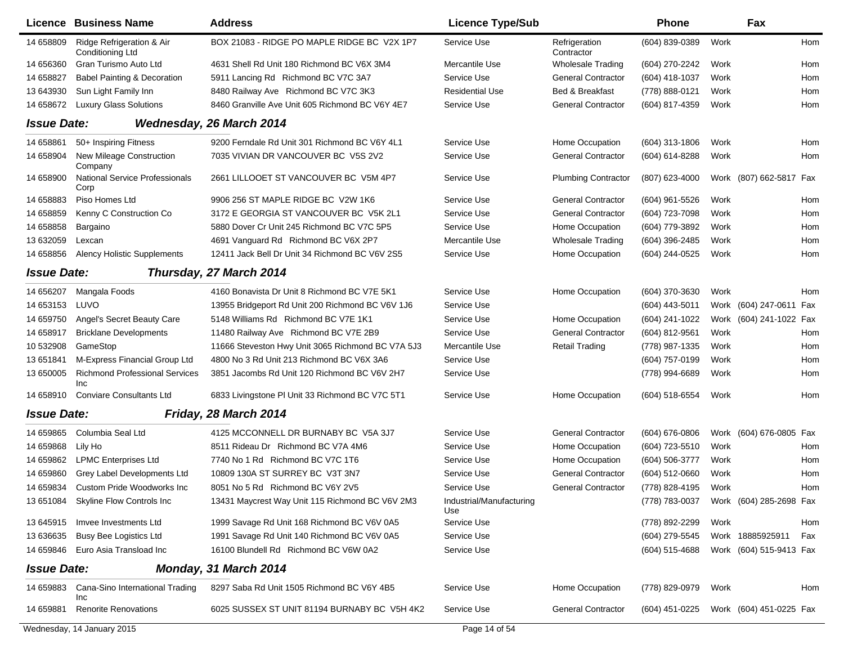|                    | Licence Business Name                               | <b>Address</b>                                    | <b>Licence Type/Sub</b>         |                             | <b>Phone</b>     |      | Fax                     |     |
|--------------------|-----------------------------------------------------|---------------------------------------------------|---------------------------------|-----------------------------|------------------|------|-------------------------|-----|
| 14 658809          | Ridge Refrigeration & Air<br>Conditioning Ltd       | BOX 21083 - RIDGE PO MAPLE RIDGE BC V2X 1P7       | Service Use                     | Refrigeration<br>Contractor | (604) 839-0389   | Work |                         | Hom |
| 14 656360          | Gran Turismo Auto Ltd                               | 4631 Shell Rd Unit 180 Richmond BC V6X 3M4        | Mercantile Use                  | <b>Wholesale Trading</b>    | (604) 270-2242   | Work |                         | Hom |
| 14 658827          | <b>Babel Painting &amp; Decoration</b>              | 5911 Lancing Rd Richmond BC V7C 3A7               | Service Use                     | <b>General Contractor</b>   | (604) 418-1037   | Work |                         | Hom |
| 13 643930          | Sun Light Family Inn                                | 8480 Railway Ave Richmond BC V7C 3K3              | <b>Residential Use</b>          | Bed & Breakfast             | (778) 888-0121   | Work |                         | Hom |
| 14 658672          | <b>Luxury Glass Solutions</b>                       | 8460 Granville Ave Unit 605 Richmond BC V6Y 4E7   | Service Use                     | <b>General Contractor</b>   | (604) 817-4359   | Work |                         | Hom |
| <b>Issue Date:</b> |                                                     | Wednesday, 26 March 2014                          |                                 |                             |                  |      |                         |     |
| 14 658861          | 50+ Inspiring Fitness                               | 9200 Ferndale Rd Unit 301 Richmond BC V6Y 4L1     | Service Use                     | Home Occupation             | $(604)$ 313-1806 | Work |                         | Hom |
| 14 658904          | New Mileage Construction<br>Company                 | 7035 VIVIAN DR VANCOUVER BC V5S 2V2               | Service Use                     | <b>General Contractor</b>   | (604) 614-8288   | Work |                         | Hom |
| 14 658900          | <b>National Service Professionals</b><br>Corp       | 2661 LILLOOET ST VANCOUVER BC V5M 4P7             | Service Use                     | <b>Plumbing Contractor</b>  | (807) 623-4000   |      | Work (807) 662-5817 Fax |     |
| 14 658883          | Piso Homes Ltd                                      | 9906 256 ST MAPLE RIDGE BC V2W 1K6                | Service Use                     | <b>General Contractor</b>   | (604) 961-5526   | Work |                         | Hom |
| 14 658859          | Kenny C Construction Co                             | 3172 E GEORGIA ST VANCOUVER BC V5K 2L1            | Service Use                     | <b>General Contractor</b>   | (604) 723-7098   | Work |                         | Hom |
| 14 658858          | Bargaino                                            | 5880 Dover Cr Unit 245 Richmond BC V7C 5P5        | Service Use                     | Home Occupation             | (604) 779-3892   | Work |                         | Hom |
| 13 632059          | Lexcan                                              | 4691 Vanguard Rd Richmond BC V6X 2P7              | Mercantile Use                  | <b>Wholesale Trading</b>    | (604) 396-2485   | Work |                         | Hom |
| 14 658856          | <b>Alency Holistic Supplements</b>                  | 12411 Jack Bell Dr Unit 34 Richmond BC V6V 2S5    | Service Use                     | Home Occupation             | (604) 244-0525   | Work |                         | Hom |
| <b>Issue Date:</b> |                                                     | Thursday, 27 March 2014                           |                                 |                             |                  |      |                         |     |
| 14 65 6207         | Mangala Foods                                       | 4160 Bonavista Dr Unit 8 Richmond BC V7E 5K1      | Service Use                     | Home Occupation             | (604) 370-3630   | Work |                         | Hom |
| 14 653153          | LUVO                                                | 13955 Bridgeport Rd Unit 200 Richmond BC V6V 1J6  | Service Use                     |                             | (604) 443-5011   |      | Work (604) 247-0611 Fax |     |
| 14 659750          | Angel's Secret Beauty Care                          | 5148 Williams Rd Richmond BC V7E 1K1              | Service Use                     | Home Occupation             | (604) 241-1022   |      | Work (604) 241-1022 Fax |     |
| 14 658917          | <b>Bricklane Developments</b>                       | 11480 Railway Ave Richmond BC V7E 2B9             | Service Use                     | <b>General Contractor</b>   | (604) 812-9561   | Work |                         | Hom |
| 10 532908          | GameStop                                            | 11666 Steveston Hwy Unit 3065 Richmond BC V7A 5J3 | Mercantile Use                  | <b>Retail Trading</b>       | (778) 987-1335   | Work |                         | Hom |
| 13 651841          | M-Express Financial Group Ltd                       | 4800 No 3 Rd Unit 213 Richmond BC V6X 3A6         | Service Use                     |                             | (604) 757-0199   | Work |                         | Hom |
| 13 650005          | <b>Richmond Professional Services</b><br><b>Inc</b> | 3851 Jacombs Rd Unit 120 Richmond BC V6V 2H7      | Service Use                     |                             | (778) 994-6689   | Work |                         | Hom |
| 14 658910          | <b>Conviare Consultants Ltd</b>                     | 6833 Livingstone PI Unit 33 Richmond BC V7C 5T1   | Service Use                     | Home Occupation             | (604) 518-6554   | Work |                         | Hom |
| <b>Issue Date:</b> |                                                     | Friday, 28 March 2014                             |                                 |                             |                  |      |                         |     |
| 14 659865          | Columbia Seal Ltd                                   | 4125 MCCONNELL DR BURNABY BC V5A 3J7              | Service Use                     | <b>General Contractor</b>   | (604) 676-0806   |      | Work (604) 676-0805 Fax |     |
| 14 659868          | Lily Ho                                             | 8511 Rideau Dr Richmond BC V7A 4M6                | Service Use                     | Home Occupation             | (604) 723-5510   | Work |                         | Hom |
| 14 659862          | <b>LPMC Enterprises Ltd</b>                         | 7740 No 1 Rd Richmond BC V7C 1T6                  | Service Use                     | Home Occupation             | (604) 506-3777   | Work |                         | Hom |
| 14 659860          | Grey Label Developments Ltd                         | 10809 130A ST SURREY BC V3T 3N7                   | Service Use                     | <b>General Contractor</b>   | (604) 512-0660   | Work |                         | Hom |
| 14 659834          | Custom Pride Woodworks Inc.                         | 8051 No 5 Rd Richmond BC V6Y 2V5                  | Service Use                     | <b>General Contractor</b>   | (778) 828-4195   | Work |                         | Hom |
|                    | 13 651084 Skyline Flow Controls Inc                 | 13431 Maycrest Way Unit 115 Richmond BC V6V 2M3   | Industrial/Manufacturing<br>Use |                             | (778) 783-0037   |      | Work (604) 285-2698 Fax |     |
| 13 645915          | Imvee Investments Ltd                               | 1999 Savage Rd Unit 168 Richmond BC V6V 0A5       | Service Use                     |                             | (778) 892-2299   | Work |                         | Hom |
| 13 63 6635         | <b>Busy Bee Logistics Ltd</b>                       | 1991 Savage Rd Unit 140 Richmond BC V6V 0A5       | Service Use                     |                             | (604) 279-5545   |      | Work 18885925911        | Fax |
| 14 659846          | Euro Asia Transload Inc                             | 16100 Blundell Rd Richmond BC V6W 0A2             | Service Use                     |                             | (604) 515-4688   |      | Work (604) 515-9413 Fax |     |
| <b>Issue Date:</b> |                                                     | Monday, 31 March 2014                             |                                 |                             |                  |      |                         |     |
| 14 659883          | Cana-Sino International Trading<br>Inc              | 8297 Saba Rd Unit 1505 Richmond BC V6Y 4B5        | Service Use                     | Home Occupation             | (778) 829-0979   | Work |                         | Hom |
| 14 659881          | <b>Renorite Renovations</b>                         | 6025 SUSSEX ST UNIT 81194 BURNABY BC V5H 4K2      | Service Use                     | <b>General Contractor</b>   | (604) 451-0225   |      | Work (604) 451-0225 Fax |     |
|                    | Wednesday, 14 January 2015                          |                                                   | Page 14 of 54                   |                             |                  |      |                         |     |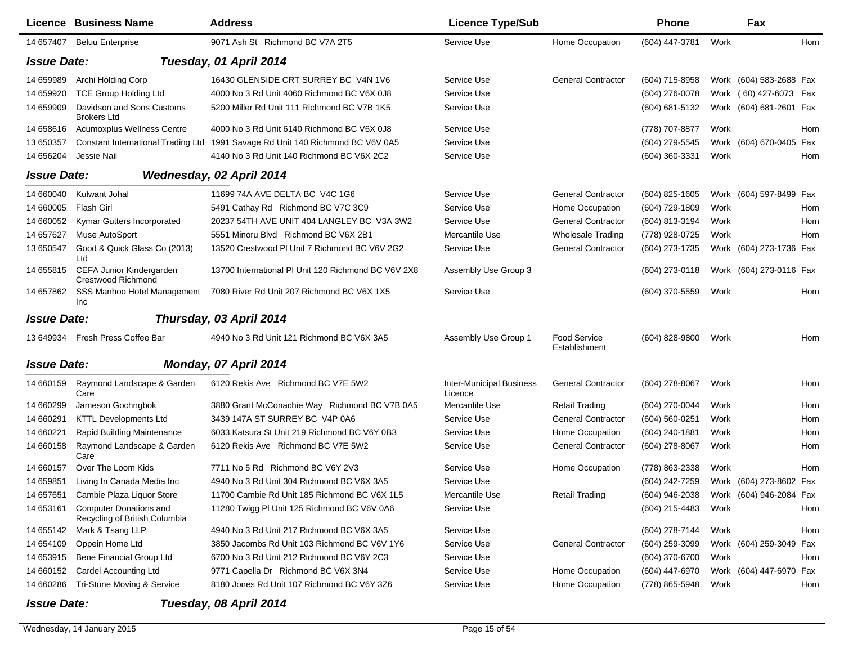|                    | Licence Business Name                                          | <b>Address</b>                                      | <b>Licence Type/Sub</b>                    |                               | <b>Phone</b>   | Fax                     |     |
|--------------------|----------------------------------------------------------------|-----------------------------------------------------|--------------------------------------------|-------------------------------|----------------|-------------------------|-----|
| 14 657407          | <b>Beluu Enterprise</b>                                        | 9071 Ash St Richmond BC V7A 2T5                     | Service Use                                | Home Occupation               | (604) 447-3781 | Work                    | Hom |
| <b>Issue Date:</b> |                                                                | Tuesday, 01 April 2014                              |                                            |                               |                |                         |     |
| 14 659989          | Archi Holding Corp                                             | 16430 GLENSIDE CRT SURREY BC V4N 1V6                | Service Use                                | <b>General Contractor</b>     | (604) 715-8958 | Work (604) 583-2688 Fax |     |
| 14 659920          | <b>TCE Group Holding Ltd</b>                                   | 4000 No 3 Rd Unit 4060 Richmond BC V6X 0J8          | Service Use                                |                               | (604) 276-0078 | Work (60) 427-6073 Fax  |     |
| 14 659909          | Davidson and Sons Customs<br><b>Brokers Ltd</b>                | 5200 Miller Rd Unit 111 Richmond BC V7B 1K5         | Service Use                                |                               | (604) 681-5132 | Work (604) 681-2601 Fax |     |
| 14 658616          | Acumoxplus Wellness Centre                                     | 4000 No 3 Rd Unit 6140 Richmond BC V6X 0J8          | Service Use                                |                               | (778) 707-8877 | Work                    | Hom |
| 13 650357          | <b>Constant International Trading Ltd</b>                      | 1991 Savage Rd Unit 140 Richmond BC V6V 0A5         | Service Use                                |                               | (604) 279-5545 | Work (604) 670-0405 Fax |     |
| 14 656204          | Jessie Nail                                                    | 4140 No 3 Rd Unit 140 Richmond BC V6X 2C2           | Service Use                                |                               | (604) 360-3331 | Work                    | Hom |
| <b>Issue Date:</b> |                                                                | Wednesday, 02 April 2014                            |                                            |                               |                |                         |     |
| 14 660040          | Kulwant Johal                                                  | 11699 74A AVE DELTA BC V4C 1G6                      | Service Use                                | <b>General Contractor</b>     | (604) 825-1605 | Work (604) 597-8499 Fax |     |
| 14 660005          | Flash Girl                                                     | 5491 Cathay Rd Richmond BC V7C 3C9                  | Service Use                                | Home Occupation               | (604) 729-1809 | Work                    | Hom |
| 14 660052          | Kymar Gutters Incorporated                                     | 20237 54TH AVE UNIT 404 LANGLEY BC V3A 3W2          | Service Use                                | <b>General Contractor</b>     | (604) 813-3194 | Work                    | Hom |
| 14 657627          | Muse AutoSport                                                 | 5551 Minoru Blvd Richmond BC V6X 2B1                | Mercantile Use                             | <b>Wholesale Trading</b>      | (778) 928-0725 | Work                    | Hom |
| 13 650547          | Good & Quick Glass Co (2013)<br>Ltd                            | 13520 Crestwood PI Unit 7 Richmond BC V6V 2G2       | Service Use                                | <b>General Contractor</b>     | (604) 273-1735 | Work (604) 273-1736 Fax |     |
| 14 655815          | CEFA Junior Kindergarden<br>Crestwood Richmond                 | 13700 International PI Unit 120 Richmond BC V6V 2X8 | Assembly Use Group 3                       |                               | (604) 273-0118 | Work (604) 273-0116 Fax |     |
| 14 657862          | SSS Manhoo Hotel Management<br><b>Inc</b>                      | 7080 River Rd Unit 207 Richmond BC V6X 1X5          | Service Use                                |                               | (604) 370-5559 | Work                    | Hom |
| <b>Issue Date:</b> |                                                                | Thursday, 03 April 2014                             |                                            |                               |                |                         |     |
| 13 649934          | Fresh Press Coffee Bar                                         | 4940 No 3 Rd Unit 121 Richmond BC V6X 3A5           | Assembly Use Group 1                       | Food Service<br>Establishment | (604) 828-9800 | Work                    | Hom |
| <b>Issue Date:</b> |                                                                | Monday, 07 April 2014                               |                                            |                               |                |                         |     |
| 14 660159          | Raymond Landscape & Garden<br>Care                             | 6120 Rekis Ave Richmond BC V7E 5W2                  | <b>Inter-Municipal Business</b><br>Licence | <b>General Contractor</b>     | (604) 278-8067 | Work                    | Hom |
| 14 660299          | Jameson Gochngbok                                              | 3880 Grant McConachie Way Richmond BC V7B 0A5       | Mercantile Use                             | <b>Retail Trading</b>         | (604) 270-0044 | Work                    | Hom |
| 14 660291          | <b>KTTL Developments Ltd</b>                                   | 3439 147A ST SURREY BC V4P 0A6                      | Service Use                                | <b>General Contractor</b>     | (604) 560-0251 | Work                    | Hom |
| 14 660221          | Rapid Building Maintenance                                     | 6033 Katsura St Unit 219 Richmond BC V6Y 0B3        | Service Use                                | Home Occupation               | (604) 240-1881 | Work                    | Hom |
| 14 660158          | Raymond Landscape & Garden<br>Care                             | 6120 Rekis Ave Richmond BC V7E 5W2                  | Service Use                                | <b>General Contractor</b>     | (604) 278-8067 | Work                    | Hom |
| 14 660157          | Over The Loom Kids                                             | 7711 No 5 Rd Richmond BC V6Y 2V3                    | Service Use                                | Home Occupation               | (778) 863-2338 | Work                    | Hom |
| 14 659851          | Living In Canada Media Inc                                     | 4940 No 3 Rd Unit 304 Richmond BC V6X 3A5           | Service Use                                |                               | (604) 242-7259 | Work (604) 273-8602 Fax |     |
| 14 657651          | Cambie Plaza Liquor Store                                      | 11700 Cambie Rd Unit 185 Richmond BC V6X 1L5        | Mercantile Use                             | <b>Retail Trading</b>         | (604) 946-2038 | Work (604) 946-2084 Fax |     |
| 14 653161          | <b>Computer Donations and</b><br>Recycling of British Columbia | 11280 Twigg PI Unit 125 Richmond BC V6V 0A6         | Service Use                                |                               | (604) 215-4483 | Work                    | Hom |
| 14 655142          | Mark & Tsang LLP                                               | 4940 No 3 Rd Unit 217 Richmond BC V6X 3A5           | Service Use                                |                               | (604) 278-7144 | Work                    | Hom |
| 14 654109          | Oppein Home Ltd                                                | 3850 Jacombs Rd Unit 103 Richmond BC V6V 1Y6        | Service Use                                | <b>General Contractor</b>     | (604) 259-3099 | Work (604) 259-3049 Fax |     |
| 14 653915          | Bene Financial Group Ltd                                       | 6700 No 3 Rd Unit 212 Richmond BC V6Y 2C3           | Service Use                                |                               | (604) 370-6700 | Work                    | Hom |
| 14 660152          | <b>Cardel Accounting Ltd</b>                                   | 9771 Capella Dr Richmond BC V6X 3N4                 | Service Use                                | Home Occupation               | (604) 447-6970 | Work (604) 447-6970 Fax |     |
| 14 660286          | Tri-Stone Moving & Service                                     | 8180 Jones Rd Unit 107 Richmond BC V6Y 3Z6          | Service Use                                | Home Occupation               | (778) 865-5948 | Work                    | Hom |
|                    |                                                                |                                                     |                                            |                               |                |                         |     |

*Issue Date:*

*Tuesday, 08 April 2014*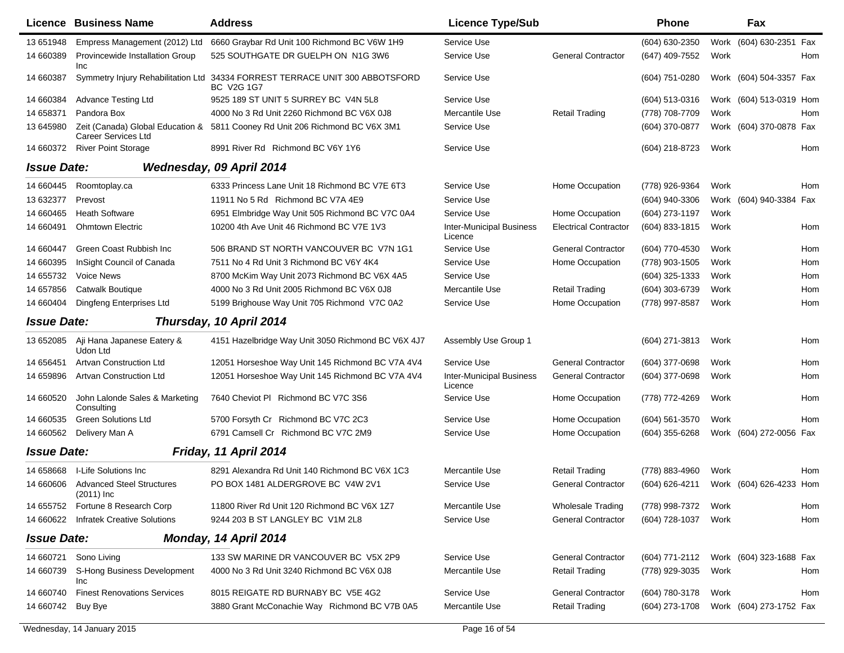|                    | <b>Licence Business Name</b>                     | <b>Address</b>                                                                                    | <b>Licence Type/Sub</b>                    |                              | <b>Phone</b>     |      | Fax                     |     |
|--------------------|--------------------------------------------------|---------------------------------------------------------------------------------------------------|--------------------------------------------|------------------------------|------------------|------|-------------------------|-----|
| 13 651948          | Empress Management (2012) Ltd                    | 6660 Graybar Rd Unit 100 Richmond BC V6W 1H9                                                      | Service Use                                |                              | (604) 630-2350   |      | Work (604) 630-2351 Fax |     |
| 14 660389          | Provincewide Installation Group<br>Inc           | 525 SOUTHGATE DR GUELPH ON N1G 3W6                                                                | Service Use                                | <b>General Contractor</b>    | (647) 409-7552   | Work |                         | Hom |
| 14 660387          |                                                  | Symmetry Injury Rehabilitation Ltd 34334 FORREST TERRACE UNIT 300 ABBOTSFORD<br><b>BC V2G 1G7</b> | Service Use                                |                              | (604) 751-0280   |      | Work (604) 504-3357 Fax |     |
| 14 660384          | <b>Advance Testing Ltd</b>                       | 9525 189 ST UNIT 5 SURREY BC V4N 5L8                                                              | Service Use                                |                              | $(604)$ 513-0316 |      | Work (604) 513-0319 Hom |     |
| 14 658371          | Pandora Box                                      | 4000 No 3 Rd Unit 2260 Richmond BC V6X 0J8                                                        | Mercantile Use                             | <b>Retail Trading</b>        | (778) 708-7709   | Work |                         | Hom |
| 13 645980          | <b>Career Services Ltd</b>                       | Zeit (Canada) Global Education & 5811 Cooney Rd Unit 206 Richmond BC V6X 3M1                      | Service Use                                |                              | (604) 370-0877   |      | Work (604) 370-0878 Fax |     |
| 14 660372          | <b>River Point Storage</b>                       | 8991 River Rd Richmond BC V6Y 1Y6                                                                 | Service Use                                |                              | (604) 218-8723   | Work |                         | Hom |
| <b>Issue Date:</b> |                                                  | Wednesday, 09 April 2014                                                                          |                                            |                              |                  |      |                         |     |
| 14 660445          | Roomtoplay.ca                                    | 6333 Princess Lane Unit 18 Richmond BC V7E 6T3                                                    | Service Use                                | Home Occupation              | (778) 926-9364   | Work |                         | Hom |
| 13 632377          | Prevost                                          | 11911 No 5 Rd Richmond BC V7A 4E9                                                                 | Service Use                                |                              | (604) 940-3306   |      | Work (604) 940-3384 Fax |     |
| 14 660465          | <b>Heath Software</b>                            | 6951 Elmbridge Way Unit 505 Richmond BC V7C 0A4                                                   | Service Use                                | Home Occupation              | (604) 273-1197   | Work |                         |     |
| 14 660491          | <b>Ohmtown Electric</b>                          | 10200 4th Ave Unit 46 Richmond BC V7E 1V3                                                         | <b>Inter-Municipal Business</b><br>Licence | <b>Electrical Contractor</b> | (604) 833-1815   | Work |                         | Hom |
| 14 660447          | Green Coast Rubbish Inc                          | 506 BRAND ST NORTH VANCOUVER BC V7N 1G1                                                           | Service Use                                | <b>General Contractor</b>    | (604) 770-4530   | Work |                         | Hom |
| 14 660395          | InSight Council of Canada                        | 7511 No 4 Rd Unit 3 Richmond BC V6Y 4K4                                                           | Service Use                                | Home Occupation              | (778) 903-1505   | Work |                         | Hom |
| 14 655732          | <b>Voice News</b>                                | 8700 McKim Way Unit 2073 Richmond BC V6X 4A5                                                      | Service Use                                |                              | (604) 325-1333   | Work |                         | Hom |
| 14 657856          | <b>Catwalk Boutique</b>                          | 4000 No 3 Rd Unit 2005 Richmond BC V6X 0J8                                                        | Mercantile Use                             | <b>Retail Trading</b>        | (604) 303-6739   | Work |                         | Hom |
| 14 660404          | Dingfeng Enterprises Ltd                         | 5199 Brighouse Way Unit 705 Richmond V7C 0A2                                                      | Service Use                                | Home Occupation              | (778) 997-8587   | Work |                         | Hom |
| <b>Issue Date:</b> |                                                  | Thursday, 10 April 2014                                                                           |                                            |                              |                  |      |                         |     |
| 13 652085          | Aji Hana Japanese Eatery &<br>Udon Ltd           | 4151 Hazelbridge Way Unit 3050 Richmond BC V6X 4J7                                                | Assembly Use Group 1                       |                              | (604) 271-3813   | Work |                         | Hom |
| 14 65 6451         | <b>Artvan Construction Ltd</b>                   | 12051 Horseshoe Way Unit 145 Richmond BC V7A 4V4                                                  | Service Use                                | <b>General Contractor</b>    | (604) 377-0698   | Work |                         | Hom |
| 14 659896          | <b>Artvan Construction Ltd</b>                   | 12051 Horseshoe Way Unit 145 Richmond BC V7A 4V4                                                  | <b>Inter-Municipal Business</b><br>Licence | <b>General Contractor</b>    | (604) 377-0698   | Work |                         | Hom |
| 14 660520          | John Lalonde Sales & Marketing<br>Consulting     | 7640 Cheviot PI Richmond BC V7C 3S6                                                               | Service Use                                | Home Occupation              | (778) 772-4269   | Work |                         | Hom |
| 14 660535          | <b>Green Solutions Ltd</b>                       | 5700 Forsyth Cr Richmond BC V7C 2C3                                                               | Service Use                                | Home Occupation              | $(604)$ 561-3570 | Work |                         | Hom |
| 14 660562          | Delivery Man A                                   | 6791 Camsell Cr Richmond BC V7C 2M9                                                               | Service Use                                | Home Occupation              | (604) 355-6268   |      | Work (604) 272-0056 Fax |     |
| <b>Issue Date:</b> |                                                  | Friday, 11 April 2014                                                                             |                                            |                              |                  |      |                         |     |
| 14 658668          | I-Life Solutions Inc                             | 8291 Alexandra Rd Unit 140 Richmond BC V6X 1C3                                                    | Mercantile Use                             | <b>Retail Trading</b>        | (778) 883-4960   | Work |                         | Hom |
| 14 660606          | <b>Advanced Steel Structures</b><br>$(2011)$ Inc | PO BOX 1481 ALDERGROVE BC V4W 2V1                                                                 | Service Use                                | <b>General Contractor</b>    | (604) 626-4211   |      | Work (604) 626-4233 Hom |     |
| 14 655752          | Fortune 8 Research Corp                          | 11800 River Rd Unit 120 Richmond BC V6X 1Z7                                                       | Mercantile Use                             | <b>Wholesale Trading</b>     | (778) 998-7372   | Work |                         | Hom |
| 14 660622          | <b>Infratek Creative Solutions</b>               | 9244 203 B ST LANGLEY BC V1M 2L8                                                                  | Service Use                                | <b>General Contractor</b>    | (604) 728-1037   | Work |                         | Hom |
| <b>Issue Date:</b> |                                                  | Monday, 14 April 2014                                                                             |                                            |                              |                  |      |                         |     |
|                    | 14 660721 Sono Living                            | 133 SW MARINE DR VANCOUVER BC V5X 2P9                                                             | Service Use                                | <b>General Contractor</b>    | (604) 771-2112   |      | Work (604) 323-1688 Fax |     |
| 14 660739          | S-Hong Business Development<br>Inc               | 4000 No 3 Rd Unit 3240 Richmond BC V6X 0J8                                                        | Mercantile Use                             | <b>Retail Trading</b>        | (778) 929-3035   | Work |                         | Hom |
| 14 660740          | <b>Finest Renovations Services</b>               | 8015 REIGATE RD BURNABY BC V5E 4G2                                                                | Service Use                                | <b>General Contractor</b>    | (604) 780-3178   | Work |                         | Hom |
| 14 660742          | Buy Bye                                          | 3880 Grant McConachie Way Richmond BC V7B 0A5                                                     | Mercantile Use                             | <b>Retail Trading</b>        | (604) 273-1708   |      | Work (604) 273-1752 Fax |     |
|                    |                                                  |                                                                                                   |                                            |                              |                  |      |                         |     |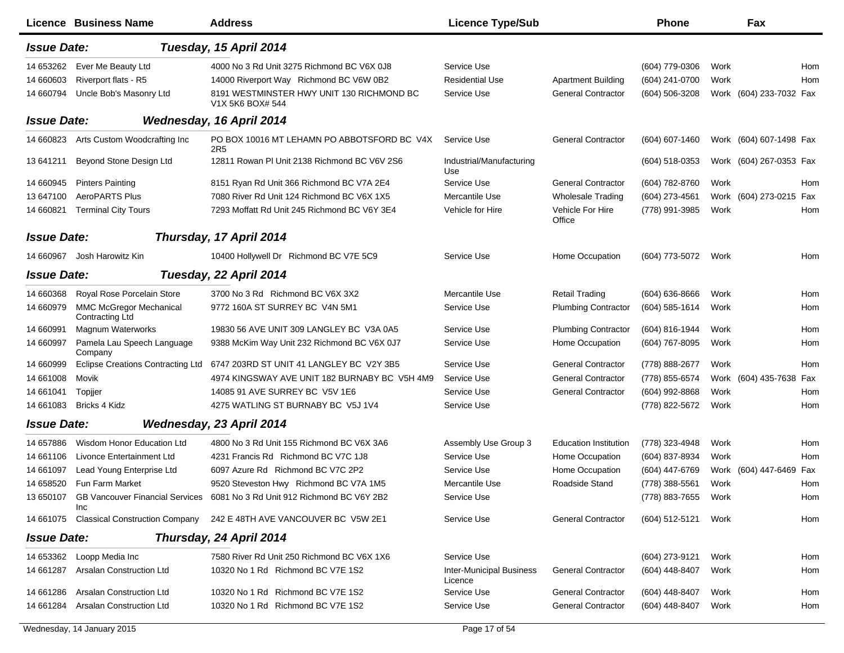|                    | Licence Business Name                             | <b>Address</b>                                                            | <b>Licence Type/Sub</b>                    |                              | <b>Phone</b>       |      | Fax                     |     |
|--------------------|---------------------------------------------------|---------------------------------------------------------------------------|--------------------------------------------|------------------------------|--------------------|------|-------------------------|-----|
| <b>Issue Date:</b> |                                                   | Tuesday, 15 April 2014                                                    |                                            |                              |                    |      |                         |     |
| 14 653262          | Ever Me Beauty Ltd                                | 4000 No 3 Rd Unit 3275 Richmond BC V6X 0J8                                | Service Use                                |                              | (604) 779-0306     | Work |                         | Hom |
| 14 660603          | Riverport flats - R5                              | 14000 Riverport Way Richmond BC V6W 0B2                                   | <b>Residential Use</b>                     | <b>Apartment Building</b>    | (604) 241-0700     | Work |                         | Hom |
| 14 660794          | Uncle Bob's Masonry Ltd                           | 8191 WESTMINSTER HWY UNIT 130 RICHMOND BC<br>V1X 5K6 BOX# 544             | Service Use                                | <b>General Contractor</b>    | (604) 506-3208     |      | Work (604) 233-7032 Fax |     |
| <b>Issue Date:</b> |                                                   | Wednesday, 16 April 2014                                                  |                                            |                              |                    |      |                         |     |
| 14 660823          | Arts Custom Woodcrafting Inc                      | PO BOX 10016 MT LEHAMN PO ABBOTSFORD BC V4X<br>2R <sub>5</sub>            | Service Use                                | <b>General Contractor</b>    | (604) 607-1460     |      | Work (604) 607-1498 Fax |     |
| 13 641211          | Beyond Stone Design Ltd                           | 12811 Rowan PI Unit 2138 Richmond BC V6V 2S6                              | Industrial/Manufacturing<br>Use            |                              | (604) 518-0353     |      | Work (604) 267-0353 Fax |     |
| 14 660945          | <b>Pinters Painting</b>                           | 8151 Ryan Rd Unit 366 Richmond BC V7A 2E4                                 | Service Use                                | <b>General Contractor</b>    | (604) 782-8760     | Work |                         | Hom |
| 13 647100          | AeroPARTS Plus                                    | 7080 River Rd Unit 124 Richmond BC V6X 1X5                                | Mercantile Use                             | <b>Wholesale Trading</b>     | (604) 273-4561     |      | Work (604) 273-0215 Fax |     |
| 14 660821          | <b>Terminal City Tours</b>                        | 7293 Moffatt Rd Unit 245 Richmond BC V6Y 3E4                              | Vehicle for Hire                           | Vehicle For Hire<br>Office   | (778) 991-3985     | Work |                         | Hom |
| <b>Issue Date:</b> |                                                   | Thursday, 17 April 2014                                                   |                                            |                              |                    |      |                         |     |
| 14 660967          | Josh Harowitz Kin                                 | 10400 Hollywell Dr Richmond BC V7E 5C9                                    | Service Use                                | Home Occupation              | (604) 773-5072     | Work |                         | Hom |
| <b>Issue Date:</b> |                                                   | Tuesday, 22 April 2014                                                    |                                            |                              |                    |      |                         |     |
| 14 660368          | Royal Rose Porcelain Store                        | 3700 No 3 Rd Richmond BC V6X 3X2                                          | Mercantile Use                             | <b>Retail Trading</b>        | $(604) 636 - 8666$ | Work |                         | Hom |
| 14 660979          | <b>MMC McGregor Mechanical</b><br>Contracting Ltd | 9772 160A ST SURREY BC V4N 5M1                                            | Service Use                                | <b>Plumbing Contractor</b>   | (604) 585-1614     | Work |                         | Hom |
| 14 660991          | Magnum Waterworks                                 | 19830 56 AVE UNIT 309 LANGLEY BC V3A 0A5                                  | Service Use                                | <b>Plumbing Contractor</b>   | (604) 816-1944     | Work |                         | Hom |
| 14 660997          | Pamela Lau Speech Language<br>Company             | 9388 McKim Way Unit 232 Richmond BC V6X 0J7                               | Service Use                                | Home Occupation              | (604) 767-8095     | Work |                         | Hom |
| 14 660999          | <b>Eclipse Creations Contracting Ltd</b>          | 6747 203RD ST UNIT 41 LANGLEY BC V2Y 3B5                                  | Service Use                                | <b>General Contractor</b>    | (778) 888-2677     | Work |                         | Hom |
| 14 661008          | Movik                                             | 4974 KINGSWAY AVE UNIT 182 BURNABY BC V5H 4M9                             | Service Use                                | <b>General Contractor</b>    | (778) 855-6574     |      | Work (604) 435-7638 Fax |     |
| 14 661041          | Topjjer                                           | 14085 91 AVE SURREY BC V5V 1E6                                            | Service Use                                | <b>General Contractor</b>    | (604) 992-8868     | Work |                         | Hom |
| 14 661083          | Bricks 4 Kidz                                     | 4275 WATLING ST BURNABY BC V5J 1V4                                        | Service Use                                |                              | (778) 822-5672     | Work |                         | Hom |
| <b>Issue Date:</b> |                                                   | Wednesday, 23 April 2014                                                  |                                            |                              |                    |      |                         |     |
| 14 657886          | Wisdom Honor Education Ltd                        | 4800 No 3 Rd Unit 155 Richmond BC V6X 3A6                                 | Assembly Use Group 3                       | <b>Education Institution</b> | (778) 323-4948     | Work |                         | Hom |
| 14 661106          | Livonce Entertainment Ltd                         | 4231 Francis Rd Richmond BC V7C 1J8                                       | Service Use                                | Home Occupation              | (604) 837-8934     | Work |                         | Hom |
| 14 661097          | Lead Young Enterprise Ltd                         | 6097 Azure Rd Richmond BC V7C 2P2                                         | Service Use                                | Home Occupation              | (604) 447-6769     | Work | (604) 447-6469          | Fax |
| 14 658520          | Fun Farm Market                                   | 9520 Steveston Hwy Richmond BC V7A 1M5                                    | Mercantile Use                             | Roadside Stand               | (778) 388-5561     | Work |                         | Hom |
| 13 650107          | Inc                                               | GB Vancouver Financial Services 6081 No 3 Rd Unit 912 Richmond BC V6Y 2B2 | Service Use                                |                              | (778) 883-7655     | Work |                         | Hom |
| 14 661075          | <b>Classical Construction Company</b>             | 242 E 48TH AVE VANCOUVER BC V5W 2E1                                       | Service Use                                | <b>General Contractor</b>    | (604) 512-5121     | Work |                         | Hom |
| <b>Issue Date:</b> |                                                   | Thursday, 24 April 2014                                                   |                                            |                              |                    |      |                         |     |
| 14 653362          | Loopp Media Inc                                   | 7580 River Rd Unit 250 Richmond BC V6X 1X6                                | Service Use                                |                              | (604) 273-9121     | Work |                         | Hom |
| 14 661287          | <b>Arsalan Construction Ltd</b>                   | 10320 No 1 Rd Richmond BC V7E 1S2                                         | <b>Inter-Municipal Business</b><br>Licence | <b>General Contractor</b>    | (604) 448-8407     | Work |                         | Hom |
| 14 661286          | <b>Arsalan Construction Ltd</b>                   | 10320 No 1 Rd Richmond BC V7E 1S2                                         | Service Use                                | <b>General Contractor</b>    | (604) 448-8407     | Work |                         | Hom |
| 14 661284          | <b>Arsalan Construction Ltd</b>                   | 10320 No 1 Rd Richmond BC V7E 1S2                                         | Service Use                                | <b>General Contractor</b>    | (604) 448-8407     | Work |                         | Hom |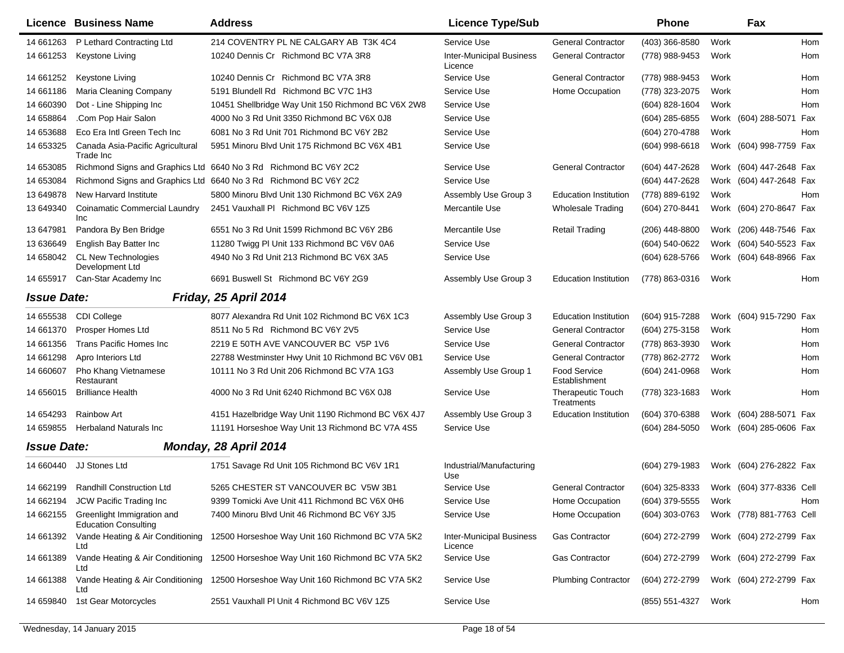|                    | <b>Licence Business Name</b>                              | <b>Address</b>                                                   | <b>Licence Type/Sub</b>                    |                                        | Phone            |      | Fax                      |            |
|--------------------|-----------------------------------------------------------|------------------------------------------------------------------|--------------------------------------------|----------------------------------------|------------------|------|--------------------------|------------|
| 14 661263          | P Lethard Contracting Ltd                                 | 214 COVENTRY PL NE CALGARY AB T3K 4C4                            | Service Use                                | <b>General Contractor</b>              | (403) 366-8580   | Work |                          | <b>Hom</b> |
| 14 661253          | Keystone Living                                           | 10240 Dennis Cr Richmond BC V7A 3R8                              | <b>Inter-Municipal Business</b><br>Licence | <b>General Contractor</b>              | (778) 988-9453   | Work |                          | Hom        |
| 14 661252          | Keystone Living                                           | 10240 Dennis Cr Richmond BC V7A 3R8                              | Service Use                                | <b>General Contractor</b>              | (778) 988-9453   | Work |                          | Hom        |
| 14 661186          | Maria Cleaning Company                                    | 5191 Blundell Rd Richmond BC V7C 1H3                             | Service Use                                | Home Occupation                        | (778) 323-2075   | Work |                          | Hom        |
| 14 660390          | Dot - Line Shipping Inc                                   | 10451 Shellbridge Way Unit 150 Richmond BC V6X 2W8               | Service Use                                |                                        | (604) 828-1604   | Work |                          | Hom        |
| 14 658864          | .Com Pop Hair Salon                                       | 4000 No 3 Rd Unit 3350 Richmond BC V6X 0J8                       | Service Use                                |                                        | (604) 285-6855   |      | Work (604) 288-5071      | Fax        |
| 14 653688          | Eco Era Intl Green Tech Inc                               | 6081 No 3 Rd Unit 701 Richmond BC V6Y 2B2                        | Service Use                                |                                        | (604) 270-4788   | Work |                          | Hom        |
| 14 653325          | Canada Asia-Pacific Agricultural<br>Trade Inc             | 5951 Minoru Blvd Unit 175 Richmond BC V6X 4B1                    | Service Use                                |                                        | $(604)$ 998-6618 | Work | (604) 998-7759 Fax       |            |
| 14 653085          |                                                           | Richmond Signs and Graphics Ltd 6640 No 3 Rd Richmond BC V6Y 2C2 | Service Use                                | <b>General Contractor</b>              | (604) 447-2628   |      | Work (604) 447-2648 Fax  |            |
| 14 653084          |                                                           | Richmond Signs and Graphics Ltd 6640 No 3 Rd Richmond BC V6Y 2C2 | Service Use                                |                                        | (604) 447-2628   |      | Work (604) 447-2648 Fax  |            |
| 13 649878          | New Harvard Institute                                     | 5800 Minoru Blvd Unit 130 Richmond BC V6X 2A9                    | Assembly Use Group 3                       | <b>Education Institution</b>           | (778) 889-6192   | Work |                          | Hom        |
| 13 649340          | <b>Coinamatic Commercial Laundry</b><br>Inc               | 2451 Vauxhall PI Richmond BC V6V 1Z5                             | Mercantile Use                             | <b>Wholesale Trading</b>               | (604) 270-8441   |      | Work (604) 270-8647 Fax  |            |
| 13 647981          | Pandora By Ben Bridge                                     | 6551 No 3 Rd Unit 1599 Richmond BC V6Y 2B6                       | Mercantile Use                             | <b>Retail Trading</b>                  | $(206)$ 448-8800 |      | Work (206) 448-7546 Fax  |            |
| 13 63 6649         | English Bay Batter Inc                                    | 11280 Twigg PI Unit 133 Richmond BC V6V 0A6                      | Service Use                                |                                        | (604) 540-0622   | Work | (604) 540-5523 Fax       |            |
| 14 658042          | <b>CL New Technologies</b><br>Development Ltd             | 4940 No 3 Rd Unit 213 Richmond BC V6X 3A5                        | Service Use                                |                                        | (604) 628-5766   | Work | (604) 648-8966 Fax       |            |
| 14 655917          | Can-Star Academy Inc                                      | 6691 Buswell St Richmond BC V6Y 2G9                              | Assembly Use Group 3                       | Education Institution                  | (778) 863-0316   | Work |                          | Hom        |
| <b>Issue Date:</b> |                                                           | Friday, 25 April 2014                                            |                                            |                                        |                  |      |                          |            |
| 14 655538          | <b>CDI College</b>                                        | 8077 Alexandra Rd Unit 102 Richmond BC V6X 1C3                   | Assembly Use Group 3                       | <b>Education Institution</b>           | (604) 915-7288   |      | Work (604) 915-7290 Fax  |            |
| 14 661370          | Prosper Homes Ltd                                         | 8511 No 5 Rd Richmond BC V6Y 2V5                                 | Service Use                                | <b>General Contractor</b>              | (604) 275-3158   | Work |                          | Hom        |
| 14 661356          | Trans Pacific Homes Inc                                   | 2219 E 50TH AVE VANCOUVER BC V5P 1V6                             | Service Use                                | <b>General Contractor</b>              | (778) 863-3930   | Work |                          | Hom        |
| 14 661298          | Apro Interiors Ltd                                        | 22788 Westminster Hwy Unit 10 Richmond BC V6V 0B1                | Service Use                                | <b>General Contractor</b>              | (778) 862-2772   | Work |                          | Hom        |
| 14 660607          | Pho Khang Vietnamese<br>Restaurant                        | 10111 No 3 Rd Unit 206 Richmond BC V7A 1G3                       | Assembly Use Group 1                       | <b>Food Service</b><br>Establishment   | (604) 241-0968   | Work |                          | Hom        |
| 14 65 6015         | <b>Brilliance Health</b>                                  | 4000 No 3 Rd Unit 6240 Richmond BC V6X 0J8                       | Service Use                                | <b>Therapeutic Touch</b><br>Treatments | (778) 323-1683   | Work |                          | Hom        |
| 14 654293          | <b>Rainbow Art</b>                                        | 4151 Hazelbridge Way Unit 1190 Richmond BC V6X 4J7               | Assembly Use Group 3                       | <b>Education Institution</b>           | (604) 370-6388   | Work | (604) 288-5071 Fax       |            |
| 14 659855          | <b>Herbaland Naturals Inc</b>                             | 11191 Horseshoe Way Unit 13 Richmond BC V7A 4S5                  | Service Use                                |                                        | (604) 284-5050   |      | Work (604) 285-0606 Fax  |            |
| <b>Issue Date:</b> |                                                           | Monday, 28 April 2014                                            |                                            |                                        |                  |      |                          |            |
| 14 660440          | JJ Stones Ltd                                             | 1751 Savage Rd Unit 105 Richmond BC V6V 1R1                      | Industrial/Manufacturing<br>Use            |                                        | (604) 279-1983   |      | Work (604) 276-2822 Fax  |            |
| 14 662199          | <b>Randhill Construction Ltd</b>                          | 5265 CHESTER ST VANCOUVER BC V5W 3B1                             | Service Use                                | <b>General Contractor</b>              | (604) 325-8333   |      | Work (604) 377-8336 Cell |            |
| 14 662194          | JCW Pacific Trading Inc                                   | 9399 Tomicki Ave Unit 411 Richmond BC V6X 0H6                    | Service Use                                | Home Occupation                        | (604) 379-5555   | Work |                          | Hom        |
| 14 662155          | Greenlight Immigration and<br><b>Education Consulting</b> | 7400 Minoru Blvd Unit 46 Richmond BC V6Y 3J5                     | Service Use                                | Home Occupation                        | (604) 303-0763   |      | Work (778) 881-7763 Cell |            |
| 14 661392          | Vande Heating & Air Conditioning<br>Ltd                   | 12500 Horseshoe Way Unit 160 Richmond BC V7A 5K2                 | <b>Inter-Municipal Business</b><br>Licence | <b>Gas Contractor</b>                  | (604) 272-2799   |      | Work (604) 272-2799 Fax  |            |
| 14 661389          | Vande Heating & Air Conditioning<br>Ltd                   | 12500 Horseshoe Way Unit 160 Richmond BC V7A 5K2                 | Service Use                                | <b>Gas Contractor</b>                  | (604) 272-2799   |      | Work (604) 272-2799 Fax  |            |
| 14 661388          | Vande Heating & Air Conditioning<br>Ltd                   | 12500 Horseshoe Way Unit 160 Richmond BC V7A 5K2                 | Service Use                                | <b>Plumbing Contractor</b>             | (604) 272-2799   |      | Work (604) 272-2799 Fax  |            |
| 14 659840          | 1st Gear Motorcycles                                      | 2551 Vauxhall PI Unit 4 Richmond BC V6V 1Z5                      | Service Use                                |                                        | (855) 551-4327   | Work |                          | Hom        |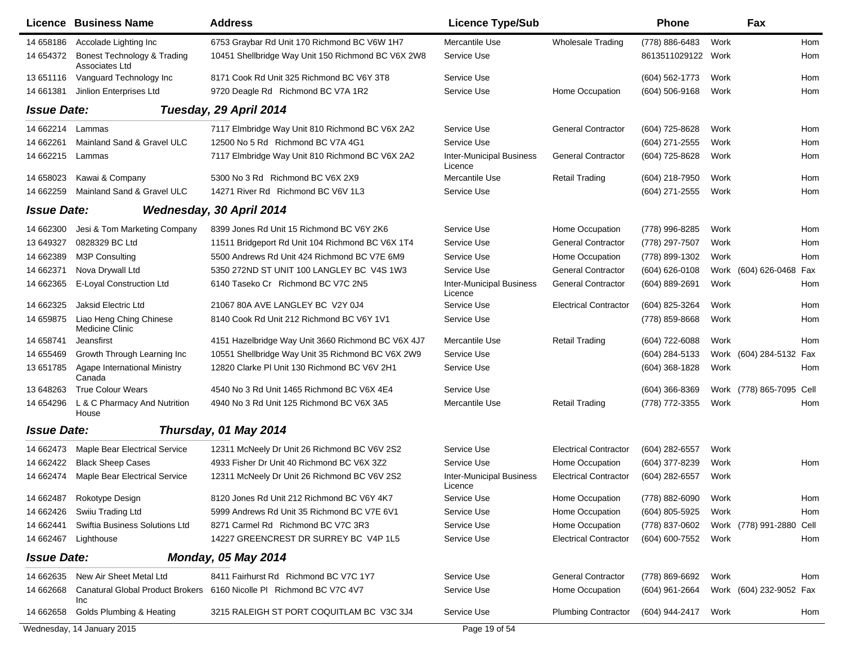|                    | <b>Licence Business Name</b>                      | <b>Address</b>                                     | <b>Licence Type/Sub</b>                    |                              | Phone               |      | Fax                      |            |
|--------------------|---------------------------------------------------|----------------------------------------------------|--------------------------------------------|------------------------------|---------------------|------|--------------------------|------------|
| 14 658186          | Accolade Lighting Inc                             | 6753 Graybar Rd Unit 170 Richmond BC V6W 1H7       | Mercantile Use                             | <b>Wholesale Trading</b>     | (778) 886-6483      | Work |                          | <b>Hom</b> |
| 14 654372          | Bonest Technology & Trading<br>Associates Ltd     | 10451 Shellbridge Way Unit 150 Richmond BC V6X 2W8 | Service Use                                |                              | 8613511029122 Work  |      |                          | Hom        |
| 13 651116          | Vanguard Technology Inc                           | 8171 Cook Rd Unit 325 Richmond BC V6Y 3T8          | Service Use                                |                              | (604) 562-1773      | Work |                          | <b>Hom</b> |
| 14 661381          | Jinlion Enterprises Ltd                           | 9720 Deagle Rd Richmond BC V7A 1R2                 | Service Use                                | Home Occupation              | $(604)$ 506-9168    | Work |                          | Hom        |
| <b>Issue Date:</b> |                                                   | Tuesday, 29 April 2014                             |                                            |                              |                     |      |                          |            |
| 14 662214          | Lammas                                            | 7117 Elmbridge Way Unit 810 Richmond BC V6X 2A2    | Service Use                                | <b>General Contractor</b>    | (604) 725-8628      | Work |                          | Hom        |
| 14 662261          | Mainland Sand & Gravel ULC                        | 12500 No 5 Rd Richmond BC V7A 4G1                  | Service Use                                |                              | (604) 271-2555      | Work |                          | Hom        |
| 14 662215          | Lammas                                            | 7117 Elmbridge Way Unit 810 Richmond BC V6X 2A2    | <b>Inter-Municipal Business</b><br>Licence | <b>General Contractor</b>    | (604) 725-8628      | Work |                          | Hom        |
| 14 658023          | Kawai & Company                                   | 5300 No 3 Rd Richmond BC V6X 2X9                   | Mercantile Use                             | <b>Retail Trading</b>        | (604) 218-7950      | Work |                          | <b>Hom</b> |
| 14 662259          | Mainland Sand & Gravel ULC                        | 14271 River Rd Richmond BC V6V 1L3                 | Service Use                                |                              | (604) 271-2555      | Work |                          | Hom        |
| <b>Issue Date:</b> |                                                   | Wednesday, 30 April 2014                           |                                            |                              |                     |      |                          |            |
| 14 662300          | Jesi & Tom Marketing Company                      | 8399 Jones Rd Unit 15 Richmond BC V6Y 2K6          | Service Use                                | Home Occupation              | (778) 996-8285      | Work |                          | Hom        |
| 13 649327          | 0828329 BC Ltd                                    | 11511 Bridgeport Rd Unit 104 Richmond BC V6X 1T4   | Service Use                                | <b>General Contractor</b>    | (778) 297-7507      | Work |                          | Hom        |
| 14 662389          | <b>M3P Consulting</b>                             | 5500 Andrews Rd Unit 424 Richmond BC V7E 6M9       | Service Use                                | Home Occupation              | (778) 899-1302      | Work |                          | <b>Hom</b> |
| 14 662371          | Nova Drywall Ltd                                  | 5350 272ND ST UNIT 100 LANGLEY BC V4S 1W3          | Service Use                                | <b>General Contractor</b>    | (604) 626-0108      | Work | (604) 626-0468           | Fax        |
| 14 662365          | E-Loyal Construction Ltd                          | 6140 Taseko Cr Richmond BC V7C 2N5                 | <b>Inter-Municipal Business</b><br>Licence | <b>General Contractor</b>    | (604) 889-2691      | Work |                          | Hom        |
| 14 662325          | Jaksid Electric Ltd                               | 21067 80A AVE LANGLEY BC V2Y 0J4                   | Service Use                                | <b>Electrical Contractor</b> | (604) 825-3264      | Work |                          | Hom        |
| 14 659875          | Liao Heng Ching Chinese<br><b>Medicine Clinic</b> | 8140 Cook Rd Unit 212 Richmond BC V6Y 1V1          | Service Use                                |                              | (778) 859-8668      | Work |                          | Hom        |
| 14 658741          | Jeansfirst                                        | 4151 Hazelbridge Way Unit 3660 Richmond BC V6X 4J7 | Mercantile Use                             | <b>Retail Trading</b>        | (604) 722-6088      | Work |                          | <b>Hom</b> |
| 14 655469          | Growth Through Learning Inc                       | 10551 Shellbridge Way Unit 35 Richmond BC V6X 2W9  | Service Use                                |                              | (604) 284-5133      |      | Work (604) 284-5132 Fax  |            |
| 13 651785          | Agape International Ministry<br>Canada            | 12820 Clarke PI Unit 130 Richmond BC V6V 2H1       | Service Use                                |                              | (604) 368-1828      | Work |                          | Hom        |
| 13 648263          | <b>True Colour Wears</b>                          | 4540 No 3 Rd Unit 1465 Richmond BC V6X 4E4         | Service Use                                |                              | (604) 366-8369      | Work | (778) 865-7095 Cell      |            |
| 14 654296          | L & C Pharmacy And Nutrition<br>House             | 4940 No 3 Rd Unit 125 Richmond BC V6X 3A5          | Mercantile Use                             | <b>Retail Trading</b>        | (778) 772-3355      | Work |                          | Hom        |
| <b>Issue Date:</b> |                                                   | Thursday, 01 May 2014                              |                                            |                              |                     |      |                          |            |
| 14 662473          | Maple Bear Electrical Service                     | 12311 McNeely Dr Unit 26 Richmond BC V6V 2S2       | Service Use                                | <b>Electrical Contractor</b> | (604) 282-6557      | Work |                          |            |
| 14 662422          | <b>Black Sheep Cases</b>                          | 4933 Fisher Dr Unit 40 Richmond BC V6X 3Z2         | Service Use                                | Home Occupation              | (604) 377-8239      | Work |                          | Hom        |
| 14 662474          | Maple Bear Electrical Service                     | 12311 McNeely Dr Unit 26 Richmond BC V6V 2S2       | <b>Inter-Municipal Business</b><br>Licence | <b>Electrical Contractor</b> | (604) 282-6557      | Work |                          |            |
| 14 662487          | Rokotype Design                                   | 8120 Jones Rd Unit 212 Richmond BC V6Y 4K7         | Service Use                                | Home Occupation              | (778) 882-6090      | Work |                          | Hom        |
| 14 662426          | Swiiu Trading Ltd                                 | 5999 Andrews Rd Unit 35 Richmond BC V7E 6V1        | Service Use                                | Home Occupation              | (604) 805-5925      | Work |                          | Hom        |
| 14 662441          | Swiftia Business Solutions Ltd                    | 8271 Carmel Rd Richmond BC V7C 3R3                 | Service Use                                | Home Occupation              | (778) 837-0602      |      | Work (778) 991-2880 Cell |            |
| 14 662467          | Lighthouse                                        | 14227 GREENCREST DR SURREY BC V4P 1L5              | Service Use                                | <b>Electrical Contractor</b> | (604) 600-7552      | Work |                          | Hom        |
| <b>Issue Date:</b> |                                                   | <b>Monday, 05 May 2014</b>                         |                                            |                              |                     |      |                          |            |
| 14 662635          | New Air Sheet Metal Ltd                           | 8411 Fairhurst Rd Richmond BC V7C 1Y7              | Service Use                                | <b>General Contractor</b>    | (778) 869-6692      | Work |                          | Hom        |
| 14 662668          | <b>Canatural Global Product Brokers</b><br>Inc    | 6160 Nicolle PI Richmond BC V7C 4V7                | Service Use                                | Home Occupation              | (604) 961-2664      |      | Work (604) 232-9052 Fax  |            |
| 14 662658          | Golds Plumbing & Heating                          | 3215 RALEIGH ST PORT COQUITLAM BC V3C 3J4          | Service Use                                | <b>Plumbing Contractor</b>   | (604) 944-2417 Work |      |                          | Hom        |
|                    | Wednesday, 14 January 2015                        |                                                    | Page 19 of 54                              |                              |                     |      |                          |            |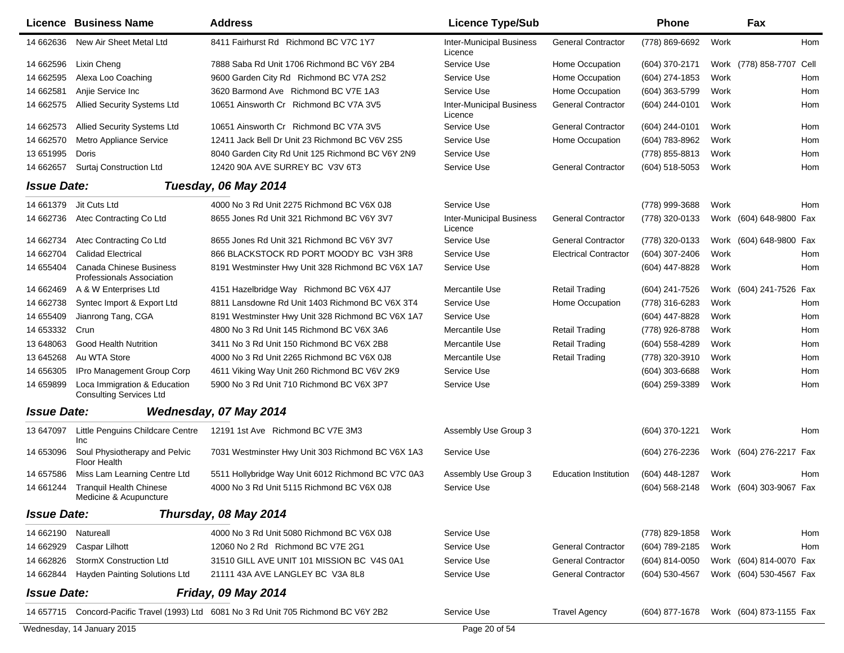|                    | <b>Licence Business Name</b>                                       | <b>Address</b>                                                              | <b>Licence Type/Sub</b>                    |                              | <b>Phone</b>     | Fax                      |            |
|--------------------|--------------------------------------------------------------------|-----------------------------------------------------------------------------|--------------------------------------------|------------------------------|------------------|--------------------------|------------|
| 14 662636          | New Air Sheet Metal Ltd                                            | 8411 Fairhurst Rd Richmond BC V7C 1Y7                                       | <b>Inter-Municipal Business</b><br>Licence | <b>General Contractor</b>    | (778) 869-6692   | Work                     | <b>Hom</b> |
| 14 662596          | Lixin Cheng                                                        | 7888 Saba Rd Unit 1706 Richmond BC V6Y 2B4                                  | Service Use                                | Home Occupation              | (604) 370-2171   | Work (778) 858-7707 Cell |            |
| 14 662595          | Alexa Loo Coaching                                                 | 9600 Garden City Rd Richmond BC V7A 2S2                                     | Service Use                                | Home Occupation              | (604) 274-1853   | Work                     | Hom        |
| 14 662581          | Anjie Service Inc                                                  | 3620 Barmond Ave Richmond BC V7E 1A3                                        | Service Use                                | Home Occupation              | (604) 363-5799   | Work                     | Hom        |
| 14 662575          | Allied Security Systems Ltd                                        | 10651 Ainsworth Cr Richmond BC V7A 3V5                                      | <b>Inter-Municipal Business</b><br>Licence | <b>General Contractor</b>    | (604) 244-0101   | Work                     | Hom        |
| 14 662573          | <b>Allied Security Systems Ltd</b>                                 | 10651 Ainsworth Cr Richmond BC V7A 3V5                                      | Service Use                                | <b>General Contractor</b>    | (604) 244-0101   | Work                     | Hom        |
| 14 662570          | Metro Appliance Service                                            | 12411 Jack Bell Dr Unit 23 Richmond BC V6V 2S5                              | Service Use                                | Home Occupation              | (604) 783-8962   | Work                     | Hom        |
| 13 651995          | Doris                                                              | 8040 Garden City Rd Unit 125 Richmond BC V6Y 2N9                            | Service Use                                |                              | (778) 855-8813   | Work                     | Hom        |
| 14 662657          | Surtaj Construction Ltd                                            | 12420 90A AVE SURREY BC V3V 6T3                                             | Service Use                                | <b>General Contractor</b>    | (604) 518-5053   | Work                     | Hom        |
| <b>Issue Date:</b> |                                                                    | Tuesday, 06 May 2014                                                        |                                            |                              |                  |                          |            |
| 14 661379          | Jit Cuts Ltd                                                       | 4000 No 3 Rd Unit 2275 Richmond BC V6X 0J8                                  | Service Use                                |                              | (778) 999-3688   | Work                     | Hom        |
| 14 662736          | Atec Contracting Co Ltd                                            | 8655 Jones Rd Unit 321 Richmond BC V6Y 3V7                                  | <b>Inter-Municipal Business</b><br>Licence | <b>General Contractor</b>    | (778) 320-0133   | Work (604) 648-9800 Fax  |            |
| 14 662734          | Atec Contracting Co Ltd                                            | 8655 Jones Rd Unit 321 Richmond BC V6Y 3V7                                  | Service Use                                | <b>General Contractor</b>    | (778) 320-0133   | Work (604) 648-9800 Fax  |            |
| 14 662704          | <b>Calidad Electrical</b>                                          | 866 BLACKSTOCK RD PORT MOODY BC V3H 3R8                                     | Service Use                                | <b>Electrical Contractor</b> | (604) 307-2406   | Work                     | Hom        |
| 14 655404          | <b>Canada Chinese Business</b><br><b>Professionals Association</b> | 8191 Westminster Hwy Unit 328 Richmond BC V6X 1A7                           | Service Use                                |                              | (604) 447-8828   | Work                     | Hom        |
| 14 662469          | A & W Enterprises Ltd                                              | 4151 Hazelbridge Way Richmond BC V6X 4J7                                    | Mercantile Use                             | <b>Retail Trading</b>        | (604) 241-7526   | Work (604) 241-7526 Fax  |            |
| 14 662738          | Syntec Import & Export Ltd                                         | 8811 Lansdowne Rd Unit 1403 Richmond BC V6X 3T4                             | Service Use                                | Home Occupation              | (778) 316-6283   | Work                     | Hom        |
| 14 655409          | Jianrong Tang, CGA                                                 | 8191 Westminster Hwy Unit 328 Richmond BC V6X 1A7                           | Service Use                                |                              | (604) 447-8828   | Work                     | Hom        |
| 14 653332          | Crun                                                               | 4800 No 3 Rd Unit 145 Richmond BC V6X 3A6                                   | Mercantile Use                             | <b>Retail Trading</b>        | (778) 926-8788   | Work                     | Hom        |
| 13 648063          | Good Health Nutrition                                              | 3411 No 3 Rd Unit 150 Richmond BC V6X 2B8                                   | Mercantile Use                             | <b>Retail Trading</b>        | (604) 558-4289   | Work                     | Hom        |
| 13 645268          | Au WTA Store                                                       | 4000 No 3 Rd Unit 2265 Richmond BC V6X 0J8                                  | Mercantile Use                             | <b>Retail Trading</b>        | (778) 320-3910   | Work                     | <b>Hom</b> |
| 14 656305          | IPro Management Group Corp                                         | 4611 Viking Way Unit 260 Richmond BC V6V 2K9                                | Service Use                                |                              | (604) 303-6688   | Work                     | Hom        |
| 14 659899          | Loca Immigration & Education<br><b>Consulting Services Ltd</b>     | 5900 No 3 Rd Unit 710 Richmond BC V6X 3P7                                   | Service Use                                |                              | (604) 259-3389   | Work                     | Hom        |
| <b>Issue Date:</b> |                                                                    | Wednesday, 07 May 2014                                                      |                                            |                              |                  |                          |            |
| 13 647097          | Little Penguins Childcare Centre<br>Inc                            | 12191 1st Ave Richmond BC V7E 3M3                                           | Assembly Use Group 3                       |                              | (604) 370-1221   | Work                     | <b>Hom</b> |
| 14 653096          | Soul Physiotherapy and Pelvic<br>Floor Health                      | 7031 Westminster Hwy Unit 303 Richmond BC V6X 1A3                           | Service Use                                |                              | (604) 276-2236   | Work (604) 276-2217 Fax  |            |
| 14 657586          | Miss Lam Learning Centre Ltd                                       | 5511 Hollybridge Way Unit 6012 Richmond BC V7C 0A3                          | Assembly Use Group 3                       | <b>Education Institution</b> | $(604)$ 448-1287 | Work                     | Hom        |
| 14 661244          | <b>Tranquil Health Chinese</b><br>Medicine & Acupuncture           | 4000 No 3 Rd Unit 5115 Richmond BC V6X 0J8                                  | Service Use                                |                              | (604) 568-2148   | Work (604) 303-9067 Fax  |            |
| <b>Issue Date:</b> |                                                                    | Thursday, 08 May 2014                                                       |                                            |                              |                  |                          |            |
| 14 662190          | Natureall                                                          | 4000 No 3 Rd Unit 5080 Richmond BC V6X 0J8                                  | Service Use                                |                              | (778) 829-1858   | Work                     | Hom        |
| 14 662929          | Caspar Lilhott                                                     | 12060 No 2 Rd Richmond BC V7E 2G1                                           | Service Use                                | <b>General Contractor</b>    | (604) 789-2185   | Work                     | Hom        |
| 14 662826          | StormX Construction Ltd                                            | 31510 GILL AVE UNIT 101 MISSION BC V4S 0A1                                  | Service Use                                | <b>General Contractor</b>    | $(604)$ 814-0050 | Work (604) 814-0070 Fax  |            |
| 14 662844          | Hayden Painting Solutions Ltd                                      | 21111 43A AVE LANGLEY BC V3A 8L8                                            | Service Use                                | <b>General Contractor</b>    | (604) 530-4567   | Work (604) 530-4567 Fax  |            |
| <b>Issue Date:</b> |                                                                    | <b>Friday, 09 May 2014</b>                                                  |                                            |                              |                  |                          |            |
| 14 657715          |                                                                    | Concord-Pacific Travel (1993) Ltd 6081 No 3 Rd Unit 705 Richmond BC V6Y 2B2 | Service Use                                | <b>Travel Agency</b>         | (604) 877-1678   | Work (604) 873-1155 Fax  |            |
|                    | Wednesday, 14 January 2015                                         |                                                                             | Page 20 of 54                              |                              |                  |                          |            |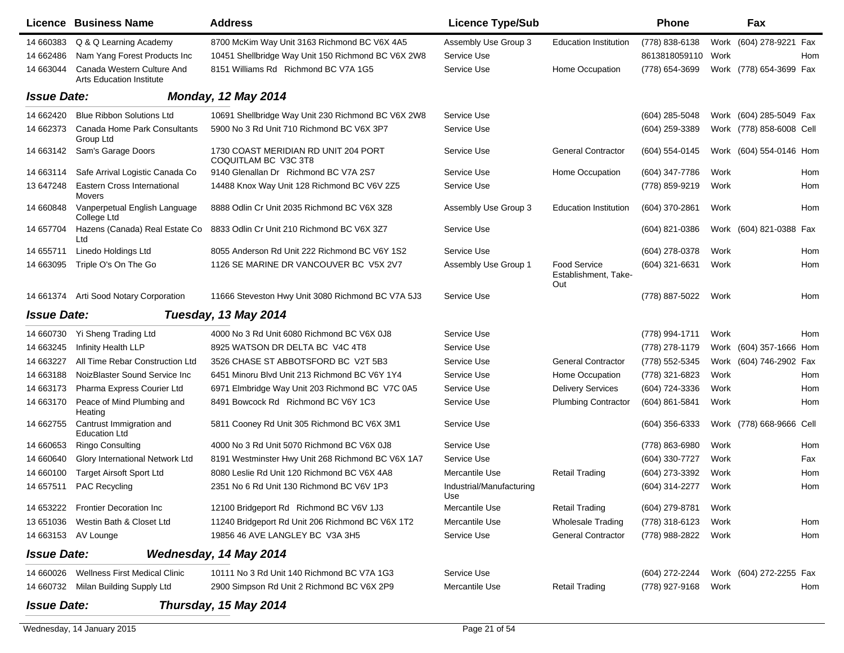|                    | <b>Licence Business Name</b>                                  | <b>Address</b>                                               | <b>Licence Type/Sub</b>         |                                                    | <b>Phone</b>     | Fax                      |     |
|--------------------|---------------------------------------------------------------|--------------------------------------------------------------|---------------------------------|----------------------------------------------------|------------------|--------------------------|-----|
| 14 660383          | Q & Q Learning Academy                                        | 8700 McKim Way Unit 3163 Richmond BC V6X 4A5                 | Assembly Use Group 3            | Education Institution                              | (778) 838-6138   | Work (604) 278-9221 Fax  |     |
| 14 662486          | Nam Yang Forest Products Inc                                  | 10451 Shellbridge Way Unit 150 Richmond BC V6X 2W8           | Service Use                     |                                                    | 8613818059110    | Work                     | Hom |
| 14 663044          | Canada Western Culture And<br><b>Arts Education Institute</b> | 8151 Williams Rd Richmond BC V7A 1G5                         | Service Use                     | Home Occupation                                    | (778) 654-3699   | Work (778) 654-3699 Fax  |     |
| <b>Issue Date:</b> |                                                               | <b>Monday, 12 May 2014</b>                                   |                                 |                                                    |                  |                          |     |
| 14 662420          | <b>Blue Ribbon Solutions Ltd</b>                              | 10691 Shellbridge Way Unit 230 Richmond BC V6X 2W8           | Service Use                     |                                                    | $(604)$ 285-5048 | Work (604) 285-5049 Fax  |     |
| 14 662373          | Canada Home Park Consultants<br>Group Ltd                     | 5900 No 3 Rd Unit 710 Richmond BC V6X 3P7                    | Service Use                     |                                                    | (604) 259-3389   | Work (778) 858-6008 Cell |     |
| 14 663142          | Sam's Garage Doors                                            | 1730 COAST MERIDIAN RD UNIT 204 PORT<br>COQUITLAM BC V3C 3T8 | Service Use                     | <b>General Contractor</b>                          | (604) 554-0145   | Work (604) 554-0146 Hom  |     |
| 14 663114          | Safe Arrival Logistic Canada Co                               | 9140 Glenallan Dr Richmond BC V7A 2S7                        | Service Use                     | Home Occupation                                    | (604) 347-7786   | Work                     | Hom |
| 13 647248          | Eastern Cross International<br>Movers                         | 14488 Knox Way Unit 128 Richmond BC V6V 2Z5                  | Service Use                     |                                                    | (778) 859-9219   | Work                     | Hom |
| 14 660848          | Vanperpetual English Language<br>College Ltd                  | 8888 Odlin Cr Unit 2035 Richmond BC V6X 3Z8                  | Assembly Use Group 3            | <b>Education Institution</b>                       | (604) 370-2861   | Work                     | Hom |
| 14 657704          | Hazens (Canada) Real Estate Co<br>Ltd                         | 8833 Odlin Cr Unit 210 Richmond BC V6X 3Z7                   | Service Use                     |                                                    | (604) 821-0386   | Work (604) 821-0388 Fax  |     |
| 14 655711          | Linedo Holdings Ltd                                           | 8055 Anderson Rd Unit 222 Richmond BC V6Y 1S2                | Service Use                     |                                                    | (604) 278-0378   | Work                     | Hom |
| 14 663095          | Triple O's On The Go                                          | 1126 SE MARINE DR VANCOUVER BC V5X 2V7                       | Assembly Use Group 1            | <b>Food Service</b><br>Establishment, Take-<br>Out | (604) 321-6631   | Work                     | Hom |
| 14 661374          | Arti Sood Notary Corporation                                  | 11666 Steveston Hwy Unit 3080 Richmond BC V7A 5J3            | Service Use                     |                                                    | (778) 887-5022   | Work                     | Hom |
| <b>Issue Date:</b> |                                                               | Tuesday, 13 May 2014                                         |                                 |                                                    |                  |                          |     |
| 14 660730          | Yi Sheng Trading Ltd                                          | 4000 No 3 Rd Unit 6080 Richmond BC V6X 0J8                   | Service Use                     |                                                    | (778) 994-1711   | Work                     | Hom |
| 14 663245          | Infinity Health LLP                                           | 8925 WATSON DR DELTA BC V4C 4T8                              | Service Use                     |                                                    | (778) 278-1179   | Work (604) 357-1666 Hom  |     |
| 14 663227          | All Time Rebar Construction Ltd                               | 3526 CHASE ST ABBOTSFORD BC V2T 5B3                          | Service Use                     | <b>General Contractor</b>                          | (778) 552-5345   | Work (604) 746-2902 Fax  |     |
| 14 663188          | NoizBlaster Sound Service Inc                                 | 6451 Minoru Blvd Unit 213 Richmond BC V6Y 1Y4                | Service Use                     | Home Occupation                                    | (778) 321-6823   | Work                     | Hom |
| 14 663173          | Pharma Express Courier Ltd                                    | 6971 Elmbridge Way Unit 203 Richmond BC V7C 0A5              | Service Use                     | <b>Delivery Services</b>                           | (604) 724-3336   | Work                     | Hom |
| 14 663170          | Peace of Mind Plumbing and<br>Heating                         | 8491 Bowcock Rd Richmond BC V6Y 1C3                          | Service Use                     | <b>Plumbing Contractor</b>                         | (604) 861-5841   | Work                     | Hom |
| 14 662755          | Cantrust Immigration and<br><b>Education Ltd</b>              | 5811 Cooney Rd Unit 305 Richmond BC V6X 3M1                  | Service Use                     |                                                    | $(604)$ 356-6333 | Work (778) 668-9666 Cell |     |
| 14 660653          | <b>Ringo Consulting</b>                                       | 4000 No 3 Rd Unit 5070 Richmond BC V6X 0J8                   | Service Use                     |                                                    | (778) 863-6980   | Work                     | Hom |
| 14 660640          | Glory International Network Ltd                               | 8191 Westminster Hwy Unit 268 Richmond BC V6X 1A7            | Service Use                     |                                                    | (604) 330-7727   | Work                     | Fax |
| 14 660100          | <b>Target Airsoft Sport Ltd</b>                               | 8080 Leslie Rd Unit 120 Richmond BC V6X 4A8                  | Mercantile Use                  | <b>Retail Trading</b>                              | (604) 273-3392   | Work                     | Hom |
| 14 657511          | <b>PAC Recycling</b>                                          | 2351 No 6 Rd Unit 130 Richmond BC V6V 1P3                    | Industrial/Manufacturing<br>Use |                                                    | (604) 314-2277   | Work                     | Hom |
| 14 653222          | <b>Frontier Decoration Inc</b>                                | 12100 Bridgeport Rd Richmond BC V6V 1J3                      | Mercantile Use                  | <b>Retail Trading</b>                              | (604) 279-8781   | Work                     |     |
| 13 651036          | Westin Bath & Closet Ltd                                      | 11240 Bridgeport Rd Unit 206 Richmond BC V6X 1T2             | Mercantile Use                  | <b>Wholesale Trading</b>                           | (778) 318-6123   | Work                     | Hom |
|                    | 14 663153 AV Lounge                                           | 19856 46 AVE LANGLEY BC V3A 3H5                              | Service Use                     | <b>General Contractor</b>                          | (778) 988-2822   | Work                     | Hom |
| <b>Issue Date:</b> |                                                               | Wednesday, 14 May 2014                                       |                                 |                                                    |                  |                          |     |
| 14 660026          | <b>Wellness First Medical Clinic</b>                          | 10111 No 3 Rd Unit 140 Richmond BC V7A 1G3                   | Service Use                     |                                                    | (604) 272-2244   | Work (604) 272-2255 Fax  |     |
| 14 660732          | Milan Building Supply Ltd                                     | 2900 Simpson Rd Unit 2 Richmond BC V6X 2P9                   | Mercantile Use                  | <b>Retail Trading</b>                              | (778) 927-9168   | Work                     | Hom |
| <b>Issue Date:</b> |                                                               | Thursday, 15 May 2014                                        |                                 |                                                    |                  |                          |     |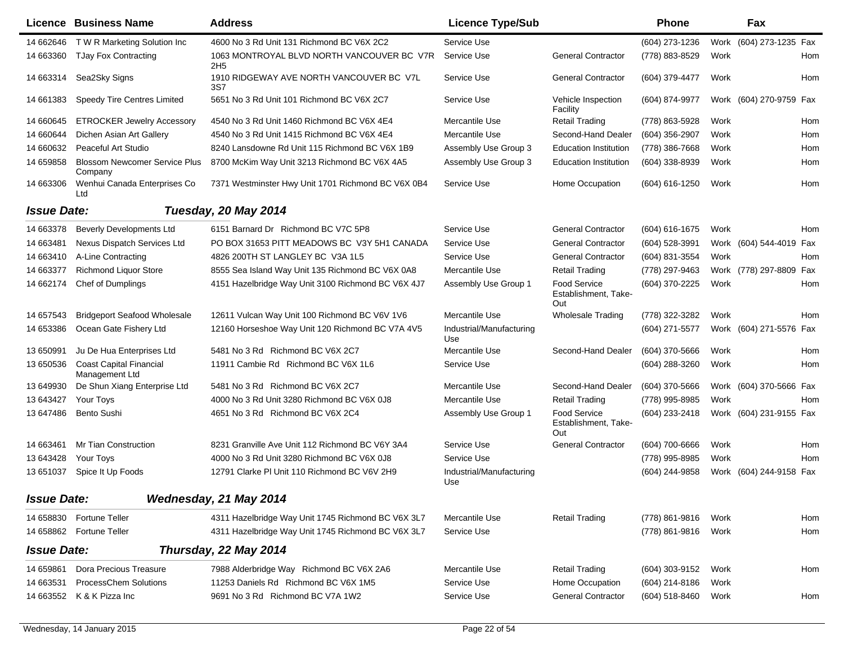|                    | <b>Licence Business Name</b>                     | <b>Address</b>                                                | <b>Licence Type/Sub</b>         |                                                    | <b>Phone</b>     |      | Fax                     |            |
|--------------------|--------------------------------------------------|---------------------------------------------------------------|---------------------------------|----------------------------------------------------|------------------|------|-------------------------|------------|
| 14 662646          | T W R Marketing Solution Inc                     | 4600 No 3 Rd Unit 131 Richmond BC V6X 2C2                     | Service Use                     |                                                    | (604) 273-1236   |      | Work (604) 273-1235 Fax |            |
| 14 663360          | <b>TJay Fox Contracting</b>                      | 1063 MONTROYAL BLVD NORTH VANCOUVER BC V7R<br>2H <sub>5</sub> | Service Use                     | <b>General Contractor</b>                          | (778) 883-8529   | Work |                         | Hom        |
| 14 663314          | Sea2Sky Signs                                    | 1910 RIDGEWAY AVE NORTH VANCOUVER BC V7L<br>3S7               | Service Use                     | <b>General Contractor</b>                          | (604) 379-4477   | Work |                         | Hom        |
| 14 661383          | Speedy Tire Centres Limited                      | 5651 No 3 Rd Unit 101 Richmond BC V6X 2C7                     | Service Use                     | Vehicle Inspection<br>Facility                     | (604) 874-9977   |      | Work (604) 270-9759 Fax |            |
| 14 660645          | <b>ETROCKER Jewelry Accessory</b>                | 4540 No 3 Rd Unit 1460 Richmond BC V6X 4E4                    | Mercantile Use                  | <b>Retail Trading</b>                              | (778) 863-5928   | Work |                         | Hom        |
| 14 660644          | Dichen Asian Art Gallery                         | 4540 No 3 Rd Unit 1415 Richmond BC V6X 4E4                    | Mercantile Use                  | Second-Hand Dealer                                 | (604) 356-2907   | Work |                         | Hom        |
| 14 660632          | Peaceful Art Studio                              | 8240 Lansdowne Rd Unit 115 Richmond BC V6X 1B9                | Assembly Use Group 3            | <b>Education Institution</b>                       | (778) 386-7668   | Work |                         | Hom        |
| 14 659858          | <b>Blossom Newcomer Service Plus</b><br>Company  | 8700 McKim Way Unit 3213 Richmond BC V6X 4A5                  | Assembly Use Group 3            | <b>Education Institution</b>                       | (604) 338-8939   | Work |                         | Hom        |
| 14 663306          | Wenhui Canada Enterprises Co<br>Ltd              | 7371 Westminster Hwy Unit 1701 Richmond BC V6X 0B4            | Service Use                     | Home Occupation                                    | (604) 616-1250   | Work |                         | Hom        |
| <b>Issue Date:</b> |                                                  | Tuesday, 20 May 2014                                          |                                 |                                                    |                  |      |                         |            |
| 14 663378          | <b>Beverly Developments Ltd</b>                  | 6151 Barnard Dr Richmond BC V7C 5P8                           | Service Use                     | <b>General Contractor</b>                          | (604) 616-1675   | Work |                         | <b>Hom</b> |
| 14 663481          | Nexus Dispatch Services Ltd                      | PO BOX 31653 PITT MEADOWS BC V3Y 5H1 CANADA                   | Service Use                     | <b>General Contractor</b>                          | (604) 528-3991   |      | Work (604) 544-4019 Fax |            |
| 14 663410          | A-Line Contracting                               | 4826 200TH ST LANGLEY BC V3A 1L5                              | Service Use                     | <b>General Contractor</b>                          | (604) 831-3554   | Work |                         | Hom        |
| 14 663377          | <b>Richmond Liquor Store</b>                     | 8555 Sea Island Way Unit 135 Richmond BC V6X 0A8              | Mercantile Use                  | <b>Retail Trading</b>                              | (778) 297-9463   |      | Work (778) 297-8809 Fax |            |
| 14 662174          | Chef of Dumplings                                | 4151 Hazelbridge Way Unit 3100 Richmond BC V6X 4J7            | Assembly Use Group 1            | <b>Food Service</b><br>Establishment, Take-<br>Out | (604) 370-2225   | Work |                         | Hom        |
| 14 657543          | <b>Bridgeport Seafood Wholesale</b>              | 12611 Vulcan Way Unit 100 Richmond BC V6V 1V6                 | Mercantile Use                  | <b>Wholesale Trading</b>                           | (778) 322-3282   | Work |                         | <b>Hom</b> |
| 14 653386          | Ocean Gate Fishery Ltd                           | 12160 Horseshoe Way Unit 120 Richmond BC V7A 4V5              | Industrial/Manufacturing<br>Use |                                                    | (604) 271-5577   |      | Work (604) 271-5576 Fax |            |
| 13 650991          | Ju De Hua Enterprises Ltd                        | 5481 No 3 Rd Richmond BC V6X 2C7                              | Mercantile Use                  | Second-Hand Dealer                                 | (604) 370-5666   | Work |                         | Hom        |
| 13 650536          | <b>Coast Capital Financial</b><br>Management Ltd | 11911 Cambie Rd Richmond BC V6X 1L6                           | Service Use                     |                                                    | (604) 288-3260   | Work |                         | Hom        |
| 13 649930          | De Shun Xiang Enterprise Ltd                     | 5481 No 3 Rd Richmond BC V6X 2C7                              | Mercantile Use                  | Second-Hand Dealer                                 | (604) 370-5666   |      | Work (604) 370-5666 Fax |            |
| 13 643427          | Your Toys                                        | 4000 No 3 Rd Unit 3280 Richmond BC V6X 0J8                    | Mercantile Use                  | <b>Retail Trading</b>                              | (778) 995-8985   | Work |                         | Hom        |
| 13 647486          | Bento Sushi                                      | 4651 No 3 Rd Richmond BC V6X 2C4                              | Assembly Use Group 1            | <b>Food Service</b><br>Establishment, Take-<br>Out | (604) 233-2418   |      | Work (604) 231-9155 Fax |            |
| 14 663461          | <b>Mr Tian Construction</b>                      | 8231 Granville Ave Unit 112 Richmond BC V6Y 3A4               | Service Use                     | <b>General Contractor</b>                          | (604) 700-6666   | Work |                         | Hom        |
| 13 643428          | Your Toys                                        | 4000 No 3 Rd Unit 3280 Richmond BC V6X 0J8                    | Service Use                     |                                                    | (778) 995-8985   | Work |                         | Hom        |
| 13 651037          | Spice It Up Foods                                | 12791 Clarke PI Unit 110 Richmond BC V6V 2H9                  | Industrial/Manufacturing<br>Use |                                                    | (604) 244-9858   |      | Work (604) 244-9158 Fax |            |
| <b>Issue Date:</b> |                                                  | Wednesday, 21 May 2014                                        |                                 |                                                    |                  |      |                         |            |
| 14 658830          | <b>Fortune Teller</b>                            | 4311 Hazelbridge Way Unit 1745 Richmond BC V6X 3L7            | Mercantile Use                  | <b>Retail Trading</b>                              | (778) 861-9816   | Work |                         | Hom        |
| 14 658862          | <b>Fortune Teller</b>                            | 4311 Hazelbridge Way Unit 1745 Richmond BC V6X 3L7            | Service Use                     |                                                    | (778) 861-9816   | Work |                         | Hom        |
| <b>Issue Date:</b> |                                                  | Thursday, 22 May 2014                                         |                                 |                                                    |                  |      |                         |            |
| 14 659861          | Dora Precious Treasure                           | 7988 Alderbridge Way Richmond BC V6X 2A6                      | Mercantile Use                  | <b>Retail Trading</b>                              | (604) 303-9152   | Work |                         | Hom        |
| 14 663531          | <b>ProcessChem Solutions</b>                     | 11253 Daniels Rd Richmond BC V6X 1M5                          | Service Use                     | Home Occupation                                    | $(604)$ 214-8186 | Work |                         |            |
| 14 663552          | K & K Pizza Inc                                  | 9691 No 3 Rd Richmond BC V7A 1W2                              | Service Use                     | <b>General Contractor</b>                          | $(604)$ 518-8460 | Work |                         | Hom        |
|                    |                                                  |                                                               |                                 |                                                    |                  |      |                         |            |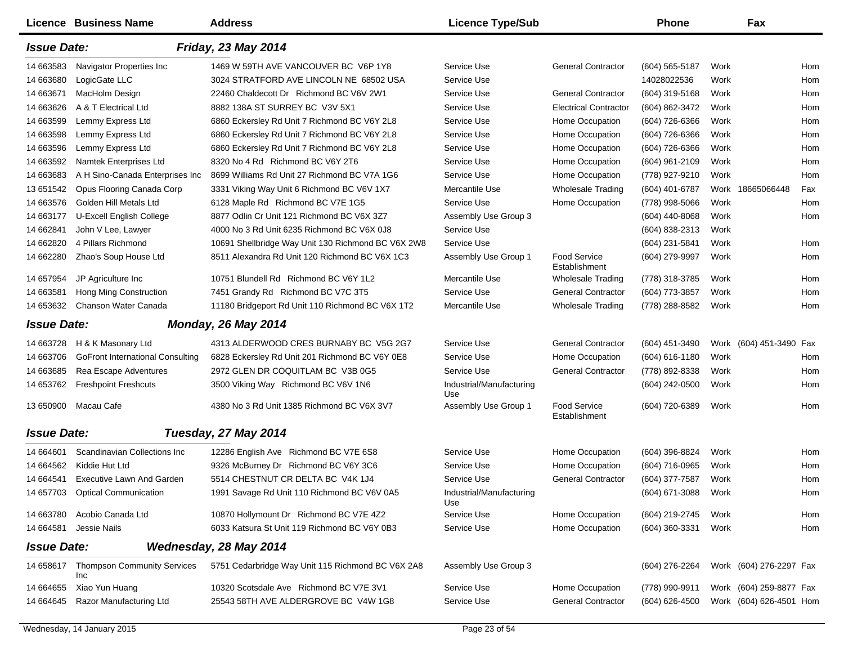|                    | <b>Licence Business Name</b>                 | <b>Address</b>                                     | <b>Licence Type/Sub</b>         |                                      | <b>Phone</b>     |      | Fax                     |            |
|--------------------|----------------------------------------------|----------------------------------------------------|---------------------------------|--------------------------------------|------------------|------|-------------------------|------------|
| <b>Issue Date:</b> |                                              | <b>Friday, 23 May 2014</b>                         |                                 |                                      |                  |      |                         |            |
| 14 663583          | Navigator Properties Inc                     | 1469 W 59TH AVE VANCOUVER BC V6P 1Y8               | Service Use                     | <b>General Contractor</b>            | $(604)$ 565-5187 | Work |                         | Hom        |
| 14 663680          | LogicGate LLC                                | 3024 STRATFORD AVE LINCOLN NE 68502 USA            | Service Use                     |                                      | 14028022536      | Work |                         | Hom        |
| 14 663671          | MacHolm Design                               | 22460 Chaldecott Dr Richmond BC V6V 2W1            | Service Use                     | <b>General Contractor</b>            | (604) 319-5168   | Work |                         | Hom        |
| 14 663626          | A & T Electrical Ltd                         | 8882 138A ST SURREY BC V3V 5X1                     | Service Use                     | <b>Electrical Contractor</b>         | (604) 862-3472   | Work |                         | Hom        |
| 14 663599          | Lemmy Express Ltd                            | 6860 Eckersley Rd Unit 7 Richmond BC V6Y 2L8       | Service Use                     | Home Occupation                      | (604) 726-6366   | Work |                         | Hom        |
| 14 663598          | Lemmy Express Ltd                            | 6860 Eckersley Rd Unit 7 Richmond BC V6Y 2L8       | Service Use                     | Home Occupation                      | (604) 726-6366   | Work |                         | Hom        |
| 14 663596          | Lemmy Express Ltd                            | 6860 Eckersley Rd Unit 7 Richmond BC V6Y 2L8       | Service Use                     | Home Occupation                      | (604) 726-6366   | Work |                         | Hom        |
| 14 663592          | Namtek Enterprises Ltd                       | 8320 No 4 Rd Richmond BC V6Y 2T6                   | Service Use                     | Home Occupation                      | (604) 961-2109   | Work |                         | Hom        |
| 14 663683          | A H Sino-Canada Enterprises Inc              | 8699 Williams Rd Unit 27 Richmond BC V7A 1G6       | Service Use                     | Home Occupation                      | (778) 927-9210   | Work |                         | Hom        |
| 13 651542          | Opus Flooring Canada Corp                    | 3331 Viking Way Unit 6 Richmond BC V6V 1X7         | Mercantile Use                  | <b>Wholesale Trading</b>             | $(604)$ 401-6787 | Work | 18665066448             | Fax        |
| 14 663576          | Golden Hill Metals Ltd                       | 6128 Maple Rd Richmond BC V7E 1G5                  | Service Use                     | Home Occupation                      | (778) 998-5066   | Work |                         | Hom        |
| 14 663177          | U-Excell English College                     | 8877 Odlin Cr Unit 121 Richmond BC V6X 3Z7         | Assembly Use Group 3            |                                      | (604) 440-8068   | Work |                         | Hom        |
| 14 662841          | John V Lee, Lawyer                           | 4000 No 3 Rd Unit 6235 Richmond BC V6X 0J8         | Service Use                     |                                      | (604) 838-2313   | Work |                         |            |
| 14 662820          | 4 Pillars Richmond                           | 10691 Shellbridge Way Unit 130 Richmond BC V6X 2W8 | Service Use                     |                                      | (604) 231-5841   | Work |                         | Hom        |
| 14 662280          | Zhao's Soup House Ltd                        | 8511 Alexandra Rd Unit 120 Richmond BC V6X 1C3     | Assembly Use Group 1            | <b>Food Service</b><br>Establishment | (604) 279-9997   | Work |                         | Hom        |
| 14 657954          | JP Agriculture Inc                           | 10751 Blundell Rd Richmond BC V6Y 1L2              | Mercantile Use                  | <b>Wholesale Trading</b>             | (778) 318-3785   | Work |                         | <b>Hom</b> |
| 14 663581          | Hong Ming Construction                       | 7451 Grandy Rd Richmond BC V7C 3T5                 | Service Use                     | <b>General Contractor</b>            | (604) 773-3857   | Work |                         | Hom        |
| 14 653632          | Chanson Water Canada                         | 11180 Bridgeport Rd Unit 110 Richmond BC V6X 1T2   | Mercantile Use                  | <b>Wholesale Trading</b>             | (778) 288-8582   | Work |                         | Hom        |
| <b>Issue Date:</b> |                                              | <b>Monday, 26 May 2014</b>                         |                                 |                                      |                  |      |                         |            |
| 14 663728          | H & K Masonary Ltd                           | 4313 ALDERWOOD CRES BURNABY BC V5G 2G7             | Service Use                     | <b>General Contractor</b>            | $(604)$ 451-3490 |      | Work (604) 451-3490 Fax |            |
| 14 663706          | <b>GoFront International Consulting</b>      | 6828 Eckersley Rd Unit 201 Richmond BC V6Y 0E8     | Service Use                     | Home Occupation                      | (604) 616-1180   | Work |                         | Hom        |
| 14 663685          | Rea Escape Adventures                        | 2972 GLEN DR COQUITLAM BC V3B 0G5                  | Service Use                     | <b>General Contractor</b>            | (778) 892-8338   | Work |                         | Hom        |
| 14 653762          | <b>Freshpoint Freshcuts</b>                  | 3500 Viking Way Richmond BC V6V 1N6                | Industrial/Manufacturing<br>Use |                                      | (604) 242-0500   | Work |                         | Hom        |
| 13 650900          | Macau Cafe                                   | 4380 No 3 Rd Unit 1385 Richmond BC V6X 3V7         | Assembly Use Group 1            | <b>Food Service</b><br>Establishment | (604) 720-6389   | Work |                         | Hom        |
| <b>Issue Date:</b> |                                              | Tuesday, 27 May 2014                               |                                 |                                      |                  |      |                         |            |
| 14 664601          | Scandinavian Collections Inc                 | 12286 English Ave Richmond BC V7E 6S8              | Service Use                     | Home Occupation                      | (604) 396-8824   | Work |                         | Hom        |
| 14 664562          | Kiddie Hut Ltd                               | 9326 McBurney Dr Richmond BC V6Y 3C6               | Service Use                     | Home Occupation                      | (604) 716-0965   | Work |                         | Hom        |
| 14 664541          | <b>Executive Lawn And Garden</b>             | 5514 CHESTNUT CR DELTA BC V4K 1J4                  | Service Use                     | <b>General Contractor</b>            | (604) 377-7587   | Work |                         | Hom        |
|                    | 14 657703 Optical Communication              | 1991 Savage Rd Unit 110 Richmond BC V6V 0A5        | Industrial/Manufacturing<br>Use |                                      | (604) 671-3088   | Work |                         | Hom        |
| 14 663780          | Acobio Canada Ltd                            | 10870 Hollymount Dr Richmond BC V7E 4Z2            | Service Use                     | Home Occupation                      | (604) 219-2745   | Work |                         | Hom        |
| 14 664581          | Jessie Nails                                 | 6033 Katsura St Unit 119 Richmond BC V6Y 0B3       | Service Use                     | Home Occupation                      | (604) 360-3331   | Work |                         | Hom        |
| <b>Issue Date:</b> |                                              | Wednesday, 28 May 2014                             |                                 |                                      |                  |      |                         |            |
|                    | 14 658617 Thompson Community Services<br>Inc | 5751 Cedarbridge Way Unit 115 Richmond BC V6X 2A8  | Assembly Use Group 3            |                                      | (604) 276-2264   |      | Work (604) 276-2297 Fax |            |
|                    | 14 664655 Xiao Yun Huang                     | 10320 Scotsdale Ave Richmond BC V7E 3V1            | Service Use                     | Home Occupation                      | (778) 990-9911   |      | Work (604) 259-8877 Fax |            |
| 14 664645          | Razor Manufacturing Ltd                      | 25543 58TH AVE ALDERGROVE BC V4W 1G8               | Service Use                     | <b>General Contractor</b>            | (604) 626-4500   |      | Work (604) 626-4501 Hom |            |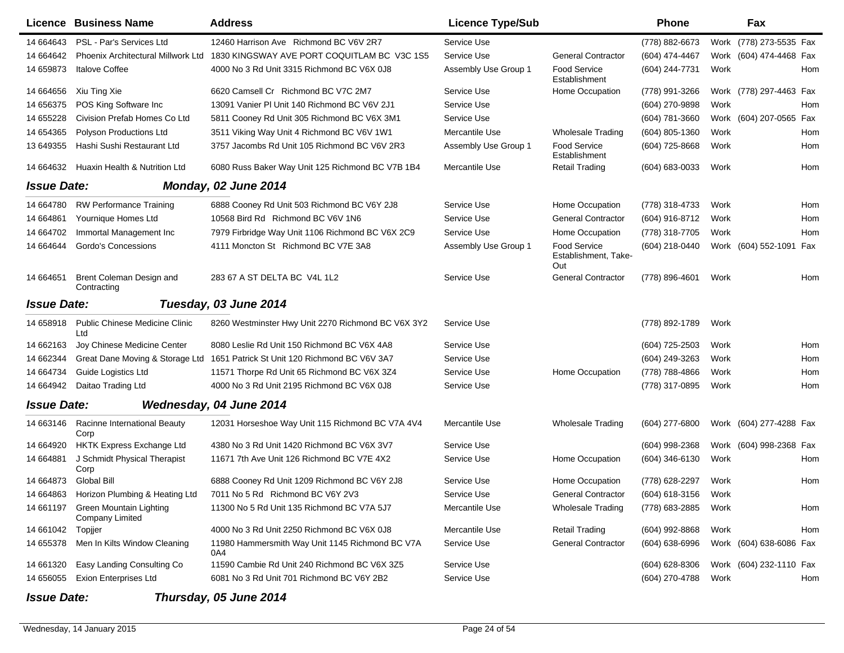|                    | Licence Business Name                        | <b>Address</b>                                         | <b>Licence Type/Sub</b> |                                                    | Phone              |      | Fax                     |     |
|--------------------|----------------------------------------------|--------------------------------------------------------|-------------------------|----------------------------------------------------|--------------------|------|-------------------------|-----|
| 14 664643          | PSL - Par's Services Ltd                     | 12460 Harrison Ave Richmond BC V6V 2R7                 | Service Use             |                                                    | (778) 882-6673     |      | Work (778) 273-5535 Fax |     |
| 14 664642          | Phoenix Architectural Millwork Ltd           | 1830 KINGSWAY AVE PORT COQUITLAM BC V3C 1S5            | Service Use             | <b>General Contractor</b>                          | (604) 474-4467     |      | Work (604) 474-4468 Fax |     |
| 14 659873          | <b>Italove Coffee</b>                        | 4000 No 3 Rd Unit 3315 Richmond BC V6X 0J8             | Assembly Use Group 1    | <b>Food Service</b><br>Establishment               | (604) 244-7731     | Work |                         | Hom |
| 14 664656          | Xiu Ting Xie                                 | 6620 Camsell Cr Richmond BC V7C 2M7                    | Service Use             | Home Occupation                                    | (778) 991-3266     |      | Work (778) 297-4463 Fax |     |
| 14 65 6375         | POS King Software Inc                        | 13091 Vanier PI Unit 140 Richmond BC V6V 2J1           | Service Use             |                                                    | (604) 270-9898     | Work |                         | Hom |
| 14 655228          | Civision Prefab Homes Co Ltd                 | 5811 Cooney Rd Unit 305 Richmond BC V6X 3M1            | Service Use             |                                                    | (604) 781-3660     |      | Work (604) 207-0565 Fax |     |
| 14 654365          | Polyson Productions Ltd                      | 3511 Viking Way Unit 4 Richmond BC V6V 1W1             | Mercantile Use          | <b>Wholesale Trading</b>                           | (604) 805-1360     | Work |                         | Hom |
| 13 649355          | Hashi Sushi Restaurant Ltd                   | 3757 Jacombs Rd Unit 105 Richmond BC V6V 2R3           | Assembly Use Group 1    | <b>Food Service</b><br>Establishment               | (604) 725-8668     | Work |                         | Hom |
| 14 664632          | Huaxin Health & Nutrition Ltd                | 6080 Russ Baker Way Unit 125 Richmond BC V7B 1B4       | Mercantile Use          | <b>Retail Trading</b>                              | $(604) 683 - 0033$ | Work |                         | Hom |
| <b>Issue Date:</b> |                                              | Monday, 02 June 2014                                   |                         |                                                    |                    |      |                         |     |
| 14 664780          | <b>RW Performance Training</b>               | 6888 Cooney Rd Unit 503 Richmond BC V6Y 2J8            | Service Use             | Home Occupation                                    | (778) 318-4733     | Work |                         | Hom |
| 14 664861          | Yournique Homes Ltd                          | 10568 Bird Rd Richmond BC V6V 1N6                      | Service Use             | <b>General Contractor</b>                          | (604) 916-8712     | Work |                         | Hom |
| 14 664702          | Immortal Management Inc                      | 7979 Firbridge Way Unit 1106 Richmond BC V6X 2C9       | Service Use             | Home Occupation                                    | (778) 318-7705     | Work |                         | Hom |
| 14 664644          | Gordo's Concessions                          | 4111 Moncton St Richmond BC V7E 3A8                    | Assembly Use Group 1    | <b>Food Service</b><br>Establishment, Take-<br>Out | (604) 218-0440     |      | Work (604) 552-1091 Fax |     |
| 14 664651          | Brent Coleman Design and<br>Contracting      | 283 67 A ST DELTA BC V4L 1L2                           | Service Use             | <b>General Contractor</b>                          | (778) 896-4601     | Work |                         | Hom |
| <b>Issue Date:</b> |                                              | Tuesday, 03 June 2014                                  |                         |                                                    |                    |      |                         |     |
| 14 658918          | <b>Public Chinese Medicine Clinic</b><br>Ltd | 8260 Westminster Hwy Unit 2270 Richmond BC V6X 3Y2     | Service Use             |                                                    | (778) 892-1789     | Work |                         |     |
| 14 662163          | Joy Chinese Medicine Center                  | 8080 Leslie Rd Unit 150 Richmond BC V6X 4A8            | Service Use             |                                                    | $(604)$ 725-2503   | Work |                         | Hom |
| 14 662344          | Great Dane Moving & Storage Ltd              | 1651 Patrick St Unit 120 Richmond BC V6V 3A7           | Service Use             |                                                    | (604) 249-3263     | Work |                         | Hom |
| 14 664734          | Guide Logistics Ltd                          | 11571 Thorpe Rd Unit 65 Richmond BC V6X 3Z4            | Service Use             | Home Occupation                                    | (778) 788-4866     | Work |                         | Hom |
| 14 664942          | Daitao Trading Ltd                           | 4000 No 3 Rd Unit 2195 Richmond BC V6X 0J8             | Service Use             |                                                    | (778) 317-0895     | Work |                         | Hom |
| <b>Issue Date:</b> |                                              | Wednesday, 04 June 2014                                |                         |                                                    |                    |      |                         |     |
| 14 663146          | Racinne International Beauty<br>Corp         | 12031 Horseshoe Way Unit 115 Richmond BC V7A 4V4       | Mercantile Use          | <b>Wholesale Trading</b>                           | (604) 277-6800     |      | Work (604) 277-4288 Fax |     |
| 14 664920          | HKTK Express Exchange Ltd                    | 4380 No 3 Rd Unit 1420 Richmond BC V6X 3V7             | Service Use             |                                                    | (604) 998-2368     |      | Work (604) 998-2368 Fax |     |
| 14 664881          | J Schmidt Physical Therapist<br>Corp         | 11671 7th Ave Unit 126 Richmond BC V7E 4X2             | Service Use             | Home Occupation                                    | (604) 346-6130     | Work |                         | Hom |
|                    | 14 664873 Global Bill                        | 6888 Cooney Rd Unit 1209 Richmond BC V6Y 2J8           | Service Use             | Home Occupation                                    | (778) 628-2297     | Work |                         | Hom |
|                    | 14 664863 Horizon Plumbing & Heating Ltd     | 7011 No 5 Rd Richmond BC V6Y 2V3                       | Service Use             | <b>General Contractor</b>                          | (604) 618-3156     | Work |                         |     |
| 14 661197          | Green Mountain Lighting<br>Company Limited   | 11300 No 5 Rd Unit 135 Richmond BC V7A 5J7             | Mercantile Use          | <b>Wholesale Trading</b>                           | (778) 683-2885     | Work |                         | Hom |
| 14 661042          | Topjjer                                      | 4000 No 3 Rd Unit 2250 Richmond BC V6X 0J8             | Mercantile Use          | <b>Retail Trading</b>                              | (604) 992-8868     | Work |                         | Hom |
| 14 655378          | Men In Kilts Window Cleaning                 | 11980 Hammersmith Way Unit 1145 Richmond BC V7A<br>0A4 | Service Use             | <b>General Contractor</b>                          | (604) 638-6996     |      | Work (604) 638-6086 Fax |     |
| 14 661320          | Easy Landing Consulting Co                   | 11590 Cambie Rd Unit 240 Richmond BC V6X 3Z5           | Service Use             |                                                    | $(604)$ 628-8306   |      | Work (604) 232-1110 Fax |     |
| 14 656055          | <b>Exion Enterprises Ltd</b>                 | 6081 No 3 Rd Unit 701 Richmond BC V6Y 2B2              | Service Use             |                                                    | (604) 270-4788     | Work |                         | Hom |
| <b>Issue Date:</b> |                                              | Thursday, 05 June 2014                                 |                         |                                                    |                    |      |                         |     |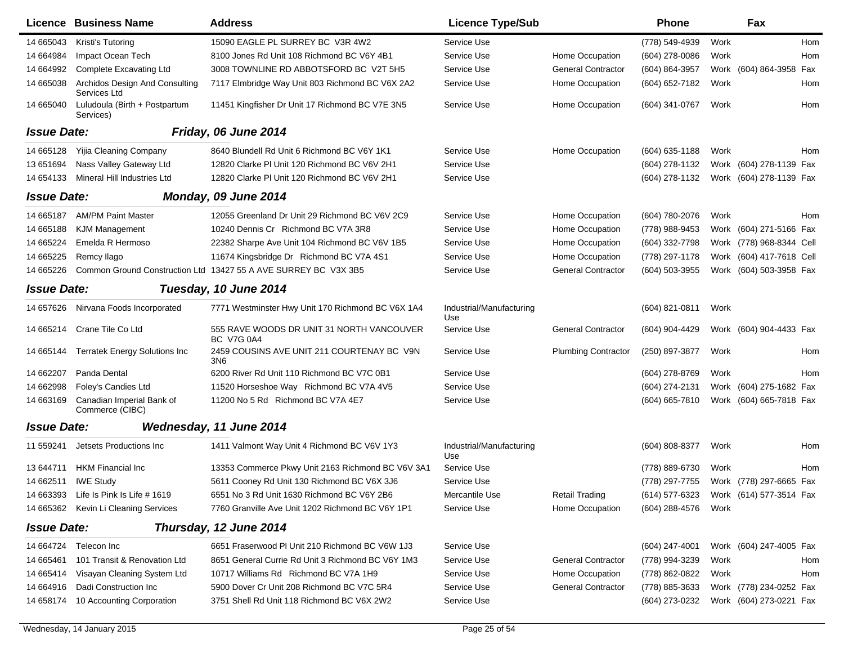|                    | Licence Business Name                          | <b>Address</b>                                                  | <b>Licence Type/Sub</b>         |                            | <b>Phone</b>     |      | Fax                      |     |
|--------------------|------------------------------------------------|-----------------------------------------------------------------|---------------------------------|----------------------------|------------------|------|--------------------------|-----|
| 14 665043          | Kristi's Tutoring                              | 15090 EAGLE PL SURREY BC V3R 4W2                                | Service Use                     |                            | (778) 549-4939   | Work |                          | Hom |
| 14 664984          | Impact Ocean Tech                              | 8100 Jones Rd Unit 108 Richmond BC V6Y 4B1                      | Service Use                     | Home Occupation            | (604) 278-0086   | Work |                          | Hom |
| 14 664992          | <b>Complete Excavating Ltd</b>                 | 3008 TOWNLINE RD ABBOTSFORD BC V2T 5H5                          | Service Use                     | <b>General Contractor</b>  | (604) 864-3957   |      | Work (604) 864-3958 Fax  |     |
| 14 665038          | Archidos Design And Consulting<br>Services Ltd | 7117 Elmbridge Way Unit 803 Richmond BC V6X 2A2                 | Service Use                     | Home Occupation            | (604) 652-7182   | Work |                          | Hom |
| 14 665040          | Luludoula (Birth + Postpartum<br>Services)     | 11451 Kingfisher Dr Unit 17 Richmond BC V7E 3N5                 | Service Use                     | Home Occupation            | (604) 341-0767   | Work |                          | Hom |
| <b>Issue Date:</b> |                                                | Friday, 06 June 2014                                            |                                 |                            |                  |      |                          |     |
| 14 665128          | Yijia Cleaning Company                         | 8640 Blundell Rd Unit 6 Richmond BC V6Y 1K1                     | Service Use                     | Home Occupation            | $(604)$ 635-1188 | Work |                          | Hom |
| 13 651 694         | Nass Valley Gateway Ltd                        | 12820 Clarke PI Unit 120 Richmond BC V6V 2H1                    | Service Use                     |                            | (604) 278-1132   |      | Work (604) 278-1139 Fax  |     |
| 14 654133          | Mineral Hill Industries Ltd                    | 12820 Clarke PI Unit 120 Richmond BC V6V 2H1                    | Service Use                     |                            | (604) 278-1132   |      | Work (604) 278-1139 Fax  |     |
| <b>Issue Date:</b> |                                                | Monday, 09 June 2014                                            |                                 |                            |                  |      |                          |     |
| 14 665187          | <b>AM/PM Paint Master</b>                      | 12055 Greenland Dr Unit 29 Richmond BC V6V 2C9                  | Service Use                     | Home Occupation            | (604) 780-2076   | Work |                          | Hom |
| 14 665188          | <b>KJM Management</b>                          | 10240 Dennis Cr Richmond BC V7A 3R8                             | Service Use                     | Home Occupation            | (778) 988-9453   |      | Work (604) 271-5166 Fax  |     |
| 14 665224          | Emelda R Hermoso                               | 22382 Sharpe Ave Unit 104 Richmond BC V6V 1B5                   | Service Use                     | Home Occupation            | (604) 332-7798   |      | Work (778) 968-8344 Cell |     |
| 14 665225          | Remcy Ilago                                    | 11674 Kingsbridge Dr Richmond BC V7A 4S1                        | Service Use                     | Home Occupation            | (778) 297-1178   |      | Work (604) 417-7618 Cell |     |
| 14 665226          |                                                | Common Ground Construction Ltd 13427 55 A AVE SURREY BC V3X 3B5 | Service Use                     | <b>General Contractor</b>  | (604) 503-3955   |      | Work (604) 503-3958 Fax  |     |
| <b>Issue Date:</b> |                                                | Tuesday, 10 June 2014                                           |                                 |                            |                  |      |                          |     |
| 14 657626          | Nirvana Foods Incorporated                     | 7771 Westminster Hwy Unit 170 Richmond BC V6X 1A4               | Industrial/Manufacturing<br>Use |                            | $(604)$ 821-0811 | Work |                          |     |
| 14 665214          | Crane Tile Co Ltd                              | 555 RAVE WOODS DR UNIT 31 NORTH VANCOUVER<br><b>BC V7G 0A4</b>  | Service Use                     | <b>General Contractor</b>  | (604) 904-4429   |      | Work (604) 904-4433 Fax  |     |
| 14 665144          | <b>Terratek Energy Solutions Inc</b>           | 2459 COUSINS AVE UNIT 211 COURTENAY BC V9N<br>3N <sub>6</sub>   | Service Use                     | <b>Plumbing Contractor</b> | (250) 897-3877   | Work |                          | Hom |
| 14 662207          | Panda Dental                                   | 6200 River Rd Unit 110 Richmond BC V7C 0B1                      | Service Use                     |                            | (604) 278-8769   | Work |                          | Hom |
| 14 662998          | Foley's Candies Ltd                            | 11520 Horseshoe Way Richmond BC V7A 4V5                         | Service Use                     |                            | (604) 274-2131   |      | Work (604) 275-1682 Fax  |     |
| 14 663169          | Canadian Imperial Bank of<br>Commerce (CIBC)   | 11200 No 5 Rd Richmond BC V7A 4E7                               | Service Use                     |                            | (604) 665-7810   |      | Work (604) 665-7818 Fax  |     |
| <b>Issue Date:</b> |                                                | Wednesday, 11 June 2014                                         |                                 |                            |                  |      |                          |     |
| 11 559241          | Jetsets Productions Inc.                       | 1411 Valmont Way Unit 4 Richmond BC V6V 1Y3                     | Industrial/Manufacturing<br>Use |                            | (604) 808-8377   | Work |                          | Hom |
| 13 644711          | <b>HKM Financial Inc</b>                       | 13353 Commerce Pkwy Unit 2163 Richmond BC V6V 3A1               | Service Use                     |                            | (778) 889-6730   | Work |                          | Hom |
| 14 662511          | <b>IWE Study</b>                               | 5611 Cooney Rd Unit 130 Richmond BC V6X 3J6                     | Service Use                     |                            | (778) 297-7755   |      | Work (778) 297-6665 Fax  |     |
| 14 663393          | Life Is Pink Is Life # 1619                    | 6551 No 3 Rd Unit 1630 Richmond BC V6Y 2B6                      | Mercantile Use                  | <b>Retail Trading</b>      | (614) 577-6323   |      | Work (614) 577-3514 Fax  |     |
| 14 665362          | Kevin Li Cleaning Services                     | 7760 Granville Ave Unit 1202 Richmond BC V6Y 1P1                | Service Use                     | Home Occupation            | (604) 288-4576   | Work |                          |     |
| <b>Issue Date:</b> |                                                | Thursday, 12 June 2014                                          |                                 |                            |                  |      |                          |     |
| 14 664724          | Telecon Inc                                    | 6651 Fraserwood PI Unit 210 Richmond BC V6W 1J3                 | Service Use                     |                            | (604) 247-4001   |      | Work (604) 247-4005 Fax  |     |
| 14 665461          | 101 Transit & Renovation Ltd                   | 8651 General Currie Rd Unit 3 Richmond BC V6Y 1M3               | Service Use                     | <b>General Contractor</b>  | (778) 994-3239   | Work |                          | Hom |
| 14 665414          | Visayan Cleaning System Ltd                    | 10717 Williams Rd Richmond BC V7A 1H9                           | Service Use                     | Home Occupation            | (778) 862-0822   | Work |                          | Hom |
| 14 664916          | Dadi Construction Inc                          | 5900 Dover Cr Unit 208 Richmond BC V7C 5R4                      | Service Use                     | <b>General Contractor</b>  | (778) 885-3633   |      | Work (778) 234-0252 Fax  |     |
| 14 658174          | 10 Accounting Corporation                      | 3751 Shell Rd Unit 118 Richmond BC V6X 2W2                      | Service Use                     |                            | (604) 273-0232   |      | Work (604) 273-0221 Fax  |     |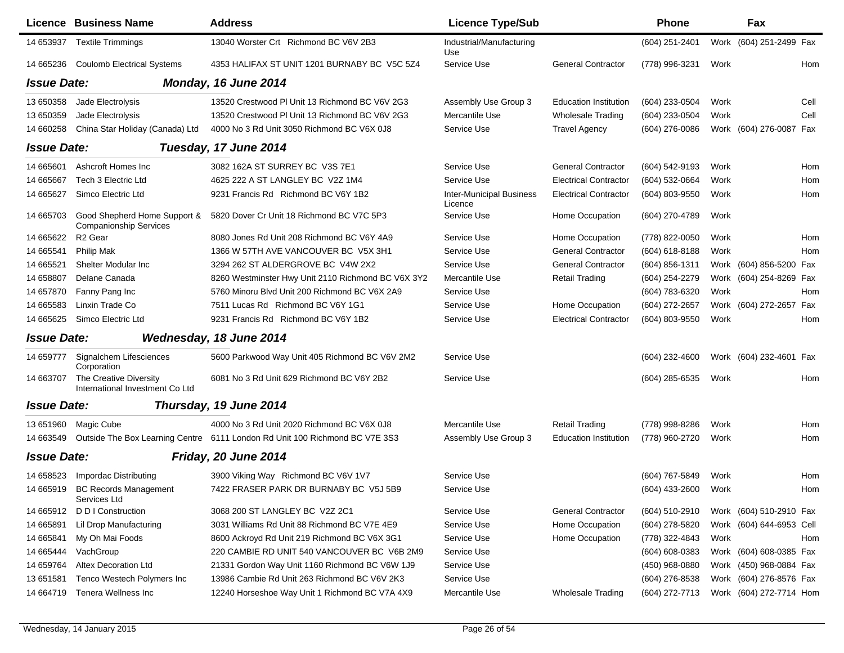|                    | <b>Licence Business Name</b>                                  | <b>Address</b>                                                              | <b>Licence Type/Sub</b>                    |                              | <b>Phone</b>       |      | Fax                      |      |
|--------------------|---------------------------------------------------------------|-----------------------------------------------------------------------------|--------------------------------------------|------------------------------|--------------------|------|--------------------------|------|
| 14 653937          | <b>Textile Trimmings</b>                                      | 13040 Worster Crt Richmond BC V6V 2B3                                       | Industrial/Manufacturing<br>Use            |                              | (604) 251-2401     |      | Work (604) 251-2499 Fax  |      |
| 14 665236          | <b>Coulomb Electrical Systems</b>                             | 4353 HALIFAX ST UNIT 1201 BURNABY BC V5C 5Z4                                | Service Use                                | <b>General Contractor</b>    | (778) 996-3231     | Work |                          | Hom  |
| <b>Issue Date:</b> |                                                               | Monday, 16 June 2014                                                        |                                            |                              |                    |      |                          |      |
| 13 650358          | Jade Electrolysis                                             | 13520 Crestwood PI Unit 13 Richmond BC V6V 2G3                              | Assembly Use Group 3                       | <b>Education Institution</b> | (604) 233-0504     | Work |                          | Cell |
| 13 650359          | Jade Electrolysis                                             | 13520 Crestwood PI Unit 13 Richmond BC V6V 2G3                              | Mercantile Use                             | <b>Wholesale Trading</b>     | (604) 233-0504     | Work |                          | Cell |
| 14 660258          | China Star Holiday (Canada) Ltd                               | 4000 No 3 Rd Unit 3050 Richmond BC V6X 0J8                                  | Service Use                                | <b>Travel Agency</b>         | (604) 276-0086     |      | Work (604) 276-0087 Fax  |      |
| <b>Issue Date:</b> |                                                               | Tuesday, 17 June 2014                                                       |                                            |                              |                    |      |                          |      |
| 14 665601          | Ashcroft Homes Inc                                            | 3082 162A ST SURREY BC V3S 7E1                                              | Service Use                                | <b>General Contractor</b>    | (604) 542-9193     | Work |                          | Hom  |
| 14 665667          | Tech 3 Electric Ltd                                           | 4625 222 A ST LANGLEY BC V2Z 1M4                                            | Service Use                                | <b>Electrical Contractor</b> | (604) 532-0664     | Work |                          | Hom  |
| 14 665627          | Simco Electric Ltd                                            | 9231 Francis Rd Richmond BC V6Y 1B2                                         | <b>Inter-Municipal Business</b><br>Licence | <b>Electrical Contractor</b> | (604) 803-9550     | Work |                          | Hom  |
| 14 665703          | Good Shepherd Home Support &<br><b>Companionship Services</b> | 5820 Dover Cr Unit 18 Richmond BC V7C 5P3                                   | Service Use                                | Home Occupation              | (604) 270-4789     | Work |                          |      |
| 14 665622          | R <sub>2</sub> Gear                                           | 8080 Jones Rd Unit 208 Richmond BC V6Y 4A9                                  | Service Use                                | Home Occupation              | (778) 822-0050     | Work |                          | Hom  |
| 14 665541          | <b>Philip Mak</b>                                             | 1366 W 57TH AVE VANCOUVER BC V5X 3H1                                        | Service Use                                | <b>General Contractor</b>    | (604) 618-8188     | Work |                          | Hom  |
| 14 665521          | Shelter Modular Inc                                           | 3294 262 ST ALDERGROVE BC V4W 2X2                                           | Service Use                                | <b>General Contractor</b>    | (604) 856-1311     |      | Work (604) 856-5200 Fax  |      |
| 14 658807          | Delane Canada                                                 | 8260 Westminster Hwy Unit 2110 Richmond BC V6X 3Y2                          | Mercantile Use                             | <b>Retail Trading</b>        | (604) 254-2279     |      | Work (604) 254-8269 Fax  |      |
| 14 657870          | Fanny Pang Inc                                                | 5760 Minoru Blvd Unit 200 Richmond BC V6X 2A9                               | Service Use                                |                              | (604) 783-6320     | Work |                          | Hom  |
| 14 665583          | Linxin Trade Co                                               | 7511 Lucas Rd Richmond BC V6Y 1G1                                           | Service Use                                | Home Occupation              | (604) 272-2657     |      | Work (604) 272-2657      | Fax  |
| 14 665625          | Simco Electric Ltd                                            | 9231 Francis Rd Richmond BC V6Y 1B2                                         | Service Use                                | <b>Electrical Contractor</b> | (604) 803-9550     | Work |                          | Hom  |
| <b>Issue Date:</b> |                                                               | Wednesday, 18 June 2014                                                     |                                            |                              |                    |      |                          |      |
| 14 659777          | Signalchem Lifesciences<br>Corporation                        | 5600 Parkwood Way Unit 405 Richmond BC V6V 2M2                              | Service Use                                |                              | (604) 232-4600     |      | Work (604) 232-4601 Fax  |      |
| 14 663707          | The Creative Diversity<br>International Investment Co Ltd     | 6081 No 3 Rd Unit 629 Richmond BC V6Y 2B2                                   | Service Use                                |                              | (604) 285-6535     | Work |                          | Hom  |
| <b>Issue Date:</b> |                                                               | Thursday, 19 June 2014                                                      |                                            |                              |                    |      |                          |      |
| 13 651960          | Magic Cube                                                    | 4000 No 3 Rd Unit 2020 Richmond BC V6X 0J8                                  | Mercantile Use                             | <b>Retail Trading</b>        | (778) 998-8286     | Work |                          | Hom  |
| 14 663549          |                                                               | Outside The Box Learning Centre 6111 London Rd Unit 100 Richmond BC V7E 3S3 | Assembly Use Group 3                       | <b>Education Institution</b> | (778) 960-2720     | Work |                          | Hom  |
| <b>Issue Date:</b> |                                                               | Friday, 20 June 2014                                                        |                                            |                              |                    |      |                          |      |
| 14 658523          | Impordac Distributing                                         | 3900 Viking Way Richmond BC V6V 1V7                                         | Service Use                                |                              | (604) 767-5849     | Work |                          | Hom  |
| 14 665919          | <b>BC Records Management</b><br>Services Ltd                  | 7422 FRASER PARK DR BURNABY BC V5J 5B9                                      | Service Use                                |                              | (604) 433-2600     | Work |                          | Hom  |
| 14 665912          | D D I Construction                                            | 3068 200 ST LANGLEY BC V2Z 2C1                                              | Service Use                                | <b>General Contractor</b>    | (604) 510-2910     |      | Work (604) 510-2910 Fax  |      |
| 14 665891          | Lil Drop Manufacturing                                        | 3031 Williams Rd Unit 88 Richmond BC V7E 4E9                                | Service Use                                | Home Occupation              | (604) 278-5820     |      | Work (604) 644-6953 Cell |      |
| 14 665841          | My Oh Mai Foods                                               | 8600 Ackroyd Rd Unit 219 Richmond BC V6X 3G1                                | Service Use                                | Home Occupation              | (778) 322-4843     | Work |                          | Hom  |
| 14 665444          | VachGroup                                                     | 220 CAMBIE RD UNIT 540 VANCOUVER BC V6B 2M9                                 | Service Use                                |                              | $(604) 608 - 0383$ |      | Work (604) 608-0385 Fax  |      |
| 14 659764          | <b>Altex Decoration Ltd</b>                                   | 21331 Gordon Way Unit 1160 Richmond BC V6W 1J9                              | Service Use                                |                              | (450) 968-0880     |      | Work (450) 968-0884 Fax  |      |
| 13 651581          | Tenco Westech Polymers Inc                                    | 13986 Cambie Rd Unit 263 Richmond BC V6V 2K3                                | Service Use                                |                              | (604) 276-8538     |      | Work (604) 276-8576 Fax  |      |
| 14 664719          | Tenera Wellness Inc                                           | 12240 Horseshoe Way Unit 1 Richmond BC V7A 4X9                              | Mercantile Use                             | <b>Wholesale Trading</b>     | (604) 272-7713     |      | Work (604) 272-7714 Hom  |      |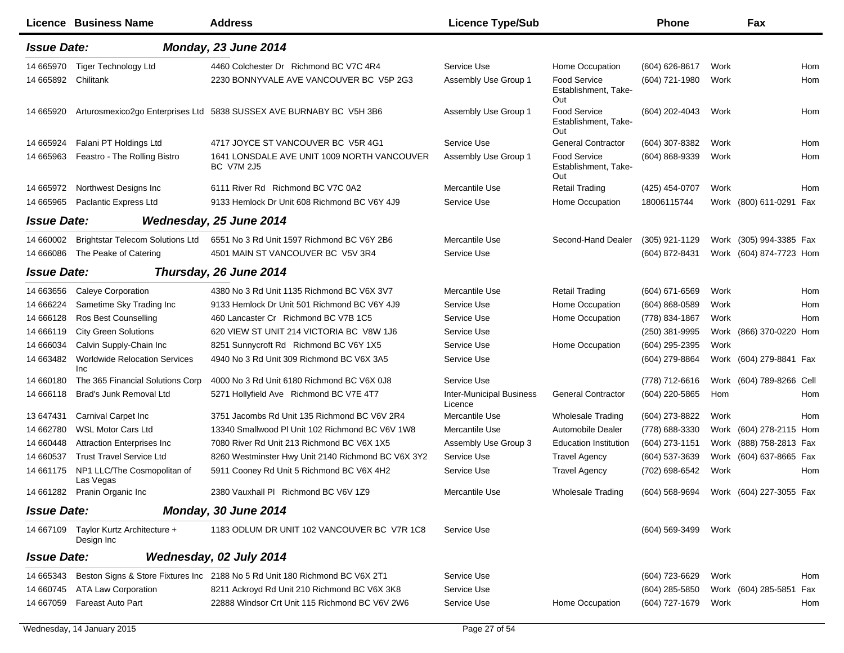|                    | Licence Business Name                       | <b>Address</b>                                                              | <b>Licence Type/Sub</b>                    |                                                    | <b>Phone</b>                           |      | Fax                      |     |
|--------------------|---------------------------------------------|-----------------------------------------------------------------------------|--------------------------------------------|----------------------------------------------------|----------------------------------------|------|--------------------------|-----|
| <b>Issue Date:</b> |                                             | Monday, 23 June 2014                                                        |                                            |                                                    |                                        |      |                          |     |
| 14 665970          | <b>Tiger Technology Ltd</b>                 | 4460 Colchester Dr Richmond BC V7C 4R4                                      | Service Use                                | Home Occupation                                    | (604) 626-8617                         | Work |                          | Hom |
| 14 665892          | Chilitank                                   | 2230 BONNYVALE AVE VANCOUVER BC V5P 2G3                                     | Assembly Use Group 1                       | <b>Food Service</b><br>Establishment, Take-<br>Out | (604) 721-1980                         | Work |                          | Hom |
| 14 665920          |                                             | Arturosmexico2go Enterprises Ltd 5838 SUSSEX AVE BURNABY BC V5H 3B6         | Assembly Use Group 1                       | <b>Food Service</b><br>Establishment, Take-<br>Out | (604) 202-4043                         | Work |                          | Hom |
| 14 665924          | Falani PT Holdings Ltd                      | 4717 JOYCE ST VANCOUVER BC V5R 4G1                                          | Service Use                                | <b>General Contractor</b>                          | (604) 307-8382                         | Work |                          | Hom |
| 14 665963          | Feastro - The Rolling Bistro                | 1641 LONSDALE AVE UNIT 1009 NORTH VANCOUVER<br><b>BC V7M 2J5</b>            | Assembly Use Group 1                       | <b>Food Service</b><br>Establishment, Take-<br>Out | (604) 868-9339                         | Work |                          | Hom |
| 14 665972          | Northwest Designs Inc                       | 6111 River Rd Richmond BC V7C 0A2                                           | Mercantile Use                             | <b>Retail Trading</b>                              | (425) 454-0707                         | Work |                          | Hom |
| 14 665965          | Paclantic Express Ltd                       | 9133 Hemlock Dr Unit 608 Richmond BC V6Y 4J9                                | Service Use                                | Home Occupation                                    | 18006115744                            |      | Work (800) 611-0291 Fax  |     |
| <b>Issue Date:</b> |                                             | Wednesday, 25 June 2014                                                     |                                            |                                                    |                                        |      |                          |     |
| 14 660002          | <b>Brightstar Telecom Solutions Ltd</b>     | 6551 No 3 Rd Unit 1597 Richmond BC V6Y 2B6                                  | Mercantile Use                             | Second-Hand Dealer                                 | (305) 921-1129                         |      | Work (305) 994-3385 Fax  |     |
| 14 666086          | The Peake of Catering                       | 4501 MAIN ST VANCOUVER BC V5V 3R4                                           | Service Use                                |                                                    | (604) 872-8431                         |      | Work (604) 874-7723 Hom  |     |
| <b>Issue Date:</b> |                                             | Thursday, 26 June 2014                                                      |                                            |                                                    |                                        |      |                          |     |
| 14 663656          | <b>Caleye Corporation</b>                   | 4380 No 3 Rd Unit 1135 Richmond BC V6X 3V7                                  | Mercantile Use                             | <b>Retail Trading</b>                              | (604) 671-6569                         | Work |                          | Hom |
| 14 666224          | Sametime Sky Trading Inc                    | 9133 Hemlock Dr Unit 501 Richmond BC V6Y 4J9                                | Service Use                                | Home Occupation                                    | $(604) 868 - 0589$                     | Work |                          | Hom |
| 14 666128          | <b>Ros Best Counselling</b>                 | 460 Lancaster Cr Richmond BC V7B 1C5                                        | Service Use                                | Home Occupation                                    | (778) 834-1867                         | Work |                          | Hom |
| 14 666119          | <b>City Green Solutions</b>                 | 620 VIEW ST UNIT 214 VICTORIA BC V8W 1J6                                    | Service Use                                |                                                    | (250) 381-9995                         |      | Work (866) 370-0220 Hom  |     |
| 14 666034          | Calvin Supply-Chain Inc                     | 8251 Sunnycroft Rd Richmond BC V6Y 1X5                                      | Service Use                                | Home Occupation                                    | (604) 295-2395                         | Work |                          |     |
| 14 663482          | <b>Worldwide Relocation Services</b><br>Inc | 4940 No 3 Rd Unit 309 Richmond BC V6X 3A5                                   | Service Use                                |                                                    | (604) 279-8864                         |      | Work (604) 279-8841 Fax  |     |
| 14 660180          | The 365 Financial Solutions Corp            | 4000 No 3 Rd Unit 6180 Richmond BC V6X 0J8                                  | Service Use                                |                                                    | (778) 712-6616                         |      | Work (604) 789-8266 Cell |     |
| 14 666118          | Brad's Junk Removal Ltd                     | 5271 Hollyfield Ave Richmond BC V7E 4T7                                     | <b>Inter-Municipal Business</b><br>Licence | <b>General Contractor</b>                          | (604) 220-5865                         | Hom  |                          | Hom |
| 13 647431          | Carnival Carpet Inc                         | 3751 Jacombs Rd Unit 135 Richmond BC V6V 2R4                                | Mercantile Use                             | <b>Wholesale Trading</b>                           | (604) 273-8822                         | Work |                          | Hom |
| 14 662780          | <b>WSL Motor Cars Ltd</b>                   | 13340 Smallwood PI Unit 102 Richmond BC V6V 1W8                             | Mercantile Use                             | Automobile Dealer                                  | (778) 688-3330                         |      | Work (604) 278-2115 Hom  |     |
| 14 660448          | <b>Attraction Enterprises Inc</b>           | 7080 River Rd Unit 213 Richmond BC V6X 1X5                                  | Assembly Use Group 3                       | <b>Education Institution</b>                       | (604) 273-1151                         |      | Work (888) 758-2813 Fax  |     |
| 14 660537          | <b>Trust Travel Service Ltd</b>             | 8260 Westminster Hwy Unit 2140 Richmond BC V6X 3Y2                          | Service Use                                | <b>Travel Agency</b>                               | (604) 537-3639                         |      | Work (604) 637-8665 Fax  |     |
| 14 661175          | NP1 LLC/The Cosmopolitan of<br>Las Vegas    | 5911 Cooney Rd Unit 5 Richmond BC V6X 4H2                                   | Service Use                                | <b>Travel Agency</b>                               | (702) 698-6542                         | Work |                          | Hom |
|                    | 14 661282 Pranin Organic Inc                | 2380 Vauxhall PI Richmond BC V6V 1Z9                                        | Mercantile Use                             | <b>Wholesale Trading</b>                           | (604) 568-9694 Work (604) 227-3055 Fax |      |                          |     |
| <b>Issue Date:</b> |                                             | Monday, 30 June 2014                                                        |                                            |                                                    |                                        |      |                          |     |
| 14 667109          | Taylor Kurtz Architecture +<br>Design Inc   | 1183 ODLUM DR UNIT 102 VANCOUVER BC V7R 1C8                                 | Service Use                                |                                                    | (604) 569-3499                         | Work |                          |     |
| <b>Issue Date:</b> |                                             | Wednesday, 02 July 2014                                                     |                                            |                                                    |                                        |      |                          |     |
| 14 665343          |                                             | Beston Signs & Store Fixtures Inc 2188 No 5 Rd Unit 180 Richmond BC V6X 2T1 | Service Use                                |                                                    | (604) 723-6629                         | Work |                          | Hom |
| 14 660745          | <b>ATA Law Corporation</b>                  | 8211 Ackroyd Rd Unit 210 Richmond BC V6X 3K8                                | Service Use                                |                                                    | $(604)$ 285-5850                       |      | Work (604) 285-5851 Fax  |     |
| 14 667059          | <b>Fareast Auto Part</b>                    | 22888 Windsor Crt Unit 115 Richmond BC V6V 2W6                              | Service Use                                | Home Occupation                                    | (604) 727-1679                         | Work |                          | Hom |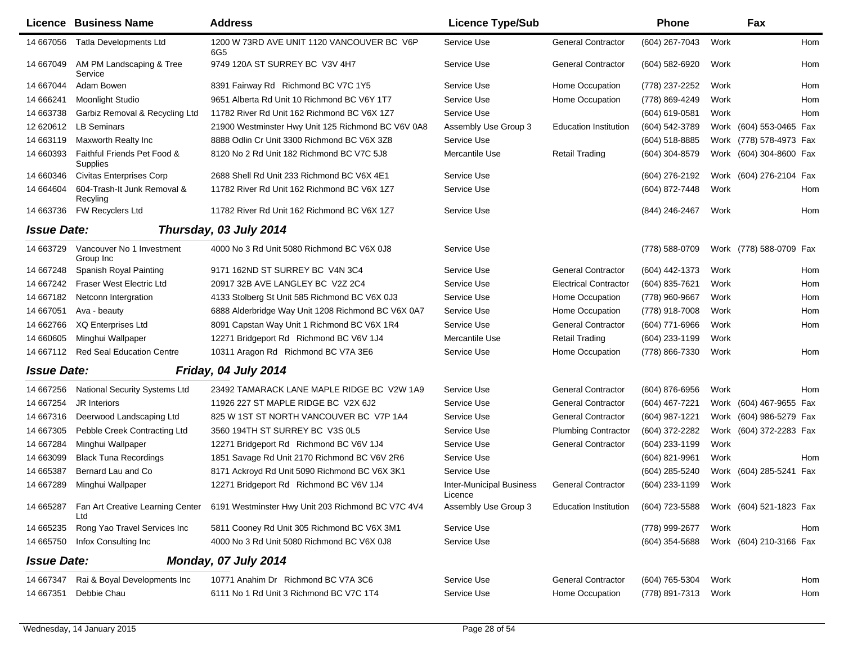|                    | <b>Licence Business Name</b>            | <b>Address</b>                                     | <b>Licence Type/Sub</b>             |                              | Phone          |      | Fax                     |            |
|--------------------|-----------------------------------------|----------------------------------------------------|-------------------------------------|------------------------------|----------------|------|-------------------------|------------|
| 14 667056          | <b>Tatla Developments Ltd</b>           | 1200 W 73RD AVE UNIT 1120 VANCOUVER BC V6P<br>6G5  | Service Use                         | <b>General Contractor</b>    | (604) 267-7043 | Work |                         | <b>Hom</b> |
| 14 667049          | AM PM Landscaping & Tree<br>Service     | 9749 120A ST SURREY BC V3V 4H7                     | Service Use                         | <b>General Contractor</b>    | (604) 582-6920 | Work |                         | Hom        |
| 14 667044          | Adam Bowen                              | 8391 Fairway Rd Richmond BC V7C 1Y5                | Service Use                         | Home Occupation              | (778) 237-2252 | Work |                         | Hom        |
| 14 666241          | <b>Moonlight Studio</b>                 | 9651 Alberta Rd Unit 10 Richmond BC V6Y 1T7        | Service Use                         | Home Occupation              | (778) 869-4249 | Work |                         | Hom        |
| 14 663738          | Garbiz Removal & Recycling Ltd          | 11782 River Rd Unit 162 Richmond BC V6X 1Z7        | Service Use                         |                              | (604) 619-0581 | Work |                         | Hom        |
| 12 620612          | <b>LB Seminars</b>                      | 21900 Westminster Hwy Unit 125 Richmond BC V6V 0A8 | Assembly Use Group 3                | <b>Education Institution</b> | (604) 542-3789 |      | Work (604) 553-0465 Fax |            |
| 14 663119          | Maxworth Realty Inc                     | 8888 Odlin Cr Unit 3300 Richmond BC V6X 3Z8        | Service Use                         |                              | (604) 518-8885 |      | Work (778) 578-4973 Fax |            |
| 14 660393          | Faithful Friends Pet Food &<br>Supplies | 8120 No 2 Rd Unit 182 Richmond BC V7C 5J8          | Mercantile Use                      | <b>Retail Trading</b>        | (604) 304-8579 |      | Work (604) 304-8600 Fax |            |
| 14 660346          | <b>Civitas Enterprises Corp</b>         | 2688 Shell Rd Unit 233 Richmond BC V6X 4E1         | Service Use                         |                              | (604) 276-2192 |      | Work (604) 276-2104 Fax |            |
| 14 664604          | 604-Trash-It Junk Removal &<br>Recyling | 11782 River Rd Unit 162 Richmond BC V6X 1Z7        | Service Use                         |                              | (604) 872-7448 | Work |                         | Hom        |
| 14 663736          | FW Recyclers Ltd                        | 11782 River Rd Unit 162 Richmond BC V6X 1Z7        | Service Use                         |                              | (844) 246-2467 | Work |                         | Hom        |
| <b>Issue Date:</b> |                                         | Thursday, 03 July 2014                             |                                     |                              |                |      |                         |            |
| 14 663729          | Vancouver No 1 Investment<br>Group Inc  | 4000 No 3 Rd Unit 5080 Richmond BC V6X 0J8         | Service Use                         |                              | (778) 588-0709 |      | Work (778) 588-0709 Fax |            |
| 14 667248          | Spanish Royal Painting                  | 9171 162ND ST SURREY BC V4N 3C4                    | Service Use                         | <b>General Contractor</b>    | (604) 442-1373 | Work |                         | Hom        |
| 14 667242          | Fraser West Electric Ltd                | 20917 32B AVE LANGLEY BC V2Z 2C4                   | Service Use                         | <b>Electrical Contractor</b> | (604) 835-7621 | Work |                         | Hom        |
| 14 667182          | Netconn Intergration                    | 4133 Stolberg St Unit 585 Richmond BC V6X 0J3      | Service Use                         | Home Occupation              | (778) 960-9667 | Work |                         | Hom        |
| 14 667051          | Ava - beauty                            | 6888 Alderbridge Way Unit 1208 Richmond BC V6X 0A7 | Service Use                         | Home Occupation              | (778) 918-7008 | Work |                         | Hom        |
| 14 662766          | <b>XQ Enterprises Ltd</b>               | 8091 Capstan Way Unit 1 Richmond BC V6X 1R4        | Service Use                         | <b>General Contractor</b>    | (604) 771-6966 | Work |                         | Hom        |
| 14 660605          | Minghui Wallpaper                       | 12271 Bridgeport Rd Richmond BC V6V 1J4            | Mercantile Use                      | <b>Retail Trading</b>        | (604) 233-1199 | Work |                         |            |
| 14 667112          | <b>Red Seal Education Centre</b>        | 10311 Aragon Rd Richmond BC V7A 3E6                | Service Use                         | Home Occupation              | (778) 866-7330 | Work |                         | Hom        |
| <b>Issue Date:</b> |                                         | Friday, 04 July 2014                               |                                     |                              |                |      |                         |            |
| 14 667256          | National Security Systems Ltd           | 23492 TAMARACK LANE MAPLE RIDGE BC V2W 1A9         | Service Use                         | <b>General Contractor</b>    | (604) 876-6956 | Work |                         | <b>Hom</b> |
| 14 667254          | <b>JR</b> Interiors                     | 11926 227 ST MAPLE RIDGE BC V2X 6J2                | Service Use                         | <b>General Contractor</b>    | (604) 467-7221 |      | Work (604) 467-9655 Fax |            |
| 14 667316          | Deerwood Landscaping Ltd                | 825 W 1ST ST NORTH VANCOUVER BC V7P 1A4            | Service Use                         | <b>General Contractor</b>    | (604) 987-1221 | Work | (604) 986-5279 Fax      |            |
| 14 667305          | Pebble Creek Contracting Ltd            | 3560 194TH ST SURREY BC V3S 0L5                    | Service Use                         | <b>Plumbing Contractor</b>   | (604) 372-2282 | Work | (604) 372-2283 Fax      |            |
| 14 667284          | Minghui Wallpaper                       | 12271 Bridgeport Rd Richmond BC V6V 1J4            | Service Use                         | <b>General Contractor</b>    | (604) 233-1199 | Work |                         |            |
| 14 663099          | <b>Black Tuna Recordings</b>            | 1851 Savage Rd Unit 2170 Richmond BC V6V 2R6       | Service Use                         |                              | (604) 821-9961 | Work |                         | Hom        |
| 14 665387          | Bernard Lau and Co                      | 8171 Ackroyd Rd Unit 5090 Richmond BC V6X 3K1      | Service Use                         |                              | (604) 285-5240 |      | Work (604) 285-5241 Fax |            |
| 14 667289          | Minghui Wallpaper                       | 12271 Bridgeport Rd Richmond BC V6V 1J4            | Inter-Municipal Business<br>Licence | <b>General Contractor</b>    | (604) 233-1199 | Work |                         |            |
| 14 665287          | Fan Art Creative Learning Center<br>Ltd | 6191 Westminster Hwy Unit 203 Richmond BC V7C 4V4  | Assembly Use Group 3                | <b>Education Institution</b> | (604) 723-5588 |      | Work (604) 521-1823 Fax |            |
| 14 665235          | Rong Yao Travel Services Inc            | 5811 Cooney Rd Unit 305 Richmond BC V6X 3M1        | Service Use                         |                              | (778) 999-2677 | Work |                         | Hom        |
| 14 665750          | Infox Consulting Inc                    | 4000 No 3 Rd Unit 5080 Richmond BC V6X 0J8         | Service Use                         |                              | (604) 354-5688 |      | Work (604) 210-3166 Fax |            |
| <b>Issue Date:</b> |                                         | Monday, 07 July 2014                               |                                     |                              |                |      |                         |            |
| 14 667347          | Rai & Boyal Developments Inc            | 10771 Anahim Dr Richmond BC V7A 3C6                | Service Use                         | <b>General Contractor</b>    | (604) 765-5304 | Work |                         | Hom        |
| 14 667351          | Debbie Chau                             | 6111 No 1 Rd Unit 3 Richmond BC V7C 1T4            | Service Use                         | Home Occupation              | (778) 891-7313 | Work |                         | Hom        |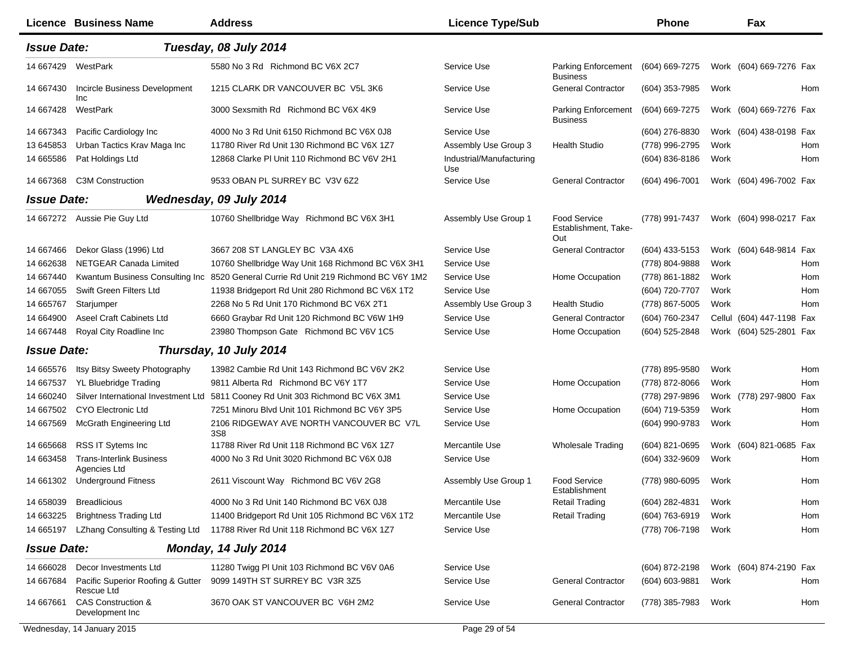|                    | Licence Business Name                           | <b>Address</b>                                      | <b>Licence Type/Sub</b>         |                                                    | <b>Phone</b>   |      | Fax                       |            |
|--------------------|-------------------------------------------------|-----------------------------------------------------|---------------------------------|----------------------------------------------------|----------------|------|---------------------------|------------|
| <b>Issue Date:</b> |                                                 | Tuesday, 08 July 2014                               |                                 |                                                    |                |      |                           |            |
| 14 667429          | WestPark                                        | 5580 No 3 Rd Richmond BC V6X 2C7                    | Service Use                     | <b>Parking Enforcement</b><br><b>Business</b>      | (604) 669-7275 |      | Work (604) 669-7276 Fax   |            |
| 14 667430          | Incircle Business Development<br>Inc            | 1215 CLARK DR VANCOUVER BC V5L 3K6                  | Service Use                     | <b>General Contractor</b>                          | (604) 353-7985 | Work |                           | Hom        |
| 14 667428          | WestPark                                        | 3000 Sexsmith Rd Richmond BC V6X 4K9                | Service Use                     | Parking Enforcement<br><b>Business</b>             | (604) 669-7275 |      | Work (604) 669-7276 Fax   |            |
| 14 667343          | Pacific Cardiology Inc                          | 4000 No 3 Rd Unit 6150 Richmond BC V6X 0J8          | Service Use                     |                                                    | (604) 276-8830 |      | Work (604) 438-0198 Fax   |            |
| 13 645853          | Urban Tactics Krav Maga Inc                     | 11780 River Rd Unit 130 Richmond BC V6X 1Z7         | Assembly Use Group 3            | <b>Health Studio</b>                               | (778) 996-2795 | Work |                           | Hom        |
| 14 665586          | Pat Holdings Ltd                                | 12868 Clarke PI Unit 110 Richmond BC V6V 2H1        | Industrial/Manufacturing<br>Use |                                                    | (604) 836-8186 | Work |                           | Hom        |
| 14 667368          | <b>C3M Construction</b>                         | 9533 OBAN PL SURREY BC V3V 6Z2                      | Service Use                     | <b>General Contractor</b>                          | (604) 496-7001 |      | Work (604) 496-7002 Fax   |            |
| <b>Issue Date:</b> |                                                 | Wednesday, 09 July 2014                             |                                 |                                                    |                |      |                           |            |
| 14 667272          | Aussie Pie Guy Ltd                              | 10760 Shellbridge Way Richmond BC V6X 3H1           | Assembly Use Group 1            | <b>Food Service</b><br>Establishment, Take-<br>Out | (778) 991-7437 |      | Work (604) 998-0217 Fax   |            |
| 14 667466          | Dekor Glass (1996) Ltd                          | 3667 208 ST LANGLEY BC V3A 4X6                      | Service Use                     | <b>General Contractor</b>                          | (604) 433-5153 |      | Work (604) 648-9814 Fax   |            |
| 14 662638          | NETGEAR Canada Limited                          | 10760 Shellbridge Way Unit 168 Richmond BC V6X 3H1  | Service Use                     |                                                    | (778) 804-9888 | Work |                           | Hom        |
| 14 667440          | Kwantum Business Consulting Inc                 | 8520 General Currie Rd Unit 219 Richmond BC V6Y 1M2 | Service Use                     | Home Occupation                                    | (778) 861-1882 | Work |                           | Hom        |
| 14 667055          | Swift Green Filters Ltd                         | 11938 Bridgeport Rd Unit 280 Richmond BC V6X 1T2    | Service Use                     |                                                    | (604) 720-7707 | Work |                           | Hom        |
| 14 665767          | Starjumper                                      | 2268 No 5 Rd Unit 170 Richmond BC V6X 2T1           | Assembly Use Group 3            | <b>Health Studio</b>                               | (778) 867-5005 | Work |                           | <b>Hom</b> |
| 14 664900          | <b>Aseel Craft Cabinets Ltd</b>                 | 6660 Graybar Rd Unit 120 Richmond BC V6W 1H9        | Service Use                     | <b>General Contractor</b>                          | (604) 760-2347 |      | Cellul (604) 447-1198 Fax |            |
| 14 667448          | Royal City Roadline Inc                         | 23980 Thompson Gate Richmond BC V6V 1C5             | Service Use                     | Home Occupation                                    | (604) 525-2848 |      | Work (604) 525-2801 Fax   |            |
| <b>Issue Date:</b> |                                                 | Thursday, 10 July 2014                              |                                 |                                                    |                |      |                           |            |
| 14 665576          | Itsy Bitsy Sweety Photography                   | 13982 Cambie Rd Unit 143 Richmond BC V6V 2K2        | Service Use                     |                                                    | (778) 895-9580 | Work |                           | Hom        |
| 14 667537          | YL Bluebridge Trading                           | 9811 Alberta Rd Richmond BC V6Y 1T7                 | Service Use                     | Home Occupation                                    | (778) 872-8066 | Work |                           | <b>Hom</b> |
| 14 660240          | Silver International Investment Ltd             | 5811 Cooney Rd Unit 303 Richmond BC V6X 3M1         | Service Use                     |                                                    | (778) 297-9896 |      | Work (778) 297-9800 Fax   |            |
| 14 667502          | CYO Electronic Ltd                              | 7251 Minoru Blvd Unit 101 Richmond BC V6Y 3P5       | Service Use                     | Home Occupation                                    | (604) 719-5359 | Work |                           | Hom        |
| 14 667569          | McGrath Engineering Ltd                         | 2106 RIDGEWAY AVE NORTH VANCOUVER BC V7L<br>3S8     | Service Use                     |                                                    | (604) 990-9783 | Work |                           | Hom        |
| 14 665668          | RSS IT Sytems Inc                               | 11788 River Rd Unit 118 Richmond BC V6X 1Z7         | Mercantile Use                  | <b>Wholesale Trading</b>                           | (604) 821-0695 |      | Work (604) 821-0685 Fax   |            |
| 14 663458          | <b>Trans-Interlink Business</b><br>Agencies Ltd | 4000 No 3 Rd Unit 3020 Richmond BC V6X 0J8          | Service Use                     |                                                    | (604) 332-9609 | Work |                           | Hom        |
| 14 661302          | <b>Underground Fitness</b>                      | 2611 Viscount Way Richmond BC V6V 2G8               | Assembly Use Group 1            | <b>Food Service</b><br>Establishment               | (778) 980-6095 | Work |                           | Hom        |
| 14 658039          | <b>Breadlicious</b>                             | 4000 No 3 Rd Unit 140 Richmond BC V6X 0J8           | Mercantile Use                  | <b>Retail Trading</b>                              | (604) 282-4831 | Work |                           | Hom        |
| 14 663225          | <b>Brightness Trading Ltd</b>                   | 11400 Bridgeport Rd Unit 105 Richmond BC V6X 1T2    | Mercantile Use                  | <b>Retail Trading</b>                              | (604) 763-6919 | Work |                           | Hom        |
| 14 665197          | LZhang Consulting & Testing Ltd                 | 11788 River Rd Unit 118 Richmond BC V6X 1Z7         | Service Use                     |                                                    | (778) 706-7198 | Work |                           | Hom        |
| <b>Issue Date:</b> |                                                 | Monday, 14 July 2014                                |                                 |                                                    |                |      |                           |            |
| 14 666028          | Decor Investments Ltd                           | 11280 Twigg PI Unit 103 Richmond BC V6V 0A6         | Service Use                     |                                                    | (604) 872-2198 |      | Work (604) 874-2190 Fax   |            |
| 14 667684          | Pacific Superior Roofing & Gutter<br>Rescue Ltd | 9099 149TH ST SURREY BC V3R 3Z5                     | Service Use                     | <b>General Contractor</b>                          | (604) 603-9881 | Work |                           | Hom        |
| 14 667661          | CAS Construction &<br>Development Inc           | 3670 OAK ST VANCOUVER BC V6H 2M2                    | Service Use                     | <b>General Contractor</b>                          | (778) 385-7983 | Work |                           | Hom        |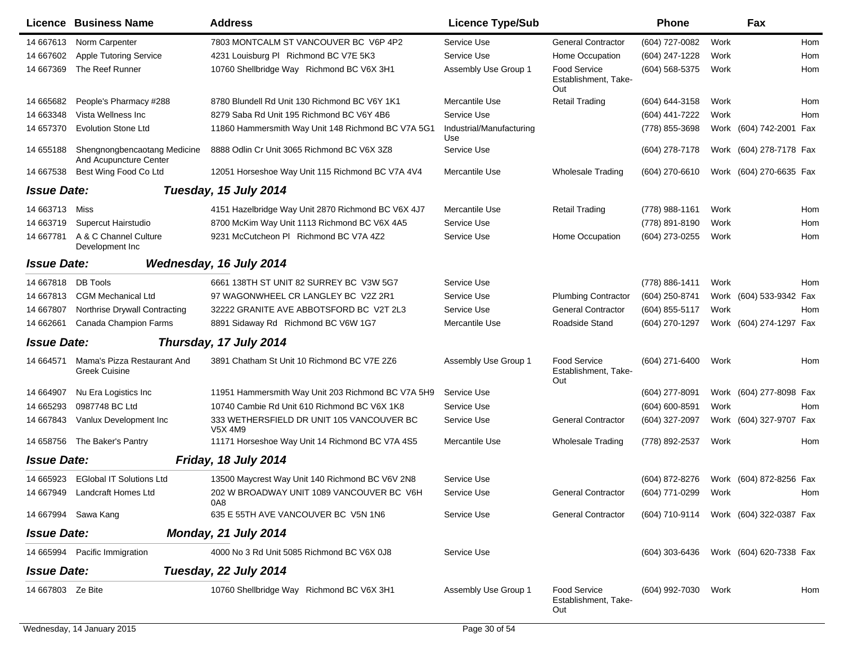|                    | Licence Business Name                                  | <b>Address</b>                                       | <b>Licence Type/Sub</b>         |                                                    | <b>Phone</b>                           |      | Fax                     |     |
|--------------------|--------------------------------------------------------|------------------------------------------------------|---------------------------------|----------------------------------------------------|----------------------------------------|------|-------------------------|-----|
| 14 667613          | Norm Carpenter                                         | 7803 MONTCALM ST VANCOUVER BC V6P 4P2                | Service Use                     | <b>General Contractor</b>                          | (604) 727-0082                         | Work |                         | Hom |
| 14 667602          | Apple Tutoring Service                                 | 4231 Louisburg PI Richmond BC V7E 5K3                | Service Use                     | Home Occupation                                    | (604) 247-1228                         | Work |                         | Hom |
| 14 667369          | The Reef Runner                                        | 10760 Shellbridge Way Richmond BC V6X 3H1            | Assembly Use Group 1            | Food Service<br>Establishment, Take-<br>Out        | (604) 568-5375                         | Work |                         | Hom |
| 14 665682          | People's Pharmacy #288                                 | 8780 Blundell Rd Unit 130 Richmond BC V6Y 1K1        | Mercantile Use                  | <b>Retail Trading</b>                              | (604) 644-3158                         | Work |                         | Hom |
| 14 663348          | Vista Wellness Inc                                     | 8279 Saba Rd Unit 195 Richmond BC V6Y 4B6            | Service Use                     |                                                    | (604) 441-7222                         | Work |                         | Hom |
| 14 657370          | <b>Evolution Stone Ltd</b>                             | 11860 Hammersmith Way Unit 148 Richmond BC V7A 5G1   | Industrial/Manufacturing<br>Use |                                                    | (778) 855-3698                         |      | Work (604) 742-2001 Fax |     |
| 14 655188          | Shengnongbencaotang Medicine<br>And Acupuncture Center | 8888 Odlin Cr Unit 3065 Richmond BC V6X 3Z8          | Service Use                     |                                                    | (604) 278-7178                         |      | Work (604) 278-7178 Fax |     |
| 14 667538          | Best Wing Food Co Ltd                                  | 12051 Horseshoe Way Unit 115 Richmond BC V7A 4V4     | Mercantile Use                  | <b>Wholesale Trading</b>                           | (604) 270-6610                         |      | Work (604) 270-6635 Fax |     |
| <b>Issue Date:</b> |                                                        | Tuesday, 15 July 2014                                |                                 |                                                    |                                        |      |                         |     |
| 14 663713          | Miss                                                   | 4151 Hazelbridge Way Unit 2870 Richmond BC V6X 4J7   | Mercantile Use                  | <b>Retail Trading</b>                              | (778) 988-1161                         | Work |                         | Hom |
| 14 663719          | Supercut Hairstudio                                    | 8700 McKim Way Unit 1113 Richmond BC V6X 4A5         | Service Use                     |                                                    | (778) 891-8190                         | Work |                         | Hom |
| 14 667781          | A & C Channel Culture<br>Development Inc               | 9231 McCutcheon PI Richmond BC V7A 4Z2               | Service Use                     | Home Occupation                                    | (604) 273-0255                         | Work |                         | Hom |
| <b>Issue Date:</b> |                                                        | Wednesday, 16 July 2014                              |                                 |                                                    |                                        |      |                         |     |
| 14 667818          | <b>DB Tools</b>                                        | 6661 138TH ST UNIT 82 SURREY BC V3W 5G7              | Service Use                     |                                                    | (778) 886-1411                         | Work |                         | Hom |
| 14 667813          | <b>CGM Mechanical Ltd</b>                              | 97 WAGONWHEEL CR LANGLEY BC V2Z 2R1                  | Service Use                     | <b>Plumbing Contractor</b>                         | (604) 250-8741                         |      | Work (604) 533-9342 Fax |     |
| 14 667807          | Northrise Drywall Contracting                          | 32222 GRANITE AVE ABBOTSFORD BC V2T 2L3              | Service Use                     | <b>General Contractor</b>                          | (604) 855-5117                         | Work |                         | Hom |
| 14 662661          | Canada Champion Farms                                  | 8891 Sidaway Rd Richmond BC V6W 1G7                  | Mercantile Use                  | Roadside Stand                                     | (604) 270-1297                         |      | Work (604) 274-1297 Fax |     |
| <b>Issue Date:</b> |                                                        | Thursday, 17 July 2014                               |                                 |                                                    |                                        |      |                         |     |
| 14 664571          | Mama's Pizza Restaurant And<br><b>Greek Cuisine</b>    | 3891 Chatham St Unit 10 Richmond BC V7E 2Z6          | Assembly Use Group 1            | <b>Food Service</b><br>Establishment, Take-<br>Out | (604) 271-6400                         | Work |                         | Hom |
| 14 664907          | Nu Era Logistics Inc                                   | 11951 Hammersmith Way Unit 203 Richmond BC V7A 5H9   | Service Use                     |                                                    | (604) 277-8091                         |      | Work (604) 277-8098 Fax |     |
| 14 665293          | 0987748 BC Ltd                                         | 10740 Cambie Rd Unit 610 Richmond BC V6X 1K8         | Service Use                     |                                                    | (604) 600-8591                         | Work |                         | Hom |
| 14 667843          | Vanlux Development Inc                                 | 333 WETHERSFIELD DR UNIT 105 VANCOUVER BC<br>V5X 4M9 | Service Use                     | <b>General Contractor</b>                          | (604) 327-2097                         |      | Work (604) 327-9707 Fax |     |
| 14 658756          | The Baker's Pantry                                     | 11171 Horseshoe Way Unit 14 Richmond BC V7A 4S5      | Mercantile Use                  | <b>Wholesale Trading</b>                           | (778) 892-2537                         | Work |                         | Hom |
| <b>Issue Date:</b> |                                                        | Friday, 18 July 2014                                 |                                 |                                                    |                                        |      |                         |     |
| 14 665923          | <b>EGIobal IT Solutions Ltd</b>                        | 13500 Maycrest Way Unit 140 Richmond BC V6V 2N8      | Service Use                     |                                                    | (604) 872-8276                         |      | Work (604) 872-8256 Fax |     |
|                    | 14 667949 Landcraft Homes Ltd                          | 202 W BROADWAY UNIT 1089 VANCOUVER BC V6H<br>0A8     | Service Use                     | <b>General Contractor</b>                          | (604) 771-0299                         | Work |                         | Hom |
|                    | 14 667994 Sawa Kang                                    | 635 E 55TH AVE VANCOUVER BC V5N 1N6                  | Service Use                     | <b>General Contractor</b>                          | (604) 710-9114 Work (604) 322-0387 Fax |      |                         |     |
| <b>Issue Date:</b> |                                                        | Monday, 21 July 2014                                 |                                 |                                                    |                                        |      |                         |     |
|                    | 14 665994 Pacific Immigration                          | 4000 No 3 Rd Unit 5085 Richmond BC V6X 0J8           | Service Use                     |                                                    | (604) 303-6436 Work (604) 620-7338 Fax |      |                         |     |
| <b>Issue Date:</b> |                                                        | Tuesday, 22 July 2014                                |                                 |                                                    |                                        |      |                         |     |
| 14 667803 Ze Bite  |                                                        | 10760 Shellbridge Way Richmond BC V6X 3H1            | Assembly Use Group 1            | Food Service<br>Establishment, Take-<br>Out        | (604) 992-7030 Work                    |      |                         | Hom |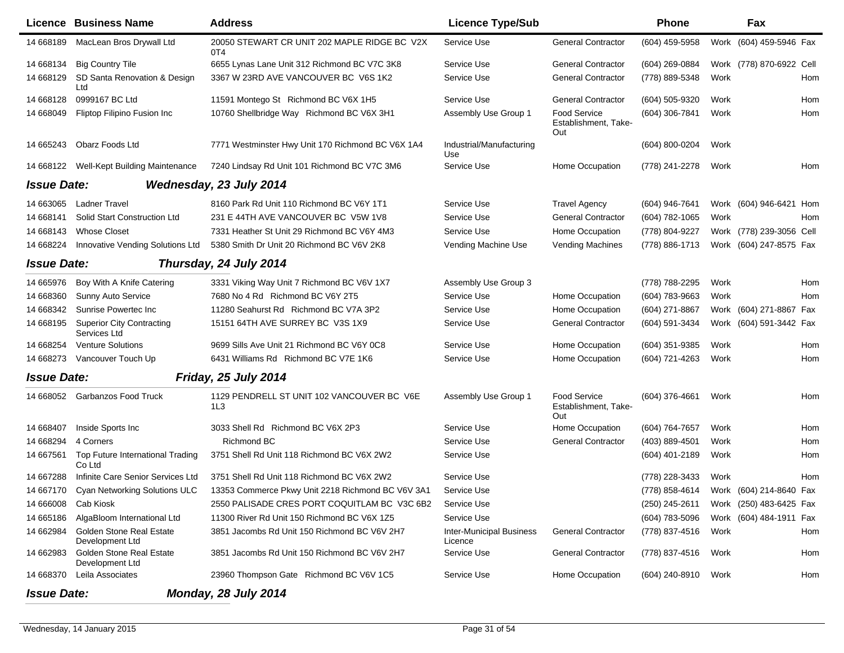|                    | Licence Business Name                            | <b>Address</b>                                      | <b>Licence Type/Sub</b>                    |                                                    | Phone          |      | Fax                      |     |
|--------------------|--------------------------------------------------|-----------------------------------------------------|--------------------------------------------|----------------------------------------------------|----------------|------|--------------------------|-----|
| 14 668189          | MacLean Bros Drywall Ltd                         | 20050 STEWART CR UNIT 202 MAPLE RIDGE BC V2X<br>0T4 | Service Use                                | <b>General Contractor</b>                          | (604) 459-5958 |      | Work (604) 459-5946 Fax  |     |
| 14 668134          | <b>Big Country Tile</b>                          | 6655 Lynas Lane Unit 312 Richmond BC V7C 3K8        | Service Use                                | <b>General Contractor</b>                          | (604) 269-0884 |      | Work (778) 870-6922 Cell |     |
| 14 668129          | SD Santa Renovation & Design<br>Ltd              | 3367 W 23RD AVE VANCOUVER BC V6S 1K2                | Service Use                                | <b>General Contractor</b>                          | (778) 889-5348 | Work |                          | Hom |
| 14 668128          | 0999167 BC Ltd                                   | 11591 Montego St Richmond BC V6X 1H5                | Service Use                                | <b>General Contractor</b>                          | (604) 505-9320 | Work |                          | Hom |
| 14 668049          | Fliptop Filipino Fusion Inc                      | 10760 Shellbridge Way Richmond BC V6X 3H1           | Assembly Use Group 1                       | Food Service<br>Establishment, Take-<br>Out        | (604) 306-7841 | Work |                          | Hom |
| 14 665243          | Obarz Foods Ltd                                  | 7771 Westminster Hwy Unit 170 Richmond BC V6X 1A4   | Industrial/Manufacturing<br>Use            |                                                    | (604) 800-0204 | Work |                          |     |
| 14 668122          | Well-Kept Building Maintenance                   | 7240 Lindsay Rd Unit 101 Richmond BC V7C 3M6        | Service Use                                | Home Occupation                                    | (778) 241-2278 | Work |                          | Hom |
| <b>Issue Date:</b> |                                                  | Wednesday, 23 July 2014                             |                                            |                                                    |                |      |                          |     |
| 14 663065          | <b>Ladner Travel</b>                             | 8160 Park Rd Unit 110 Richmond BC V6Y 1T1           | Service Use                                | <b>Travel Agency</b>                               | (604) 946-7641 |      | Work (604) 946-6421 Hom  |     |
| 14 668141          | Solid Start Construction Ltd                     | 231 E 44TH AVE VANCOUVER BC V5W 1V8                 | Service Use                                | <b>General Contractor</b>                          | (604) 782-1065 | Work |                          | Hom |
| 14 668143          | <b>Whose Closet</b>                              | 7331 Heather St Unit 29 Richmond BC V6Y 4M3         | Service Use                                | Home Occupation                                    | (778) 804-9227 |      | Work (778) 239-3056 Cell |     |
| 14 668224          | Innovative Vending Solutions Ltd                 | 5380 Smith Dr Unit 20 Richmond BC V6V 2K8           | Vending Machine Use                        | <b>Vending Machines</b>                            | (778) 886-1713 |      | Work (604) 247-8575 Fax  |     |
| <b>Issue Date:</b> |                                                  | Thursday, 24 July 2014                              |                                            |                                                    |                |      |                          |     |
| 14 665976          | Boy With A Knife Catering                        | 3331 Viking Way Unit 7 Richmond BC V6V 1X7          | Assembly Use Group 3                       |                                                    | (778) 788-2295 | Work |                          | Hom |
| 14 668360          | <b>Sunny Auto Service</b>                        | 7680 No 4 Rd Richmond BC V6Y 2T5                    | Service Use                                | Home Occupation                                    | (604) 783-9663 | Work |                          | Hom |
| 14 668342          | Sunrise Powertec Inc.                            | 11280 Seahurst Rd Richmond BC V7A 3P2               | Service Use                                | Home Occupation                                    | (604) 271-8867 |      | Work (604) 271-8867 Fax  |     |
| 14 668195          | <b>Superior City Contracting</b><br>Services Ltd | 15151 64TH AVE SURREY BC V3S 1X9                    | Service Use                                | <b>General Contractor</b>                          | (604) 591-3434 |      | Work (604) 591-3442 Fax  |     |
| 14 668254          | <b>Venture Solutions</b>                         | 9699 Sills Ave Unit 21 Richmond BC V6Y 0C8          | Service Use                                | Home Occupation                                    | (604) 351-9385 | Work |                          | Hom |
| 14 668273          | Vancouver Touch Up                               | 6431 Williams Rd Richmond BC V7E 1K6                | Service Use                                | Home Occupation                                    | (604) 721-4263 | Work |                          | Hom |
| <b>Issue Date:</b> |                                                  | Friday, 25 July 2014                                |                                            |                                                    |                |      |                          |     |
| 14 668052          | <b>Garbanzos Food Truck</b>                      | 1129 PENDRELL ST UNIT 102 VANCOUVER BC V6E<br>1L3   | Assembly Use Group 1                       | <b>Food Service</b><br>Establishment, Take-<br>Out | (604) 376-4661 | Work |                          | Hom |
| 14 668407          | Inside Sports Inc                                | 3033 Shell Rd Richmond BC V6X 2P3                   | Service Use                                | Home Occupation                                    | (604) 764-7657 | Work |                          | Hom |
| 14 668294          | 4 Corners                                        | <b>Richmond BC</b>                                  | Service Use                                | <b>General Contractor</b>                          | (403) 889-4501 | Work |                          | Hom |
| 14 667561          | Top Future International Trading<br>Co Ltd       | 3751 Shell Rd Unit 118 Richmond BC V6X 2W2          | Service Use                                |                                                    | (604) 401-2189 | Work |                          | Hom |
| 14 667288          | Infinite Care Senior Services Ltd                | 3751 Shell Rd Unit 118 Richmond BC V6X 2W2          | Service Use                                |                                                    | (778) 228-3433 | Work |                          | Hom |
|                    | 14 667170 Cyan Networking Solutions ULC          | 13353 Commerce Pkwy Unit 2218 Richmond BC V6V 3A1   | Service Use                                |                                                    | (778) 858-4614 |      | Work (604) 214-8640 Fax  |     |
| 14 666008          | Cab Kiosk                                        | 2550 PALISADE CRES PORT COQUITLAM BC V3C 6B2        | Service Use                                |                                                    | (250) 245-2611 |      | Work (250) 483-6425 Fax  |     |
| 14 665186          | AlgaBloom International Ltd                      | 11300 River Rd Unit 150 Richmond BC V6X 1Z5         | Service Use                                |                                                    | (604) 783-5096 |      | Work (604) 484-1911 Fax  |     |
| 14 662984          | Golden Stone Real Estate<br>Development Ltd      | 3851 Jacombs Rd Unit 150 Richmond BC V6V 2H7        | <b>Inter-Municipal Business</b><br>Licence | <b>General Contractor</b>                          | (778) 837-4516 | Work |                          | Hom |
| 14 662983          | Golden Stone Real Estate<br>Development Ltd      | 3851 Jacombs Rd Unit 150 Richmond BC V6V 2H7        | Service Use                                | <b>General Contractor</b>                          | (778) 837-4516 | Work |                          | Hom |
| 14 668370          | Leila Associates                                 | 23960 Thompson Gate Richmond BC V6V 1C5             | Service Use                                | Home Occupation                                    | (604) 240-8910 | Work |                          | Hom |
| <b>Issue Date:</b> |                                                  | Monday, 28 July 2014                                |                                            |                                                    |                |      |                          |     |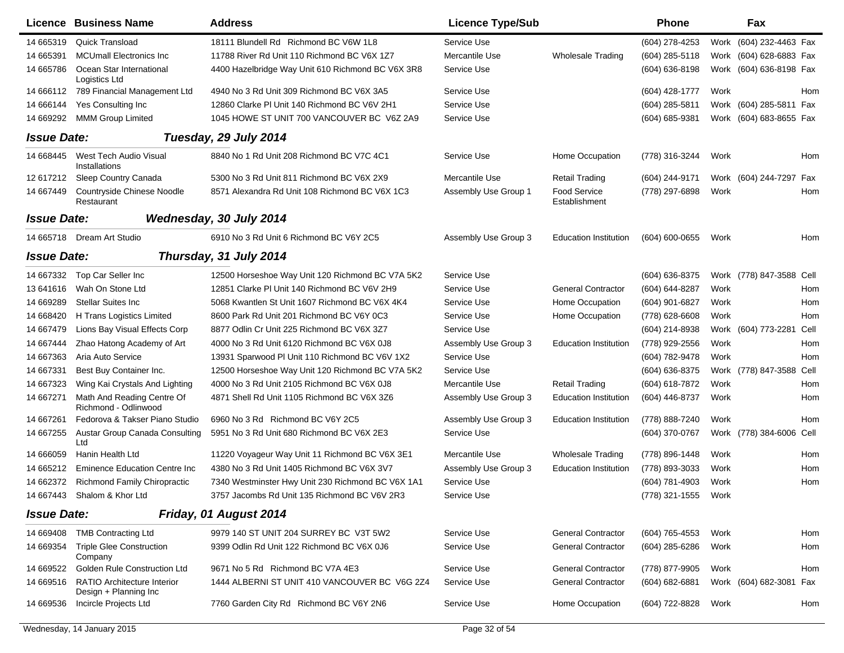|                    | Licence Business Name                                | <b>Address</b>                                    | <b>Licence Type/Sub</b> |                                      | <b>Phone</b>        |      | Fax                      |      |
|--------------------|------------------------------------------------------|---------------------------------------------------|-------------------------|--------------------------------------|---------------------|------|--------------------------|------|
| 14 665319          | <b>Quick Transload</b>                               | 18111 Blundell Rd Richmond BC V6W 1L8             | Service Use             |                                      | (604) 278-4253      | Work | (604) 232-4463 Fax       |      |
| 14 665391          | <b>MCUmall Electronics Inc</b>                       | 11788 River Rd Unit 110 Richmond BC V6X 1Z7       | Mercantile Use          | <b>Wholesale Trading</b>             | (604) 285-5118      |      | Work (604) 628-6883 Fax  |      |
| 14 665786          | Ocean Star International<br>Logistics Ltd            | 4400 Hazelbridge Way Unit 610 Richmond BC V6X 3R8 | Service Use             |                                      | (604) 636-8198      |      | Work (604) 636-8198 Fax  |      |
| 14 666112          | 789 Financial Management Ltd                         | 4940 No 3 Rd Unit 309 Richmond BC V6X 3A5         | Service Use             |                                      | $(604)$ 428-1777    | Work |                          | Hom  |
| 14 666144          | Yes Consulting Inc                                   | 12860 Clarke PI Unit 140 Richmond BC V6V 2H1      | Service Use             |                                      | $(604)$ 285-5811    |      | Work (604) 285-5811 Fax  |      |
| 14 669292          | <b>MMM Group Limited</b>                             | 1045 HOWE ST UNIT 700 VANCOUVER BC V6Z 2A9        | Service Use             |                                      | (604) 685-9381      |      | Work (604) 683-8655 Fax  |      |
| <b>Issue Date:</b> |                                                      | Tuesday, 29 July 2014                             |                         |                                      |                     |      |                          |      |
| 14 668445          | West Tech Audio Visual<br>Installations              | 8840 No 1 Rd Unit 208 Richmond BC V7C 4C1         | Service Use             | Home Occupation                      | (778) 316-3244      | Work |                          | Hom  |
| 12 617212          | Sleep Country Canada                                 | 5300 No 3 Rd Unit 811 Richmond BC V6X 2X9         | Mercantile Use          | <b>Retail Trading</b>                | (604) 244-9171      |      | Work (604) 244-7297      | Fax  |
| 14 667449          | Countryside Chinese Noodle<br>Restaurant             | 8571 Alexandra Rd Unit 108 Richmond BC V6X 1C3    | Assembly Use Group 1    | <b>Food Service</b><br>Establishment | (778) 297-6898      | Work |                          | Hom  |
| <b>Issue Date:</b> |                                                      | Wednesday, 30 July 2014                           |                         |                                      |                     |      |                          |      |
| 14 665718          | Dream Art Studio                                     | 6910 No 3 Rd Unit 6 Richmond BC V6Y 2C5           | Assembly Use Group 3    | <b>Education Institution</b>         | $(604) 600 - 0655$  | Work |                          | Hom  |
| <b>Issue Date:</b> |                                                      | Thursday, 31 July 2014                            |                         |                                      |                     |      |                          |      |
| 14 667332          | Top Car Seller Inc                                   | 12500 Horseshoe Way Unit 120 Richmond BC V7A 5K2  | Service Use             |                                      | (604) 636-8375      |      | Work (778) 847-3588 Cell |      |
| 13 641616          | Wah On Stone Ltd                                     | 12851 Clarke PI Unit 140 Richmond BC V6V 2H9      | Service Use             | <b>General Contractor</b>            | (604) 644-8287      | Work |                          | Hom  |
| 14 669289          | <b>Stellar Suites Inc.</b>                           | 5068 Kwantlen St Unit 1607 Richmond BC V6X 4K4    | Service Use             | Home Occupation                      | (604) 901-6827      | Work |                          | Hom  |
| 14 668420          | H Trans Logistics Limited                            | 8600 Park Rd Unit 201 Richmond BC V6Y 0C3         | Service Use             | Home Occupation                      | (778) 628-6608      | Work |                          | Hom  |
| 14 667479          | Lions Bay Visual Effects Corp                        | 8877 Odlin Cr Unit 225 Richmond BC V6X 3Z7        | Service Use             |                                      | (604) 214-8938      |      | Work (604) 773-2281      | Cell |
| 14 667444          | Zhao Hatong Academy of Art                           | 4000 No 3 Rd Unit 6120 Richmond BC V6X 0J8        | Assembly Use Group 3    | <b>Education Institution</b>         | (778) 929-2556      | Work |                          | Hom  |
| 14 667363          | Aria Auto Service                                    | 13931 Sparwood PI Unit 110 Richmond BC V6V 1X2    | Service Use             |                                      | (604) 782-9478      | Work |                          | Hom  |
| 14 667331          | Best Buy Container Inc.                              | 12500 Horseshoe Way Unit 120 Richmond BC V7A 5K2  | Service Use             |                                      | (604) 636-8375      |      | Work (778) 847-3588 Cell |      |
| 14 667323          | Wing Kai Crystals And Lighting                       | 4000 No 3 Rd Unit 2105 Richmond BC V6X 0J8        | Mercantile Use          | <b>Retail Trading</b>                | (604) 618-7872      | Work |                          | Hom  |
| 14 667271          | Math And Reading Centre Of<br>Richmond - Odlinwood   | 4871 Shell Rd Unit 1105 Richmond BC V6X 3Z6       | Assembly Use Group 3    | <b>Education Institution</b>         | (604) 446-8737      | Work |                          | Hom  |
| 14 667261          | Fedorova & Takser Piano Studio                       | 6960 No 3 Rd Richmond BC V6Y 2C5                  | Assembly Use Group 3    | <b>Education Institution</b>         | (778) 888-7240      | Work |                          | Hom  |
| 14 667255          | Austar Group Canada Consulting<br>Ltd                | 5951 No 3 Rd Unit 680 Richmond BC V6X 2E3         | Service Use             |                                      | (604) 370-0767      |      | Work (778) 384-6006 Cell |      |
| 14 666059          | Hanin Health Ltd                                     | 11220 Voyageur Way Unit 11 Richmond BC V6X 3E1    | Mercantile Use          | <b>Wholesale Trading</b>             | (778) 896-1448      | Work |                          | Hom  |
| 14 665212          | <b>Eminence Education Centre Inc.</b>                | 4380 No 3 Rd Unit 1405 Richmond BC V6X 3V7        | Assembly Use Group 3    | <b>Education Institution</b>         | (778) 893-3033      | Work |                          | Hom  |
| 14 662372          | <b>Richmond Family Chiropractic</b>                  | 7340 Westminster Hwy Unit 230 Richmond BC V6X 1A1 | Service Use             |                                      | (604) 781-4903      | Work |                          | Hom  |
|                    | 14 667443 Shalom & Khor Ltd                          | 3757 Jacombs Rd Unit 135 Richmond BC V6V 2R3      | Service Use             |                                      | (778) 321-1555 Work |      |                          |      |
| <b>Issue Date:</b> |                                                      | Friday, 01 August 2014                            |                         |                                      |                     |      |                          |      |
| 14 669408          | <b>TMB Contracting Ltd</b>                           | 9979 140 ST UNIT 204 SURREY BC V3T 5W2            | Service Use             | <b>General Contractor</b>            | (604) 765-4553      | Work |                          | Hom  |
| 14 669354          | <b>Triple Glee Construction</b><br>Company           | 9399 Odlin Rd Unit 122 Richmond BC V6X 0J6        | Service Use             | <b>General Contractor</b>            | (604) 285-6286      | Work |                          | Hom  |
| 14 669522          | <b>Golden Rule Construction Ltd</b>                  | 9671 No 5 Rd Richmond BC V7A 4E3                  | Service Use             | <b>General Contractor</b>            | (778) 877-9905      | Work |                          | Hom  |
| 14 669516          | RATIO Architecture Interior<br>Design + Planning Inc | 1444 ALBERNI ST UNIT 410 VANCOUVER BC V6G 2Z4     | Service Use             | <b>General Contractor</b>            | $(604)$ 682-6881    |      | Work (604) 682-3081 Fax  |      |
| 14 669536          | Incircle Projects Ltd                                | 7760 Garden City Rd Richmond BC V6Y 2N6           | Service Use             | Home Occupation                      | (604) 722-8828      | Work |                          | Hom  |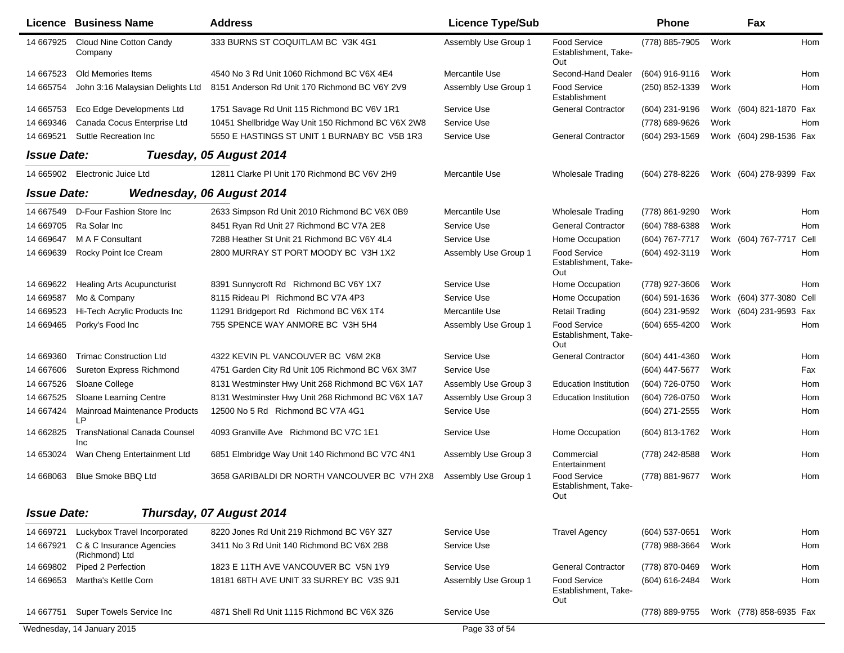|                    | <b>Licence Business Name</b>               | <b>Address</b>                                     | <b>Licence Type/Sub</b> |                                                    | <b>Phone</b>     |      | Fax                      |      |
|--------------------|--------------------------------------------|----------------------------------------------------|-------------------------|----------------------------------------------------|------------------|------|--------------------------|------|
| 14 667925          | Cloud Nine Cotton Candy<br>Company         | 333 BURNS ST COQUITLAM BC V3K 4G1                  | Assembly Use Group 1    | Food Service<br>Establishment, Take-<br>Out        | (778) 885-7905   | Work |                          | Hom  |
| 14 667523          | Old Memories Items                         | 4540 No 3 Rd Unit 1060 Richmond BC V6X 4E4         | Mercantile Use          | Second-Hand Dealer                                 | (604) 916-9116   | Work |                          | Hom  |
| 14 665754          | John 3:16 Malaysian Delights Ltd           | 8151 Anderson Rd Unit 170 Richmond BC V6Y 2V9      | Assembly Use Group 1    | Food Service<br>Establishment                      | (250) 852-1339   | Work |                          | Hom  |
| 14 665753          | Eco Edge Developments Ltd                  | 1751 Savage Rd Unit 115 Richmond BC V6V 1R1        | Service Use             | <b>General Contractor</b>                          | (604) 231-9196   |      | Work (604) 821-1870 Fax  |      |
| 14 669346          | Canada Cocus Enterprise Ltd                | 10451 Shellbridge Way Unit 150 Richmond BC V6X 2W8 | Service Use             |                                                    | (778) 689-9626   | Work |                          | Hom  |
| 14 669521          | Suttle Recreation Inc.                     | 5550 E HASTINGS ST UNIT 1 BURNABY BC V5B 1R3       | Service Use             | <b>General Contractor</b>                          | (604) 293-1569   |      | Work (604) 298-1536 Fax  |      |
| <b>Issue Date:</b> |                                            | Tuesday, 05 August 2014                            |                         |                                                    |                  |      |                          |      |
| 14 665902          | Electronic Juice Ltd                       | 12811 Clarke PI Unit 170 Richmond BC V6V 2H9       | Mercantile Use          | <b>Wholesale Trading</b>                           | (604) 278-8226   |      | Work (604) 278-9399 Fax  |      |
| <b>Issue Date:</b> |                                            | <b>Wednesday, 06 August 2014</b>                   |                         |                                                    |                  |      |                          |      |
| 14 667549          | D-Four Fashion Store Inc                   | 2633 Simpson Rd Unit 2010 Richmond BC V6X 0B9      | Mercantile Use          | Wholesale Trading                                  | (778) 861-9290   | Work |                          | Hom  |
| 14 669705          | Ra Solar Inc                               | 8451 Ryan Rd Unit 27 Richmond BC V7A 2E8           | Service Use             | <b>General Contractor</b>                          | (604) 788-6388   | Work |                          | Hom  |
| 14 669647          | M A F Consultant                           | 7288 Heather St Unit 21 Richmond BC V6Y 4L4        | Service Use             | Home Occupation                                    | (604) 767-7717   |      | Work (604) 767-7717      | Cell |
| 14 669639          | Rocky Point Ice Cream                      | 2800 MURRAY ST PORT MOODY BC V3H 1X2               | Assembly Use Group 1    | Food Service                                       | (604) 492-3119   | Work |                          | Hom  |
|                    |                                            |                                                    |                         | Establishment, Take-<br>Out                        |                  |      |                          |      |
| 14 669622          | <b>Healing Arts Acupuncturist</b>          | 8391 Sunnycroft Rd Richmond BC V6Y 1X7             | Service Use             | Home Occupation                                    | (778) 927-3606   | Work |                          | Hom  |
| 14 669587          | Mo & Company                               | 8115 Rideau PI Richmond BC V7A 4P3                 | Service Use             | Home Occupation                                    | $(604)$ 591-1636 |      | Work (604) 377-3080 Cell |      |
| 14 669523          | Hi-Tech Acrylic Products Inc               | 11291 Bridgeport Rd Richmond BC V6X 1T4            | Mercantile Use          | <b>Retail Trading</b>                              | (604) 231-9592   |      | Work (604) 231-9593 Fax  |      |
| 14 669465          | Porky's Food Inc                           | 755 SPENCE WAY ANMORE BC V3H 5H4                   | Assembly Use Group 1    | <b>Food Service</b><br>Establishment, Take-<br>Out | (604) 655-4200   | Work |                          | Hom  |
| 14 669360          | <b>Trimac Construction Ltd</b>             | 4322 KEVIN PL VANCOUVER BC V6M 2K8                 | Service Use             | <b>General Contractor</b>                          | (604) 441-4360   | Work |                          | Hom  |
| 14 667606          | Sureton Express Richmond                   | 4751 Garden City Rd Unit 105 Richmond BC V6X 3M7   | Service Use             |                                                    | (604) 447-5677   | Work |                          | Fax  |
| 14 667526          | Sloane College                             | 8131 Westminster Hwy Unit 268 Richmond BC V6X 1A7  | Assembly Use Group 3    | <b>Education Institution</b>                       | (604) 726-0750   | Work |                          | Hom  |
| 14 667525          | Sloane Learning Centre                     | 8131 Westminster Hwy Unit 268 Richmond BC V6X 1A7  | Assembly Use Group 3    | <b>Education Institution</b>                       | (604) 726-0750   | Work |                          | Hom  |
| 14 667424          | <b>Mainroad Maintenance Products</b><br>LP | 12500 No 5 Rd Richmond BC V7A 4G1                  | Service Use             |                                                    | (604) 271-2555   | Work |                          | Hom  |
| 14 662825          | <b>TransNational Canada Counsel</b><br>Inc | 4093 Granville Ave Richmond BC V7C 1E1             | Service Use             | Home Occupation                                    | (604) 813-1762   | Work |                          | Hom  |
| 14 653024          | Wan Cheng Entertainment Ltd                | 6851 Elmbridge Way Unit 140 Richmond BC V7C 4N1    | Assembly Use Group 3    | Commercial<br>Entertainment                        | (778) 242-8588   | Work |                          | Hom  |
| 14 668063          | <b>Blue Smoke BBQ Ltd</b>                  | 3658 GARIBALDI DR NORTH VANCOUVER BC V7H 2X8       | Assembly Use Group 1    | <b>Food Service</b><br>Establishment, Take-<br>Out | (778) 881-9677   | Work |                          | Hom  |
| <b>Issue Date:</b> |                                            | Thursday, 07 August 2014                           |                         |                                                    |                  |      |                          |      |
| 14 669721          | Luckybox Travel Incorporated               | 8220 Jones Rd Unit 219 Richmond BC V6Y 3Z7         | Service Use             | <b>Travel Agency</b>                               | (604) 537-0651   | Work |                          | Hom  |
| 14 667921          | C & C Insurance Agencies                   | 3411 No 3 Rd Unit 140 Richmond BC V6X 2B8          | Service Use             |                                                    | (778) 988-3664   | Work |                          | Hom  |
| 14 669802          | (Richmond) Ltd<br>Piped 2 Perfection       | 1823 E 11TH AVE VANCOUVER BC V5N 1Y9               | Service Use             | <b>General Contractor</b>                          | (778) 870-0469   | Work |                          | Hom  |
| 14 669653          | Martha's Kettle Corn                       | 18181 68TH AVE UNIT 33 SURREY BC V3S 9J1           | Assembly Use Group 1    | <b>Food Service</b>                                | (604) 616-2484   | Work |                          | Hom  |
|                    |                                            |                                                    |                         | Establishment, Take-<br>Out                        |                  |      |                          |      |
| 14 667751          | Super Towels Service Inc                   | 4871 Shell Rd Unit 1115 Richmond BC V6X 3Z6        | Service Use             |                                                    | (778) 889-9755   |      | Work (778) 858-6935 Fax  |      |
|                    | Wednesday, 14 January 2015                 |                                                    | Page 33 of 54           |                                                    |                  |      |                          |      |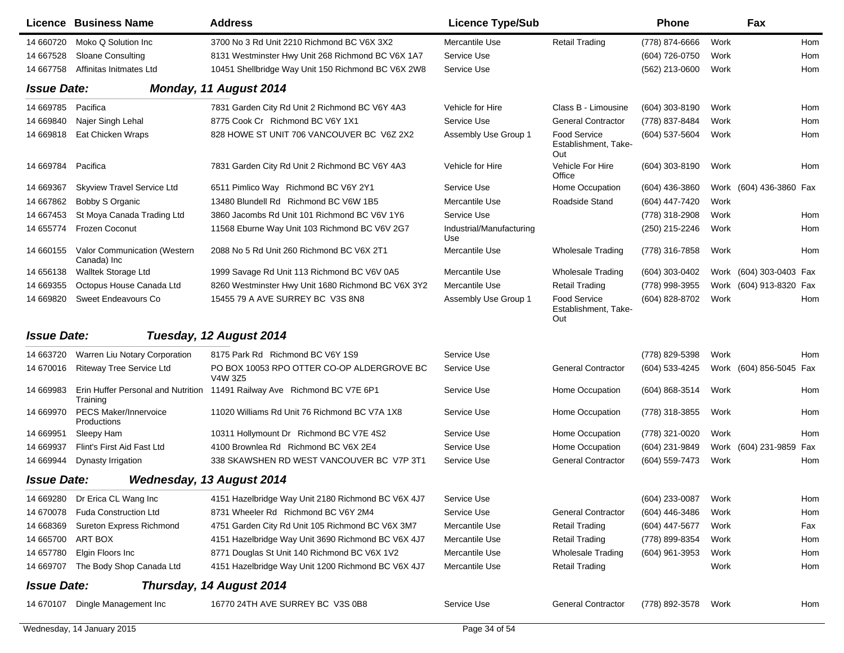| 14 660720<br>Moko Q Solution Inc<br>3700 No 3 Rd Unit 2210 Richmond BC V6X 3X2<br>Mercantile Use<br><b>Retail Trading</b><br>(778) 874-6666<br>Work<br>Hom<br>Service Use<br>14 667528<br><b>Sloane Consulting</b><br>8131 Westminster Hwy Unit 268 Richmond BC V6X 1A7<br>(604) 726-0750<br>Work<br>Hom<br>Affinitas Initmates Ltd<br>10451 Shellbridge Way Unit 150 Richmond BC V6X 2W8<br>Service Use<br>(562) 213-0600<br>Work<br>Hom<br>14 667758<br><b>Issue Date:</b><br>Monday, 11 August 2014<br>14 669785<br>Pacifica<br>7831 Garden City Rd Unit 2 Richmond BC V6Y 4A3<br>Vehicle for Hire<br>Class B - Limousine<br>(604) 303-8190<br>Work<br>Hom<br>8775 Cook Cr Richmond BC V6Y 1X1<br><b>General Contractor</b><br>14 669840<br>Najer Singh Lehal<br>Service Use<br>(778) 837-8484<br>Hom<br>Work<br>828 HOWE ST UNIT 706 VANCOUVER BC V6Z 2X2<br><b>Food Service</b><br>14 669818<br>Eat Chicken Wraps<br>Assembly Use Group 1<br>(604) 537-5604<br>Work<br>Hom<br>Establishment, Take-<br>Out<br>Vehicle For Hire<br>14 669784<br>Pacifica<br>7831 Garden City Rd Unit 2 Richmond BC V6Y 4A3<br>Vehicle for Hire<br>(604) 303-8190<br>Work<br>Hom<br>Office<br><b>Skyview Travel Service Ltd</b><br>6511 Pimlico Way Richmond BC V6Y 2Y1<br>Service Use<br>Home Occupation<br>Work (604) 436-3860 Fax<br>14 669367<br>$(604)$ 436-3860<br>Roadside Stand<br>14 667862<br>Bobby S Organic<br>13480 Blundell Rd Richmond BC V6W 1B5<br>Mercantile Use<br>(604) 447-7420<br>Work<br>Service Use<br>14 667453<br>St Moya Canada Trading Ltd<br>3860 Jacombs Rd Unit 101 Richmond BC V6V 1Y6<br>(778) 318-2908<br>Work<br>Hom<br>14 655774<br>Frozen Coconut<br>11568 Eburne Way Unit 103 Richmond BC V6V 2G7<br>Industrial/Manufacturing<br>(250) 215-2246<br>Hom<br>Work<br>Use<br>Valor Communication (Western<br>2088 No 5 Rd Unit 260 Richmond BC V6X 2T1<br>Mercantile Use<br>(778) 316-7858<br>Hom<br>14 660155<br><b>Wholesale Trading</b><br>Work<br>Canada) Inc<br>14 656138<br>Walltek Storage Ltd<br>1999 Savage Rd Unit 113 Richmond BC V6V 0A5<br>Mercantile Use<br>(604) 303-0402<br>Work (604) 303-0403 Fax<br>Wholesale Trading<br>14 669355<br>Octopus House Canada Ltd<br>8260 Westminster Hwy Unit 1680 Richmond BC V6X 3Y2<br>Mercantile Use<br><b>Retail Trading</b><br>(778) 998-3955<br>Work (604) 913-8320 Fax<br>Sweet Endeavours Co.<br>15455 79 A AVE SURREY BC V3S 8N8<br>Food Service<br>14 669820<br>Assembly Use Group 1<br>(604) 828-8702<br>Work<br>Hom<br>Establishment, Take-<br>Out<br><b>Issue Date:</b><br>Tuesday, 12 August 2014<br>14 663720<br>Warren Liu Notary Corporation<br>8175 Park Rd Richmond BC V6Y 1S9<br>Service Use<br>(778) 829-5398<br>Work<br>Hom<br>PO BOX 10053 RPO OTTER CO-OP ALDERGROVE BC<br>(604) 533-4245<br>14 670016<br><b>Riteway Tree Service Ltd</b><br>Service Use<br><b>General Contractor</b><br>Work (604) 856-5045 Fax<br>V4W 3Z5<br>14 669983<br>Erin Huffer Personal and Nutrition 11491 Railway Ave Richmond BC V7E 6P1<br>Service Use<br>Home Occupation<br>(604) 868-3514<br>Work<br>Hom<br>Training<br><b>PECS Maker/Innervoice</b><br>14 669970<br>11020 Williams Rd Unit 76 Richmond BC V7A 1X8<br>Service Use<br>Home Occupation<br>(778) 318-3855<br>Work<br>Hom<br>Productions<br>14 669951<br>10311 Hollymount Dr Richmond BC V7E 4S2<br>Service Use<br>Home Occupation<br>(778) 321-0020<br>Work<br>Hom<br>Sleepy Ham<br>4100 Brownlea Rd Richmond BC V6X 2E4<br>14 669937<br>Flint's First Aid Fast Ltd<br>Service Use<br>Home Occupation<br>(604) 231-9849<br>Work (604) 231-9859 Fax<br>338 SKAWSHEN RD WEST VANCOUVER BC V7P 3T1<br>14 669944<br>Service Use<br><b>General Contractor</b><br>(604) 559-7473<br>Work<br>Dynasty Irrigation<br>Hom<br><b>Issue Date:</b><br><b>Wednesday, 13 August 2014</b><br>Dr Erica CL Wang Inc<br>4151 Hazelbridge Way Unit 2180 Richmond BC V6X 4J7<br>(604) 233-0087<br>Service Use<br>Work<br>Hom<br>14 669280<br><b>Fuda Construction Ltd</b><br>8731 Wheeler Rd Richmond BC V6Y 2M4<br>Service Use<br>(604) 446-3486<br>14 670078<br><b>General Contractor</b><br>Work<br>Hom<br>Sureton Express Richmond<br>4751 Garden City Rd Unit 105 Richmond BC V6X 3M7<br>14 668369<br>Mercantile Use<br><b>Retail Trading</b><br>(604) 447-5677<br>Work<br>Fax<br>14 665700<br>ART BOX<br>Mercantile Use<br><b>Retail Trading</b><br>4151 Hazelbridge Way Unit 3690 Richmond BC V6X 4J7<br>(778) 899-8354<br>Work<br>Hom<br>Elgin Floors Inc<br>8771 Douglas St Unit 140 Richmond BC V6X 1V2<br>Mercantile Use<br><b>Wholesale Trading</b><br>(604) 961-3953<br>14 657780<br>Work<br>Hom<br>14 669707<br>The Body Shop Canada Ltd<br>4151 Hazelbridge Way Unit 1200 Richmond BC V6X 4J7<br>Mercantile Use<br><b>Retail Trading</b><br>Work<br>Hom<br><b>Issue Date:</b><br>Thursday, 14 August 2014<br>14 670107 Dingle Management Inc<br>16770 24TH AVE SURREY BC V3S 0B8<br>Service Use<br><b>General Contractor</b><br>(778) 892-3578<br>Work<br>Hom | Licence Business Name | <b>Address</b> | <b>Licence Type/Sub</b> | <b>Phone</b> | Fax |  |
|---------------------------------------------------------------------------------------------------------------------------------------------------------------------------------------------------------------------------------------------------------------------------------------------------------------------------------------------------------------------------------------------------------------------------------------------------------------------------------------------------------------------------------------------------------------------------------------------------------------------------------------------------------------------------------------------------------------------------------------------------------------------------------------------------------------------------------------------------------------------------------------------------------------------------------------------------------------------------------------------------------------------------------------------------------------------------------------------------------------------------------------------------------------------------------------------------------------------------------------------------------------------------------------------------------------------------------------------------------------------------------------------------------------------------------------------------------------------------------------------------------------------------------------------------------------------------------------------------------------------------------------------------------------------------------------------------------------------------------------------------------------------------------------------------------------------------------------------------------------------------------------------------------------------------------------------------------------------------------------------------------------------------------------------------------------------------------------------------------------------------------------------------------------------------------------------------------------------------------------------------------------------------------------------------------------------------------------------------------------------------------------------------------------------------------------------------------------------------------------------------------------------------------------------------------------------------------------------------------------------------------------------------------------------------------------------------------------------------------------------------------------------------------------------------------------------------------------------------------------------------------------------------------------------------------------------------------------------------------------------------------------------------------------------------------------------------------------------------------------------------------------------------------------------------------------------------------------------------------------------------------------------------------------------------------------------------------------------------------------------------------------------------------------------------------------------------------------------------------------------------------------------------------------------------------------------------------------------------------------------------------------------------------------------------------------------------------------------------------------------------------------------------------------------------------------------------------------------------------------------------------------------------------------------------------------------------------------------------------------------------------------------------------------------------------------------------------------------------------------------------------------------------------------------------------------------------------------------------------------------------------------------------------------------------------------------------------------------------------------------------------------------------------------------------------------------------------------------------------------------------------------------------------------------------------------------------------------------------------------------------------------------------------------------------------------------------------------------------------------------------------------------------------------------------------------------------------------------------------------------------------------------------------------------------------------------------------------------------------------------------|-----------------------|----------------|-------------------------|--------------|-----|--|
|                                                                                                                                                                                                                                                                                                                                                                                                                                                                                                                                                                                                                                                                                                                                                                                                                                                                                                                                                                                                                                                                                                                                                                                                                                                                                                                                                                                                                                                                                                                                                                                                                                                                                                                                                                                                                                                                                                                                                                                                                                                                                                                                                                                                                                                                                                                                                                                                                                                                                                                                                                                                                                                                                                                                                                                                                                                                                                                                                                                                                                                                                                                                                                                                                                                                                                                                                                                                                                                                                                                                                                                                                                                                                                                                                                                                                                                                                                                                                                                                                                                                                                                                                                                                                                                                                                                                                                                                                                                                                                                                                                                                                                                                                                                                                                                                                                                                                                                                                                                                   |                       |                |                         |              |     |  |
|                                                                                                                                                                                                                                                                                                                                                                                                                                                                                                                                                                                                                                                                                                                                                                                                                                                                                                                                                                                                                                                                                                                                                                                                                                                                                                                                                                                                                                                                                                                                                                                                                                                                                                                                                                                                                                                                                                                                                                                                                                                                                                                                                                                                                                                                                                                                                                                                                                                                                                                                                                                                                                                                                                                                                                                                                                                                                                                                                                                                                                                                                                                                                                                                                                                                                                                                                                                                                                                                                                                                                                                                                                                                                                                                                                                                                                                                                                                                                                                                                                                                                                                                                                                                                                                                                                                                                                                                                                                                                                                                                                                                                                                                                                                                                                                                                                                                                                                                                                                                   |                       |                |                         |              |     |  |
|                                                                                                                                                                                                                                                                                                                                                                                                                                                                                                                                                                                                                                                                                                                                                                                                                                                                                                                                                                                                                                                                                                                                                                                                                                                                                                                                                                                                                                                                                                                                                                                                                                                                                                                                                                                                                                                                                                                                                                                                                                                                                                                                                                                                                                                                                                                                                                                                                                                                                                                                                                                                                                                                                                                                                                                                                                                                                                                                                                                                                                                                                                                                                                                                                                                                                                                                                                                                                                                                                                                                                                                                                                                                                                                                                                                                                                                                                                                                                                                                                                                                                                                                                                                                                                                                                                                                                                                                                                                                                                                                                                                                                                                                                                                                                                                                                                                                                                                                                                                                   |                       |                |                         |              |     |  |
|                                                                                                                                                                                                                                                                                                                                                                                                                                                                                                                                                                                                                                                                                                                                                                                                                                                                                                                                                                                                                                                                                                                                                                                                                                                                                                                                                                                                                                                                                                                                                                                                                                                                                                                                                                                                                                                                                                                                                                                                                                                                                                                                                                                                                                                                                                                                                                                                                                                                                                                                                                                                                                                                                                                                                                                                                                                                                                                                                                                                                                                                                                                                                                                                                                                                                                                                                                                                                                                                                                                                                                                                                                                                                                                                                                                                                                                                                                                                                                                                                                                                                                                                                                                                                                                                                                                                                                                                                                                                                                                                                                                                                                                                                                                                                                                                                                                                                                                                                                                                   |                       |                |                         |              |     |  |
|                                                                                                                                                                                                                                                                                                                                                                                                                                                                                                                                                                                                                                                                                                                                                                                                                                                                                                                                                                                                                                                                                                                                                                                                                                                                                                                                                                                                                                                                                                                                                                                                                                                                                                                                                                                                                                                                                                                                                                                                                                                                                                                                                                                                                                                                                                                                                                                                                                                                                                                                                                                                                                                                                                                                                                                                                                                                                                                                                                                                                                                                                                                                                                                                                                                                                                                                                                                                                                                                                                                                                                                                                                                                                                                                                                                                                                                                                                                                                                                                                                                                                                                                                                                                                                                                                                                                                                                                                                                                                                                                                                                                                                                                                                                                                                                                                                                                                                                                                                                                   |                       |                |                         |              |     |  |
|                                                                                                                                                                                                                                                                                                                                                                                                                                                                                                                                                                                                                                                                                                                                                                                                                                                                                                                                                                                                                                                                                                                                                                                                                                                                                                                                                                                                                                                                                                                                                                                                                                                                                                                                                                                                                                                                                                                                                                                                                                                                                                                                                                                                                                                                                                                                                                                                                                                                                                                                                                                                                                                                                                                                                                                                                                                                                                                                                                                                                                                                                                                                                                                                                                                                                                                                                                                                                                                                                                                                                                                                                                                                                                                                                                                                                                                                                                                                                                                                                                                                                                                                                                                                                                                                                                                                                                                                                                                                                                                                                                                                                                                                                                                                                                                                                                                                                                                                                                                                   |                       |                |                         |              |     |  |
|                                                                                                                                                                                                                                                                                                                                                                                                                                                                                                                                                                                                                                                                                                                                                                                                                                                                                                                                                                                                                                                                                                                                                                                                                                                                                                                                                                                                                                                                                                                                                                                                                                                                                                                                                                                                                                                                                                                                                                                                                                                                                                                                                                                                                                                                                                                                                                                                                                                                                                                                                                                                                                                                                                                                                                                                                                                                                                                                                                                                                                                                                                                                                                                                                                                                                                                                                                                                                                                                                                                                                                                                                                                                                                                                                                                                                                                                                                                                                                                                                                                                                                                                                                                                                                                                                                                                                                                                                                                                                                                                                                                                                                                                                                                                                                                                                                                                                                                                                                                                   |                       |                |                         |              |     |  |
|                                                                                                                                                                                                                                                                                                                                                                                                                                                                                                                                                                                                                                                                                                                                                                                                                                                                                                                                                                                                                                                                                                                                                                                                                                                                                                                                                                                                                                                                                                                                                                                                                                                                                                                                                                                                                                                                                                                                                                                                                                                                                                                                                                                                                                                                                                                                                                                                                                                                                                                                                                                                                                                                                                                                                                                                                                                                                                                                                                                                                                                                                                                                                                                                                                                                                                                                                                                                                                                                                                                                                                                                                                                                                                                                                                                                                                                                                                                                                                                                                                                                                                                                                                                                                                                                                                                                                                                                                                                                                                                                                                                                                                                                                                                                                                                                                                                                                                                                                                                                   |                       |                |                         |              |     |  |
|                                                                                                                                                                                                                                                                                                                                                                                                                                                                                                                                                                                                                                                                                                                                                                                                                                                                                                                                                                                                                                                                                                                                                                                                                                                                                                                                                                                                                                                                                                                                                                                                                                                                                                                                                                                                                                                                                                                                                                                                                                                                                                                                                                                                                                                                                                                                                                                                                                                                                                                                                                                                                                                                                                                                                                                                                                                                                                                                                                                                                                                                                                                                                                                                                                                                                                                                                                                                                                                                                                                                                                                                                                                                                                                                                                                                                                                                                                                                                                                                                                                                                                                                                                                                                                                                                                                                                                                                                                                                                                                                                                                                                                                                                                                                                                                                                                                                                                                                                                                                   |                       |                |                         |              |     |  |
|                                                                                                                                                                                                                                                                                                                                                                                                                                                                                                                                                                                                                                                                                                                                                                                                                                                                                                                                                                                                                                                                                                                                                                                                                                                                                                                                                                                                                                                                                                                                                                                                                                                                                                                                                                                                                                                                                                                                                                                                                                                                                                                                                                                                                                                                                                                                                                                                                                                                                                                                                                                                                                                                                                                                                                                                                                                                                                                                                                                                                                                                                                                                                                                                                                                                                                                                                                                                                                                                                                                                                                                                                                                                                                                                                                                                                                                                                                                                                                                                                                                                                                                                                                                                                                                                                                                                                                                                                                                                                                                                                                                                                                                                                                                                                                                                                                                                                                                                                                                                   |                       |                |                         |              |     |  |
|                                                                                                                                                                                                                                                                                                                                                                                                                                                                                                                                                                                                                                                                                                                                                                                                                                                                                                                                                                                                                                                                                                                                                                                                                                                                                                                                                                                                                                                                                                                                                                                                                                                                                                                                                                                                                                                                                                                                                                                                                                                                                                                                                                                                                                                                                                                                                                                                                                                                                                                                                                                                                                                                                                                                                                                                                                                                                                                                                                                                                                                                                                                                                                                                                                                                                                                                                                                                                                                                                                                                                                                                                                                                                                                                                                                                                                                                                                                                                                                                                                                                                                                                                                                                                                                                                                                                                                                                                                                                                                                                                                                                                                                                                                                                                                                                                                                                                                                                                                                                   |                       |                |                         |              |     |  |
|                                                                                                                                                                                                                                                                                                                                                                                                                                                                                                                                                                                                                                                                                                                                                                                                                                                                                                                                                                                                                                                                                                                                                                                                                                                                                                                                                                                                                                                                                                                                                                                                                                                                                                                                                                                                                                                                                                                                                                                                                                                                                                                                                                                                                                                                                                                                                                                                                                                                                                                                                                                                                                                                                                                                                                                                                                                                                                                                                                                                                                                                                                                                                                                                                                                                                                                                                                                                                                                                                                                                                                                                                                                                                                                                                                                                                                                                                                                                                                                                                                                                                                                                                                                                                                                                                                                                                                                                                                                                                                                                                                                                                                                                                                                                                                                                                                                                                                                                                                                                   |                       |                |                         |              |     |  |
|                                                                                                                                                                                                                                                                                                                                                                                                                                                                                                                                                                                                                                                                                                                                                                                                                                                                                                                                                                                                                                                                                                                                                                                                                                                                                                                                                                                                                                                                                                                                                                                                                                                                                                                                                                                                                                                                                                                                                                                                                                                                                                                                                                                                                                                                                                                                                                                                                                                                                                                                                                                                                                                                                                                                                                                                                                                                                                                                                                                                                                                                                                                                                                                                                                                                                                                                                                                                                                                                                                                                                                                                                                                                                                                                                                                                                                                                                                                                                                                                                                                                                                                                                                                                                                                                                                                                                                                                                                                                                                                                                                                                                                                                                                                                                                                                                                                                                                                                                                                                   |                       |                |                         |              |     |  |
|                                                                                                                                                                                                                                                                                                                                                                                                                                                                                                                                                                                                                                                                                                                                                                                                                                                                                                                                                                                                                                                                                                                                                                                                                                                                                                                                                                                                                                                                                                                                                                                                                                                                                                                                                                                                                                                                                                                                                                                                                                                                                                                                                                                                                                                                                                                                                                                                                                                                                                                                                                                                                                                                                                                                                                                                                                                                                                                                                                                                                                                                                                                                                                                                                                                                                                                                                                                                                                                                                                                                                                                                                                                                                                                                                                                                                                                                                                                                                                                                                                                                                                                                                                                                                                                                                                                                                                                                                                                                                                                                                                                                                                                                                                                                                                                                                                                                                                                                                                                                   |                       |                |                         |              |     |  |
|                                                                                                                                                                                                                                                                                                                                                                                                                                                                                                                                                                                                                                                                                                                                                                                                                                                                                                                                                                                                                                                                                                                                                                                                                                                                                                                                                                                                                                                                                                                                                                                                                                                                                                                                                                                                                                                                                                                                                                                                                                                                                                                                                                                                                                                                                                                                                                                                                                                                                                                                                                                                                                                                                                                                                                                                                                                                                                                                                                                                                                                                                                                                                                                                                                                                                                                                                                                                                                                                                                                                                                                                                                                                                                                                                                                                                                                                                                                                                                                                                                                                                                                                                                                                                                                                                                                                                                                                                                                                                                                                                                                                                                                                                                                                                                                                                                                                                                                                                                                                   |                       |                |                         |              |     |  |
|                                                                                                                                                                                                                                                                                                                                                                                                                                                                                                                                                                                                                                                                                                                                                                                                                                                                                                                                                                                                                                                                                                                                                                                                                                                                                                                                                                                                                                                                                                                                                                                                                                                                                                                                                                                                                                                                                                                                                                                                                                                                                                                                                                                                                                                                                                                                                                                                                                                                                                                                                                                                                                                                                                                                                                                                                                                                                                                                                                                                                                                                                                                                                                                                                                                                                                                                                                                                                                                                                                                                                                                                                                                                                                                                                                                                                                                                                                                                                                                                                                                                                                                                                                                                                                                                                                                                                                                                                                                                                                                                                                                                                                                                                                                                                                                                                                                                                                                                                                                                   |                       |                |                         |              |     |  |
|                                                                                                                                                                                                                                                                                                                                                                                                                                                                                                                                                                                                                                                                                                                                                                                                                                                                                                                                                                                                                                                                                                                                                                                                                                                                                                                                                                                                                                                                                                                                                                                                                                                                                                                                                                                                                                                                                                                                                                                                                                                                                                                                                                                                                                                                                                                                                                                                                                                                                                                                                                                                                                                                                                                                                                                                                                                                                                                                                                                                                                                                                                                                                                                                                                                                                                                                                                                                                                                                                                                                                                                                                                                                                                                                                                                                                                                                                                                                                                                                                                                                                                                                                                                                                                                                                                                                                                                                                                                                                                                                                                                                                                                                                                                                                                                                                                                                                                                                                                                                   |                       |                |                         |              |     |  |
|                                                                                                                                                                                                                                                                                                                                                                                                                                                                                                                                                                                                                                                                                                                                                                                                                                                                                                                                                                                                                                                                                                                                                                                                                                                                                                                                                                                                                                                                                                                                                                                                                                                                                                                                                                                                                                                                                                                                                                                                                                                                                                                                                                                                                                                                                                                                                                                                                                                                                                                                                                                                                                                                                                                                                                                                                                                                                                                                                                                                                                                                                                                                                                                                                                                                                                                                                                                                                                                                                                                                                                                                                                                                                                                                                                                                                                                                                                                                                                                                                                                                                                                                                                                                                                                                                                                                                                                                                                                                                                                                                                                                                                                                                                                                                                                                                                                                                                                                                                                                   |                       |                |                         |              |     |  |
|                                                                                                                                                                                                                                                                                                                                                                                                                                                                                                                                                                                                                                                                                                                                                                                                                                                                                                                                                                                                                                                                                                                                                                                                                                                                                                                                                                                                                                                                                                                                                                                                                                                                                                                                                                                                                                                                                                                                                                                                                                                                                                                                                                                                                                                                                                                                                                                                                                                                                                                                                                                                                                                                                                                                                                                                                                                                                                                                                                                                                                                                                                                                                                                                                                                                                                                                                                                                                                                                                                                                                                                                                                                                                                                                                                                                                                                                                                                                                                                                                                                                                                                                                                                                                                                                                                                                                                                                                                                                                                                                                                                                                                                                                                                                                                                                                                                                                                                                                                                                   |                       |                |                         |              |     |  |
|                                                                                                                                                                                                                                                                                                                                                                                                                                                                                                                                                                                                                                                                                                                                                                                                                                                                                                                                                                                                                                                                                                                                                                                                                                                                                                                                                                                                                                                                                                                                                                                                                                                                                                                                                                                                                                                                                                                                                                                                                                                                                                                                                                                                                                                                                                                                                                                                                                                                                                                                                                                                                                                                                                                                                                                                                                                                                                                                                                                                                                                                                                                                                                                                                                                                                                                                                                                                                                                                                                                                                                                                                                                                                                                                                                                                                                                                                                                                                                                                                                                                                                                                                                                                                                                                                                                                                                                                                                                                                                                                                                                                                                                                                                                                                                                                                                                                                                                                                                                                   |                       |                |                         |              |     |  |
|                                                                                                                                                                                                                                                                                                                                                                                                                                                                                                                                                                                                                                                                                                                                                                                                                                                                                                                                                                                                                                                                                                                                                                                                                                                                                                                                                                                                                                                                                                                                                                                                                                                                                                                                                                                                                                                                                                                                                                                                                                                                                                                                                                                                                                                                                                                                                                                                                                                                                                                                                                                                                                                                                                                                                                                                                                                                                                                                                                                                                                                                                                                                                                                                                                                                                                                                                                                                                                                                                                                                                                                                                                                                                                                                                                                                                                                                                                                                                                                                                                                                                                                                                                                                                                                                                                                                                                                                                                                                                                                                                                                                                                                                                                                                                                                                                                                                                                                                                                                                   |                       |                |                         |              |     |  |
|                                                                                                                                                                                                                                                                                                                                                                                                                                                                                                                                                                                                                                                                                                                                                                                                                                                                                                                                                                                                                                                                                                                                                                                                                                                                                                                                                                                                                                                                                                                                                                                                                                                                                                                                                                                                                                                                                                                                                                                                                                                                                                                                                                                                                                                                                                                                                                                                                                                                                                                                                                                                                                                                                                                                                                                                                                                                                                                                                                                                                                                                                                                                                                                                                                                                                                                                                                                                                                                                                                                                                                                                                                                                                                                                                                                                                                                                                                                                                                                                                                                                                                                                                                                                                                                                                                                                                                                                                                                                                                                                                                                                                                                                                                                                                                                                                                                                                                                                                                                                   |                       |                |                         |              |     |  |
|                                                                                                                                                                                                                                                                                                                                                                                                                                                                                                                                                                                                                                                                                                                                                                                                                                                                                                                                                                                                                                                                                                                                                                                                                                                                                                                                                                                                                                                                                                                                                                                                                                                                                                                                                                                                                                                                                                                                                                                                                                                                                                                                                                                                                                                                                                                                                                                                                                                                                                                                                                                                                                                                                                                                                                                                                                                                                                                                                                                                                                                                                                                                                                                                                                                                                                                                                                                                                                                                                                                                                                                                                                                                                                                                                                                                                                                                                                                                                                                                                                                                                                                                                                                                                                                                                                                                                                                                                                                                                                                                                                                                                                                                                                                                                                                                                                                                                                                                                                                                   |                       |                |                         |              |     |  |
|                                                                                                                                                                                                                                                                                                                                                                                                                                                                                                                                                                                                                                                                                                                                                                                                                                                                                                                                                                                                                                                                                                                                                                                                                                                                                                                                                                                                                                                                                                                                                                                                                                                                                                                                                                                                                                                                                                                                                                                                                                                                                                                                                                                                                                                                                                                                                                                                                                                                                                                                                                                                                                                                                                                                                                                                                                                                                                                                                                                                                                                                                                                                                                                                                                                                                                                                                                                                                                                                                                                                                                                                                                                                                                                                                                                                                                                                                                                                                                                                                                                                                                                                                                                                                                                                                                                                                                                                                                                                                                                                                                                                                                                                                                                                                                                                                                                                                                                                                                                                   |                       |                |                         |              |     |  |
|                                                                                                                                                                                                                                                                                                                                                                                                                                                                                                                                                                                                                                                                                                                                                                                                                                                                                                                                                                                                                                                                                                                                                                                                                                                                                                                                                                                                                                                                                                                                                                                                                                                                                                                                                                                                                                                                                                                                                                                                                                                                                                                                                                                                                                                                                                                                                                                                                                                                                                                                                                                                                                                                                                                                                                                                                                                                                                                                                                                                                                                                                                                                                                                                                                                                                                                                                                                                                                                                                                                                                                                                                                                                                                                                                                                                                                                                                                                                                                                                                                                                                                                                                                                                                                                                                                                                                                                                                                                                                                                                                                                                                                                                                                                                                                                                                                                                                                                                                                                                   |                       |                |                         |              |     |  |
|                                                                                                                                                                                                                                                                                                                                                                                                                                                                                                                                                                                                                                                                                                                                                                                                                                                                                                                                                                                                                                                                                                                                                                                                                                                                                                                                                                                                                                                                                                                                                                                                                                                                                                                                                                                                                                                                                                                                                                                                                                                                                                                                                                                                                                                                                                                                                                                                                                                                                                                                                                                                                                                                                                                                                                                                                                                                                                                                                                                                                                                                                                                                                                                                                                                                                                                                                                                                                                                                                                                                                                                                                                                                                                                                                                                                                                                                                                                                                                                                                                                                                                                                                                                                                                                                                                                                                                                                                                                                                                                                                                                                                                                                                                                                                                                                                                                                                                                                                                                                   |                       |                |                         |              |     |  |
|                                                                                                                                                                                                                                                                                                                                                                                                                                                                                                                                                                                                                                                                                                                                                                                                                                                                                                                                                                                                                                                                                                                                                                                                                                                                                                                                                                                                                                                                                                                                                                                                                                                                                                                                                                                                                                                                                                                                                                                                                                                                                                                                                                                                                                                                                                                                                                                                                                                                                                                                                                                                                                                                                                                                                                                                                                                                                                                                                                                                                                                                                                                                                                                                                                                                                                                                                                                                                                                                                                                                                                                                                                                                                                                                                                                                                                                                                                                                                                                                                                                                                                                                                                                                                                                                                                                                                                                                                                                                                                                                                                                                                                                                                                                                                                                                                                                                                                                                                                                                   |                       |                |                         |              |     |  |
|                                                                                                                                                                                                                                                                                                                                                                                                                                                                                                                                                                                                                                                                                                                                                                                                                                                                                                                                                                                                                                                                                                                                                                                                                                                                                                                                                                                                                                                                                                                                                                                                                                                                                                                                                                                                                                                                                                                                                                                                                                                                                                                                                                                                                                                                                                                                                                                                                                                                                                                                                                                                                                                                                                                                                                                                                                                                                                                                                                                                                                                                                                                                                                                                                                                                                                                                                                                                                                                                                                                                                                                                                                                                                                                                                                                                                                                                                                                                                                                                                                                                                                                                                                                                                                                                                                                                                                                                                                                                                                                                                                                                                                                                                                                                                                                                                                                                                                                                                                                                   |                       |                |                         |              |     |  |
|                                                                                                                                                                                                                                                                                                                                                                                                                                                                                                                                                                                                                                                                                                                                                                                                                                                                                                                                                                                                                                                                                                                                                                                                                                                                                                                                                                                                                                                                                                                                                                                                                                                                                                                                                                                                                                                                                                                                                                                                                                                                                                                                                                                                                                                                                                                                                                                                                                                                                                                                                                                                                                                                                                                                                                                                                                                                                                                                                                                                                                                                                                                                                                                                                                                                                                                                                                                                                                                                                                                                                                                                                                                                                                                                                                                                                                                                                                                                                                                                                                                                                                                                                                                                                                                                                                                                                                                                                                                                                                                                                                                                                                                                                                                                                                                                                                                                                                                                                                                                   |                       |                |                         |              |     |  |
|                                                                                                                                                                                                                                                                                                                                                                                                                                                                                                                                                                                                                                                                                                                                                                                                                                                                                                                                                                                                                                                                                                                                                                                                                                                                                                                                                                                                                                                                                                                                                                                                                                                                                                                                                                                                                                                                                                                                                                                                                                                                                                                                                                                                                                                                                                                                                                                                                                                                                                                                                                                                                                                                                                                                                                                                                                                                                                                                                                                                                                                                                                                                                                                                                                                                                                                                                                                                                                                                                                                                                                                                                                                                                                                                                                                                                                                                                                                                                                                                                                                                                                                                                                                                                                                                                                                                                                                                                                                                                                                                                                                                                                                                                                                                                                                                                                                                                                                                                                                                   |                       |                |                         |              |     |  |
|                                                                                                                                                                                                                                                                                                                                                                                                                                                                                                                                                                                                                                                                                                                                                                                                                                                                                                                                                                                                                                                                                                                                                                                                                                                                                                                                                                                                                                                                                                                                                                                                                                                                                                                                                                                                                                                                                                                                                                                                                                                                                                                                                                                                                                                                                                                                                                                                                                                                                                                                                                                                                                                                                                                                                                                                                                                                                                                                                                                                                                                                                                                                                                                                                                                                                                                                                                                                                                                                                                                                                                                                                                                                                                                                                                                                                                                                                                                                                                                                                                                                                                                                                                                                                                                                                                                                                                                                                                                                                                                                                                                                                                                                                                                                                                                                                                                                                                                                                                                                   |                       |                |                         |              |     |  |
|                                                                                                                                                                                                                                                                                                                                                                                                                                                                                                                                                                                                                                                                                                                                                                                                                                                                                                                                                                                                                                                                                                                                                                                                                                                                                                                                                                                                                                                                                                                                                                                                                                                                                                                                                                                                                                                                                                                                                                                                                                                                                                                                                                                                                                                                                                                                                                                                                                                                                                                                                                                                                                                                                                                                                                                                                                                                                                                                                                                                                                                                                                                                                                                                                                                                                                                                                                                                                                                                                                                                                                                                                                                                                                                                                                                                                                                                                                                                                                                                                                                                                                                                                                                                                                                                                                                                                                                                                                                                                                                                                                                                                                                                                                                                                                                                                                                                                                                                                                                                   |                       |                |                         |              |     |  |
|                                                                                                                                                                                                                                                                                                                                                                                                                                                                                                                                                                                                                                                                                                                                                                                                                                                                                                                                                                                                                                                                                                                                                                                                                                                                                                                                                                                                                                                                                                                                                                                                                                                                                                                                                                                                                                                                                                                                                                                                                                                                                                                                                                                                                                                                                                                                                                                                                                                                                                                                                                                                                                                                                                                                                                                                                                                                                                                                                                                                                                                                                                                                                                                                                                                                                                                                                                                                                                                                                                                                                                                                                                                                                                                                                                                                                                                                                                                                                                                                                                                                                                                                                                                                                                                                                                                                                                                                                                                                                                                                                                                                                                                                                                                                                                                                                                                                                                                                                                                                   |                       |                |                         |              |     |  |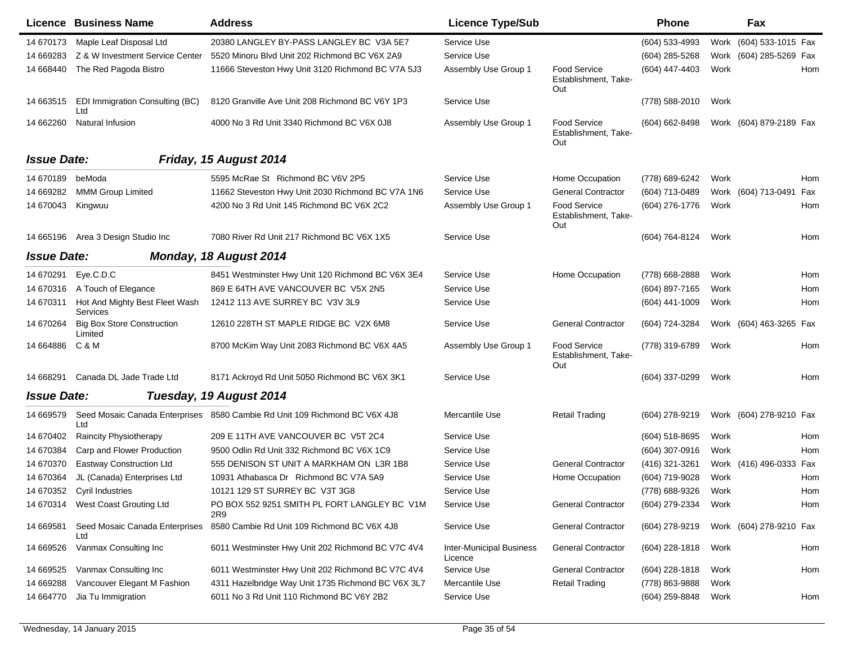|                    | Licence Business Name                        | <b>Address</b>                                                             | <b>Licence Type/Sub</b>                    |                                                    | Phone            |      | Fax                     |     |
|--------------------|----------------------------------------------|----------------------------------------------------------------------------|--------------------------------------------|----------------------------------------------------|------------------|------|-------------------------|-----|
| 14 670173          | Maple Leaf Disposal Ltd                      | 20380 LANGLEY BY-PASS LANGLEY BC V3A 5E7                                   | Service Use                                |                                                    | $(604)$ 533-4993 |      | Work (604) 533-1015 Fax |     |
| 14 669283          | Z & W Investment Service Center              | 5520 Minoru Blvd Unit 202 Richmond BC V6X 2A9                              | Service Use                                |                                                    | (604) 285-5268   | Work | (604) 285-5269 Fax      |     |
| 14 668440          | The Red Pagoda Bistro                        | 11666 Steveston Hwy Unit 3120 Richmond BC V7A 5J3                          | Assembly Use Group 1                       | <b>Food Service</b><br>Establishment, Take-<br>Out | (604) 447-4403   | Work |                         | Hom |
| 14 663515          | EDI Immigration Consulting (BC)<br>Ltd       | 8120 Granville Ave Unit 208 Richmond BC V6Y 1P3                            | Service Use                                |                                                    | (778) 588-2010   | Work |                         |     |
| 14 662260          | Natural Infusion                             | 4000 No 3 Rd Unit 3340 Richmond BC V6X 0J8                                 | Assembly Use Group 1                       | <b>Food Service</b><br>Establishment, Take-<br>Out | (604) 662-8498   |      | Work (604) 879-2189 Fax |     |
| <b>Issue Date:</b> |                                              | Friday, 15 August 2014                                                     |                                            |                                                    |                  |      |                         |     |
| 14 670189          | beModa                                       | 5595 McRae St Richmond BC V6V 2P5                                          | Service Use                                | Home Occupation                                    | (778) 689-6242   | Work |                         | Hom |
| 14 669282          | <b>MMM Group Limited</b>                     | 11662 Steveston Hwy Unit 2030 Richmond BC V7A 1N6                          | Service Use                                | <b>General Contractor</b>                          | (604) 713-0489   |      | Work (604) 713-0491     | Fax |
| 14 670043          | Kingwuu                                      | 4200 No 3 Rd Unit 145 Richmond BC V6X 2C2                                  | Assembly Use Group 1                       | <b>Food Service</b><br>Establishment, Take-<br>Out | (604) 276-1776   | Work |                         | Hom |
| 14 665196          | Area 3 Design Studio Inc                     | 7080 River Rd Unit 217 Richmond BC V6X 1X5                                 | Service Use                                |                                                    | (604) 764-8124   | Work |                         | Hom |
| <b>Issue Date:</b> |                                              | Monday, 18 August 2014                                                     |                                            |                                                    |                  |      |                         |     |
| 14 670291          | Eye.C.D.C                                    | 8451 Westminster Hwy Unit 120 Richmond BC V6X 3E4                          | Service Use                                | Home Occupation                                    | (778) 668-2888   | Work |                         | Hom |
| 14 670316          | A Touch of Elegance                          | 869 E 64TH AVE VANCOUVER BC V5X 2N5                                        | Service Use                                |                                                    | (604) 897-7165   | Work |                         | Hom |
| 14 670311          | Hot And Mighty Best Fleet Wash<br>Services   | 12412 113 AVE SURREY BC V3V 3L9                                            | Service Use                                |                                                    | (604) 441-1009   | Work |                         | Hom |
| 14 670264          | <b>Big Box Store Construction</b><br>Limited | 12610 228TH ST MAPLE RIDGE BC V2X 6M8                                      | Service Use                                | <b>General Contractor</b>                          | (604) 724-3284   |      | Work (604) 463-3265 Fax |     |
| 14 664886          | C & M                                        | 8700 McKim Way Unit 2083 Richmond BC V6X 4A5                               | Assembly Use Group 1                       | <b>Food Service</b><br>Establishment, Take-<br>Out | (778) 319-6789   | Work |                         | Hom |
| 14 668291          | Canada DL Jade Trade Ltd                     | 8171 Ackroyd Rd Unit 5050 Richmond BC V6X 3K1                              | Service Use                                |                                                    | (604) 337-0299   | Work |                         | Hom |
| <b>Issue Date:</b> |                                              | Tuesday, 19 August 2014                                                    |                                            |                                                    |                  |      |                         |     |
| 14 669579          | Ltd                                          | Seed Mosaic Canada Enterprises 8580 Cambie Rd Unit 109 Richmond BC V6X 4J8 | Mercantile Use                             | Retail Trading                                     | (604) 278-9219   |      | Work (604) 278-9210 Fax |     |
| 14 670402          | Raincity Physiotherapy                       | 209 E 11TH AVE VANCOUVER BC V5T 2C4                                        | Service Use                                |                                                    | (604) 518-8695   | Work |                         | Hom |
| 14 670384          | Carp and Flower Production                   | 9500 Odlin Rd Unit 332 Richmond BC V6X 1C9                                 | Service Use                                |                                                    | (604) 307-0916   | Work |                         | Hom |
| 14 670370          | Eastway Construction Ltd                     | 555 DENISON ST UNIT A MARKHAM ON L3R 1B8                                   | Service Use                                | <b>General Contractor</b>                          | (416) 321-3261   |      | Work (416) 496-0333 Fax |     |
| 14 670364          | JL (Canada) Enterprises Ltd                  | 10931 Athabasca Dr Richmond BC V7A 5A9                                     | Service Use                                | Home Occupation                                    | (604) 719-9028   | Work |                         | Hom |
| 14 670352          | Cyril Industries                             | 10121 129 ST SURREY BC V3T 3G8                                             | Service Use                                |                                                    | (778) 688-9326   | Work |                         | Hom |
|                    | 14 670314 West Coast Grouting Ltd            | PO BOX 552 9251 SMITH PL FORT LANGLEY BC V1M<br>2R9                        | Service Use                                | <b>General Contractor</b>                          | (604) 279-2334   | Work |                         | Hom |
| 14 669581          | Seed Mosaic Canada Enterprises<br>Ltd        | 8580 Cambie Rd Unit 109 Richmond BC V6X 4J8                                | Service Use                                | <b>General Contractor</b>                          | (604) 278-9219   |      | Work (604) 278-9210 Fax |     |
| 14 669526          | Vanmax Consulting Inc                        | 6011 Westminster Hwy Unit 202 Richmond BC V7C 4V4                          | <b>Inter-Municipal Business</b><br>Licence | <b>General Contractor</b>                          | (604) 228-1818   | Work |                         | Hom |
| 14 669525          | Vanmax Consulting Inc                        | 6011 Westminster Hwy Unit 202 Richmond BC V7C 4V4                          | Service Use                                | <b>General Contractor</b>                          | $(604)$ 228-1818 | Work |                         | Hom |
| 14 669288          | Vancouver Elegant M Fashion                  | 4311 Hazelbridge Way Unit 1735 Richmond BC V6X 3L7                         | Mercantile Use                             | <b>Retail Trading</b>                              | (778) 863-9888   | Work |                         |     |
| 14 664770          | Jia Tu Immigration                           | 6011 No 3 Rd Unit 110 Richmond BC V6Y 2B2                                  | Service Use                                |                                                    | (604) 259-8848   | Work |                         | Hom |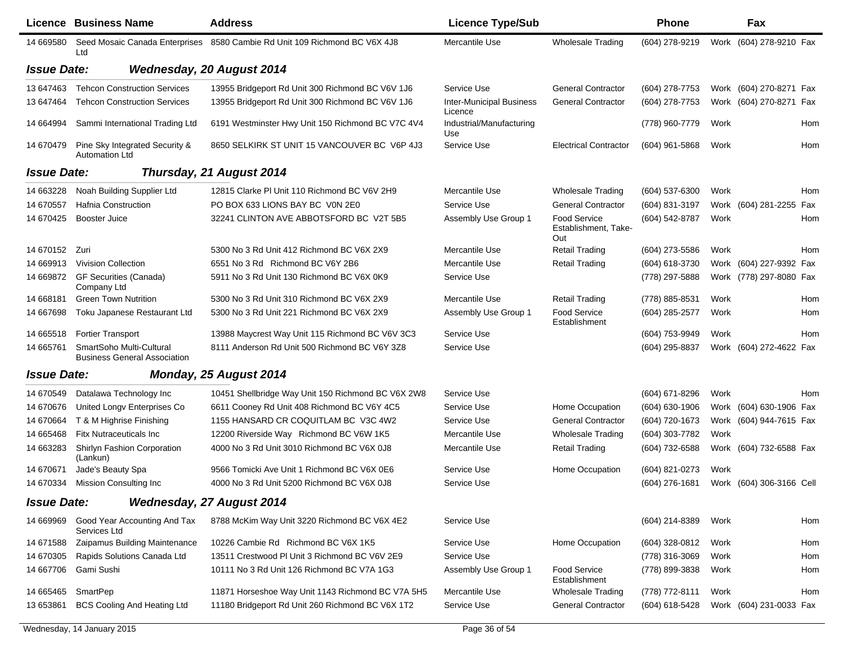|                    | Licence Business Name                                           | <b>Address</b>                                                             | <b>Licence Type/Sub</b>                    |                                                    | <b>Phone</b>     |      | Fax                      |     |
|--------------------|-----------------------------------------------------------------|----------------------------------------------------------------------------|--------------------------------------------|----------------------------------------------------|------------------|------|--------------------------|-----|
| 14 669580          | Ltd                                                             | Seed Mosaic Canada Enterprises 8580 Cambie Rd Unit 109 Richmond BC V6X 4J8 | Mercantile Use                             | <b>Wholesale Trading</b>                           | (604) 278-9219   |      | Work (604) 278-9210 Fax  |     |
| <b>Issue Date:</b> |                                                                 | <b>Wednesday, 20 August 2014</b>                                           |                                            |                                                    |                  |      |                          |     |
| 13 647463          | <b>Tehcon Construction Services</b>                             | 13955 Bridgeport Rd Unit 300 Richmond BC V6V 1J6                           | Service Use                                | <b>General Contractor</b>                          | (604) 278-7753   |      | Work (604) 270-8271 Fax  |     |
| 13 647464          | <b>Tehcon Construction Services</b>                             | 13955 Bridgeport Rd Unit 300 Richmond BC V6V 1J6                           | <b>Inter-Municipal Business</b><br>Licence | <b>General Contractor</b>                          | (604) 278-7753   |      | Work (604) 270-8271 Fax  |     |
| 14 664994          | Sammi International Trading Ltd                                 | 6191 Westminster Hwy Unit 150 Richmond BC V7C 4V4                          | Industrial/Manufacturing<br>Use            |                                                    | (778) 960-7779   | Work |                          | Hom |
| 14 670479          | Pine Sky Integrated Security &<br><b>Automation Ltd</b>         | 8650 SELKIRK ST UNIT 15 VANCOUVER BC V6P 4J3                               | Service Use                                | <b>Electrical Contractor</b>                       | $(604)$ 961-5868 | Work |                          | Hom |
| <b>Issue Date:</b> |                                                                 | Thursday, 21 August 2014                                                   |                                            |                                                    |                  |      |                          |     |
| 14 663228          | Noah Building Supplier Ltd                                      | 12815 Clarke PI Unit 110 Richmond BC V6V 2H9                               | Mercantile Use                             | <b>Wholesale Trading</b>                           | $(604)$ 537-6300 | Work |                          | Hom |
| 14 670557          | Hafnia Construction                                             | PO BOX 633 LIONS BAY BC VON 2E0                                            | Service Use                                | <b>General Contractor</b>                          | (604) 831-3197   |      | Work (604) 281-2255 Fax  |     |
| 14 670425          | Booster Juice                                                   | 32241 CLINTON AVE ABBOTSFORD BC V2T 5B5                                    | Assembly Use Group 1                       | <b>Food Service</b><br>Establishment, Take-<br>Out | (604) 542-8787   | Work |                          | Hom |
| 14 670152          | Zuri                                                            | 5300 No 3 Rd Unit 412 Richmond BC V6X 2X9                                  | Mercantile Use                             | <b>Retail Trading</b>                              | (604) 273-5586   | Work |                          | Hom |
| 14 669913          | <b>Vivision Collection</b>                                      | 6551 No 3 Rd Richmond BC V6Y 2B6                                           | Mercantile Use                             | <b>Retail Trading</b>                              | (604) 618-3730   |      | Work (604) 227-9392 Fax  |     |
| 14 669872          | GF Securities (Canada)<br>Company Ltd                           | 5911 No 3 Rd Unit 130 Richmond BC V6X 0K9                                  | Service Use                                |                                                    | (778) 297-5888   |      | Work (778) 297-8080 Fax  |     |
| 14 668181          | <b>Green Town Nutrition</b>                                     | 5300 No 3 Rd Unit 310 Richmond BC V6X 2X9                                  | Mercantile Use                             | <b>Retail Trading</b>                              | (778) 885-8531   | Work |                          | Hom |
| 14 667698          | Toku Japanese Restaurant Ltd                                    | 5300 No 3 Rd Unit 221 Richmond BC V6X 2X9                                  | Assembly Use Group 1                       | <b>Food Service</b><br>Establishment               | (604) 285-2577   | Work |                          | Hom |
| 14 665518          | <b>Fortier Transport</b>                                        | 13988 Maycrest Way Unit 115 Richmond BC V6V 3C3                            | Service Use                                |                                                    | (604) 753-9949   | Work |                          | Hom |
| 14 665761          | SmartSoho Multi-Cultural<br><b>Business General Association</b> | 8111 Anderson Rd Unit 500 Richmond BC V6Y 3Z8                              | Service Use                                |                                                    | (604) 295-8837   |      | Work (604) 272-4622 Fax  |     |
| <b>Issue Date:</b> |                                                                 | Monday, 25 August 2014                                                     |                                            |                                                    |                  |      |                          |     |
| 14 670549          | Datalawa Technology Inc                                         | 10451 Shellbridge Way Unit 150 Richmond BC V6X 2W8                         | Service Use                                |                                                    | (604) 671-8296   | Work |                          | Hom |
| 14 670676          | United Longy Enterprises Co                                     | 6611 Cooney Rd Unit 408 Richmond BC V6Y 4C5                                | Service Use                                | Home Occupation                                    | (604) 630-1906   |      | Work (604) 630-1906 Fax  |     |
| 14 670664          | T & M Highrise Finishing                                        | 1155 HANSARD CR COQUITLAM BC V3C 4W2                                       | Service Use                                | <b>General Contractor</b>                          | (604) 720-1673   |      | Work (604) 944-7615 Fax  |     |
| 14 665468          | <b>Fitx Nutraceuticals Inc.</b>                                 | 12200 Riverside Way Richmond BC V6W 1K5                                    | Mercantile Use                             | <b>Wholesale Trading</b>                           | (604) 303-7782   | Work |                          |     |
| 14 663283          | Shirlyn Fashion Corporation<br>(Lankun)                         | 4000 No 3 Rd Unit 3010 Richmond BC V6X 0J8                                 | Mercantile Use                             | <b>Retail Trading</b>                              | (604) 732-6588   |      | Work (604) 732-6588 Fax  |     |
| 14 670 671         | Jade's Beauty Spa                                               | 9566 Tomicki Ave Unit 1 Richmond BC V6X 0E6                                | Service Use                                | Home Occupation                                    | (604) 821-0273   | Work |                          |     |
| 14 670334          | <b>Mission Consulting Inc</b>                                   | 4000 No 3 Rd Unit 5200 Richmond BC V6X 0J8                                 | Service Use                                |                                                    | (604) 276-1681   |      | Work (604) 306-3166 Cell |     |
| <b>Issue Date:</b> |                                                                 | <b>Wednesday, 27 August 2014</b>                                           |                                            |                                                    |                  |      |                          |     |
| 14 669969          | Good Year Accounting And Tax<br>Services Ltd                    | 8788 McKim Way Unit 3220 Richmond BC V6X 4E2                               | Service Use                                |                                                    | (604) 214-8389   | Work |                          | Hom |
| 14 671588          | Zaipamus Building Maintenance                                   | 10226 Cambie Rd Richmond BC V6X 1K5                                        | Service Use                                | Home Occupation                                    | (604) 328-0812   | Work |                          | Hom |
| 14 670305          | Rapids Solutions Canada Ltd                                     | 13511 Crestwood PI Unit 3 Richmond BC V6V 2E9                              | Service Use                                |                                                    | (778) 316-3069   | Work |                          | Hom |
| 14 667706          | Gami Sushi                                                      | 10111 No 3 Rd Unit 126 Richmond BC V7A 1G3                                 | Assembly Use Group 1                       | <b>Food Service</b><br>Establishment               | (778) 899-3838   | Work |                          | Hom |
| 14 665465          | SmartPep                                                        | 11871 Horseshoe Way Unit 1143 Richmond BC V7A 5H5                          | Mercantile Use                             | <b>Wholesale Trading</b>                           | (778) 772-8111   | Work |                          | Hom |
| 13 653861          | <b>BCS Cooling And Heating Ltd</b>                              | 11180 Bridgeport Rd Unit 260 Richmond BC V6X 1T2                           | Service Use                                | <b>General Contractor</b>                          | (604) 618-5428   |      | Work (604) 231-0033 Fax  |     |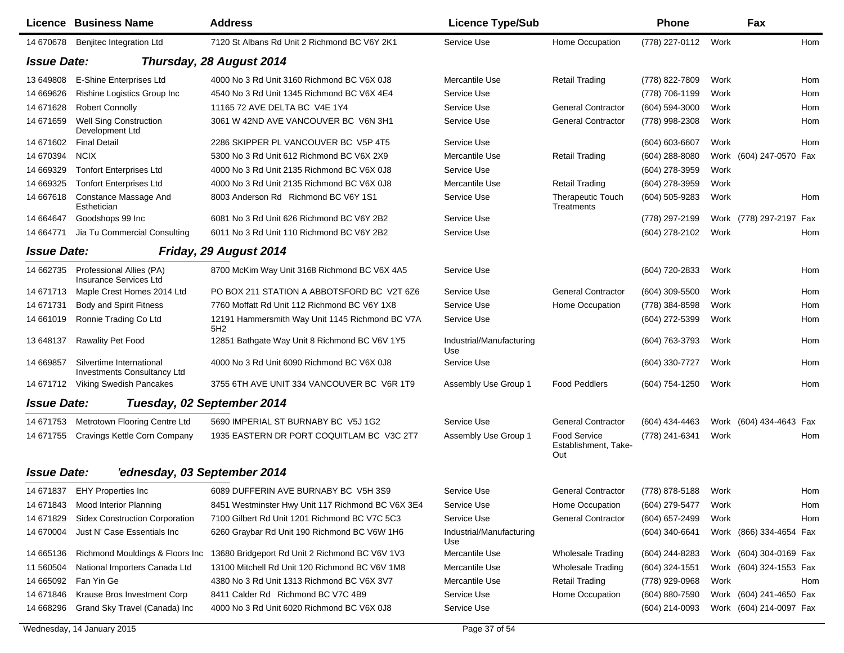|                    | <b>Licence Business Name</b>                                   | <b>Address</b>                                         | <b>Licence Type/Sub</b>         |                                                    | <b>Phone</b>     |      | Fax                     |     |
|--------------------|----------------------------------------------------------------|--------------------------------------------------------|---------------------------------|----------------------------------------------------|------------------|------|-------------------------|-----|
| 14 670678          | Benjitec Integration Ltd                                       | 7120 St Albans Rd Unit 2 Richmond BC V6Y 2K1           | Service Use                     | Home Occupation                                    | (778) 227-0112   | Work |                         | Hom |
| <b>Issue Date:</b> |                                                                | Thursday, 28 August 2014                               |                                 |                                                    |                  |      |                         |     |
| 13 649808          | E-Shine Enterprises Ltd                                        | 4000 No 3 Rd Unit 3160 Richmond BC V6X 0J8             | Mercantile Use                  | <b>Retail Trading</b>                              | (778) 822-7809   | Work |                         | Hom |
| 14 669626          | Rishine Logistics Group Inc                                    | 4540 No 3 Rd Unit 1345 Richmond BC V6X 4E4             | Service Use                     |                                                    | (778) 706-1199   | Work |                         | Hom |
| 14 671628          | <b>Robert Connolly</b>                                         | 11165 72 AVE DELTA BC V4E 1Y4                          | Service Use                     | <b>General Contractor</b>                          | (604) 594-3000   | Work |                         | Hom |
| 14 671 659         | <b>Well Sing Construction</b><br>Development Ltd               | 3061 W 42ND AVE VANCOUVER BC V6N 3H1                   | Service Use                     | <b>General Contractor</b>                          | (778) 998-2308   | Work |                         | Hom |
| 14 671602          | <b>Final Detail</b>                                            | 2286 SKIPPER PL VANCOUVER BC V5P 4T5                   | Service Use                     |                                                    | (604) 603-6607   | Work |                         | Hom |
| 14 670394          | <b>NCIX</b>                                                    | 5300 No 3 Rd Unit 612 Richmond BC V6X 2X9              | Mercantile Use                  | <b>Retail Trading</b>                              | $(604)$ 288-8080 |      | Work (604) 247-0570 Fax |     |
| 14 669329          | <b>Tonfort Enterprises Ltd</b>                                 | 4000 No 3 Rd Unit 2135 Richmond BC V6X 0J8             | Service Use                     |                                                    | (604) 278-3959   | Work |                         |     |
| 14 669325          | <b>Tonfort Enterprises Ltd</b>                                 | 4000 No 3 Rd Unit 2135 Richmond BC V6X 0J8             | Mercantile Use                  | <b>Retail Trading</b>                              | (604) 278-3959   | Work |                         |     |
| 14 667618          | Constance Massage And<br>Esthetician                           | 8003 Anderson Rd Richmond BC V6Y 1S1                   | Service Use                     | <b>Therapeutic Touch</b><br>Treatments             | (604) 505-9283   | Work |                         | Hom |
| 14 664647          | Goodshops 99 Inc                                               | 6081 No 3 Rd Unit 626 Richmond BC V6Y 2B2              | Service Use                     |                                                    | (778) 297-2199   |      | Work (778) 297-2197     | Fax |
| 14 664771          | Jia Tu Commercial Consulting                                   | 6011 No 3 Rd Unit 110 Richmond BC V6Y 2B2              | Service Use                     |                                                    | (604) 278-2102   | Work |                         | Hom |
| <b>Issue Date:</b> |                                                                | Friday, 29 August 2014                                 |                                 |                                                    |                  |      |                         |     |
| 14 662735          | Professional Allies (PA)<br><b>Insurance Services Ltd</b>      | 8700 McKim Way Unit 3168 Richmond BC V6X 4A5           | Service Use                     |                                                    | (604) 720-2833   | Work |                         | Hom |
| 14 671713          | Maple Crest Homes 2014 Ltd                                     | PO BOX 211 STATION A ABBOTSFORD BC V2T 6Z6             | Service Use                     | <b>General Contractor</b>                          | (604) 309-5500   | Work |                         | Hom |
| 14 671731          | Body and Spirit Fitness                                        | 7760 Moffatt Rd Unit 112 Richmond BC V6Y 1X8           | Service Use                     | Home Occupation                                    | (778) 384-8598   | Work |                         | Hom |
| 14 661019          | Ronnie Trading Co Ltd                                          | 12191 Hammersmith Way Unit 1145 Richmond BC V7A<br>5H2 | Service Use                     |                                                    | (604) 272-5399   | Work |                         | Hom |
| 13 648137          | <b>Rawality Pet Food</b>                                       | 12851 Bathgate Way Unit 8 Richmond BC V6V 1Y5          | Industrial/Manufacturing<br>Use |                                                    | (604) 763-3793   | Work |                         | Hom |
| 14 669857          | Silvertime International<br><b>Investments Consultancy Ltd</b> | 4000 No 3 Rd Unit 6090 Richmond BC V6X 0J8             | Service Use                     |                                                    | (604) 330-7727   | Work |                         | Hom |
| 14 671712          | <b>Viking Swedish Pancakes</b>                                 | 3755 6TH AVE UNIT 334 VANCOUVER BC V6R 1T9             | Assembly Use Group 1            | <b>Food Peddlers</b>                               | (604) 754-1250   | Work |                         | Hom |
| <b>Issue Date:</b> |                                                                | Tuesday, 02 September 2014                             |                                 |                                                    |                  |      |                         |     |
| 14 671753          | Metrotown Flooring Centre Ltd                                  | 5690 IMPERIAL ST BURNABY BC V5J 1G2                    | Service Use                     | <b>General Contractor</b>                          | (604) 434-4463   |      | Work (604) 434-4643 Fax |     |
| 14 671755          | Cravings Kettle Corn Company                                   | 1935 EASTERN DR PORT COQUITLAM BC V3C 2T7              | Assembly Use Group 1            | <b>Food Service</b><br>Establishment, Take-<br>Out | (778) 241-6341   | Work |                         | Hom |
| <b>Issue Date:</b> | 'ednesday, 03 September 2014                                   |                                                        |                                 |                                                    |                  |      |                         |     |
| 14 671837          | <b>EHY Properties Inc</b>                                      | 6089 DUFFERIN AVE BURNABY BC V5H 3S9                   | Service Use                     | <b>General Contractor</b>                          | (778) 878-5188   | Work |                         | Hom |
| 14 671843          | <b>Mood Interior Planning</b>                                  | 8451 Westminster Hwy Unit 117 Richmond BC V6X 3E4      | Service Use                     | Home Occupation                                    | (604) 279-5477   | Work |                         | Hom |
| 14 671829          | <b>Sidex Construction Corporation</b>                          | 7100 Gilbert Rd Unit 1201 Richmond BC V7C 5C3          | Service Use                     | <b>General Contractor</b>                          | (604) 657-2499   | Work |                         | Hom |
| 14 670004          | Just N' Case Essentials Inc                                    | 6260 Graybar Rd Unit 190 Richmond BC V6W 1H6           | Industrial/Manufacturing<br>Use |                                                    | (604) 340-6641   |      | Work (866) 334-4654 Fax |     |
| 14 665136          | Richmond Mouldings & Floors Inc                                | 13680 Bridgeport Rd Unit 2 Richmond BC V6V 1V3         | Mercantile Use                  | <b>Wholesale Trading</b>                           | (604) 244-8283   |      | Work (604) 304-0169 Fax |     |
| 11 560504          | National Importers Canada Ltd                                  | 13100 Mitchell Rd Unit 120 Richmond BC V6V 1M8         | Mercantile Use                  | <b>Wholesale Trading</b>                           | (604) 324-1551   |      | Work (604) 324-1553 Fax |     |
| 14 665092          | Fan Yin Ge                                                     | 4380 No 3 Rd Unit 1313 Richmond BC V6X 3V7             | Mercantile Use                  | <b>Retail Trading</b>                              | (778) 929-0968   | Work |                         | Hom |
| 14 671846          | Krause Bros Investment Corp                                    | 8411 Calder Rd Richmond BC V7C 4B9                     | Service Use                     | Home Occupation                                    | (604) 880-7590   |      | Work (604) 241-4650 Fax |     |
| 14 668296          | Grand Sky Travel (Canada) Inc                                  | 4000 No 3 Rd Unit 6020 Richmond BC V6X 0J8             | Service Use                     |                                                    | (604) 214-0093   |      | Work (604) 214-0097 Fax |     |

Wednesday, 14 January 2015 **Page 37 of 54**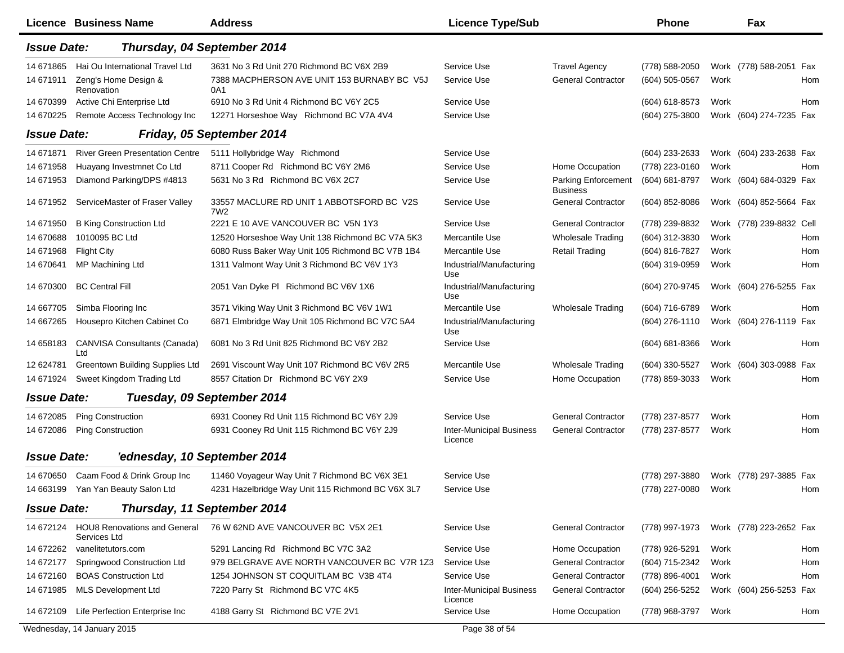|                    | Licence Business Name                                  | <b>Address</b>                                               | <b>Licence Type/Sub</b>                    |                                               | <b>Phone</b>                           | Fax                      |            |
|--------------------|--------------------------------------------------------|--------------------------------------------------------------|--------------------------------------------|-----------------------------------------------|----------------------------------------|--------------------------|------------|
| <b>Issue Date:</b> |                                                        | Thursday, 04 September 2014                                  |                                            |                                               |                                        |                          |            |
| 14 671865          | Hai Ou International Travel Ltd                        | 3631 No 3 Rd Unit 270 Richmond BC V6X 2B9                    | Service Use                                | <b>Travel Agency</b>                          | (778) 588-2050                         | Work (778) 588-2051 Fax  |            |
| 14 671911          | Zeng's Home Design &<br>Renovation                     | 7388 MACPHERSON AVE UNIT 153 BURNABY BC V5J<br>0A1           | Service Use                                | <b>General Contractor</b>                     | (604) 505-0567                         | Work                     | Hom        |
| 14 670399          | Active Chi Enterprise Ltd                              | 6910 No 3 Rd Unit 4 Richmond BC V6Y 2C5                      | Service Use                                |                                               | (604) 618-8573                         | Work                     | <b>Hom</b> |
| 14 670225          | Remote Access Technology Inc                           | 12271 Horseshoe Way Richmond BC V7A 4V4                      | Service Use                                |                                               | (604) 275-3800                         | Work (604) 274-7235 Fax  |            |
| <b>Issue Date:</b> |                                                        | Friday, 05 September 2014                                    |                                            |                                               |                                        |                          |            |
| 14 671871          | <b>River Green Presentation Centre</b>                 | 5111 Hollybridge Way Richmond                                | Service Use                                |                                               | (604) 233-2633                         | Work (604) 233-2638 Fax  |            |
| 14 671958          | Huayang Investmnet Co Ltd                              | 8711 Cooper Rd Richmond BC V6Y 2M6                           | Service Use                                | Home Occupation                               | (778) 223-0160                         | Work                     | Hom        |
| 14 671953          | Diamond Parking/DPS #4813                              | 5631 No 3 Rd Richmond BC V6X 2C7                             | Service Use                                | <b>Parking Enforcement</b><br><b>Business</b> | (604) 681-8797                         | Work (604) 684-0329 Fax  |            |
| 14 671952          | ServiceMaster of Fraser Valley                         | 33557 MACLURE RD UNIT 1 ABBOTSFORD BC V2S<br>7W <sub>2</sub> | Service Use                                | <b>General Contractor</b>                     | $(604)$ 852-8086                       | Work (604) 852-5664 Fax  |            |
| 14 671950          | <b>B King Construction Ltd</b>                         | 2221 E 10 AVE VANCOUVER BC V5N 1Y3                           | Service Use                                | <b>General Contractor</b>                     | (778) 239-8832                         | Work (778) 239-8832 Cell |            |
| 14 670688          | 1010095 BC Ltd                                         | 12520 Horseshoe Way Unit 138 Richmond BC V7A 5K3             | Mercantile Use                             | <b>Wholesale Trading</b>                      | (604) 312-3830                         | Work                     | Hom        |
| 14 671968          | <b>Flight City</b>                                     | 6080 Russ Baker Way Unit 105 Richmond BC V7B 1B4             | Mercantile Use                             | <b>Retail Trading</b>                         | (604) 816-7827                         | Work                     | Hom        |
| 14 670641          | MP Machining Ltd                                       | 1311 Valmont Way Unit 3 Richmond BC V6V 1Y3                  | Industrial/Manufacturing<br>Use            |                                               | (604) 319-0959                         | Work                     | Hom        |
| 14 670300          | <b>BC Central Fill</b>                                 | 2051 Van Dyke PI Richmond BC V6V 1X6                         | Industrial/Manufacturing<br>Use            |                                               | (604) 270-9745                         | Work (604) 276-5255 Fax  |            |
| 14 667705          | Simba Flooring Inc                                     | 3571 Viking Way Unit 3 Richmond BC V6V 1W1                   | Mercantile Use                             | <b>Wholesale Trading</b>                      | (604) 716-6789                         | Work                     | Hom        |
| 14 667265          | Housepro Kitchen Cabinet Co                            | 6871 Elmbridge Way Unit 105 Richmond BC V7C 5A4              | Industrial/Manufacturing<br>Use            |                                               | (604) 276-1110                         | Work (604) 276-1119 Fax  |            |
| 14 658183          | <b>CANVISA Consultants (Canada)</b><br>Ltd             | 6081 No 3 Rd Unit 825 Richmond BC V6Y 2B2                    | Service Use                                |                                               | $(604)$ 681-8366                       | Work                     | Hom        |
| 12 624781          | Greentown Building Supplies Ltd                        | 2691 Viscount Way Unit 107 Richmond BC V6V 2R5               | Mercantile Use                             | <b>Wholesale Trading</b>                      | (604) 330-5527                         | Work (604) 303-0988 Fax  |            |
| 14 671924          | Sweet Kingdom Trading Ltd                              | 8557 Citation Dr Richmond BC V6Y 2X9                         | Service Use                                | Home Occupation                               | (778) 859-3033                         | Work                     | Hom        |
| <b>Issue Date:</b> |                                                        | Tuesday, 09 September 2014                                   |                                            |                                               |                                        |                          |            |
| 14 672085          | <b>Ping Construction</b>                               | 6931 Cooney Rd Unit 115 Richmond BC V6Y 2J9                  | Service Use                                | <b>General Contractor</b>                     | (778) 237-8577                         | Work                     | Hom        |
| 14 672086          | <b>Ping Construction</b>                               | 6931 Cooney Rd Unit 115 Richmond BC V6Y 2J9                  | <b>Inter-Municipal Business</b><br>Licence | <b>General Contractor</b>                     | (778) 237-8577                         | Work                     | Hom        |
| <b>Issue Date:</b> | 'ednesday, 10 September 2014                           |                                                              |                                            |                                               |                                        |                          |            |
|                    | 14 670650 Caam Food & Drink Group Inc                  | 11460 Voyageur Way Unit 7 Richmond BC V6X 3E1                | Service Use                                |                                               | (778) 297-3880 Work (778) 297-3885 Fax |                          |            |
|                    | 14 663199 Yan Yan Beauty Salon Ltd                     | 4231 Hazelbridge Way Unit 115 Richmond BC V6X 3L7            | Service Use                                |                                               | (778) 227-0080 Work                    |                          | Hom        |
| <b>Issue Date:</b> |                                                        | Thursday, 11 September 2014                                  |                                            |                                               |                                        |                          |            |
|                    | 14 672124 HOU8 Renovations and General<br>Services Ltd | 76 W 62ND AVE VANCOUVER BC V5X 2E1                           | Service Use                                | <b>General Contractor</b>                     | (778) 997-1973                         | Work (778) 223-2652 Fax  |            |
| 14 672262          | vanelitetutors.com                                     | 5291 Lancing Rd Richmond BC V7C 3A2                          | Service Use                                | Home Occupation                               | (778) 926-5291                         | Work                     | Hom        |
| 14 672177          | Springwood Construction Ltd                            | 979 BELGRAVE AVE NORTH VANCOUVER BC V7R 1Z3                  | Service Use                                | <b>General Contractor</b>                     | (604) 715-2342                         | Work                     | Hom        |
| 14 672160          | <b>BOAS Construction Ltd</b>                           | 1254 JOHNSON ST COQUITLAM BC V3B 4T4                         | Service Use                                | <b>General Contractor</b>                     | (778) 896-4001                         | Work                     | Hom        |
| 14 671985          | <b>MLS Development Ltd</b>                             | 7220 Parry St Richmond BC V7C 4K5                            | <b>Inter-Municipal Business</b><br>Licence | <b>General Contractor</b>                     | (604) 256-5252                         | Work (604) 256-5253 Fax  |            |
| 14 672109          | Life Perfection Enterprise Inc                         | 4188 Garry St Richmond BC V7E 2V1                            | Service Use                                | Home Occupation                               | (778) 968-3797 Work                    |                          | Hom        |
|                    | Wednesday, 14 January 2015                             |                                                              | Page 38 of 54                              |                                               |                                        |                          |            |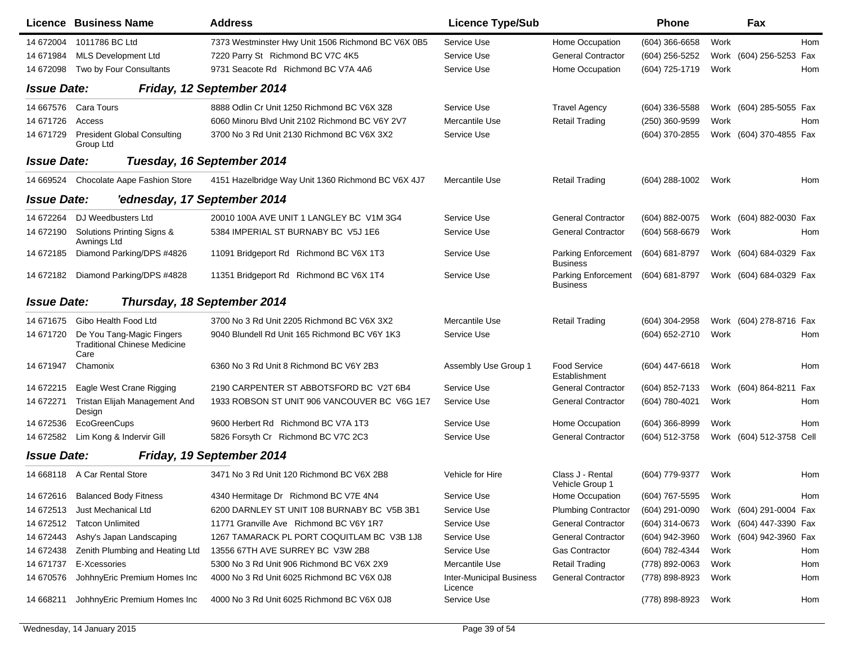|                    | <b>Licence Business Name</b>                                             | <b>Address</b>                                     | <b>Licence Type/Sub</b>                    |                                               | Phone            |      | Fax                     |            |
|--------------------|--------------------------------------------------------------------------|----------------------------------------------------|--------------------------------------------|-----------------------------------------------|------------------|------|-------------------------|------------|
| 14 672004          | 1011786 BC Ltd                                                           | 7373 Westminster Hwy Unit 1506 Richmond BC V6X 0B5 | Service Use                                | Home Occupation                               | $(604)$ 366-6658 | Work |                         | <b>Hom</b> |
| 14 671984          | <b>MLS Development Ltd</b>                                               | 7220 Parry St Richmond BC V7C 4K5                  | Service Use                                | <b>General Contractor</b>                     | (604) 256-5252   |      | Work (604) 256-5253     | Fax        |
| 14 672098          | Two by Four Consultants                                                  | 9731 Seacote Rd Richmond BC V7A 4A6                | Service Use                                | Home Occupation                               | (604) 725-1719   | Work |                         | Hom        |
| <b>Issue Date:</b> |                                                                          | Friday, 12 September 2014                          |                                            |                                               |                  |      |                         |            |
| 14 667576          | Cara Tours                                                               | 8888 Odlin Cr Unit 1250 Richmond BC V6X 3Z8        | Service Use                                | <b>Travel Agency</b>                          | $(604)$ 336-5588 |      | Work (604) 285-5055 Fax |            |
| 14 671726          | Access                                                                   | 6060 Minoru Blvd Unit 2102 Richmond BC V6Y 2V7     | Mercantile Use                             | <b>Retail Trading</b>                         | (250) 360-9599   | Work |                         | Hom        |
| 14 671729          | <b>President Global Consulting</b><br>Group Ltd                          | 3700 No 3 Rd Unit 2130 Richmond BC V6X 3X2         | Service Use                                |                                               | (604) 370-2855   |      | Work (604) 370-4855 Fax |            |
| <b>Issue Date:</b> |                                                                          | Tuesday, 16 September 2014                         |                                            |                                               |                  |      |                         |            |
| 14 669524          | Chocolate Aape Fashion Store                                             | 4151 Hazelbridge Way Unit 1360 Richmond BC V6X 4J7 | Mercantile Use                             | <b>Retail Trading</b>                         | (604) 288-1002   | Work |                         | Hom        |
| <b>Issue Date:</b> | 'ednesday, 17 September 2014                                             |                                                    |                                            |                                               |                  |      |                         |            |
| 14 672264          | DJ Weedbusters Ltd                                                       | 20010 100A AVE UNIT 1 LANGLEY BC V1M 3G4           | Service Use                                | <b>General Contractor</b>                     | (604) 882-0075   |      | Work (604) 882-0030 Fax |            |
| 14 672190          | Solutions Printing Signs &<br>Awnings Ltd                                | 5384 IMPERIAL ST BURNABY BC V5J 1E6                | Service Use                                | <b>General Contractor</b>                     | (604) 568-6679   | Work |                         | Hom        |
| 14 672185          | Diamond Parking/DPS #4826                                                | 11091 Bridgeport Rd Richmond BC V6X 1T3            | Service Use                                | Parking Enforcement<br><b>Business</b>        | (604) 681-8797   |      | Work (604) 684-0329 Fax |            |
| 14 672182          | Diamond Parking/DPS #4828                                                | 11351 Bridgeport Rd Richmond BC V6X 1T4            | Service Use                                | <b>Parking Enforcement</b><br><b>Business</b> | (604) 681-8797   |      | Work (604) 684-0329 Fax |            |
| <b>Issue Date:</b> | Thursday, 18 September 2014                                              |                                                    |                                            |                                               |                  |      |                         |            |
| 14 671 675         | Gibo Health Food Ltd                                                     | 3700 No 3 Rd Unit 2205 Richmond BC V6X 3X2         | Mercantile Use                             | <b>Retail Trading</b>                         | (604) 304-2958   |      | Work (604) 278-8716 Fax |            |
| 14 671720          | De You Tang-Magic Fingers<br><b>Traditional Chinese Medicine</b><br>Care | 9040 Blundell Rd Unit 165 Richmond BC V6Y 1K3      | Service Use                                |                                               | (604) 652-2710   | Work |                         | Hom        |
| 14 671947          | Chamonix                                                                 | 6360 No 3 Rd Unit 8 Richmond BC V6Y 2B3            | Assembly Use Group 1                       | <b>Food Service</b><br>Establishment          | $(604)$ 447-6618 | Work |                         | Hom        |
| 14 672215          | Eagle West Crane Rigging                                                 | 2190 CARPENTER ST ABBOTSFORD BC V2T 6B4            | Service Use                                | <b>General Contractor</b>                     | (604) 852-7133   |      | Work (604) 864-8211     | Fax        |
| 14 672271          | Tristan Elijah Management And<br>Design                                  | 1933 ROBSON ST UNIT 906 VANCOUVER BC V6G 1E7       | Service Use                                | <b>General Contractor</b>                     | (604) 780-4021   | Work |                         | Hom        |
| 14 672536          | EcoGreenCups                                                             | 9600 Herbert Rd Richmond BC V7A 1T3                | Service Use                                | Home Occupation                               | (604) 366-8999   | Work |                         | Hom        |
| 14 672582          | Lim Kong & Indervir Gill                                                 | 5826 Forsyth Cr Richmond BC V7C 2C3                | Service Use                                | <b>General Contractor</b>                     | (604) 512-3758   |      | Work (604) 512-3758     | Cell       |
| <b>Issue Date:</b> |                                                                          | Friday, 19 September 2014                          |                                            |                                               |                  |      |                         |            |
|                    | 14 668118 A Car Rental Store                                             | 3471 No 3 Rd Unit 120 Richmond BC V6X 2B8          | Vehicle for Hire                           | Class J - Rental<br>Vehicle Group 1           | (604) 779-9377   | Work |                         | Hom        |
| 14 672616          | <b>Balanced Body Fitness</b>                                             | 4340 Hermitage Dr Richmond BC V7E 4N4              | Service Use                                | Home Occupation                               | (604) 767-5595   | Work |                         | Hom        |
| 14 672513          | Just Mechanical Ltd                                                      | 6200 DARNLEY ST UNIT 108 BURNABY BC V5B 3B1        | Service Use                                | <b>Plumbing Contractor</b>                    | (604) 291-0090   |      | Work (604) 291-0004 Fax |            |
| 14 672512          | <b>Tatcon Unlimited</b>                                                  | 11771 Granville Ave Richmond BC V6Y 1R7            | Service Use                                | <b>General Contractor</b>                     | (604) 314-0673   |      | Work (604) 447-3390 Fax |            |
| 14 672443          | Ashy's Japan Landscaping                                                 | 1267 TAMARACK PL PORT COQUITLAM BC V3B 1J8         | Service Use                                | <b>General Contractor</b>                     | (604) 942-3960   |      | Work (604) 942-3960 Fax |            |
| 14 672438          | Zenith Plumbing and Heating Ltd                                          | 13556 67TH AVE SURREY BC V3W 2B8                   | Service Use                                | Gas Contractor                                | (604) 782-4344   | Work |                         | Hom        |
| 14 671737          | E-Xcessories                                                             | 5300 No 3 Rd Unit 906 Richmond BC V6X 2X9          | Mercantile Use                             | <b>Retail Trading</b>                         | (778) 892-0063   | Work |                         | Hom        |
| 14 670576          | JohhnyEric Premium Homes Inc                                             | 4000 No 3 Rd Unit 6025 Richmond BC V6X 0J8         | <b>Inter-Municipal Business</b><br>Licence | General Contractor                            | (778) 898-8923   | Work |                         | Hom        |
| 14 668211          | JohhnyEric Premium Homes Inc                                             | 4000 No 3 Rd Unit 6025 Richmond BC V6X 0J8         | Service Use                                |                                               | (778) 898-8923   | Work |                         | Hom        |

 $\blacksquare$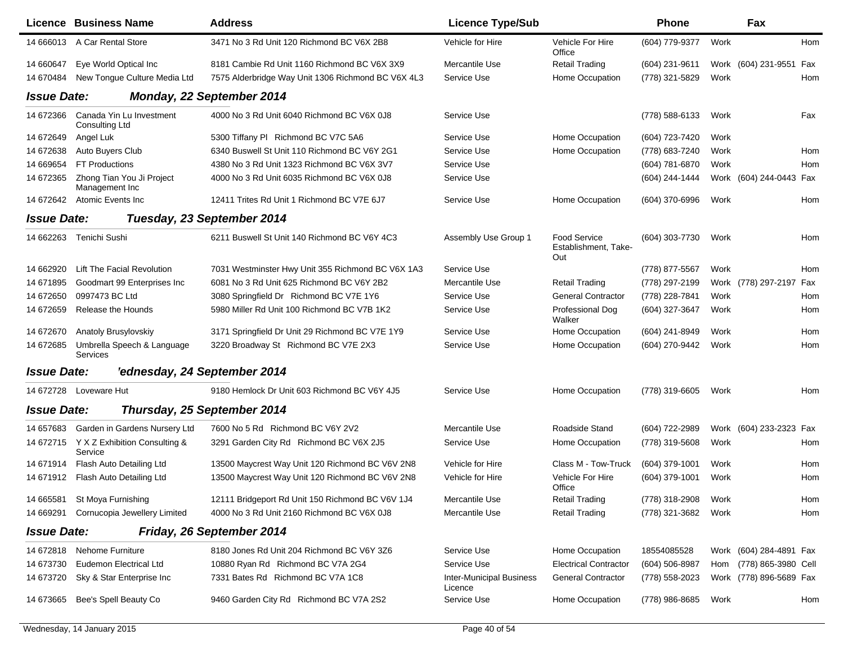|                    | <b>Licence Business Name</b>                | <b>Address</b>                                     | <b>Licence Type/Sub</b>                    |                                                    | <b>Phone</b>   |      | Fax                     |     |
|--------------------|---------------------------------------------|----------------------------------------------------|--------------------------------------------|----------------------------------------------------|----------------|------|-------------------------|-----|
|                    | 14 666013 A Car Rental Store                | 3471 No 3 Rd Unit 120 Richmond BC V6X 2B8          | Vehicle for Hire                           | <b>Vehicle For Hire</b><br>Office                  | (604) 779-9377 | Work |                         | Hom |
| 14 660647          | Eye World Optical Inc                       | 8181 Cambie Rd Unit 1160 Richmond BC V6X 3X9       | Mercantile Use                             | <b>Retail Trading</b>                              | (604) 231-9611 |      | Work (604) 231-9551 Fax |     |
| 14 670484          | New Tongue Culture Media Ltd                | 7575 Alderbridge Way Unit 1306 Richmond BC V6X 4L3 | Service Use                                | Home Occupation                                    | (778) 321-5829 | Work |                         | Hom |
| <b>Issue Date:</b> |                                             | Monday, 22 September 2014                          |                                            |                                                    |                |      |                         |     |
| 14 672366          | Canada Yin Lu Investment<br>Consulting Ltd  | 4000 No 3 Rd Unit 6040 Richmond BC V6X 0J8         | Service Use                                |                                                    | (778) 588-6133 | Work |                         | Fax |
| 14 672649          | Angel Luk                                   | 5300 Tiffany PI Richmond BC V7C 5A6                | Service Use                                | Home Occupation                                    | (604) 723-7420 | Work |                         |     |
| 14 672638          | Auto Buyers Club                            | 6340 Buswell St Unit 110 Richmond BC V6Y 2G1       | Service Use                                | Home Occupation                                    | (778) 683-7240 | Work |                         | Hom |
| 14 669654          | <b>FT Productions</b>                       | 4380 No 3 Rd Unit 1323 Richmond BC V6X 3V7         | Service Use                                |                                                    | (604) 781-6870 | Work |                         | Hom |
| 14 672365          | Zhong Tian You Ji Project<br>Management Inc | 4000 No 3 Rd Unit 6035 Richmond BC V6X 0J8         | Service Use                                |                                                    | (604) 244-1444 |      | Work (604) 244-0443 Fax |     |
|                    | 14 672642 Atomic Events Inc                 | 12411 Trites Rd Unit 1 Richmond BC V7E 6J7         | Service Use                                | Home Occupation                                    | (604) 370-6996 | Work |                         | Hom |
| <b>Issue Date:</b> |                                             | Tuesday, 23 September 2014                         |                                            |                                                    |                |      |                         |     |
| 14 662263          | Tenichi Sushi                               | 6211 Buswell St Unit 140 Richmond BC V6Y 4C3       | Assembly Use Group 1                       | <b>Food Service</b><br>Establishment, Take-<br>Out | (604) 303-7730 | Work |                         | Hom |
| 14 662920          | Lift The Facial Revolution                  | 7031 Westminster Hwy Unit 355 Richmond BC V6X 1A3  | Service Use                                |                                                    | (778) 877-5567 | Work |                         | Hom |
| 14 671895          | Goodmart 99 Enterprises Inc                 | 6081 No 3 Rd Unit 625 Richmond BC V6Y 2B2          | Mercantile Use                             | <b>Retail Trading</b>                              | (778) 297-2199 |      | Work (778) 297-2197 Fax |     |
| 14 672650          | 0997473 BC Ltd                              | 3080 Springfield Dr Richmond BC V7E 1Y6            | Service Use                                | <b>General Contractor</b>                          | (778) 228-7841 | Work |                         | Hom |
| 14 672659          | Release the Hounds                          | 5980 Miller Rd Unit 100 Richmond BC V7B 1K2        | Service Use                                | Professional Dog<br>Walker                         | (604) 327-3647 | Work |                         | Hom |
| 14 672670          | Anatoly Brusylovskiy                        | 3171 Springfield Dr Unit 29 Richmond BC V7E 1Y9    | Service Use                                | Home Occupation                                    | (604) 241-8949 | Work |                         | Hom |
| 14 672685          | Umbrella Speech & Language<br>Services      | 3220 Broadway St Richmond BC V7E 2X3               | Service Use                                | Home Occupation                                    | (604) 270-9442 | Work |                         | Hom |
| <b>Issue Date:</b> | 'ednesday, 24 September 2014                |                                                    |                                            |                                                    |                |      |                         |     |
| 14 672728          | Loveware Hut                                | 9180 Hemlock Dr Unit 603 Richmond BC V6Y 4J5       | Service Use                                | Home Occupation                                    | (778) 319-6605 | Work |                         | Hom |
| <b>Issue Date:</b> |                                             | Thursday, 25 September 2014                        |                                            |                                                    |                |      |                         |     |
| 14 657683          | Garden in Gardens Nursery Ltd               | 7600 No 5 Rd Richmond BC V6Y 2V2                   | Mercantile Use                             | Roadside Stand                                     | (604) 722-2989 |      | Work (604) 233-2323 Fax |     |
| 14 672715          | Y X Z Exhibition Consulting &<br>Service    | 3291 Garden City Rd Richmond BC V6X 2J5            | Service Use                                | Home Occupation                                    | (778) 319-5608 | Work |                         | Hom |
| 14 671914          | Flash Auto Detailing Ltd                    | 13500 Maycrest Way Unit 120 Richmond BC V6V 2N8    | Vehicle for Hire                           | Class M - Tow-Truck                                | (604) 379-1001 | Work |                         | Hom |
| 14 671912          | Flash Auto Detailing Ltd                    | 13500 Maycrest Way Unit 120 Richmond BC V6V 2N8    | Vehicle for Hire                           | Vehicle For Hire<br>Office                         | (604) 379-1001 | Work |                         | Hom |
| 14 665581          | St Moya Furnishing                          | 12111 Bridgeport Rd Unit 150 Richmond BC V6V 1J4   | Mercantile Use                             | <b>Retail Trading</b>                              | (778) 318-2908 | Work |                         | Hom |
| 14 669291          | Cornucopia Jewellery Limited                | 4000 No 3 Rd Unit 2160 Richmond BC V6X 0J8         | Mercantile Use                             | <b>Retail Trading</b>                              | (778) 321-3682 | Work |                         | Hom |
| <b>Issue Date:</b> |                                             | Friday, 26 September 2014                          |                                            |                                                    |                |      |                         |     |
| 14 672818          | <b>Nehome Furniture</b>                     | 8180 Jones Rd Unit 204 Richmond BC V6Y 3Z6         | Service Use                                | Home Occupation                                    | 18554085528    |      | Work (604) 284-4891 Fax |     |
| 14 673730          | <b>Eudemon Electrical Ltd</b>               | 10880 Ryan Rd Richmond BC V7A 2G4                  | Service Use                                | <b>Electrical Contractor</b>                       | (604) 506-8987 |      | Hom (778) 865-3980 Cell |     |
| 14 673720          | Sky & Star Enterprise Inc                   | 7331 Bates Rd Richmond BC V7A 1C8                  | <b>Inter-Municipal Business</b><br>Licence | <b>General Contractor</b>                          | (778) 558-2023 |      | Work (778) 896-5689 Fax |     |
| 14 673 665         | Bee's Spell Beauty Co                       | 9460 Garden City Rd Richmond BC V7A 2S2            | Service Use                                | Home Occupation                                    | (778) 986-8685 | Work |                         | Hom |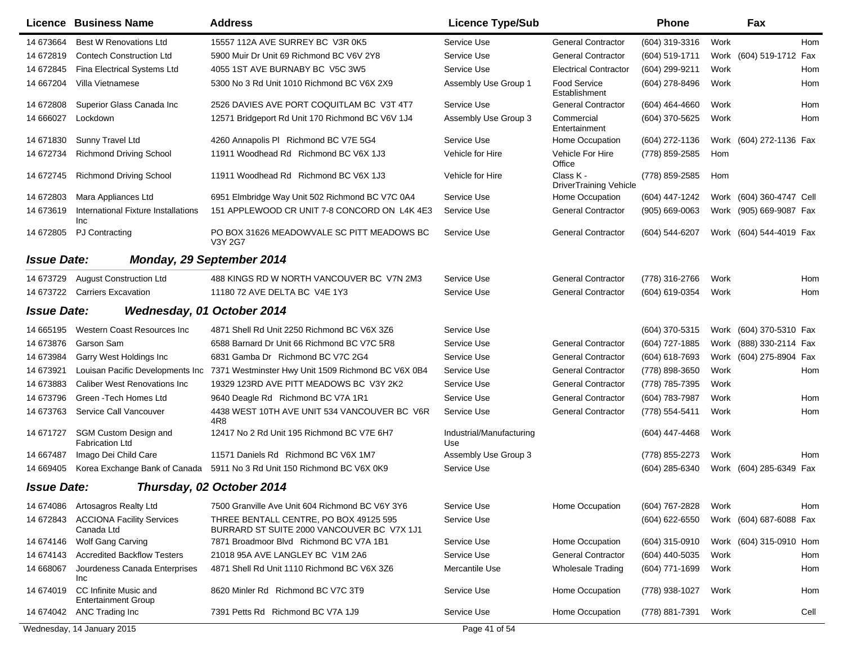|                    | Licence Business Name                               | <b>Address</b>                                                                       | <b>Licence Type/Sub</b>         |                                            | Phone              |      | Fax                      |  |
|--------------------|-----------------------------------------------------|--------------------------------------------------------------------------------------|---------------------------------|--------------------------------------------|--------------------|------|--------------------------|--|
| 14 673664          | <b>Best W Renovations Ltd</b>                       | 15557 112A AVE SURREY BC V3R 0K5                                                     | Service Use                     | <b>General Contractor</b>                  | (604) 319-3316     | Work | Hom                      |  |
| 14 672819          | <b>Contech Construction Ltd</b>                     | 5900 Muir Dr Unit 69 Richmond BC V6V 2Y8                                             | Service Use                     | <b>General Contractor</b>                  | (604) 519-1711     |      | Work (604) 519-1712 Fax  |  |
| 14 672845          | Fina Electrical Systems Ltd                         | 4055 1ST AVE BURNABY BC V5C 3W5                                                      | Service Use                     | <b>Electrical Contractor</b>               | (604) 299-9211     | Work | Hom                      |  |
| 14 667204          | Villa Vietnamese                                    | 5300 No 3 Rd Unit 1010 Richmond BC V6X 2X9                                           | Assembly Use Group 1            | <b>Food Service</b><br>Establishment       | (604) 278-8496     | Work | Hom                      |  |
| 14 672808          | Superior Glass Canada Inc                           | 2526 DAVIES AVE PORT COQUITLAM BC V3T 4T7                                            | Service Use                     | <b>General Contractor</b>                  | (604) 464-4660     | Work | Hom                      |  |
| 14 666027          | Lockdown                                            | 12571 Bridgeport Rd Unit 170 Richmond BC V6V 1J4                                     | Assembly Use Group 3            | Commercial<br>Entertainment                | (604) 370-5625     | Work | Hom                      |  |
| 14 671830          | Sunny Travel Ltd                                    | 4260 Annapolis PI Richmond BC V7E 5G4                                                | Service Use                     | Home Occupation                            | (604) 272-1136     |      | Work (604) 272-1136 Fax  |  |
| 14 672734          | <b>Richmond Driving School</b>                      | 11911 Woodhead Rd Richmond BC V6X 1J3                                                | Vehicle for Hire                | Vehicle For Hire<br>Office                 | (778) 859-2585     | Hom  |                          |  |
| 14 672745          | <b>Richmond Driving School</b>                      | 11911 Woodhead Rd Richmond BC V6X 1J3                                                | Vehicle for Hire                | Class K -<br><b>DriverTraining Vehicle</b> | (778) 859-2585     | Hom  |                          |  |
| 14 672803          | Mara Appliances Ltd                                 | 6951 Elmbridge Way Unit 502 Richmond BC V7C 0A4                                      | Service Use                     | Home Occupation                            | (604) 447-1242     |      | Work (604) 360-4747 Cell |  |
| 14 673619          | International Fixture Installations<br>Inc          | 151 APPLEWOOD CR UNIT 7-8 CONCORD ON L4K 4E3                                         | Service Use                     | <b>General Contractor</b>                  | $(905) 669 - 0063$ |      | Work (905) 669-9087 Fax  |  |
| 14 672805          | <b>PJ Contracting</b>                               | PO BOX 31626 MEADOWVALE SC PITT MEADOWS BC<br>V3Y 2G7                                | Service Use                     | <b>General Contractor</b>                  | (604) 544-6207     |      | Work (604) 544-4019 Fax  |  |
| <b>Issue Date:</b> |                                                     | Monday, 29 September 2014                                                            |                                 |                                            |                    |      |                          |  |
| 14 673729          | <b>August Construction Ltd</b>                      | 488 KINGS RD W NORTH VANCOUVER BC V7N 2M3                                            | Service Use                     | <b>General Contractor</b>                  | (778) 316-2766     | Work | Hom                      |  |
| 14 673722          | <b>Carriers Excavation</b>                          | 11180 72 AVE DELTA BC V4E 1Y3                                                        | Service Use                     | <b>General Contractor</b>                  | (604) 619-0354     | Work | Hom                      |  |
| <b>Issue Date:</b> |                                                     | Wednesday, 01 October 2014                                                           |                                 |                                            |                    |      |                          |  |
| 14 665195          | Western Coast Resources Inc                         | 4871 Shell Rd Unit 2250 Richmond BC V6X 3Z6                                          | Service Use                     |                                            | (604) 370-5315     |      | Work (604) 370-5310 Fax  |  |
| 14 673876          | Garson Sam                                          | 6588 Barnard Dr Unit 66 Richmond BC V7C 5R8                                          | Service Use                     | <b>General Contractor</b>                  | (604) 727-1885     |      | Work (888) 330-2114 Fax  |  |
| 14 673984          | Garry West Holdings Inc                             | 6831 Gamba Dr Richmond BC V7C 2G4                                                    | Service Use                     | <b>General Contractor</b>                  | (604) 618-7693     |      | Work (604) 275-8904 Fax  |  |
| 14 673921          | Louisan Pacific Developments Inc                    | 7371 Westminster Hwy Unit 1509 Richmond BC V6X 0B4                                   | Service Use                     | <b>General Contractor</b>                  | (778) 898-3650     | Work | Hom                      |  |
| 14 673883          | <b>Caliber West Renovations Inc.</b>                | 19329 123RD AVE PITT MEADOWS BC V3Y 2K2                                              | Service Use                     | <b>General Contractor</b>                  | (778) 785-7395     | Work |                          |  |
| 14 673796          | Green - Tech Homes Ltd                              | 9640 Deagle Rd Richmond BC V7A 1R1                                                   | Service Use                     | <b>General Contractor</b>                  | (604) 783-7987     | Work | Hom                      |  |
| 14 673763          | Service Call Vancouver                              | 4438 WEST 10TH AVE UNIT 534 VANCOUVER BC V6R<br>4R8                                  | Service Use                     | <b>General Contractor</b>                  | (778) 554-5411     | Work | Hom                      |  |
| 14 671727          | SGM Custom Design and<br><b>Fabrication Ltd</b>     | 12417 No 2 Rd Unit 195 Richmond BC V7E 6H7                                           | Industrial/Manufacturing<br>Use |                                            | (604) 447-4468     | Work |                          |  |
| 14 667487          | Imago Dei Child Care                                | 11571 Daniels Rd Richmond BC V6X 1M7                                                 | Assembly Use Group 3            |                                            | (778) 855-2273     | Work | Hom                      |  |
| 14 669405          |                                                     | Korea Exchange Bank of Canada 5911 No 3 Rd Unit 150 Richmond BC V6X 0K9              | Service Use                     |                                            | (604) 285-6340     |      | Work (604) 285-6349 Fax  |  |
| <b>Issue Date:</b> |                                                     | Thursday, 02 October 2014                                                            |                                 |                                            |                    |      |                          |  |
| 14 674086          | Artosagros Realty Ltd                               | 7500 Granville Ave Unit 604 Richmond BC V6Y 3Y6                                      | Service Use                     | Home Occupation                            | (604) 767-2828     | Work | Hom                      |  |
| 14 672843          | <b>ACCIONA Facility Services</b><br>Canada Ltd      | THREE BENTALL CENTRE, PO BOX 49125 595<br>BURRARD ST SUITE 2000 VANCOUVER BC V7X 1J1 | Service Use                     |                                            | (604) 622-6550     |      | Work (604) 687-6088 Fax  |  |
| 14 674146          | Wolf Gang Carving                                   | 7871 Broadmoor Blvd Richmond BC V7A 1B1                                              | Service Use                     | Home Occupation                            | (604) 315-0910     |      | Work (604) 315-0910 Hom  |  |
| 14 674143          | <b>Accredited Backflow Testers</b>                  | 21018 95A AVE LANGLEY BC V1M 2A6                                                     | Service Use                     | <b>General Contractor</b>                  | (604) 440-5035     | Work | Hom                      |  |
| 14 668067          | Jourdeness Canada Enterprises<br>Inc                | 4871 Shell Rd Unit 1110 Richmond BC V6X 3Z6                                          | Mercantile Use                  | <b>Wholesale Trading</b>                   | (604) 771-1699     | Work | Hom                      |  |
| 14 674019          | CC Infinite Music and<br><b>Entertainment Group</b> | 8620 Minler Rd Richmond BC V7C 3T9                                                   | Service Use                     | Home Occupation                            | (778) 938-1027     | Work | Hom                      |  |
|                    | 14 674042 ANC Trading Inc                           | 7391 Petts Rd Richmond BC V7A 1J9                                                    | Service Use                     | Home Occupation                            | (778) 881-7391     | Work | Cell                     |  |
|                    | Wednesday, 14 January 2015                          |                                                                                      | Page 41 of 54                   |                                            |                    |      |                          |  |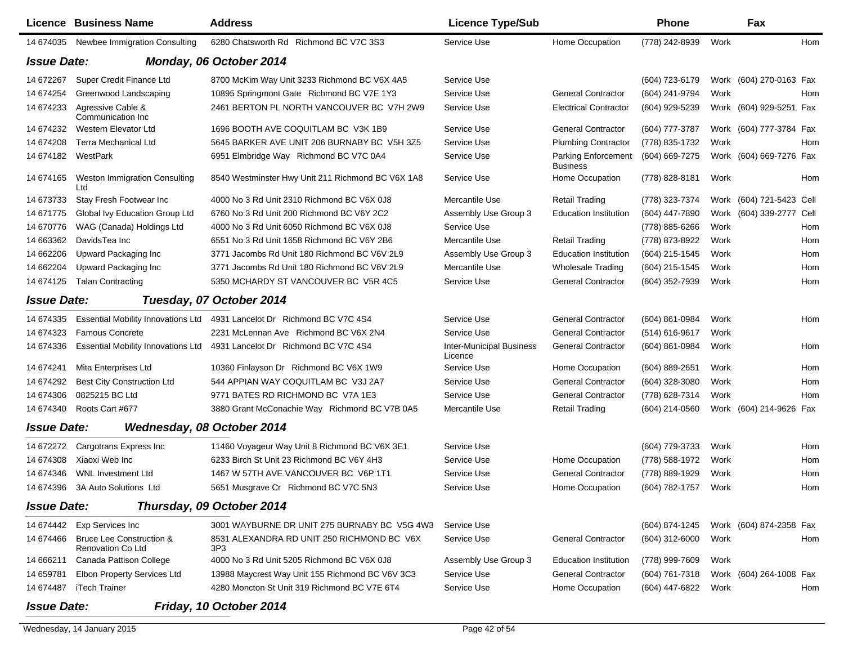|                    | Licence Business Name                                    | <b>Address</b>                                                          | <b>Licence Type/Sub</b>                    |                                        | <b>Phone</b>   |      | Fax                      |     |
|--------------------|----------------------------------------------------------|-------------------------------------------------------------------------|--------------------------------------------|----------------------------------------|----------------|------|--------------------------|-----|
| 14 674035          | Newbee Immigration Consulting                            | 6280 Chatsworth Rd Richmond BC V7C 3S3                                  | Service Use                                | Home Occupation                        | (778) 242-8939 | Work |                          | Hom |
| <b>Issue Date:</b> |                                                          | Monday, 06 October 2014                                                 |                                            |                                        |                |      |                          |     |
| 14 672267          | Super Credit Finance Ltd                                 | 8700 McKim Way Unit 3233 Richmond BC V6X 4A5                            | Service Use                                |                                        | (604) 723-6179 |      | Work (604) 270-0163 Fax  |     |
| 14 674254          | Greenwood Landscaping                                    | 10895 Springmont Gate Richmond BC V7E 1Y3                               | Service Use                                | <b>General Contractor</b>              | (604) 241-9794 | Work |                          | Hom |
| 14 674233          | Agressive Cable &<br>Communication Inc                   | 2461 BERTON PL NORTH VANCOUVER BC V7H 2W9                               | Service Use                                | <b>Electrical Contractor</b>           | (604) 929-5239 |      | Work (604) 929-5251 Fax  |     |
| 14 674232          | Western Elevator Ltd                                     | 1696 BOOTH AVE COQUITLAM BC V3K 1B9                                     | Service Use                                | <b>General Contractor</b>              | (604) 777-3787 |      | Work (604) 777-3784 Fax  |     |
| 14 674208          | <b>Terra Mechanical Ltd</b>                              | 5645 BARKER AVE UNIT 206 BURNABY BC V5H 3Z5                             | Service Use                                | <b>Plumbing Contractor</b>             | (778) 835-1732 | Work |                          | Hom |
| 14 674182          | WestPark                                                 | 6951 Elmbridge Way Richmond BC V7C 0A4                                  | Service Use                                | <b>Parking Enforcement</b><br>Business | (604) 669-7275 |      | Work (604) 669-7276 Fax  |     |
| 14 674165          | Weston Immigration Consulting<br>Ltd                     | 8540 Westminster Hwy Unit 211 Richmond BC V6X 1A8                       | Service Use                                | Home Occupation                        | (778) 828-8181 | Work |                          | Hom |
| 14 673733          | Stay Fresh Footwear Inc                                  | 4000 No 3 Rd Unit 2310 Richmond BC V6X 0J8                              | Mercantile Use                             | <b>Retail Trading</b>                  | (778) 323-7374 |      | Work (604) 721-5423 Cell |     |
| 14 671775          | Global Ivy Education Group Ltd                           | 6760 No 3 Rd Unit 200 Richmond BC V6Y 2C2                               | Assembly Use Group 3                       | <b>Education Institution</b>           | (604) 447-7890 |      | Work (604) 339-2777 Cell |     |
| 14 670776          | WAG (Canada) Holdings Ltd                                | 4000 No 3 Rd Unit 6050 Richmond BC V6X 0J8                              | Service Use                                |                                        | (778) 885-6266 | Work |                          | Hom |
| 14 663362          | DavidsTea Inc                                            | 6551 No 3 Rd Unit 1658 Richmond BC V6Y 2B6                              | Mercantile Use                             | <b>Retail Trading</b>                  | (778) 873-8922 | Work |                          | Hom |
| 14 662206          | Upward Packaging Inc                                     | 3771 Jacombs Rd Unit 180 Richmond BC V6V 2L9                            | Assembly Use Group 3                       | <b>Education Institution</b>           | (604) 215-1545 | Work |                          | Hom |
| 14 662204          | Upward Packaging Inc                                     | 3771 Jacombs Rd Unit 180 Richmond BC V6V 2L9                            | Mercantile Use                             | <b>Wholesale Trading</b>               | (604) 215-1545 | Work |                          | Hom |
| 14 674125          | <b>Talan Contracting</b>                                 | 5350 MCHARDY ST VANCOUVER BC V5R 4C5                                    | Service Use                                | <b>General Contractor</b>              | (604) 352-7939 | Work |                          | Hom |
| <b>Issue Date:</b> |                                                          | Tuesday, 07 October 2014                                                |                                            |                                        |                |      |                          |     |
| 14 674335          |                                                          | Essential Mobility Innovations Ltd 4931 Lancelot Dr Richmond BC V7C 4S4 | Service Use                                | <b>General Contractor</b>              | (604) 861-0984 | Work |                          | Hom |
| 14 674323          | <b>Famous Concrete</b>                                   | 2231 McLennan Ave Richmond BC V6X 2N4                                   | Service Use                                | <b>General Contractor</b>              | (514) 616-9617 | Work |                          |     |
| 14 674336          | <b>Essential Mobility Innovations Ltd</b>                | 4931 Lancelot Dr Richmond BC V7C 4S4                                    | <b>Inter-Municipal Business</b><br>Licence | <b>General Contractor</b>              | (604) 861-0984 | Work |                          | Hom |
| 14 674241          | Mita Enterprises Ltd                                     | 10360 Finlayson Dr Richmond BC V6X 1W9                                  | Service Use                                | Home Occupation                        | (604) 889-2651 | Work |                          | Hom |
| 14 674292          | <b>Best City Construction Ltd</b>                        | 544 APPIAN WAY COQUITLAM BC V3J 2A7                                     | Service Use                                | <b>General Contractor</b>              | (604) 328-3080 | Work |                          | Hom |
| 14 674306          | 0825215 BC Ltd                                           | 9771 BATES RD RICHMOND BC V7A 1E3                                       | Service Use                                | <b>General Contractor</b>              | (778) 628-7314 | Work |                          | Hom |
| 14 674340          | Roots Cart #677                                          | 3880 Grant McConachie Way Richmond BC V7B 0A5                           | Mercantile Use                             | <b>Retail Trading</b>                  | (604) 214-0560 |      | Work (604) 214-9626 Fax  |     |
| <b>Issue Date:</b> |                                                          | Wednesday, 08 October 2014                                              |                                            |                                        |                |      |                          |     |
| 14 672272          | Cargotrans Express Inc                                   | 11460 Voyageur Way Unit 8 Richmond BC V6X 3E1                           | Service Use                                |                                        | (604) 779-3733 | Work |                          | Hom |
| 14 674308          | Xiaoxi Web Inc                                           | 6233 Birch St Unit 23 Richmond BC V6Y 4H3                               | Service Use                                | Home Occupation                        | (778) 588-1972 | Work |                          | Hom |
| 14 674346          | <b>WNL Investment Ltd</b>                                | 1467 W 57TH AVE VANCOUVER BC V6P 1T1                                    | Service Use                                | <b>General Contractor</b>              | (778) 889-1929 | Work |                          | Hom |
| 14 674396          | 3A Auto Solutions Ltd                                    | 5651 Musgrave Cr Richmond BC V7C 5N3                                    | Service Use                                | Home Occupation                        | (604) 782-1757 | Work |                          | Hom |
| <b>Issue Date:</b> |                                                          | Thursday, 09 October 2014                                               |                                            |                                        |                |      |                          |     |
|                    | 14 674442 Exp Services Inc                               | 3001 WAYBURNE DR UNIT 275 BURNABY BC V5G 4W3                            | Service Use                                |                                        | (604) 874-1245 |      | Work (604) 874-2358 Fax  |     |
| 14 674466          | <b>Bruce Lee Construction &amp;</b><br>Renovation Co Ltd | 8531 ALEXANDRA RD UNIT 250 RICHMOND BC V6X<br>3P3                       | Service Use                                | <b>General Contractor</b>              | (604) 312-6000 | Work |                          | Hom |
| 14 666211          | Canada Pattison College                                  | 4000 No 3 Rd Unit 5205 Richmond BC V6X 0J8                              | Assembly Use Group 3                       | <b>Education Institution</b>           | (778) 999-7609 | Work |                          |     |
| 14 659781          | Elbon Property Services Ltd                              | 13988 Maycrest Way Unit 155 Richmond BC V6V 3C3                         | Service Use                                | <b>General Contractor</b>              | (604) 761-7318 |      | Work (604) 264-1008 Fax  |     |
| 14 674487          | iTech Trainer                                            | 4280 Moncton St Unit 319 Richmond BC V7E 6T4                            | Service Use                                | Home Occupation                        | (604) 447-6822 | Work |                          | Hom |
| <b>Issue Date:</b> |                                                          | Friday, 10 October 2014                                                 |                                            |                                        |                |      |                          |     |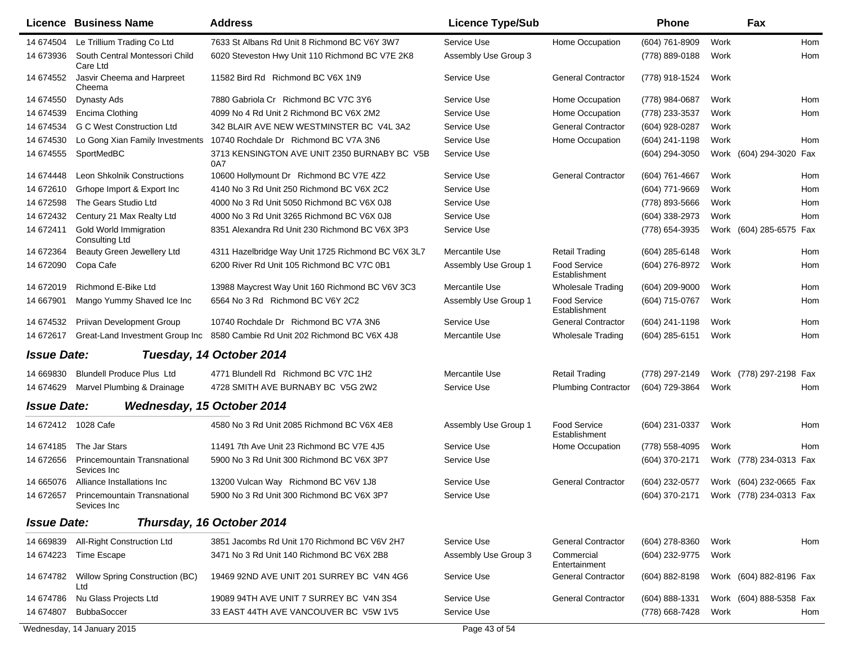|                    | Licence Business Name                           | <b>Address</b>                                      | <b>Licence Type/Sub</b> |                                      | <b>Phone</b>                           |      | Fax                     |            |
|--------------------|-------------------------------------------------|-----------------------------------------------------|-------------------------|--------------------------------------|----------------------------------------|------|-------------------------|------------|
| 14 674504          | Le Trillium Trading Co Ltd                      | 7633 St Albans Rd Unit 8 Richmond BC V6Y 3W7        | Service Use             | Home Occupation                      | (604) 761-8909                         | Work |                         | <b>Hom</b> |
| 14 673936          | South Central Montessori Child<br>Care Ltd      | 6020 Steveston Hwy Unit 110 Richmond BC V7E 2K8     | Assembly Use Group 3    |                                      | (778) 889-0188                         | Work |                         | Hom        |
| 14 674552          | Jasvir Cheema and Harpreet<br>Cheema            | 11582 Bird Rd Richmond BC V6X 1N9                   | Service Use             | <b>General Contractor</b>            | (778) 918-1524                         | Work |                         |            |
| 14 674550          | Dynasty Ads                                     | 7880 Gabriola Cr Richmond BC V7C 3Y6                | Service Use             | Home Occupation                      | (778) 984-0687                         | Work |                         | Hom        |
| 14 674539          | Encima Clothing                                 | 4099 No 4 Rd Unit 2 Richmond BC V6X 2M2             | Service Use             | Home Occupation                      | (778) 233-3537                         | Work |                         | Hom        |
| 14 674534          | <b>G C West Construction Ltd</b>                | 342 BLAIR AVE NEW WESTMINSTER BC V4L 3A2            | Service Use             | <b>General Contractor</b>            | (604) 928-0287                         | Work |                         |            |
| 14 674530          | Lo Gong Xian Family Investments                 | 10740 Rochdale Dr Richmond BC V7A 3N6               | Service Use             | Home Occupation                      | (604) 241-1198                         | Work |                         | Hom        |
| 14 674555          | SportMedBC                                      | 3713 KENSINGTON AVE UNIT 2350 BURNABY BC V5B<br>0A7 | Service Use             |                                      | (604) 294-3050                         |      | Work (604) 294-3020 Fax |            |
| 14 674448          | Leon Shkolnik Constructions                     | 10600 Hollymount Dr Richmond BC V7E 4Z2             | Service Use             | <b>General Contractor</b>            | (604) 761-4667                         | Work |                         | Hom        |
| 14 672610          | Grhope Import & Export Inc                      | 4140 No 3 Rd Unit 250 Richmond BC V6X 2C2           | Service Use             |                                      | (604) 771-9669                         | Work |                         | Hom        |
| 14 672598          | The Gears Studio Ltd                            | 4000 No 3 Rd Unit 5050 Richmond BC V6X 0J8          | Service Use             |                                      | (778) 893-5666                         | Work |                         | Hom        |
| 14 672432          | Century 21 Max Realty Ltd                       | 4000 No 3 Rd Unit 3265 Richmond BC V6X 0J8          | Service Use             |                                      | (604) 338-2973                         | Work |                         | Hom        |
| 14 672411          | Gold World Immigration<br><b>Consulting Ltd</b> | 8351 Alexandra Rd Unit 230 Richmond BC V6X 3P3      | Service Use             |                                      | (778) 654-3935                         |      | Work (604) 285-6575 Fax |            |
| 14 672364          | Beauty Green Jewellery Ltd                      | 4311 Hazelbridge Way Unit 1725 Richmond BC V6X 3L7  | Mercantile Use          | Retail Trading                       | (604) 285-6148                         | Work |                         | Hom        |
| 14 672090          | Copa Cafe                                       | 6200 River Rd Unit 105 Richmond BC V7C 0B1          | Assembly Use Group 1    | <b>Food Service</b><br>Establishment | (604) 276-8972                         | Work |                         | Hom        |
| 14 672019          | Richmond E-Bike Ltd                             | 13988 Maycrest Way Unit 160 Richmond BC V6V 3C3     | Mercantile Use          | <b>Wholesale Trading</b>             | $(604)$ 209-9000                       | Work |                         | Hom        |
| 14 667901          | Mango Yummy Shaved Ice Inc                      | 6564 No 3 Rd Richmond BC V6Y 2C2                    | Assembly Use Group 1    | <b>Food Service</b><br>Establishment | (604) 715-0767                         | Work |                         | Hom        |
| 14 674532          | Priivan Development Group                       | 10740 Rochdale Dr Richmond BC V7A 3N6               | Service Use             | <b>General Contractor</b>            | (604) 241-1198                         | Work |                         | Hom        |
| 14 672617          | Great-Land Investment Group Inc                 | 8580 Cambie Rd Unit 202 Richmond BC V6X 4J8         | Mercantile Use          | <b>Wholesale Trading</b>             | (604) 285-6151                         | Work |                         | Hom        |
| <b>Issue Date:</b> |                                                 | Tuesday, 14 October 2014                            |                         |                                      |                                        |      |                         |            |
| 14 669830          | <b>Blundell Produce Plus Ltd</b>                | 4771 Blundell Rd Richmond BC V7C 1H2                | Mercantile Use          | <b>Retail Trading</b>                | (778) 297-2149                         |      | Work (778) 297-2198 Fax |            |
| 14 674629          | Marvel Plumbing & Drainage                      | 4728 SMITH AVE BURNABY BC V5G 2W2                   | Service Use             | <b>Plumbing Contractor</b>           | (604) 729-3864                         | Work |                         | Hom        |
| <b>Issue Date:</b> | Wednesday, 15 October 2014                      |                                                     |                         |                                      |                                        |      |                         |            |
|                    | 14 672412 1028 Cafe                             | 4580 No 3 Rd Unit 2085 Richmond BC V6X 4E8          | Assembly Use Group 1    | <b>Food Service</b><br>Establishment | (604) 231-0337                         | Work |                         | Hom        |
| 14 674185          | The Jar Stars                                   | 11491 7th Ave Unit 23 Richmond BC V7E 4J5           | Service Use             | Home Occupation                      | (778) 558-4095                         | Work |                         | Hom        |
| 14 672656          | Princemountain Transnational<br>Sevices Inc     | 5900 No 3 Rd Unit 300 Richmond BC V6X 3P7           | Service Use             |                                      | (604) 370-2171                         |      | Work (778) 234-0313 Fax |            |
| 14 665076          | Alliance Installations Inc                      | 13200 Vulcan Way Richmond BC V6V 1J8                | Service Use             | <b>General Contractor</b>            | (604) 232-0577                         |      | Work (604) 232-0665 Fax |            |
| 14 672657          | Princemountain Transnational<br>Sevices Inc.    | 5900 No 3 Rd Unit 300 Richmond BC V6X 3P7           | Service Use             |                                      | (604) 370-2171 Work (778) 234-0313 Fax |      |                         |            |
| <b>Issue Date:</b> |                                                 | Thursday, 16 October 2014                           |                         |                                      |                                        |      |                         |            |
| 14 669839          | All-Right Construction Ltd                      | 3851 Jacombs Rd Unit 170 Richmond BC V6V 2H7        | Service Use             | <b>General Contractor</b>            | (604) 278-8360                         | Work |                         | Hom        |
| 14 674223          | Time Escape                                     | 3471 No 3 Rd Unit 140 Richmond BC V6X 2B8           | Assembly Use Group 3    | Commercial<br>Entertainment          | (604) 232-9775                         | Work |                         |            |
| 14 674782          | Willow Spring Construction (BC)<br>Ltd          | 19469 92ND AVE UNIT 201 SURREY BC V4N 4G6           | Service Use             | <b>General Contractor</b>            | (604) 882-8198                         |      | Work (604) 882-8196 Fax |            |
| 14 674786          | Nu Glass Projects Ltd                           | 19089 94TH AVE UNIT 7 SURREY BC V4N 3S4             | Service Use             | <b>General Contractor</b>            | (604) 888-1331                         |      | Work (604) 888-5358 Fax |            |
| 14 674807          | <b>BubbaSoccer</b>                              | 33 EAST 44TH AVE VANCOUVER BC V5W 1V5               | Service Use             |                                      | (778) 668-7428                         | Work |                         | Hom        |
|                    | Wednesday, 14 January 2015                      |                                                     | Page 43 of 54           |                                      |                                        |      |                         |            |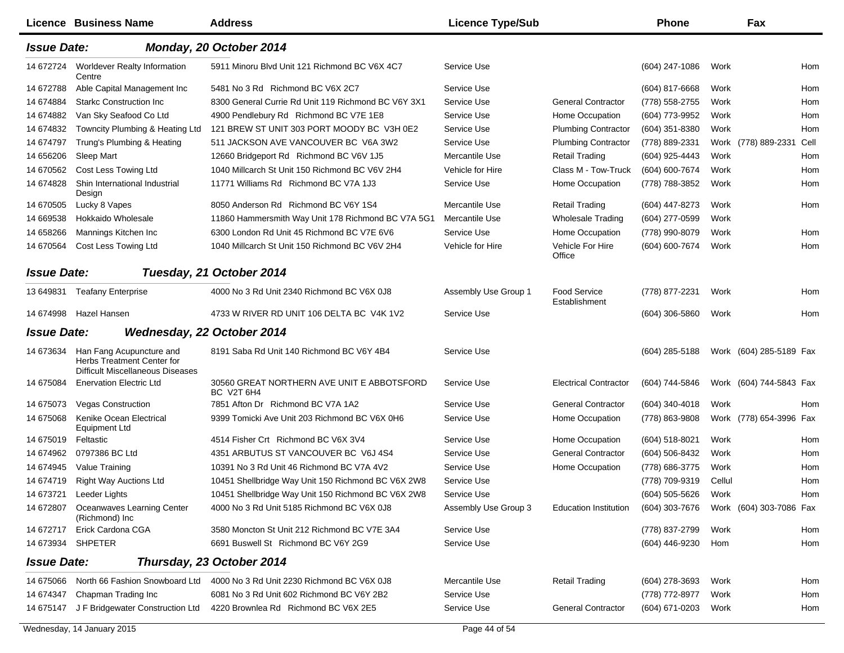|                    | Licence Business Name                                                                      | <b>Address</b>                                           | <b>Licence Type/Sub</b> |                               | <b>Phone</b>     |        | Fax                     |            |
|--------------------|--------------------------------------------------------------------------------------------|----------------------------------------------------------|-------------------------|-------------------------------|------------------|--------|-------------------------|------------|
| <b>Issue Date:</b> |                                                                                            | Monday, 20 October 2014                                  |                         |                               |                  |        |                         |            |
| 14 672724          | <b>Worldever Realty Information</b><br>Centre                                              | 5911 Minoru Blvd Unit 121 Richmond BC V6X 4C7            | Service Use             |                               | (604) 247-1086   | Work   |                         | Hom        |
| 14 672788          | Able Capital Management Inc                                                                | 5481 No 3 Rd Richmond BC V6X 2C7                         | Service Use             |                               | (604) 817-6668   | Work   |                         | Hom        |
| 14 674884          | <b>Starkc Construction Inc.</b>                                                            | 8300 General Currie Rd Unit 119 Richmond BC V6Y 3X1      | Service Use             | <b>General Contractor</b>     | (778) 558-2755   | Work   |                         | Hom        |
| 14 674882          | Van Sky Seafood Co Ltd                                                                     | 4900 Pendlebury Rd Richmond BC V7E 1E8                   | Service Use             | Home Occupation               | (604) 773-9952   | Work   |                         | Hom        |
| 14 674832          | Towncity Plumbing & Heating Ltd                                                            | 121 BREW ST UNIT 303 PORT MOODY BC V3H 0E2               | Service Use             | <b>Plumbing Contractor</b>    | (604) 351-8380   | Work   |                         | Hom        |
| 14 674797          | Trung's Plumbing & Heating                                                                 | 511 JACKSON AVE VANCOUVER BC V6A 3W2                     | Service Use             | <b>Plumbing Contractor</b>    | (778) 889-2331   |        | Work (778) 889-2331     | Cell       |
| 14 656206          | Sleep Mart                                                                                 | 12660 Bridgeport Rd Richmond BC V6V 1J5                  | Mercantile Use          | <b>Retail Trading</b>         | (604) 925-4443   | Work   |                         | Hom        |
| 14 670562          | Cost Less Towing Ltd                                                                       | 1040 Millcarch St Unit 150 Richmond BC V6V 2H4           | Vehicle for Hire        | Class M - Tow-Truck           | (604) 600-7674   | Work   |                         | Hom        |
| 14 674828          | Shin International Industrial<br>Design                                                    | 11771 Williams Rd Richmond BC V7A 1J3                    | Service Use             | Home Occupation               | (778) 788-3852   | Work   |                         | Hom        |
| 14 670505          | Lucky 8 Vapes                                                                              | 8050 Anderson Rd Richmond BC V6Y 1S4                     | Mercantile Use          | <b>Retail Trading</b>         | (604) 447-8273   | Work   |                         | Hom        |
| 14 669538          | Hokkaido Wholesale                                                                         | 11860 Hammersmith Way Unit 178 Richmond BC V7A 5G1       | Mercantile Use          | <b>Wholesale Trading</b>      | (604) 277-0599   | Work   |                         |            |
| 14 658266          | Mannings Kitchen Inc                                                                       | 6300 London Rd Unit 45 Richmond BC V7E 6V6               | Service Use             | Home Occupation               | (778) 990-8079   | Work   |                         | Hom        |
| 14 670564          | Cost Less Towing Ltd                                                                       | 1040 Millcarch St Unit 150 Richmond BC V6V 2H4           | Vehicle for Hire        | Vehicle For Hire<br>Office    | (604) 600-7674   | Work   |                         | <b>Hom</b> |
| <b>Issue Date:</b> |                                                                                            | Tuesday, 21 October 2014                                 |                         |                               |                  |        |                         |            |
| 13 649831          | <b>Teafany Enterprise</b>                                                                  | 4000 No 3 Rd Unit 2340 Richmond BC V6X 0J8               | Assembly Use Group 1    | Food Service<br>Establishment | (778) 877-2231   | Work   |                         | Hom        |
| 14 674998          | <b>Hazel Hansen</b>                                                                        | 4733 W RIVER RD UNIT 106 DELTA BC V4K 1V2                | Service Use             |                               | (604) 306-5860   | Work   |                         | Hom        |
| <b>Issue Date:</b> |                                                                                            | <b>Wednesday, 22 October 2014</b>                        |                         |                               |                  |        |                         |            |
| 14 673634          | Han Fang Acupuncture and<br>Herbs Treatment Center for<br>Difficult Miscellaneous Diseases | 8191 Saba Rd Unit 140 Richmond BC V6Y 4B4                | Service Use             |                               | $(604)$ 285-5188 |        | Work (604) 285-5189 Fax |            |
| 14 675084          | <b>Enervation Electric Ltd</b>                                                             | 30560 GREAT NORTHERN AVE UNIT E ABBOTSFORD<br>BC V2T 6H4 | Service Use             | <b>Electrical Contractor</b>  | (604) 744-5846   |        | Work (604) 744-5843 Fax |            |
| 14 675073          | <b>Vegas Construction</b>                                                                  | 7851 Afton Dr Richmond BC V7A 1A2                        | Service Use             | <b>General Contractor</b>     | (604) 340-4018   | Work   |                         | Hom        |
| 14 675068          | Kenike Ocean Electrical<br><b>Equipment Ltd</b>                                            | 9399 Tomicki Ave Unit 203 Richmond BC V6X 0H6            | Service Use             | Home Occupation               | (778) 863-9808   |        | Work (778) 654-3996 Fax |            |
| 14 675019          | Feltastic                                                                                  | 4514 Fisher Crt Richmond BC V6X 3V4                      | Service Use             | Home Occupation               | (604) 518-8021   | Work   |                         | Hom        |
| 14 674962          | 0797386 BC Ltd                                                                             | 4351 ARBUTUS ST VANCOUVER BC V6J 4S4                     | Service Use             | <b>General Contractor</b>     | (604) 506-8432   | Work   |                         | Hom        |
| 14 674945          | Value Training                                                                             | 10391 No 3 Rd Unit 46 Richmond BC V7A 4V2                | Service Use             | Home Occupation               | (778) 686-3775   | Work   |                         | Hom        |
| 14 674719          | <b>Right Way Auctions Ltd</b>                                                              | 10451 Shellbridge Way Unit 150 Richmond BC V6X 2W8       | Service Use             |                               | (778) 709-9319   | Cellul |                         | Hom        |
| 14 673721          | Leeder Lights                                                                              | 10451 Shellbridge Way Unit 150 Richmond BC V6X 2W8       | Service Use             |                               | (604) 505-5626   | Work   |                         | Hom        |
| 14 672807          | Oceanwaves Learning Center<br>(Richmond) Inc                                               | 4000 No 3 Rd Unit 5185 Richmond BC V6X 0J8               | Assembly Use Group 3    | <b>Education Institution</b>  | (604) 303-7676   |        | Work (604) 303-7086 Fax |            |
| 14 672717          | Erick Cardona CGA                                                                          | 3580 Moncton St Unit 212 Richmond BC V7E 3A4             | Service Use             |                               | (778) 837-2799   | Work   |                         | Hom        |
|                    | 14 673934 SHPETER                                                                          | 6691 Buswell St Richmond BC V6Y 2G9                      | Service Use             |                               | (604) 446-9230   | Hom    |                         | Hom        |
| <b>Issue Date:</b> |                                                                                            | Thursday, 23 October 2014                                |                         |                               |                  |        |                         |            |
| 14 675066          | North 66 Fashion Snowboard Ltd                                                             | 4000 No 3 Rd Unit 2230 Richmond BC V6X 0J8               | Mercantile Use          | <b>Retail Trading</b>         | $(604)$ 278-3693 | Work   |                         | Hom        |
| 14 674347          | Chapman Trading Inc                                                                        | 6081 No 3 Rd Unit 602 Richmond BC V6Y 2B2                | Service Use             |                               | (778) 772-8977   | Work   |                         | Hom        |
| 14 675147          | J F Bridgewater Construction Ltd                                                           | 4220 Brownlea Rd Richmond BC V6X 2E5                     | Service Use             | <b>General Contractor</b>     | (604) 671-0203   | Work   |                         | Hom        |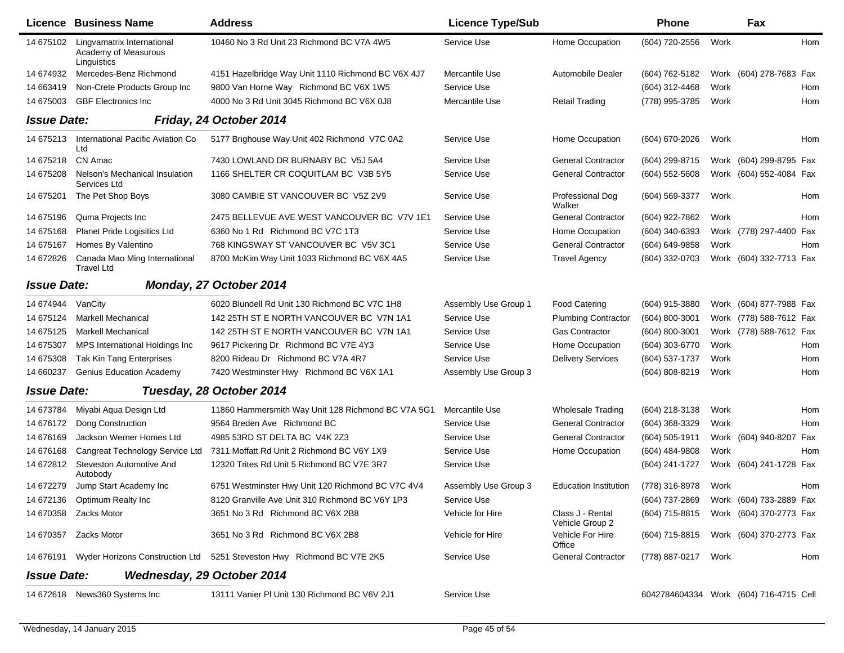|                    | <b>Licence Business Name</b>                                      | <b>Address</b>                                                                   | <b>Licence Type/Sub</b> |                                     | <b>Phone</b>     |      | Fax                                    |     |
|--------------------|-------------------------------------------------------------------|----------------------------------------------------------------------------------|-------------------------|-------------------------------------|------------------|------|----------------------------------------|-----|
| 14 675102          | Lingvamatrix International<br>Academy of Measurous<br>Linguistics | 10460 No 3 Rd Unit 23 Richmond BC V7A 4W5                                        | Service Use             | Home Occupation                     | (604) 720-2556   | Work |                                        | Hom |
| 14 674932          | Mercedes-Benz Richmond                                            | 4151 Hazelbridge Way Unit 1110 Richmond BC V6X 4J7                               | Mercantile Use          | <b>Automobile Dealer</b>            | (604) 762-5182   |      | Work (604) 278-7683 Fax                |     |
| 14 663419          | Non-Crete Products Group Inc                                      | 9800 Van Horne Way Richmond BC V6X 1W5                                           | Service Use             |                                     | (604) 312-4468   | Work |                                        | Hom |
| 14 675003          | <b>GBF Electronics Inc</b>                                        | 4000 No 3 Rd Unit 3045 Richmond BC V6X 0J8                                       | Mercantile Use          | <b>Retail Trading</b>               | (778) 995-3785   | Work |                                        | Hom |
| <b>Issue Date:</b> |                                                                   | Friday, 24 October 2014                                                          |                         |                                     |                  |      |                                        |     |
| 14 675213          | International Pacific Aviation Co<br>Ltd                          | 5177 Brighouse Way Unit 402 Richmond V7C 0A2                                     | Service Use             | Home Occupation                     | (604) 670-2026   | Work |                                        | Hom |
| 14 675218          | CN Amac                                                           | 7430 LOWLAND DR BURNABY BC V5J 5A4                                               | Service Use             | <b>General Contractor</b>           | (604) 299-8715   |      | Work (604) 299-8795 Fax                |     |
| 14 675208          | Nelson's Mechanical Insulation<br>Services Ltd                    | 1166 SHELTER CR COQUITLAM BC V3B 5Y5                                             | Service Use             | <b>General Contractor</b>           | $(604)$ 552-5608 |      | Work (604) 552-4084 Fax                |     |
| 14 675201          | The Pet Shop Boys                                                 | 3080 CAMBIE ST VANCOUVER BC V5Z 2V9                                              | Service Use             | Professional Dog<br>Walker          | (604) 569-3377   | Work |                                        | Hom |
| 14 675196          | Quma Projects Inc                                                 | 2475 BELLEVUE AVE WEST VANCOUVER BC V7V 1E1                                      | Service Use             | <b>General Contractor</b>           | (604) 922-7862   | Work |                                        | Hom |
| 14 675168          | Planet Pride Logisitics Ltd                                       | 6360 No 1 Rd Richmond BC V7C 1T3                                                 | Service Use             | Home Occupation                     | (604) 340-6393   |      | Work (778) 297-4400 Fax                |     |
| 14 675167          | Homes By Valentino                                                | 768 KINGSWAY ST VANCOUVER BC V5V 3C1                                             | Service Use             | <b>General Contractor</b>           | (604) 649-9858   | Work |                                        | Hom |
| 14 672826          | Canada Mao Ming International<br><b>Travel Ltd</b>                | 8700 McKim Way Unit 1033 Richmond BC V6X 4A5                                     | Service Use             | <b>Travel Agency</b>                | (604) 332-0703   |      | Work (604) 332-7713 Fax                |     |
| <b>Issue Date:</b> |                                                                   | Monday, 27 October 2014                                                          |                         |                                     |                  |      |                                        |     |
| 14 674944          | VanCity                                                           | 6020 Blundell Rd Unit 130 Richmond BC V7C 1H8                                    | Assembly Use Group 1    | <b>Food Catering</b>                | (604) 915-3880   |      | Work (604) 877-7988 Fax                |     |
| 14 675124          | <b>Markell Mechanical</b>                                         | 142 25TH ST E NORTH VANCOUVER BC V7N 1A1                                         | Service Use             | <b>Plumbing Contractor</b>          | (604) 800-3001   |      | Work (778) 588-7612 Fax                |     |
| 14 675125          | <b>Markell Mechanical</b>                                         | 142 25TH ST E NORTH VANCOUVER BC V7N 1A1                                         | Service Use             | Gas Contractor                      | (604) 800-3001   |      | Work (778) 588-7612 Fax                |     |
| 14 675307          | MPS International Holdings Inc                                    | 9617 Pickering Dr Richmond BC V7E 4Y3                                            | Service Use             | Home Occupation                     | (604) 303-6770   | Work |                                        | Hom |
| 14 675308          | Tak Kin Tang Enterprises                                          | 8200 Rideau Dr Richmond BC V7A 4R7                                               | Service Use             | <b>Delivery Services</b>            | (604) 537-1737   | Work |                                        | Hom |
| 14 660237          | <b>Genius Education Academy</b>                                   | 7420 Westminster Hwy Richmond BC V6X 1A1                                         | Assembly Use Group 3    |                                     | (604) 808-8219   | Work |                                        | Hom |
| <b>Issue Date:</b> |                                                                   | Tuesday, 28 October 2014                                                         |                         |                                     |                  |      |                                        |     |
| 14 673784          | Miyabi Aqua Design Ltd                                            | 11860 Hammersmith Way Unit 128 Richmond BC V7A 5G1                               | Mercantile Use          | <b>Wholesale Trading</b>            | (604) 218-3138   | Work |                                        | Hom |
| 14 676172          | Dong Construction                                                 | 9564 Breden Ave Richmond BC                                                      | Service Use             | <b>General Contractor</b>           | (604) 368-3329   | Work |                                        | Hom |
| 14 676169          | Jackson Werner Homes Ltd                                          | 4985 53RD ST DELTA BC V4K 2Z3                                                    | Service Use             | <b>General Contractor</b>           | (604) 505-1911   |      | Work (604) 940-8207 Fax                |     |
| 14 676168          | Cangreat Technology Service Ltd                                   | 7311 Moffatt Rd Unit 2 Richmond BC V6Y 1X9                                       | Service Use             | Home Occupation                     | (604) 484-9808   | Work |                                        | Hom |
| 14 672812          | Steveston Automotive And<br>Autobody                              | 12320 Trites Rd Unit 5 Richmond BC V7E 3R7                                       | Service Use             |                                     | (604) 241-1727   |      | Work (604) 241-1728 Fax                |     |
| 14 672279          | Jump Start Academy Inc                                            | 6751 Westminster Hwy Unit 120 Richmond BC V7C 4V4                                | Assembly Use Group 3    | <b>Education Institution</b>        | (778) 316-8978   | Work |                                        | Hom |
|                    | 14 672136 Optimum Realty Inc                                      | 8120 Granville Ave Unit 310 Richmond BC V6Y 1P3                                  | Service Use             |                                     | (604) 737-2869   |      | Work (604) 733-2889 Fax                |     |
|                    | 14 670358    Zacks Motor                                          | 3651 No 3 Rd Richmond BC V6X 2B8                                                 | Vehicle for Hire        | Class J - Rental<br>Vehicle Group 2 | (604) 715-8815   |      | Work (604) 370-2773 Fax                |     |
|                    | 14 670357    Zacks Motor                                          | 3651 No 3 Rd Richmond BC V6X 2B8                                                 | Vehicle for Hire        | Vehicle For Hire<br>Office          | (604) 715-8815   |      | Work (604) 370-2773 Fax                |     |
|                    |                                                                   | 14 676191 Wyder Horizons Construction Ltd 5251 Steveston Hwy Richmond BC V7E 2K5 | Service Use             | <b>General Contractor</b>           | (778) 887-0217   | Work |                                        | Hom |
| <b>Issue Date:</b> |                                                                   | <b>Wednesday, 29 October 2014</b>                                                |                         |                                     |                  |      |                                        |     |
|                    | 14 672618 News360 Systems Inc                                     | 13111 Vanier PI Unit 130 Richmond BC V6V 2J1                                     | Service Use             |                                     |                  |      | 6042784604334 Work (604) 716-4715 Cell |     |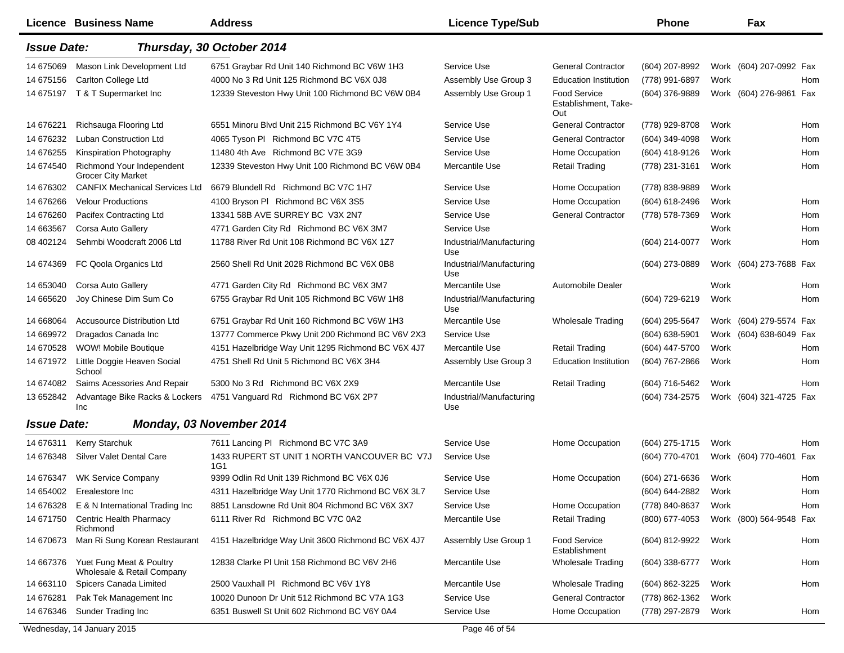|                    | <b>Licence Business Name</b>                           | <b>Address</b>                                      | <b>Licence Type/Sub</b>         |                                                    | <b>Phone</b>     |      | Fax                     |     |
|--------------------|--------------------------------------------------------|-----------------------------------------------------|---------------------------------|----------------------------------------------------|------------------|------|-------------------------|-----|
| <b>Issue Date:</b> |                                                        | Thursday, 30 October 2014                           |                                 |                                                    |                  |      |                         |     |
| 14 675069          | Mason Link Development Ltd                             | 6751 Graybar Rd Unit 140 Richmond BC V6W 1H3        | Service Use                     | <b>General Contractor</b>                          | (604) 207-8992   |      | Work (604) 207-0992 Fax |     |
| 14 675156          | Carlton College Ltd                                    | 4000 No 3 Rd Unit 125 Richmond BC V6X 0J8           | Assembly Use Group 3            | <b>Education Institution</b>                       | (778) 991-6897   | Work |                         | Hom |
|                    | 14 675197 T & T Supermarket Inc                        | 12339 Steveston Hwy Unit 100 Richmond BC V6W 0B4    | Assembly Use Group 1            | <b>Food Service</b><br>Establishment, Take-<br>Out | (604) 376-9889   |      | Work (604) 276-9861 Fax |     |
| 14 67 6221         | Richsauga Flooring Ltd                                 | 6551 Minoru Blvd Unit 215 Richmond BC V6Y 1Y4       | Service Use                     | <b>General Contractor</b>                          | (778) 929-8708   | Work |                         | Hom |
| 14 67 6232         | <b>Luban Construction Ltd</b>                          | 4065 Tyson PI Richmond BC V7C 4T5                   | Service Use                     | <b>General Contractor</b>                          | (604) 349-4098   | Work |                         | Hom |
| 14 67 6255         | Kinspiration Photography                               | 11480 4th Ave Richmond BC V7E 3G9                   | Service Use                     | Home Occupation                                    | (604) 418-9126   | Work |                         | Hom |
| 14 674540          | Richmond Your Independent<br><b>Grocer City Market</b> | 12339 Steveston Hwy Unit 100 Richmond BC V6W 0B4    | Mercantile Use                  | <b>Retail Trading</b>                              | (778) 231-3161   | Work |                         | Hom |
| 14 676302          | <b>CANFIX Mechanical Services Ltd</b>                  | 6679 Blundell Rd Richmond BC V7C 1H7                | Service Use                     | Home Occupation                                    | (778) 838-9889   | Work |                         |     |
| 14 676266          | <b>Velour Productions</b>                              | 4100 Bryson PI Richmond BC V6X 3S5                  | Service Use                     | Home Occupation                                    | (604) 618-2496   | Work |                         | Hom |
| 14 676260          | Pacifex Contracting Ltd                                | 13341 58B AVE SURREY BC V3X 2N7                     | Service Use                     | <b>General Contractor</b>                          | (778) 578-7369   | Work |                         | Hom |
| 14 663567          | Corsa Auto Gallery                                     | 4771 Garden City Rd Richmond BC V6X 3M7             | Service Use                     |                                                    |                  | Work |                         | Hom |
| 08 402124          | Sehmbi Woodcraft 2006 Ltd                              | 11788 River Rd Unit 108 Richmond BC V6X 1Z7         | Industrial/Manufacturing<br>Use |                                                    | (604) 214-0077   | Work |                         | Hom |
| 14 674369          | FC Qoola Organics Ltd                                  | 2560 Shell Rd Unit 2028 Richmond BC V6X 0B8         | Industrial/Manufacturing<br>Use |                                                    | (604) 273-0889   |      | Work (604) 273-7688 Fax |     |
| 14 653040          | Corsa Auto Gallery                                     | 4771 Garden City Rd Richmond BC V6X 3M7             | Mercantile Use                  | Automobile Dealer                                  |                  | Work |                         | Hom |
| 14 665620          | Joy Chinese Dim Sum Co                                 | 6755 Graybar Rd Unit 105 Richmond BC V6W 1H8        | Industrial/Manufacturing<br>Use |                                                    | (604) 729-6219   | Work |                         | Hom |
| 14 668064          | <b>Accusource Distribution Ltd</b>                     | 6751 Graybar Rd Unit 160 Richmond BC V6W 1H3        | Mercantile Use                  | <b>Wholesale Trading</b>                           | (604) 295-5647   |      | Work (604) 279-5574 Fax |     |
| 14 669972          | Dragados Canada Inc                                    | 13777 Commerce Pkwy Unit 200 Richmond BC V6V 2X3    | Service Use                     |                                                    | $(604)$ 638-5901 |      | Work (604) 638-6049 Fax |     |
| 14 670528          | WOW! Mobile Boutique                                   | 4151 Hazelbridge Way Unit 1295 Richmond BC V6X 4J7  | Mercantile Use                  | <b>Retail Trading</b>                              | (604) 447-5700   | Work |                         | Hom |
| 14 671972          | Little Doggie Heaven Social<br>School                  | 4751 Shell Rd Unit 5 Richmond BC V6X 3H4            | Assembly Use Group 3            | <b>Education Institution</b>                       | (604) 767-2866   | Work |                         | Hom |
| 14 674082          | Saims Acessories And Repair                            | 5300 No 3 Rd Richmond BC V6X 2X9                    | Mercantile Use                  | <b>Retail Trading</b>                              | (604) 716-5462   | Work |                         | Hom |
| 13 652842          | Advantage Bike Racks & Lockers<br>Inc                  | 4751 Vanguard Rd Richmond BC V6X 2P7                | Industrial/Manufacturing<br>Use |                                                    | (604) 734-2575   |      | Work (604) 321-4725 Fax |     |
| <b>Issue Date:</b> |                                                        | Monday, 03 November 2014                            |                                 |                                                    |                  |      |                         |     |
| 14 676311          | <b>Kerry Starchuk</b>                                  | 7611 Lancing PI Richmond BC V7C 3A9                 | Service Use                     | Home Occupation                                    | (604) 275-1715   | Work |                         | Hom |
| 14 676348          | Silver Valet Dental Care                               | 1433 RUPERT ST UNIT 1 NORTH VANCOUVER BC V7J<br>1G1 | Service Use                     |                                                    | (604) 770-4701   |      | Work (604) 770-4601 Fax |     |
|                    | 14 676347 WK Service Company                           | 9399 Odlin Rd Unit 139 Richmond BC V6X 0J6          | Service Use                     | Home Occupation                                    | (604) 271-6636   | Work |                         | Hom |
| 14 654002          | Erealestore Inc                                        | 4311 Hazelbridge Way Unit 1770 Richmond BC V6X 3L7  | Service Use                     |                                                    | (604) 644-2882   | Work |                         | Hom |
| 14 676328          | E & N International Trading Inc                        | 8851 Lansdowne Rd Unit 804 Richmond BC V6X 3X7      | Service Use                     | Home Occupation                                    | (778) 840-8637   | Work |                         | Hom |
| 14 671750          | Centric Health Pharmacy<br>Richmond                    | 6111 River Rd Richmond BC V7C 0A2                   | Mercantile Use                  | <b>Retail Trading</b>                              | (800) 677-4053   |      | Work (800) 564-9548 Fax |     |
| 14 670673          | Man Ri Sung Korean Restaurant                          | 4151 Hazelbridge Way Unit 3600 Richmond BC V6X 4J7  | Assembly Use Group 1            | Food Service<br>Establishment                      | (604) 812-9922   | Work |                         | Hom |
| 14 667376          | Yuet Fung Meat & Poultry<br>Wholesale & Retail Company | 12838 Clarke PI Unit 158 Richmond BC V6V 2H6        | Mercantile Use                  | <b>Wholesale Trading</b>                           | (604) 338-6777   | Work |                         | Hom |
| 14 663110          | Spicers Canada Limited                                 | 2500 Vauxhall PI Richmond BC V6V 1Y8                | Mercantile Use                  | <b>Wholesale Trading</b>                           | (604) 862-3225   | Work |                         | Hom |
| 14 67 6281         | Pak Tek Management Inc                                 | 10020 Dunoon Dr Unit 512 Richmond BC V7A 1G3        | Service Use                     | <b>General Contractor</b>                          | (778) 862-1362   | Work |                         |     |
| 14 676346          | <b>Sunder Trading Inc</b>                              | 6351 Buswell St Unit 602 Richmond BC V6Y 0A4        | Service Use                     | Home Occupation                                    | (778) 297-2879   | Work |                         | Hom |
|                    | Wednesday, 14 January 2015                             |                                                     | Page 46 of 54                   |                                                    |                  |      |                         |     |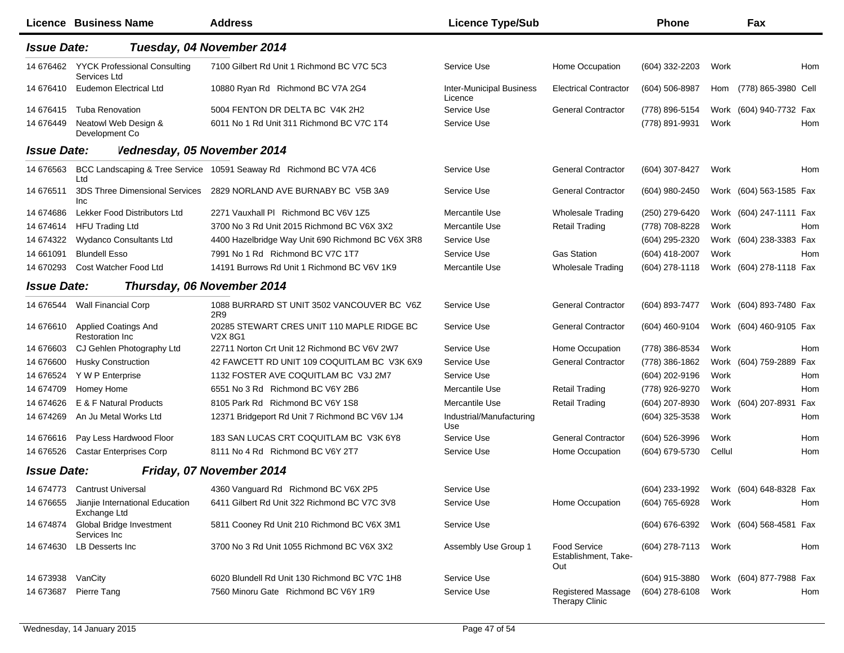|                    | Licence Business Name                                     | <b>Address</b>                                                                 | <b>Licence Type/Sub</b>                    |                                                    | Phone                                  |        | Fax                     |     |
|--------------------|-----------------------------------------------------------|--------------------------------------------------------------------------------|--------------------------------------------|----------------------------------------------------|----------------------------------------|--------|-------------------------|-----|
| <b>Issue Date:</b> |                                                           | Tuesday, 04 November 2014                                                      |                                            |                                                    |                                        |        |                         |     |
| 14 676462          | <b>YYCK Professional Consulting</b><br>Services Ltd       | 7100 Gilbert Rd Unit 1 Richmond BC V7C 5C3                                     | Service Use                                | Home Occupation                                    | (604) 332-2203                         | Work   |                         | Hom |
| 14 676410          | Eudemon Electrical Ltd                                    | 10880 Ryan Rd Richmond BC V7A 2G4                                              | <b>Inter-Municipal Business</b><br>Licence | <b>Electrical Contractor</b>                       | $(604)$ 506-8987                       | Hom    | (778) 865-3980 Cell     |     |
| 14 676415          | <b>Tuba Renovation</b>                                    | 5004 FENTON DR DELTA BC V4K 2H2                                                | Service Use                                | <b>General Contractor</b>                          | (778) 896-5154                         |        | Work (604) 940-7732 Fax |     |
| 14 676449          | Neatowl Web Design &<br>Development Co                    | 6011 No 1 Rd Unit 311 Richmond BC V7C 1T4                                      | Service Use                                |                                                    | (778) 891-9931                         | Work   |                         | Hom |
| <b>Issue Date:</b> | Vednesday, 05 November 2014                               |                                                                                |                                            |                                                    |                                        |        |                         |     |
| 14 67 65 63        | Ltd                                                       | BCC Landscaping & Tree Service 10591 Seaway Rd Richmond BC V7A 4C6             | Service Use                                | <b>General Contractor</b>                          | (604) 307-8427                         | Work   |                         | Hom |
| 14 67 6511         | <b>3DS Three Dimensional Services</b><br>Inc              | 2829 NORLAND AVE BURNABY BC V5B 3A9                                            | Service Use                                | <b>General Contractor</b>                          | (604) 980-2450                         |        | Work (604) 563-1585 Fax |     |
| 14 674 686         | Lekker Food Distributors Ltd                              | 2271 Vauxhall PI Richmond BC V6V 1Z5                                           | Mercantile Use                             | <b>Wholesale Trading</b>                           | (250) 279-6420                         |        | Work (604) 247-1111 Fax |     |
| 14 674 614         | <b>HFU Trading Ltd</b>                                    | 3700 No 3 Rd Unit 2015 Richmond BC V6X 3X2                                     | Mercantile Use                             | <b>Retail Trading</b>                              | (778) 708-8228                         | Work   |                         | Hom |
| 14 674322          | <b>Wydanco Consultants Ltd</b>                            | 4400 Hazelbridge Way Unit 690 Richmond BC V6X 3R8                              | Service Use                                |                                                    | (604) 295-2320                         |        | Work (604) 238-3383 Fax |     |
| 14 661091          | <b>Blundell Esso</b>                                      | 7991 No 1 Rd Richmond BC V7C 1T7                                               | Service Use                                | <b>Gas Station</b>                                 | (604) 418-2007                         | Work   |                         | Hom |
| 14 670293          | Cost Watcher Food Ltd                                     | 14191 Burrows Rd Unit 1 Richmond BC V6V 1K9                                    | Mercantile Use                             | <b>Wholesale Trading</b>                           | $(604)$ 278-1118                       |        | Work (604) 278-1118 Fax |     |
| <b>Issue Date:</b> |                                                           | Thursday, 06 November 2014                                                     |                                            |                                                    |                                        |        |                         |     |
| 14 676544          | <b>Wall Financial Corp</b>                                | 1088 BURRARD ST UNIT 3502 VANCOUVER BC V6Z<br>2R9                              | Service Use                                | <b>General Contractor</b>                          | (604) 893-7477                         |        | Work (604) 893-7480 Fax |     |
| 14 676610          | <b>Applied Coatings And</b><br><b>Restoration Inc.</b>    | 20285 STEWART CRES UNIT 110 MAPLE RIDGE BC<br>V <sub>2</sub> X 8G <sub>1</sub> | Service Use                                | <b>General Contractor</b>                          | (604) 460-9104                         |        | Work (604) 460-9105 Fax |     |
| 14 67 6603         | CJ Gehlen Photography Ltd                                 | 22711 Norton Crt Unit 12 Richmond BC V6V 2W7                                   | Service Use                                | Home Occupation                                    | (778) 386-8534                         | Work   |                         | Hom |
| 14 67 6600         | <b>Husky Construction</b>                                 | 42 FAWCETT RD UNIT 109 COQUITLAM BC V3K 6X9                                    | Service Use                                | <b>General Contractor</b>                          | (778) 386-1862                         |        | Work (604) 759-2889 Fax |     |
| 14 67 65 24        | Y W P Enterprise                                          | 1132 FOSTER AVE COQUITLAM BC V3J 2M7                                           | Service Use                                |                                                    | (604) 202-9196                         | Work   |                         | Hom |
| 14 674709          | Homey Home                                                | 6551 No 3 Rd Richmond BC V6Y 2B6                                               | Mercantile Use                             | <b>Retail Trading</b>                              | (778) 926-9270                         | Work   |                         | Hom |
| 14 674 626         | E & F Natural Products                                    | 8105 Park Rd Richmond BC V6Y 1S8                                               | Mercantile Use                             | <b>Retail Trading</b>                              | (604) 207-8930                         |        | Work (604) 207-8931 Fax |     |
| 14 674269          | An Ju Metal Works Ltd                                     | 12371 Bridgeport Rd Unit 7 Richmond BC V6V 1J4                                 | Industrial/Manufacturing<br>Use            |                                                    | (604) 325-3538                         | Work   |                         | Hom |
| 14 67 6616         | Pay Less Hardwood Floor                                   | 183 SAN LUCAS CRT COQUITLAM BC V3K 6Y8                                         | Service Use                                | <b>General Contractor</b>                          | (604) 526-3996                         | Work   |                         | Hom |
| 14 676526          | <b>Castar Enterprises Corp</b>                            | 8111 No 4 Rd Richmond BC V6Y 2T7                                               | Service Use                                | Home Occupation                                    | (604) 679-5730                         | Cellul |                         | Hom |
| <b>Issue Date:</b> |                                                           | Friday, 07 November 2014                                                       |                                            |                                                    |                                        |        |                         |     |
|                    | 14 674773 Cantrust Universal                              | 4360 Vanguard Rd Richmond BC V6X 2P5                                           | Service Use                                |                                                    | (604) 233-1992 Work (604) 648-8328 Fax |        |                         |     |
|                    | 14 676655 Jianjie International Education<br>Exchange Ltd | 6411 Gilbert Rd Unit 322 Richmond BC V7C 3V8                                   | Service Use                                | Home Occupation                                    | (604) 765-6928                         | Work   |                         | Hom |
| 14 674874          | Global Bridge Investment<br>Services Inc                  | 5811 Cooney Rd Unit 210 Richmond BC V6X 3M1                                    | Service Use                                |                                                    | (604) 676-6392                         |        | Work (604) 568-4581 Fax |     |
| 14 674630          | LB Desserts Inc                                           | 3700 No 3 Rd Unit 1055 Richmond BC V6X 3X2                                     | Assembly Use Group 1                       | <b>Food Service</b><br>Establishment, Take-<br>Out | (604) 278-7113                         | Work   |                         | Hom |
| 14 673938          | VanCity                                                   | 6020 Blundell Rd Unit 130 Richmond BC V7C 1H8                                  | Service Use                                |                                                    | (604) 915-3880                         |        | Work (604) 877-7988 Fax |     |
| 14 673 687         | Pierre Tang                                               | 7560 Minoru Gate Richmond BC V6Y 1R9                                           | Service Use                                | Registered Massage<br>Therapy Clinic               | (604) 278-6108                         | Work   |                         | Hom |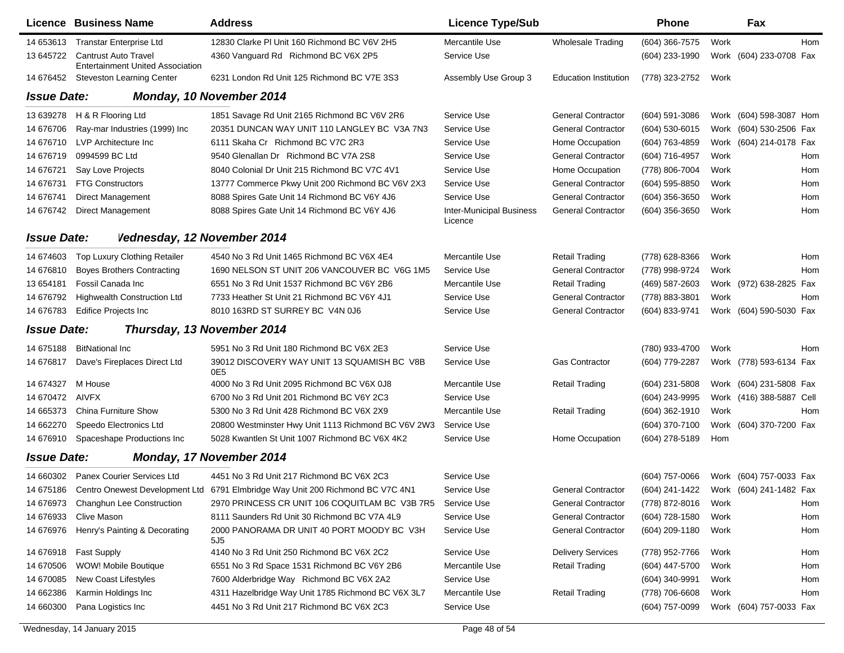|                    | Licence Business Name                                                  | <b>Address</b>                                                                           | <b>Licence Type/Sub</b>                    |                              | <b>Phone</b>     |      | Fax                      |     |
|--------------------|------------------------------------------------------------------------|------------------------------------------------------------------------------------------|--------------------------------------------|------------------------------|------------------|------|--------------------------|-----|
| 14 653613          | <b>Transtar Enterprise Ltd</b>                                         | 12830 Clarke PI Unit 160 Richmond BC V6V 2H5                                             | Mercantile Use                             | <b>Wholesale Trading</b>     | (604) 366-7575   | Work |                          | Hom |
| 13 645722          | <b>Cantrust Auto Travel</b><br><b>Entertainment United Association</b> | 4360 Vanguard Rd Richmond BC V6X 2P5                                                     | Service Use                                |                              | (604) 233-1990   |      | Work (604) 233-0708 Fax  |     |
| 14 676452          | <b>Steveston Learning Center</b>                                       | 6231 London Rd Unit 125 Richmond BC V7E 3S3                                              | Assembly Use Group 3                       | <b>Education Institution</b> | (778) 323-2752   | Work |                          |     |
| <b>Issue Date:</b> |                                                                        | Monday, 10 November 2014                                                                 |                                            |                              |                  |      |                          |     |
| 13 639278          | H & R Flooring Ltd                                                     | 1851 Savage Rd Unit 2165 Richmond BC V6V 2R6                                             | Service Use                                | <b>General Contractor</b>    | (604) 591-3086   |      | Work (604) 598-3087 Hom  |     |
| 14 676706          | Ray-mar Industries (1999) Inc                                          | 20351 DUNCAN WAY UNIT 110 LANGLEY BC V3A 7N3                                             | Service Use                                | <b>General Contractor</b>    | $(604)$ 530-6015 |      | Work (604) 530-2506 Fax  |     |
| 14 676710          | LVP Architecture Inc.                                                  | 6111 Skaha Cr Richmond BC V7C 2R3                                                        | Service Use                                | Home Occupation              | (604) 763-4859   |      | Work (604) 214-0178 Fax  |     |
| 14 67 6719         | 0994599 BC Ltd                                                         | 9540 Glenallan Dr Richmond BC V7A 2S8                                                    | Service Use                                | <b>General Contractor</b>    | (604) 716-4957   | Work |                          | Hom |
| 14 67 6721         | Say Love Projects                                                      | 8040 Colonial Dr Unit 215 Richmond BC V7C 4V1                                            | Service Use                                | Home Occupation              | (778) 806-7004   | Work |                          | Hom |
| 14 67 6731         | <b>FTG Constructors</b>                                                | 13777 Commerce Pkwy Unit 200 Richmond BC V6V 2X3                                         | Service Use                                | <b>General Contractor</b>    | (604) 595-8850   | Work |                          | Hom |
| 14 67 6741         | <b>Direct Management</b>                                               | 8088 Spires Gate Unit 14 Richmond BC V6Y 4J6                                             | Service Use                                | <b>General Contractor</b>    | (604) 356-3650   | Work |                          | Hom |
| 14 676742          | <b>Direct Management</b>                                               | 8088 Spires Gate Unit 14 Richmond BC V6Y 4J6                                             | <b>Inter-Municipal Business</b><br>Licence | <b>General Contractor</b>    | (604) 356-3650   | Work |                          | Hom |
| <b>Issue Date:</b> | Vednesday, 12 November 2014                                            |                                                                                          |                                            |                              |                  |      |                          |     |
| 14 674603          | Top Luxury Clothing Retailer                                           | 4540 No 3 Rd Unit 1465 Richmond BC V6X 4E4                                               | Mercantile Use                             | <b>Retail Trading</b>        | (778) 628-8366   | Work |                          | Hom |
| 14 676810          | <b>Boyes Brothers Contracting</b>                                      | 1690 NELSON ST UNIT 206 VANCOUVER BC V6G 1M5                                             | Service Use                                | <b>General Contractor</b>    | (778) 998-9724   | Work |                          | Hom |
| 13 654181          | Fossil Canada Inc                                                      | 6551 No 3 Rd Unit 1537 Richmond BC V6Y 2B6                                               | Mercantile Use                             | <b>Retail Trading</b>        | (469) 587-2603   |      | Work (972) 638-2825 Fax  |     |
| 14 67 6792         | <b>Highwealth Construction Ltd</b>                                     | 7733 Heather St Unit 21 Richmond BC V6Y 4J1                                              | Service Use                                | <b>General Contractor</b>    | (778) 883-3801   | Work |                          | Hom |
| 14 676783          | <b>Edifice Projects Inc</b>                                            | 8010 163RD ST SURREY BC V4N 0J6                                                          | Service Use                                | <b>General Contractor</b>    | (604) 833-9741   |      | Work (604) 590-5030 Fax  |     |
| <b>Issue Date:</b> |                                                                        | Thursday, 13 November 2014                                                               |                                            |                              |                  |      |                          |     |
| 14 675188          | <b>BitNational Inc.</b>                                                | 5951 No 3 Rd Unit 180 Richmond BC V6X 2E3                                                | Service Use                                |                              | (780) 933-4700   | Work |                          | Hom |
| 14 67 6817         | Dave's Fireplaces Direct Ltd                                           | 39012 DISCOVERY WAY UNIT 13 SQUAMISH BC V8B<br>0E5                                       | Service Use                                | <b>Gas Contractor</b>        | (604) 779-2287   |      | Work (778) 593-6134 Fax  |     |
| 14 674327          | M House                                                                | 4000 No 3 Rd Unit 2095 Richmond BC V6X 0J8                                               | Mercantile Use                             | <b>Retail Trading</b>        | (604) 231-5808   |      | Work (604) 231-5808 Fax  |     |
| 14 670472          | AIVFX                                                                  | 6700 No 3 Rd Unit 201 Richmond BC V6Y 2C3                                                | Service Use                                |                              | (604) 243-9995   |      | Work (416) 388-5887 Cell |     |
| 14 665373          | <b>China Furniture Show</b>                                            | 5300 No 3 Rd Unit 428 Richmond BC V6X 2X9                                                | Mercantile Use                             | <b>Retail Trading</b>        | (604) 362-1910   | Work |                          | Hom |
| 14 662270          | Speedo Electronics Ltd                                                 | 20800 Westminster Hwy Unit 1113 Richmond BC V6V 2W3                                      | Service Use                                |                              | (604) 370-7100   |      | Work (604) 370-7200 Fax  |     |
| 14 676910          | Spaceshape Productions Inc                                             | 5028 Kwantlen St Unit 1007 Richmond BC V6X 4K2                                           | Service Use                                | Home Occupation              | (604) 278-5189   | Hom  |                          |     |
| <b>Issue Date:</b> |                                                                        | Monday, 17 November 2014                                                                 |                                            |                              |                  |      |                          |     |
| 14 660302          | Panex Courier Services Ltd                                             | 4451 No 3 Rd Unit 217 Richmond BC V6X 2C3                                                | Service Use                                |                              | (604) 757-0066   |      | Work (604) 757-0033 Fax  |     |
|                    |                                                                        | 14 675186 Centro Onewest Development Ltd 6791 Elmbridge Way Unit 200 Richmond BC V7C 4N1 | Service Use                                | <b>General Contractor</b>    | (604) 241-1422   |      | Work (604) 241-1482 Fax  |     |
| 14 676973          | <b>Changhun Lee Construction</b>                                       | 2970 PRINCESS CR UNIT 106 COQUITLAM BC V3B 7R5                                           | Service Use                                | <b>General Contractor</b>    | (778) 872-8016   | Work |                          | Hom |
| 14 676933          | Clive Mason                                                            | 8111 Saunders Rd Unit 30 Richmond BC V7A 4L9                                             | Service Use                                | <b>General Contractor</b>    | (604) 728-1580   | Work |                          | Hom |
| 14 676976          | Henry's Painting & Decorating                                          | 2000 PANORAMA DR UNIT 40 PORT MOODY BC V3H<br>5J <sub>5</sub>                            | Service Use                                | <b>General Contractor</b>    | (604) 209-1180   | Work |                          | Hom |
| 14 676918          | <b>Fast Supply</b>                                                     | 4140 No 3 Rd Unit 250 Richmond BC V6X 2C2                                                | Service Use                                | <b>Delivery Services</b>     | (778) 952-7766   | Work |                          | Hom |
| 14 670506          | WOW! Mobile Boutique                                                   | 6551 No 3 Rd Space 1531 Richmond BC V6Y 2B6                                              | Mercantile Use                             | <b>Retail Trading</b>        | (604) 447-5700   | Work |                          | Hom |
| 14 670085          | New Coast Lifestyles                                                   | 7600 Alderbridge Way Richmond BC V6X 2A2                                                 | Service Use                                |                              | (604) 340-9991   | Work |                          | Hom |
| 14 662386          | Karmin Holdings Inc                                                    | 4311 Hazelbridge Way Unit 1785 Richmond BC V6X 3L7                                       | Mercantile Use                             | <b>Retail Trading</b>        | (778) 706-6608   | Work |                          | Hom |
| 14 660300          | Pana Logistics Inc                                                     | 4451 No 3 Rd Unit 217 Richmond BC V6X 2C3                                                | Service Use                                |                              | (604) 757-0099   |      | Work (604) 757-0033 Fax  |     |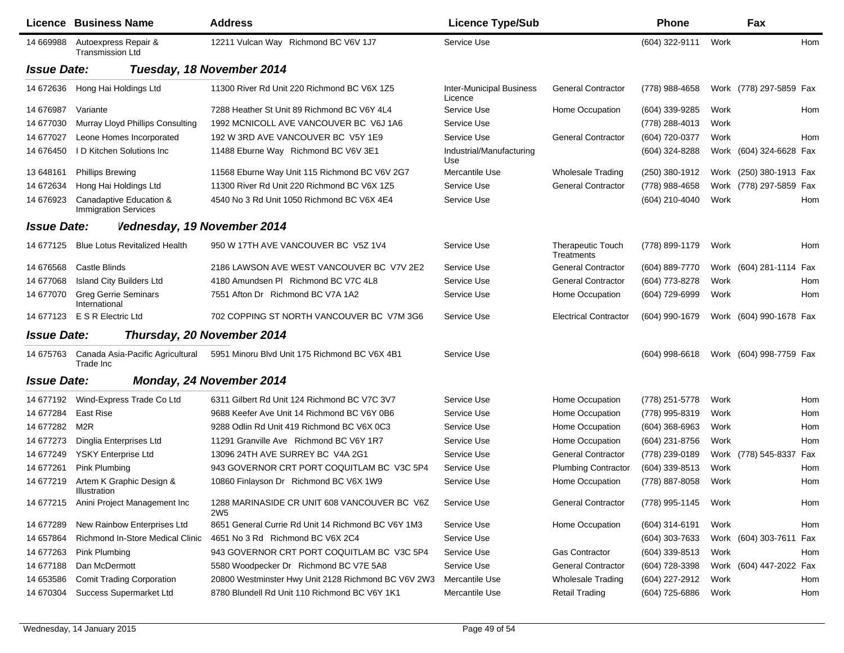|                    | Licence Business Name                                  | <b>Address</b>                                                  | <b>Licence Type/Sub</b>                    |                                        | <b>Phone</b>     |      | Fax                     |            |
|--------------------|--------------------------------------------------------|-----------------------------------------------------------------|--------------------------------------------|----------------------------------------|------------------|------|-------------------------|------------|
| 14 669988          | Autoexpress Repair &<br><b>Transmission Ltd</b>        | 12211 Vulcan Way Richmond BC V6V 1J7                            | Service Use                                |                                        | (604) 322-9111   | Work |                         | Hom        |
| <b>Issue Date:</b> |                                                        | Tuesday, 18 November 2014                                       |                                            |                                        |                  |      |                         |            |
| 14 672636          | Hong Hai Holdings Ltd                                  | 11300 River Rd Unit 220 Richmond BC V6X 1Z5                     | <b>Inter-Municipal Business</b><br>Licence | <b>General Contractor</b>              | (778) 988-4658   |      | Work (778) 297-5859 Fax |            |
| 14 676987          | Variante                                               | 7288 Heather St Unit 89 Richmond BC V6Y 4L4                     | Service Use                                | Home Occupation                        | (604) 339-9285   | Work |                         | Hom        |
| 14 677030          | Murray Lloyd Phillips Consulting                       | 1992 MCNICOLL AVE VANCOUVER BC V6J 1A6                          | Service Use                                |                                        | (778) 288-4013   | Work |                         |            |
| 14 677027          | Leone Homes Incorporated                               | 192 W 3RD AVE VANCOUVER BC V5Y 1E9                              | Service Use                                | <b>General Contractor</b>              | (604) 720-0377   | Work |                         | Hom        |
| 14 67 6450         | <b>ID Kitchen Solutions Inc.</b>                       | 11488 Eburne Way Richmond BC V6V 3E1                            | Industrial/Manufacturing<br>Use            |                                        | (604) 324-8288   |      | Work (604) 324-6628 Fax |            |
| 13 648 161         | <b>Phillips Brewing</b>                                | 11568 Eburne Way Unit 115 Richmond BC V6V 2G7                   | Mercantile Use                             | <b>Wholesale Trading</b>               | (250) 380-1912   |      | Work (250) 380-1913 Fax |            |
| 14 672634          | Hong Hai Holdings Ltd                                  | 11300 River Rd Unit 220 Richmond BC V6X 1Z5                     | Service Use                                | <b>General Contractor</b>              | (778) 988-4658   |      | Work (778) 297-5859 Fax |            |
| 14 676923          | Canadaptive Education &<br><b>Immigration Services</b> | 4540 No 3 Rd Unit 1050 Richmond BC V6X 4E4                      | Service Use                                |                                        | (604) 210-4040   | Work |                         | Hom        |
| <b>Issue Date:</b> | Vednesday, 19 November 2014                            |                                                                 |                                            |                                        |                  |      |                         |            |
| 14 677125          | <b>Blue Lotus Revitalized Health</b>                   | 950 W 17TH AVE VANCOUVER BC V5Z 1V4                             | Service Use                                | <b>Therapeutic Touch</b><br>Treatments | (778) 899-1179   | Work |                         | Hom        |
| 14 67 65 68        | <b>Castle Blinds</b>                                   | 2186 LAWSON AVE WEST VANCOUVER BC V7V 2E2                       | Service Use                                | <b>General Contractor</b>              | (604) 889-7770   |      | Work (604) 281-1114 Fax |            |
| 14 677068          | <b>Island City Builders Ltd</b>                        | 4180 Amundsen PI Richmond BC V7C 4L8                            | Service Use                                | <b>General Contractor</b>              | (604) 773-8278   | Work |                         | Hom        |
| 14 677070          | <b>Greg Gerrie Seminars</b><br>International           | 7551 Afton Dr Richmond BC V7A 1A2                               | Service Use                                | Home Occupation                        | (604) 729-6999   | Work |                         | Hom        |
|                    | 14 677123 E S R Electric Ltd                           | 702 COPPING ST NORTH VANCOUVER BC V7M 3G6                       | Service Use                                | <b>Electrical Contractor</b>           | (604) 990-1679   |      | Work (604) 990-1678 Fax |            |
| <b>Issue Date:</b> |                                                        | Thursday, 20 November 2014                                      |                                            |                                        |                  |      |                         |            |
| 14 675763          | Canada Asia-Pacific Agricultural<br>Trade Inc          | 5951 Minoru Blvd Unit 175 Richmond BC V6X 4B1                   | Service Use                                |                                        | $(604)$ 998-6618 |      | Work (604) 998-7759 Fax |            |
| <b>Issue Date:</b> |                                                        | Monday, 24 November 2014                                        |                                            |                                        |                  |      |                         |            |
| 14 677192          | Wind-Express Trade Co Ltd                              | 6311 Gilbert Rd Unit 124 Richmond BC V7C 3V7                    | Service Use                                | Home Occupation                        | (778) 251-5778   | Work |                         | Hom        |
| 14 677284          | <b>East Rise</b>                                       | 9688 Keefer Ave Unit 14 Richmond BC V6Y 0B6                     | Service Use                                | Home Occupation                        | (778) 995-8319   | Work |                         | <b>Hom</b> |
| 14 677282          | M <sub>2R</sub>                                        | 9288 Odlin Rd Unit 419 Richmond BC V6X 0C3                      | Service Use                                | Home Occupation                        | $(604)$ 368-6963 | Work |                         | Hom        |
| 14 677273          | Dinglia Enterprises Ltd                                | 11291 Granville Ave Richmond BC V6Y 1R7                         | Service Use                                | Home Occupation                        | (604) 231-8756   | Work |                         | Hom        |
| 14 677249          | <b>YSKY Enterprise Ltd</b>                             | 13096 24TH AVE SURREY BC V4A 2G1                                | Service Use                                | <b>General Contractor</b>              | (778) 239-0189   |      | Work (778) 545-8337     | Fax        |
| 14 677261          | Pink Plumbing                                          | 943 GOVERNOR CRT PORT COQUITLAM BC V3C 5P4                      | Service Use                                | <b>Plumbing Contractor</b>             | (604) 339-8513   | Work |                         | Hom        |
| 14 677219          | Artem K Graphic Design &<br>Illustration               | 10860 Finlayson Dr Richmond BC V6X 1W9                          | Service Use                                | Home Occupation                        | (778) 887-8058   | Work |                         | Hom        |
| 14 677215          | Anini Project Management Inc                           | 1288 MARINASIDE CR UNIT 608 VANCOUVER BC V6Z<br>2W <sub>5</sub> | Service Use                                | <b>General Contractor</b>              | (778) 995-1145   | Work |                         | Hom        |
| 14 677289          | New Rainbow Enterprises Ltd                            | 8651 General Currie Rd Unit 14 Richmond BC V6Y 1M3              | Service Use                                | Home Occupation                        | (604) 314-6191   | Work |                         | Hom        |
| 14 657864          | Richmond In-Store Medical Clinic                       | 4651 No 3 Rd Richmond BC V6X 2C4                                | Service Use                                |                                        | (604) 303-7633   |      | Work (604) 303-7611 Fax |            |
| 14 677263          | Pink Plumbing                                          | 943 GOVERNOR CRT PORT COQUITLAM BC V3C 5P4                      | Service Use                                | <b>Gas Contractor</b>                  | (604) 339-8513   | Work |                         | Hom        |
| 14 677188          | Dan McDermott                                          | 5580 Woodpecker Dr Richmond BC V7E 5A8                          | Service Use                                | <b>General Contractor</b>              | (604) 728-3398   |      | Work (604) 447-2022 Fax |            |
| 14 653586          | <b>Comit Trading Corporation</b>                       | 20800 Westminster Hwy Unit 2128 Richmond BC V6V 2W3             | Mercantile Use                             | <b>Wholesale Trading</b>               | (604) 227-2912   | Work |                         | Hom        |
| 14 670304          | Success Supermarket Ltd                                | 8780 Blundell Rd Unit 110 Richmond BC V6Y 1K1                   | Mercantile Use                             | <b>Retail Trading</b>                  | (604) 725-6886   | Work |                         | Hom        |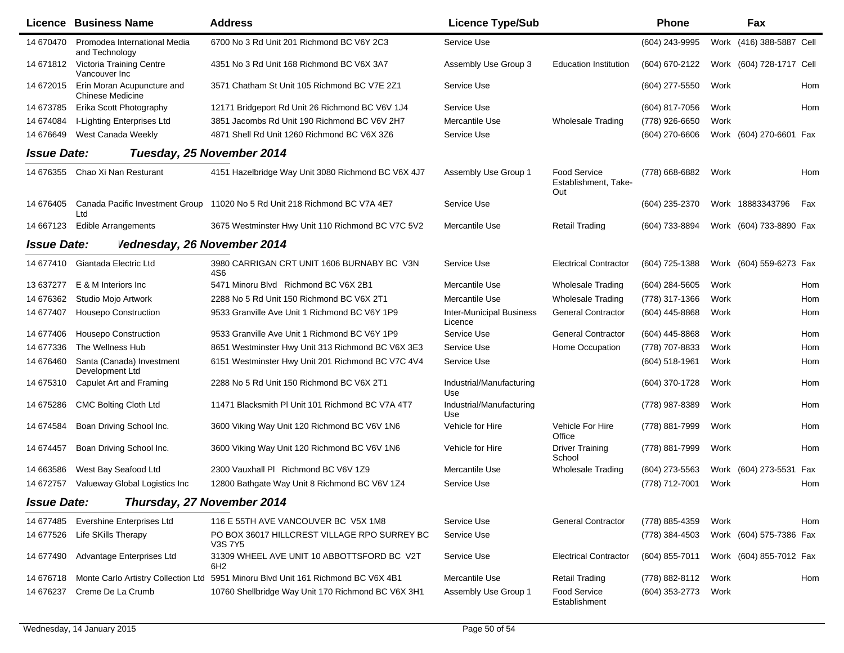|                    | <b>Licence Business Name</b>                          | <b>Address</b>                                                                    | <b>Licence Type/Sub</b>                    |                                                    | <b>Phone</b>     |      | Fax                      |     |
|--------------------|-------------------------------------------------------|-----------------------------------------------------------------------------------|--------------------------------------------|----------------------------------------------------|------------------|------|--------------------------|-----|
| 14 670470          | Promodea International Media<br>and Technology        | 6700 No 3 Rd Unit 201 Richmond BC V6Y 2C3                                         | Service Use                                |                                                    | (604) 243-9995   |      | Work (416) 388-5887 Cell |     |
| 14 671812          | Victoria Training Centre<br>Vancouver Inc             | 4351 No 3 Rd Unit 168 Richmond BC V6X 3A7                                         | Assembly Use Group 3                       | <b>Education Institution</b>                       | (604) 670-2122   |      | Work (604) 728-1717 Cell |     |
| 14 672015          | Erin Moran Acupuncture and<br><b>Chinese Medicine</b> | 3571 Chatham St Unit 105 Richmond BC V7E 2Z1                                      | Service Use                                |                                                    | (604) 277-5550   | Work |                          | Hom |
| 14 673785          | Erika Scott Photography                               | 12171 Bridgeport Rd Unit 26 Richmond BC V6V 1J4                                   | Service Use                                |                                                    | (604) 817-7056   | Work |                          | Hom |
| 14 674084          | I-Lighting Enterprises Ltd                            | 3851 Jacombs Rd Unit 190 Richmond BC V6V 2H7                                      | Mercantile Use                             | <b>Wholesale Trading</b>                           | (778) 926-6650   | Work |                          |     |
| 14 67 6649         | West Canada Weekly                                    | 4871 Shell Rd Unit 1260 Richmond BC V6X 3Z6                                       | Service Use                                |                                                    | (604) 270-6606   |      | Work (604) 270-6601 Fax  |     |
| <b>Issue Date:</b> |                                                       | Tuesday, 25 November 2014                                                         |                                            |                                                    |                  |      |                          |     |
| 14 676355          | Chao Xi Nan Resturant                                 | 4151 Hazelbridge Way Unit 3080 Richmond BC V6X 4J7                                | Assembly Use Group 1                       | <b>Food Service</b><br>Establishment, Take-<br>Out | (778) 668-6882   | Work |                          | Hom |
| 14 676405          | Ltd                                                   | Canada Pacific Investment Group 11020 No 5 Rd Unit 218 Richmond BC V7A 4E7        | Service Use                                |                                                    | (604) 235-2370   |      | Work 18883343796         | Fax |
| 14 667123          | <b>Edible Arrangements</b>                            | 3675 Westminster Hwy Unit 110 Richmond BC V7C 5V2                                 | <b>Mercantile Use</b>                      | <b>Retail Trading</b>                              | (604) 733-8894   |      | Work (604) 733-8890 Fax  |     |
| <b>Issue Date:</b> | Vednesday, 26 November 2014                           |                                                                                   |                                            |                                                    |                  |      |                          |     |
| 14 677410          | Giantada Electric Ltd                                 | 3980 CARRIGAN CRT UNIT 1606 BURNABY BC V3N<br>4S6                                 | Service Use                                | <b>Electrical Contractor</b>                       | (604) 725-1388   |      | Work (604) 559-6273 Fax  |     |
| 13 637277          | E & M Interiors Inc                                   | 5471 Minoru Blvd Richmond BC V6X 2B1                                              | Mercantile Use                             | <b>Wholesale Trading</b>                           | $(604)$ 284-5605 | Work |                          | Hom |
| 14 676362          | Studio Mojo Artwork                                   | 2288 No 5 Rd Unit 150 Richmond BC V6X 2T1                                         | Mercantile Use                             | <b>Wholesale Trading</b>                           | (778) 317-1366   | Work |                          | Hom |
| 14 677407          | <b>Housepo Construction</b>                           | 9533 Granville Ave Unit 1 Richmond BC V6Y 1P9                                     | <b>Inter-Municipal Business</b><br>Licence | <b>General Contractor</b>                          | (604) 445-8868   | Work |                          | Hom |
| 14 677406          | <b>Housepo Construction</b>                           | 9533 Granville Ave Unit 1 Richmond BC V6Y 1P9                                     | Service Use                                | <b>General Contractor</b>                          | (604) 445-8868   | Work |                          | Hom |
| 14 677336          | The Wellness Hub                                      | 8651 Westminster Hwy Unit 313 Richmond BC V6X 3E3                                 | Service Use                                | Home Occupation                                    | (778) 707-8833   | Work |                          | Hom |
| 14 676460          | Santa (Canada) Investment<br>Development Ltd          | 6151 Westminster Hwy Unit 201 Richmond BC V7C 4V4                                 | Service Use                                |                                                    | $(604)$ 518-1961 | Work |                          | Hom |
| 14 675310          | Capulet Art and Framing                               | 2288 No 5 Rd Unit 150 Richmond BC V6X 2T1                                         | Industrial/Manufacturing<br>Use            |                                                    | (604) 370-1728   | Work |                          | Hom |
| 14 675286          | CMC Bolting Cloth Ltd                                 | 11471 Blacksmith PI Unit 101 Richmond BC V7A 4T7                                  | Industrial/Manufacturing<br>Use            |                                                    | (778) 987-8389   | Work |                          | Hom |
| 14 674584          | Boan Driving School Inc.                              | 3600 Viking Way Unit 120 Richmond BC V6V 1N6                                      | Vehicle for Hire                           | Vehicle For Hire<br>Office                         | (778) 881-7999   | Work |                          | Hom |
| 14 674457          | Boan Driving School Inc.                              | 3600 Viking Way Unit 120 Richmond BC V6V 1N6                                      | Vehicle for Hire                           | <b>Driver Training</b><br>School                   | (778) 881-7999   | Work |                          | Hom |
| 14 663586          | West Bay Seafood Ltd                                  | 2300 Vauxhall PI Richmond BC V6V 1Z9                                              | Mercantile Use                             | <b>Wholesale Trading</b>                           | (604) 273-5563   |      | Work (604) 273-5531 Fax  |     |
| 14 672757          | Valueway Global Logistics Inc                         | 12800 Bathgate Way Unit 8 Richmond BC V6V 1Z4                                     | Service Use                                |                                                    | (778) 712-7001   | Work |                          | Hom |
| <b>Issue Date:</b> |                                                       | Thursday, 27 November 2014                                                        |                                            |                                                    |                  |      |                          |     |
|                    | 14 677485 Evershine Enterprises Ltd                   | 116 E 55TH AVE VANCOUVER BC V5X 1M8                                               | Service Use                                | <b>General Contractor</b>                          | (778) 885-4359   | Work |                          | Hom |
| 14 677526          | Life SKills Therapy                                   | PO BOX 36017 HILLCREST VILLAGE RPO SURREY BC<br>V3S 7Y5                           | Service Use                                |                                                    | (778) 384-4503   |      | Work (604) 575-7386 Fax  |     |
| 14 677490          | Advantage Enterprises Ltd                             | 31309 WHEEL AVE UNIT 10 ABBOTTSFORD BC V2T<br>6H <sub>2</sub>                     | Service Use                                | <b>Electrical Contractor</b>                       | (604) 855-7011   |      | Work (604) 855-7012 Fax  |     |
| 14 676718          |                                                       | Monte Carlo Artistry Collection Ltd 5951 Minoru Blvd Unit 161 Richmond BC V6X 4B1 | Mercantile Use                             | <b>Retail Trading</b>                              | (778) 882-8112   | Work |                          | Hom |
| 14 676237          | Creme De La Crumb                                     | 10760 Shellbridge Way Unit 170 Richmond BC V6X 3H1                                | Assembly Use Group 1                       | <b>Food Service</b><br>Establishment               | (604) 353-2773   | Work |                          |     |

 $\blacksquare$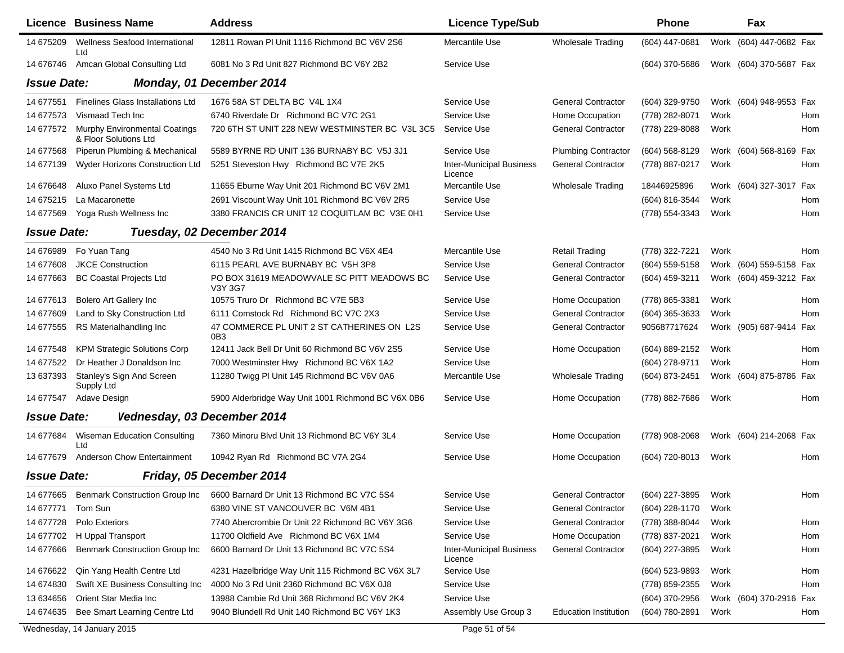|                    | Licence Business Name                                            | <b>Address</b>                                                | <b>Licence Type/Sub</b>                    |                              | <b>Phone</b>   | Fax                     |     |
|--------------------|------------------------------------------------------------------|---------------------------------------------------------------|--------------------------------------------|------------------------------|----------------|-------------------------|-----|
| 14 675209          | Wellness Seafood International<br>Ltd                            | 12811 Rowan PI Unit 1116 Richmond BC V6V 2S6                  | Mercantile Use                             | Wholesale Trading            | (604) 447-0681 | Work (604) 447-0682 Fax |     |
| 14 676746          | Amcan Global Consulting Ltd                                      | 6081 No 3 Rd Unit 827 Richmond BC V6Y 2B2                     | Service Use                                |                              | (604) 370-5686 | Work (604) 370-5687 Fax |     |
| <b>Issue Date:</b> |                                                                  | Monday, 01 December 2014                                      |                                            |                              |                |                         |     |
| 14 677551          | <b>Finelines Glass Installations Ltd</b>                         | 1676 58A ST DELTA BC V4L 1X4                                  | Service Use                                | <b>General Contractor</b>    | (604) 329-9750 | Work (604) 948-9553 Fax |     |
| 14 677573          | Vismaad Tech Inc                                                 | 6740 Riverdale Dr Richmond BC V7C 2G1                         | Service Use                                | Home Occupation              | (778) 282-8071 | Work                    | Hom |
|                    | 14 677572 Murphy Environmental Coatings<br>& Floor Solutions Ltd | 720 6TH ST UNIT 228 NEW WESTMINSTER BC V3L 3C5                | Service Use                                | <b>General Contractor</b>    | (778) 229-8088 | Work                    | Hom |
| 14 677568          | Piperun Plumbing & Mechanical                                    | 5589 BYRNE RD UNIT 136 BURNABY BC V5J 3J1                     | Service Use                                | <b>Plumbing Contractor</b>   | (604) 568-8129 | Work (604) 568-8169 Fax |     |
| 14 677139          | Wyder Horizons Construction Ltd                                  | 5251 Steveston Hwy Richmond BC V7E 2K5                        | <b>Inter-Municipal Business</b><br>Licence | <b>General Contractor</b>    | (778) 887-0217 | Work                    | Hom |
| 14 67 6648         | Aluxo Panel Systems Ltd                                          | 11655 Eburne Way Unit 201 Richmond BC V6V 2M1                 | Mercantile Use                             | <b>Wholesale Trading</b>     | 18446925896    | Work (604) 327-3017 Fax |     |
| 14 675215          | La Macaronette                                                   | 2691 Viscount Way Unit 101 Richmond BC V6V 2R5                | Service Use                                |                              | (604) 816-3544 | Work                    | Hom |
| 14 677569          | Yoga Rush Wellness Inc                                           | 3380 FRANCIS CR UNIT 12 COQUITLAM BC V3E 0H1                  | Service Use                                |                              | (778) 554-3343 | Work                    | Hom |
| <b>Issue Date:</b> |                                                                  | Tuesday, 02 December 2014                                     |                                            |                              |                |                         |     |
| 14 676989          | Fo Yuan Tang                                                     | 4540 No 3 Rd Unit 1415 Richmond BC V6X 4E4                    | Mercantile Use                             | <b>Retail Trading</b>        | (778) 322-7221 | Work                    | Hom |
| 14 677608          | <b>JKCE Construction</b>                                         | 6115 PEARL AVE BURNABY BC V5H 3P8                             | Service Use                                | <b>General Contractor</b>    | (604) 559-5158 | Work (604) 559-5158 Fax |     |
| 14 677663          | <b>BC Coastal Projects Ltd</b>                                   | PO BOX 31619 MEADOWVALE SC PITT MEADOWS BC<br>V3Y 3G7         | Service Use                                | <b>General Contractor</b>    | (604) 459-3211 | Work (604) 459-3212 Fax |     |
| 14 677613          | <b>Bolero Art Gallery Inc</b>                                    | 10575 Truro Dr Richmond BC V7E 5B3                            | Service Use                                | Home Occupation              | (778) 865-3381 | Work                    | Hom |
| 14 677609          | Land to Sky Construction Ltd                                     | 6111 Comstock Rd Richmond BC V7C 2X3                          | Service Use                                | <b>General Contractor</b>    | (604) 365-3633 | Work                    | Hom |
| 14 677555          | RS Materialhandling Inc                                          | 47 COMMERCE PL UNIT 2 ST CATHERINES ON L2S<br>0B <sub>3</sub> | Service Use                                | <b>General Contractor</b>    | 905687717624   | Work (905) 687-9414     | Fax |
| 14 677548          | <b>KPM Strategic Solutions Corp</b>                              | 12411 Jack Bell Dr Unit 60 Richmond BC V6V 2S5                | Service Use                                | Home Occupation              | (604) 889-2152 | Work                    | Hom |
| 14 677522          | Dr Heather J Donaldson Inc                                       | 7000 Westminster Hwy Richmond BC V6X 1A2                      | Service Use                                |                              | (604) 278-9711 | Work                    | Hom |
| 13 637393          | Stanley's Sign And Screen<br>Supply Ltd                          | 11280 Twigg PI Unit 145 Richmond BC V6V 0A6                   | Mercantile Use                             | Wholesale Trading            | (604) 873-2451 | (604) 875-8786<br>Work  | Fax |
| 14 677547          | Adave Design                                                     | 5900 Alderbridge Way Unit 1001 Richmond BC V6X 0B6            | Service Use                                | Home Occupation              | (778) 882-7686 | Work                    | Hom |
| <b>Issue Date:</b> | Vednesday, 03 December 2014                                      |                                                               |                                            |                              |                |                         |     |
| 14 677684          | <b>Wiseman Education Consulting</b><br>Ltd                       | 7360 Minoru Blvd Unit 13 Richmond BC V6Y 3L4                  | Service Use                                | Home Occupation              | (778) 908-2068 | Work (604) 214-2068 Fax |     |
| 14 677679          | <b>Anderson Chow Entertainment</b>                               | 10942 Ryan Rd Richmond BC V7A 2G4                             | Service Use                                | Home Occupation              | (604) 720-8013 | Work                    | Hom |
| <b>Issue Date:</b> |                                                                  | Friday, 05 December 2014                                      |                                            |                              |                |                         |     |
| 14 677665          | <b>Benmark Construction Group Inc</b>                            | 6600 Barnard Dr Unit 13 Richmond BC V7C 5S4                   | Service Use                                | <b>General Contractor</b>    | (604) 227-3895 | Work                    | Hom |
| 14 677771          | Tom Sun                                                          | 6380 VINE ST VANCOUVER BC V6M 4B1                             | Service Use                                | General Contractor           | (604) 228-1170 | Work                    |     |
| 14 677728          | Polo Exteriors                                                   | 7740 Abercrombie Dr Unit 22 Richmond BC V6Y 3G6               | Service Use                                | <b>General Contractor</b>    | (778) 388-8044 | Work                    | Hom |
| 14 677702          | H Uppal Transport                                                | 11700 Oldfield Ave Richmond BC V6X 1M4                        | Service Use                                | Home Occupation              | (778) 837-2021 | Work                    | Hom |
| 14 677666          | <b>Benmark Construction Group Inc</b>                            | 6600 Barnard Dr Unit 13 Richmond BC V7C 5S4                   | Inter-Municipal Business<br>Licence        | <b>General Contractor</b>    | (604) 227-3895 | Work                    | Hom |
| 14 67 6622         | Qin Yang Health Centre Ltd                                       | 4231 Hazelbridge Way Unit 115 Richmond BC V6X 3L7             | Service Use                                |                              | (604) 523-9893 | Work                    | Hom |
| 14 674830          | Swift XE Business Consulting Inc                                 | 4000 No 3 Rd Unit 2360 Richmond BC V6X 0J8                    | Service Use                                |                              | (778) 859-2355 | Work                    | Hom |
| 13 634656          | Orient Star Media Inc                                            | 13988 Cambie Rd Unit 368 Richmond BC V6V 2K4                  | Service Use                                |                              | (604) 370-2956 | Work (604) 370-2916 Fax |     |
| 14 674 635         | Bee Smart Learning Centre Ltd                                    | 9040 Blundell Rd Unit 140 Richmond BC V6Y 1K3                 | Assembly Use Group 3                       | <b>Education Institution</b> | (604) 780-2891 | Work                    | Hom |
|                    | Wednesday, 14 January 2015                                       |                                                               | Page 51 of 54                              |                              |                |                         |     |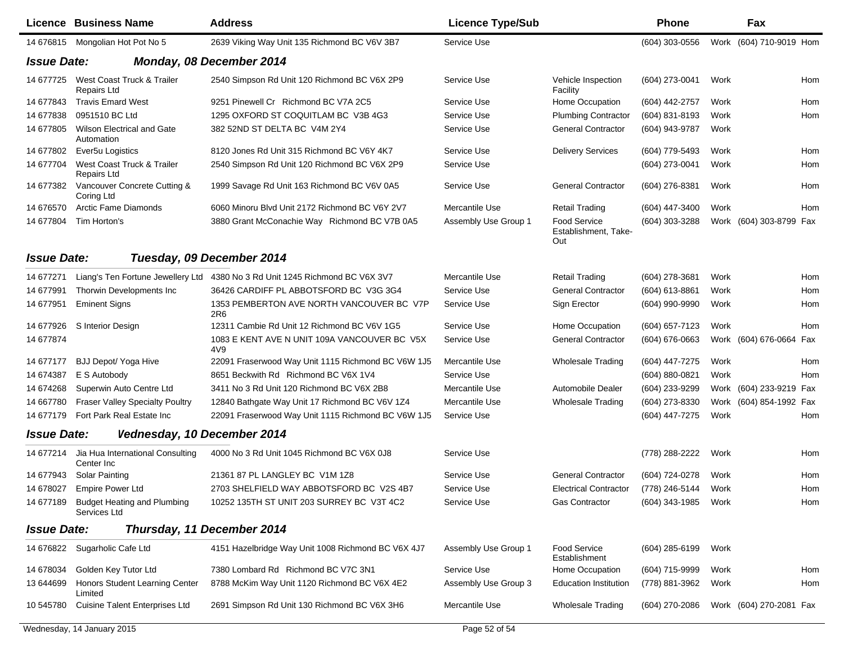|                    | Licence Business Name                              | <b>Address</b>                                                               | <b>Licence Type/Sub</b> |                                             | <b>Phone</b>     |      | Fax                     |     |
|--------------------|----------------------------------------------------|------------------------------------------------------------------------------|-------------------------|---------------------------------------------|------------------|------|-------------------------|-----|
|                    | 14 676815 Mongolian Hot Pot No 5                   | 2639 Viking Way Unit 135 Richmond BC V6V 3B7                                 | Service Use             |                                             | (604) 303-0556   |      | Work (604) 710-9019 Hom |     |
| <b>Issue Date:</b> |                                                    | Monday, 08 December 2014                                                     |                         |                                             |                  |      |                         |     |
| 14 677725          | West Coast Truck & Trailer<br><b>Repairs Ltd</b>   | 2540 Simpson Rd Unit 120 Richmond BC V6X 2P9                                 | Service Use             | Vehicle Inspection<br>Facility              | (604) 273-0041   | Work |                         | Hom |
| 14 677843          | <b>Travis Emard West</b>                           | 9251 Pinewell Cr Richmond BC V7A 2C5                                         | Service Use             | Home Occupation                             | (604) 442-2757   | Work |                         | Hom |
| 14 677838          | 0951510 BC Ltd                                     | 1295 OXFORD ST COQUITLAM BC V3B 4G3                                          | Service Use             | <b>Plumbing Contractor</b>                  | (604) 831-8193   | Work |                         | Hom |
| 14 677805          | <b>Wilson Electrical and Gate</b><br>Automation    | 382 52ND ST DELTA BC V4M 2Y4                                                 | Service Use             | <b>General Contractor</b>                   | (604) 943-9787   | Work |                         |     |
| 14 677802          | Ever5u Logistics                                   | 8120 Jones Rd Unit 315 Richmond BC V6Y 4K7                                   | Service Use             | <b>Delivery Services</b>                    | (604) 779-5493   | Work |                         | Hom |
| 14 677704          | West Coast Truck & Trailer<br>Repairs Ltd          | 2540 Simpson Rd Unit 120 Richmond BC V6X 2P9                                 | Service Use             |                                             | (604) 273-0041   | Work |                         | Hom |
| 14 677382          | Vancouver Concrete Cutting &<br>Coring Ltd         | 1999 Savage Rd Unit 163 Richmond BC V6V 0A5                                  | Service Use             | <b>General Contractor</b>                   | (604) 276-8381   | Work |                         | Hom |
| 14 67 6570         | Arctic Fame Diamonds                               | 6060 Minoru Blvd Unit 2172 Richmond BC V6Y 2V7                               | Mercantile Use          | <b>Retail Trading</b>                       | (604) 447-3400   | Work |                         | Hom |
| 14 677804          | Tim Horton's                                       | 3880 Grant McConachie Way Richmond BC V7B 0A5                                | Assembly Use Group 1    | Food Service<br>Establishment, Take-<br>Out | (604) 303-3288   |      | Work (604) 303-8799 Fax |     |
| <b>Issue Date:</b> |                                                    | Tuesday, 09 December 2014                                                    |                         |                                             |                  |      |                         |     |
| 14 677271          |                                                    | Liang's Ten Fortune Jewellery Ltd 4380 No 3 Rd Unit 1245 Richmond BC V6X 3V7 | Mercantile Use          | <b>Retail Trading</b>                       | (604) 278-3681   | Work |                         | Hom |
| 14 677991          | Thorwin Developments Inc                           | 36426 CARDIFF PL ABBOTSFORD BC V3G 3G4                                       | Service Use             | <b>General Contractor</b>                   | (604) 613-8861   | Work |                         | Hom |
| 14 677951          | <b>Eminent Signs</b>                               | 1353 PEMBERTON AVE NORTH VANCOUVER BC V7P<br>2R <sub>6</sub>                 | Service Use             | Sign Erector                                | (604) 990-9990   | Work |                         | Hom |
| 14 677926          | S Interior Design                                  | 12311 Cambie Rd Unit 12 Richmond BC V6V 1G5                                  | Service Use             | Home Occupation                             | (604) 657-7123   | Work |                         | Hom |
| 14 677874          |                                                    | 1083 E KENT AVE N UNIT 109A VANCOUVER BC V5X<br>4V9                          | Service Use             | <b>General Contractor</b>                   | $(604)$ 676-0663 |      | Work (604) 676-0664 Fax |     |
| 14 677177          | BJJ Depot/ Yoga Hive                               | 22091 Fraserwood Way Unit 1115 Richmond BC V6W 1J5                           | Mercantile Use          | <b>Wholesale Trading</b>                    | (604) 447-7275   | Work |                         | Hom |
| 14 674387          | E S Autobody                                       | 8651 Beckwith Rd Richmond BC V6X 1V4                                         | Service Use             |                                             | (604) 880-0821   | Work |                         | Hom |
| 14 674268          | Superwin Auto Centre Ltd                           | 3411 No 3 Rd Unit 120 Richmond BC V6X 2B8                                    | Mercantile Use          | <b>Automobile Dealer</b>                    | (604) 233-9299   |      | Work (604) 233-9219 Fax |     |
| 14 667780          | <b>Fraser Valley Specialty Poultry</b>             | 12840 Bathgate Way Unit 17 Richmond BC V6V 1Z4                               | Mercantile Use          | <b>Wholesale Trading</b>                    | (604) 273-8330   |      | Work (604) 854-1992 Fax |     |
| 14 677179          | Fort Park Real Estate Inc                          | 22091 Fraserwood Way Unit 1115 Richmond BC V6W 1J5                           | Service Use             |                                             | (604) 447-7275   | Work |                         | Hom |
| <b>Issue Date:</b> | Vednesday, 10 December 2014                        |                                                                              |                         |                                             |                  |      |                         |     |
| 14 677214          | Jia Hua International Consulting<br>Center Inc     | 4000 No 3 Rd Unit 1045 Richmond BC V6X 0J8                                   | Service Use             |                                             | (778) 288-2222   | Work |                         | Hom |
| 14 677943          | <b>Solar Painting</b>                              | 21361 87 PL LANGLEY BC V1M 1Z8                                               | Service Use             | <b>General Contractor</b>                   | (604) 724-0278   | Work |                         | Hom |
| 14 678027          | <b>Empire Power Ltd</b>                            | 2703 SHELFIELD WAY ABBOTSFORD BC V2S 4B7                                     | Service Use             | <b>Electrical Contractor</b>                | (778) 246-5144   | Work |                         | Hom |
| 14 677189          | <b>Budget Heating and Plumbing</b><br>Services Ltd | 10252 135TH ST UNIT 203 SURREY BC V3T 4C2                                    | Service Use             | <b>Gas Contractor</b>                       | (604) 343-1985   | Work |                         | Hom |
| <b>Issue Date:</b> |                                                    | Thursday, 11 December 2014                                                   |                         |                                             |                  |      |                         |     |
| 14 67 6822         | Sugarholic Cafe Ltd                                | 4151 Hazelbridge Way Unit 1008 Richmond BC V6X 4J7                           | Assembly Use Group 1    | Food Service<br>Establishment               | $(604)$ 285-6199 | Work |                         |     |
| 14 678034          | Golden Key Tutor Ltd                               | 7380 Lombard Rd Richmond BC V7C 3N1                                          | Service Use             | Home Occupation                             | (604) 715-9999   | Work |                         | Hom |
| 13 644699          | Honors Student Learning Center<br>Limited          | 8788 McKim Way Unit 1120 Richmond BC V6X 4E2                                 | Assembly Use Group 3    | <b>Education Institution</b>                | (778) 881-3962   | Work |                         | Hom |
| 10 545780          | <b>Cuisine Talent Enterprises Ltd</b>              | 2691 Simpson Rd Unit 130 Richmond BC V6X 3H6                                 | Mercantile Use          | <b>Wholesale Trading</b>                    | (604) 270-2086   |      | Work (604) 270-2081 Fax |     |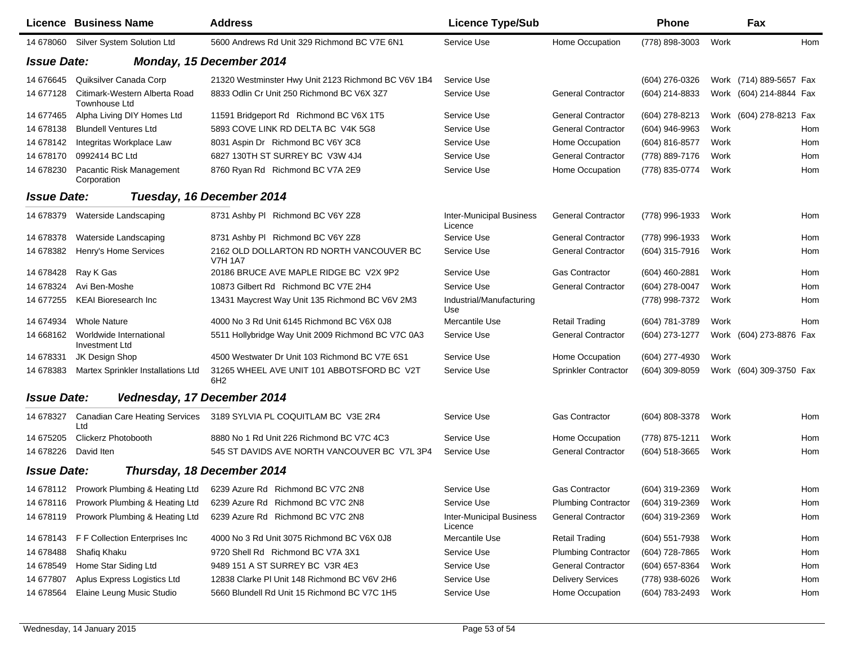|                    | Licence Business Name                                 | <b>Address</b>                                                             | <b>Licence Type/Sub</b>                    |                             | <b>Phone</b>     |      | Fax                     |
|--------------------|-------------------------------------------------------|----------------------------------------------------------------------------|--------------------------------------------|-----------------------------|------------------|------|-------------------------|
| 14 678060          | Silver System Solution Ltd                            | 5600 Andrews Rd Unit 329 Richmond BC V7E 6N1                               | Service Use                                | Home Occupation             | (778) 898-3003   | Work | Hom                     |
| <b>Issue Date:</b> |                                                       | Monday, 15 December 2014                                                   |                                            |                             |                  |      |                         |
| 14 67 6645         | Quiksilver Canada Corp                                | 21320 Westminster Hwy Unit 2123 Richmond BC V6V 1B4                        | Service Use                                |                             | (604) 276-0326   |      | Work (714) 889-5657 Fax |
| 14 677128          | Citimark-Western Alberta Road<br><b>Townhouse Ltd</b> | 8833 Odlin Cr Unit 250 Richmond BC V6X 3Z7                                 | Service Use                                | <b>General Contractor</b>   | (604) 214-8833   |      | Work (604) 214-8844 Fax |
| 14 677465          | Alpha Living DIY Homes Ltd                            | 11591 Bridgeport Rd Richmond BC V6X 1T5                                    | Service Use                                | <b>General Contractor</b>   | (604) 278-8213   |      | Work (604) 278-8213 Fax |
| 14 678138          | <b>Blundell Ventures Ltd</b>                          | 5893 COVE LINK RD DELTA BC V4K 5G8                                         | Service Use                                | <b>General Contractor</b>   | (604) 946-9963   | Work | Hom                     |
| 14 678142          | Integritas Workplace Law                              | 8031 Aspin Dr Richmond BC V6Y 3C8                                          | Service Use                                | Home Occupation             | (604) 816-8577   | Work | Hom                     |
| 14 678170          | 0992414 BC Ltd                                        | 6827 130TH ST SURREY BC V3W 4J4                                            | Service Use                                | <b>General Contractor</b>   | (778) 889-7176   | Work | Hom                     |
| 14 678230          | Pacantic Risk Management<br>Corporation               | 8760 Ryan Rd Richmond BC V7A 2E9                                           | Service Use                                | Home Occupation             | (778) 835-0774   | Work | Hom                     |
| <b>Issue Date:</b> |                                                       | Tuesday, 16 December 2014                                                  |                                            |                             |                  |      |                         |
| 14 678379          | Waterside Landscaping                                 | 8731 Ashby PI Richmond BC V6Y 2Z8                                          | <b>Inter-Municipal Business</b><br>Licence | <b>General Contractor</b>   | (778) 996-1933   | Work | Hom                     |
| 14 678378          | Waterside Landscaping                                 | 8731 Ashby PI Richmond BC V6Y 2Z8                                          | Service Use                                | <b>General Contractor</b>   | (778) 996-1933   | Work | Hom                     |
| 14 678382          | Henry's Home Services                                 | 2162 OLD DOLLARTON RD NORTH VANCOUVER BC<br><b>V7H 1A7</b>                 | Service Use                                | <b>General Contractor</b>   | (604) 315-7916   | Work | Hom                     |
| 14 678428          | Ray K Gas                                             | 20186 BRUCE AVE MAPLE RIDGE BC V2X 9P2                                     | Service Use                                | Gas Contractor              | (604) 460-2881   | Work | Hom                     |
| 14 678324          | Avi Ben-Moshe                                         | 10873 Gilbert Rd Richmond BC V7E 2H4                                       | Service Use                                | <b>General Contractor</b>   | (604) 278-0047   | Work | Hom                     |
| 14 677255          | <b>KEAI Bioresearch Inc</b>                           | 13431 Maycrest Way Unit 135 Richmond BC V6V 2M3                            | Industrial/Manufacturing<br>Use            |                             | (778) 998-7372   | Work | Hom                     |
| 14 674934          | <b>Whole Nature</b>                                   | 4000 No 3 Rd Unit 6145 Richmond BC V6X 0J8                                 | Mercantile Use                             | <b>Retail Trading</b>       | (604) 781-3789   | Work | Hom                     |
| 14 668162          | Worldwide International<br>Investment Ltd             | 5511 Hollybridge Way Unit 2009 Richmond BC V7C 0A3                         | Service Use                                | <b>General Contractor</b>   | (604) 273-1277   |      | Work (604) 273-8876 Fax |
| 14 678331          | JK Design Shop                                        | 4500 Westwater Dr Unit 103 Richmond BC V7E 6S1                             | Service Use                                | Home Occupation             | (604) 277-4930   | Work |                         |
| 14 678383          | Martex Sprinkler Installations Ltd                    | 31265 WHEEL AVE UNIT 101 ABBOTSFORD BC V2T<br>6H <sub>2</sub>              | Service Use                                | <b>Sprinkler Contractor</b> | (604) 309-8059   |      | Work (604) 309-3750 Fax |
| <b>Issue Date:</b> | Vednesday, 17 December 2014                           |                                                                            |                                            |                             |                  |      |                         |
| 14 678327          | <b>Canadian Care Heating Services</b><br>Ltd          | 3189 SYLVIA PL COQUITLAM BC V3E 2R4                                        | Service Use                                | <b>Gas Contractor</b>       | (604) 808-3378   | Work | Hom                     |
| 14 675205          | <b>Clickerz Photobooth</b>                            | 8880 No 1 Rd Unit 226 Richmond BC V7C 4C3                                  | Service Use                                | Home Occupation             | (778) 875-1211   | Work | Hom                     |
| 14 678226          | David Iten                                            | 545 ST DAVIDS AVE NORTH VANCOUVER BC V7L 3P4                               | Service Use                                | <b>General Contractor</b>   | (604) 518-3665   | Work | Hom                     |
| <b>Issue Date:</b> |                                                       | Thursday, 18 December 2014                                                 |                                            |                             |                  |      |                         |
|                    |                                                       | 14 678112 Prowork Plumbing & Heating Ltd 6239 Azure Rd Richmond BC V7C 2N8 | Service Use                                | <b>Gas Contractor</b>       | (604) 319-2369   | Work | Hom                     |
|                    | 14 678116 Prowork Plumbing & Heating Ltd              | 6239 Azure Rd Richmond BC V7C 2N8                                          | Service Use                                | <b>Plumbing Contractor</b>  | (604) 319-2369   | Work | Hom                     |
| 14 678119          | Prowork Plumbing & Heating Ltd                        | 6239 Azure Rd Richmond BC V7C 2N8                                          | <b>Inter-Municipal Business</b><br>Licence | <b>General Contractor</b>   | (604) 319-2369   | Work | Hom                     |
| 14 678143          | F F Collection Enterprises Inc                        | 4000 No 3 Rd Unit 3075 Richmond BC V6X 0J8                                 | Mercantile Use                             | <b>Retail Trading</b>       | $(604)$ 551-7938 | Work | Hom                     |
| 14 678488          | Shafiq Khaku                                          | 9720 Shell Rd Richmond BC V7A 3X1                                          | Service Use                                | <b>Plumbing Contractor</b>  | (604) 728-7865   | Work | Hom                     |
| 14 678549          | Home Star Siding Ltd                                  | 9489 151 A ST SURREY BC V3R 4E3                                            | Service Use                                | <b>General Contractor</b>   | (604) 657-8364   | Work | Hom                     |
| 14 677807          | Aplus Express Logistics Ltd                           | 12838 Clarke PI Unit 148 Richmond BC V6V 2H6                               | Service Use                                | <b>Delivery Services</b>    | (778) 938-6026   | Work | Hom                     |
| 14 678564          | Elaine Leung Music Studio                             | 5660 Blundell Rd Unit 15 Richmond BC V7C 1H5                               | Service Use                                | Home Occupation             | (604) 783-2493   | Work | Hom                     |